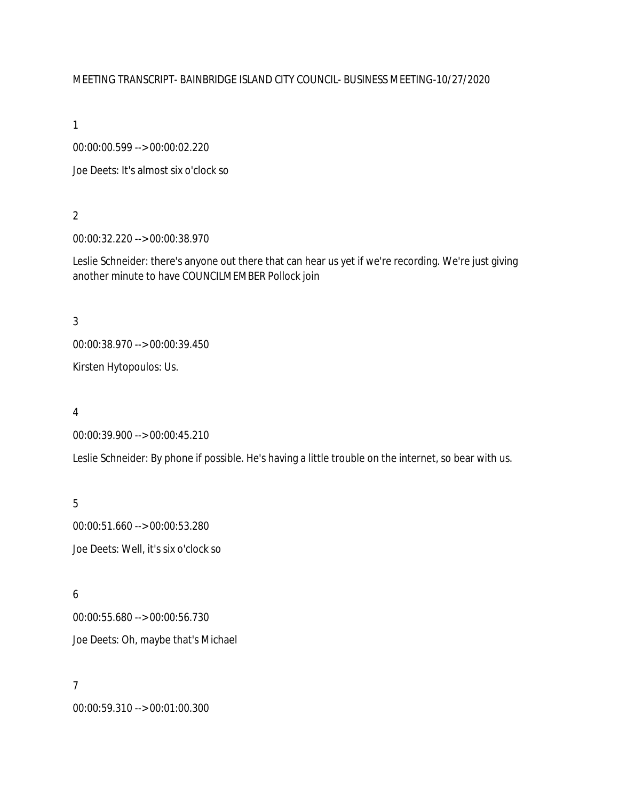#### MEETING TRANSCRIPT- BAINBRIDGE ISLAND CITY COUNCIL- BUSINESS MEETING-10/27/2020

1

00:00:00.599 --> 00:00:02.220

Joe Deets: It's almost six o'clock so

2

00:00:32.220 --> 00:00:38.970

Leslie Schneider: there's anyone out there that can hear us yet if we're recording. We're just giving another minute to have COUNCILMEMBER Pollock join

3

00:00:38.970 --> 00:00:39.450

Kirsten Hytopoulos: Us.

4

00:00:39.900 --> 00:00:45.210

Leslie Schneider: By phone if possible. He's having a little trouble on the internet, so bear with us.

5 00:00:51.660 --> 00:00:53.280 Joe Deets: Well, it's six o'clock so

6 00:00:55.680 --> 00:00:56.730 Joe Deets: Oh, maybe that's Michael

7 00:00:59.310 --> 00:01:00.300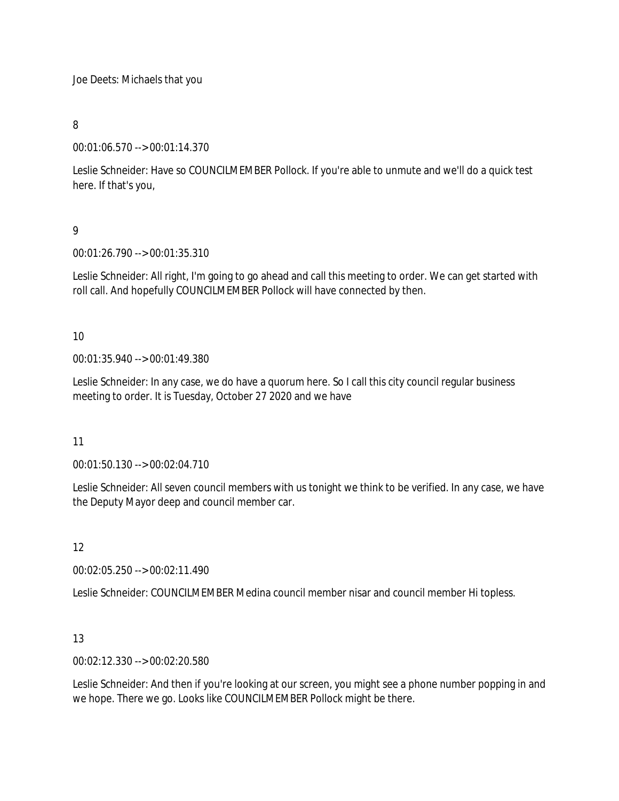Joe Deets: Michaels that you

# 8

00:01:06.570 --> 00:01:14.370

Leslie Schneider: Have so COUNCILMEMBER Pollock. If you're able to unmute and we'll do a quick test here. If that's you,

# 9

00:01:26.790 --> 00:01:35.310

Leslie Schneider: All right, I'm going to go ahead and call this meeting to order. We can get started with roll call. And hopefully COUNCILMEMBER Pollock will have connected by then.

## 10

00:01:35.940 --> 00:01:49.380

Leslie Schneider: In any case, we do have a quorum here. So I call this city council regular business meeting to order. It is Tuesday, October 27 2020 and we have

## 11

00:01:50.130 --> 00:02:04.710

Leslie Schneider: All seven council members with us tonight we think to be verified. In any case, we have the Deputy Mayor deep and council member car.

## 12

00:02:05.250 --> 00:02:11.490

Leslie Schneider: COUNCILMEMBER Medina council member nisar and council member Hi topless.

## 13

00:02:12.330 --> 00:02:20.580

Leslie Schneider: And then if you're looking at our screen, you might see a phone number popping in and we hope. There we go. Looks like COUNCILMEMBER Pollock might be there.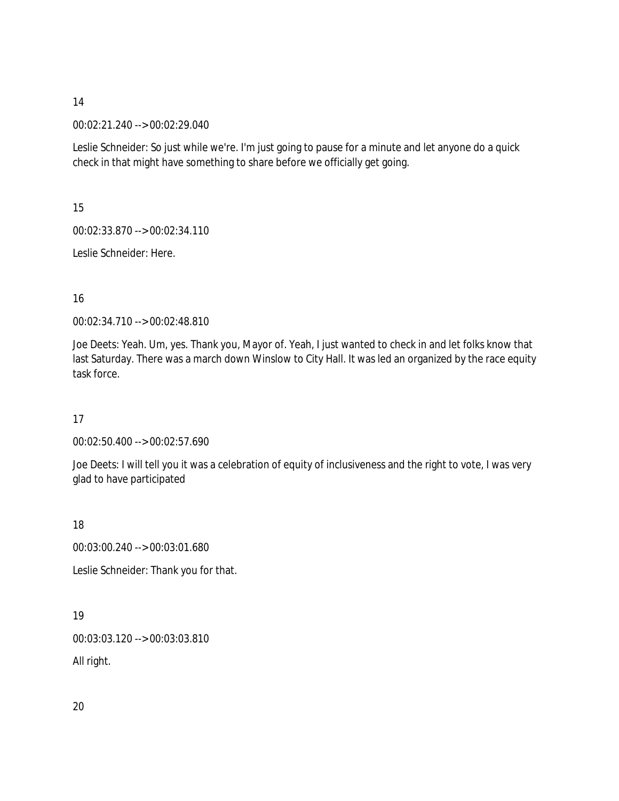00:02:21.240 --> 00:02:29.040

Leslie Schneider: So just while we're. I'm just going to pause for a minute and let anyone do a quick check in that might have something to share before we officially get going.

15

00:02:33.870 --> 00:02:34.110

Leslie Schneider: Here.

16

00:02:34.710 --> 00:02:48.810

Joe Deets: Yeah. Um, yes. Thank you, Mayor of. Yeah, I just wanted to check in and let folks know that last Saturday. There was a march down Winslow to City Hall. It was led an organized by the race equity task force.

17

00:02:50.400 --> 00:02:57.690

Joe Deets: I will tell you it was a celebration of equity of inclusiveness and the right to vote, I was very glad to have participated

18

00:03:00.240 --> 00:03:01.680

Leslie Schneider: Thank you for that.

19

00:03:03.120 --> 00:03:03.810

All right.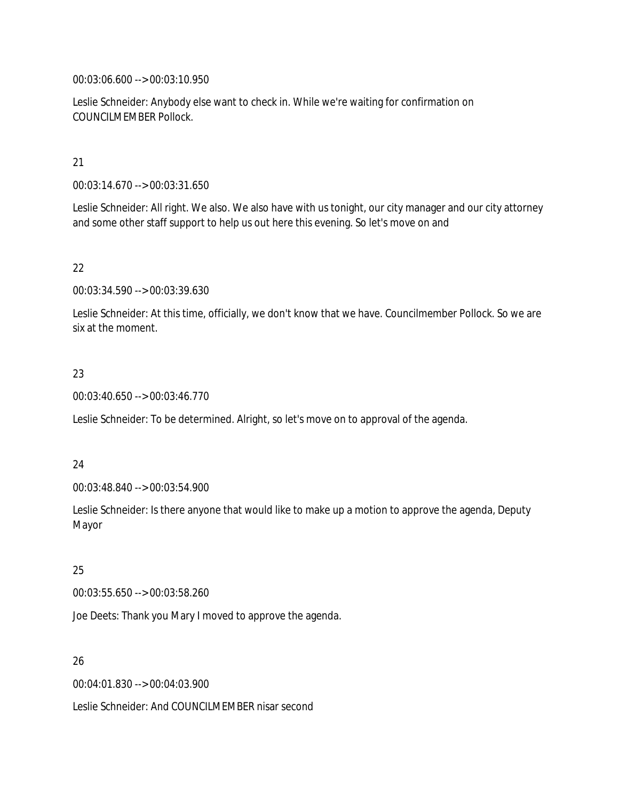00:03:06.600 --> 00:03:10.950

Leslie Schneider: Anybody else want to check in. While we're waiting for confirmation on COUNCILMEMBER Pollock.

#### 21

00:03:14.670 --> 00:03:31.650

Leslie Schneider: All right. We also. We also have with us tonight, our city manager and our city attorney and some other staff support to help us out here this evening. So let's move on and

## 22

00:03:34.590 --> 00:03:39.630

Leslie Schneider: At this time, officially, we don't know that we have. Councilmember Pollock. So we are six at the moment.

## 23

00:03:40.650 --> 00:03:46.770

Leslie Schneider: To be determined. Alright, so let's move on to approval of the agenda.

#### 24

00:03:48.840 --> 00:03:54.900

Leslie Schneider: Is there anyone that would like to make up a motion to approve the agenda, Deputy Mayor

## 25

00:03:55.650 --> 00:03:58.260

Joe Deets: Thank you Mary I moved to approve the agenda.

#### 26

00:04:01.830 --> 00:04:03.900

Leslie Schneider: And COUNCILMEMBER nisar second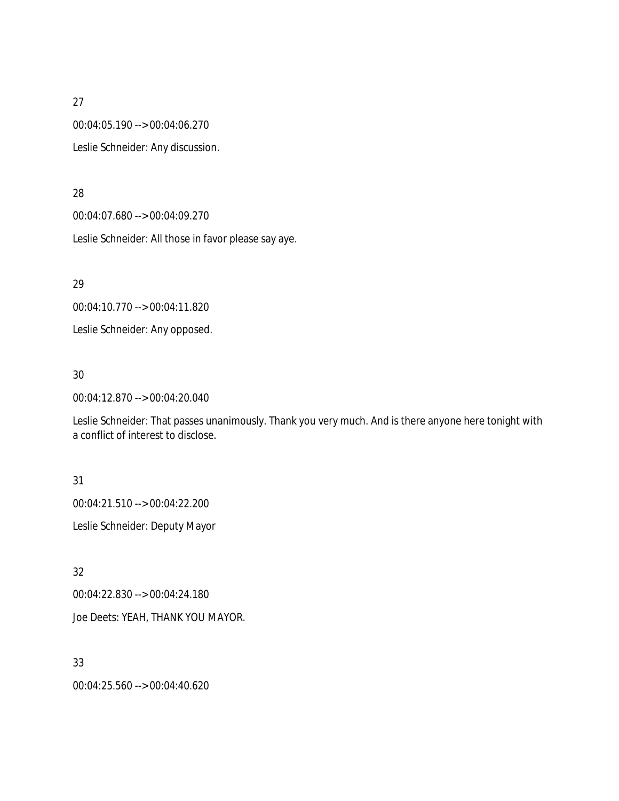00:04:05.190 --> 00:04:06.270

Leslie Schneider: Any discussion.

#### 28

00:04:07.680 --> 00:04:09.270

Leslie Schneider: All those in favor please say aye.

29

00:04:10.770 --> 00:04:11.820 Leslie Schneider: Any opposed.

30

00:04:12.870 --> 00:04:20.040

Leslie Schneider: That passes unanimously. Thank you very much. And is there anyone here tonight with a conflict of interest to disclose.

## 31

00:04:21.510 --> 00:04:22.200

Leslie Schneider: Deputy Mayor

32

00:04:22.830 --> 00:04:24.180 Joe Deets: YEAH, THANK YOU MAYOR.

33

00:04:25.560 --> 00:04:40.620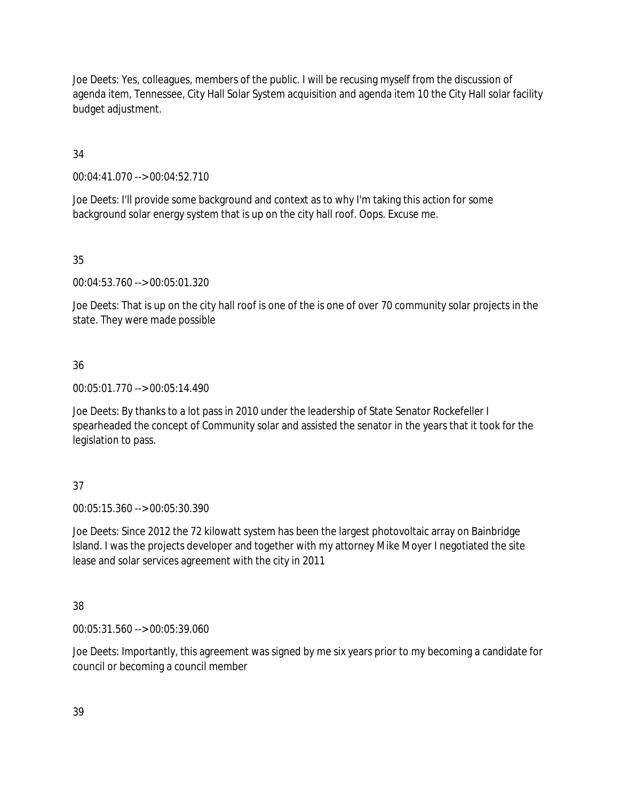Joe Deets: Yes, colleagues, members of the public. I will be recusing myself from the discussion of agenda item, Tennessee, City Hall Solar System acquisition and agenda item 10 the City Hall solar facility budget adjustment.

34

00:04:41.070 --> 00:04:52.710

Joe Deets: I'll provide some background and context as to why I'm taking this action for some background solar energy system that is up on the city hall roof. Oops. Excuse me.

35

00:04:53.760 --> 00:05:01.320

Joe Deets: That is up on the city hall roof is one of the is one of over 70 community solar projects in the state. They were made possible

## 36

00:05:01.770 --> 00:05:14.490

Joe Deets: By thanks to a lot pass in 2010 under the leadership of State Senator Rockefeller I spearheaded the concept of Community solar and assisted the senator in the years that it took for the legislation to pass.

## 37

00:05:15.360 --> 00:05:30.390

Joe Deets: Since 2012 the 72 kilowatt system has been the largest photovoltaic array on Bainbridge Island. I was the projects developer and together with my attorney Mike Moyer I negotiated the site lease and solar services agreement with the city in 2011

38

00:05:31.560 --> 00:05:39.060

Joe Deets: Importantly, this agreement was signed by me six years prior to my becoming a candidate for council or becoming a council member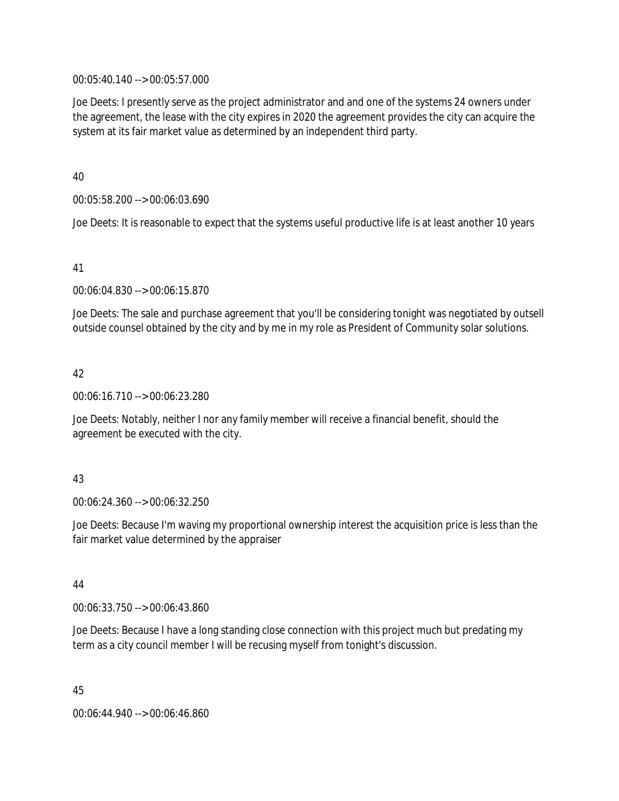00:05:40.140 --> 00:05:57.000

Joe Deets: I presently serve as the project administrator and and one of the systems 24 owners under the agreement, the lease with the city expires in 2020 the agreement provides the city can acquire the system at its fair market value as determined by an independent third party.

40

00:05:58.200 --> 00:06:03.690

Joe Deets: It is reasonable to expect that the systems useful productive life is at least another 10 years

#### 41

00:06:04.830 --> 00:06:15.870

Joe Deets: The sale and purchase agreement that you'll be considering tonight was negotiated by outsell outside counsel obtained by the city and by me in my role as President of Community solar solutions.

#### 42

00:06:16.710 --> 00:06:23.280

Joe Deets: Notably, neither I nor any family member will receive a financial benefit, should the agreement be executed with the city.

#### 43

00:06:24.360 --> 00:06:32.250

Joe Deets: Because I'm waving my proportional ownership interest the acquisition price is less than the fair market value determined by the appraiser

#### 44

00:06:33.750 --> 00:06:43.860

Joe Deets: Because I have a long standing close connection with this project much but predating my term as a city council member I will be recusing myself from tonight's discussion.

45

00:06:44.940 --> 00:06:46.860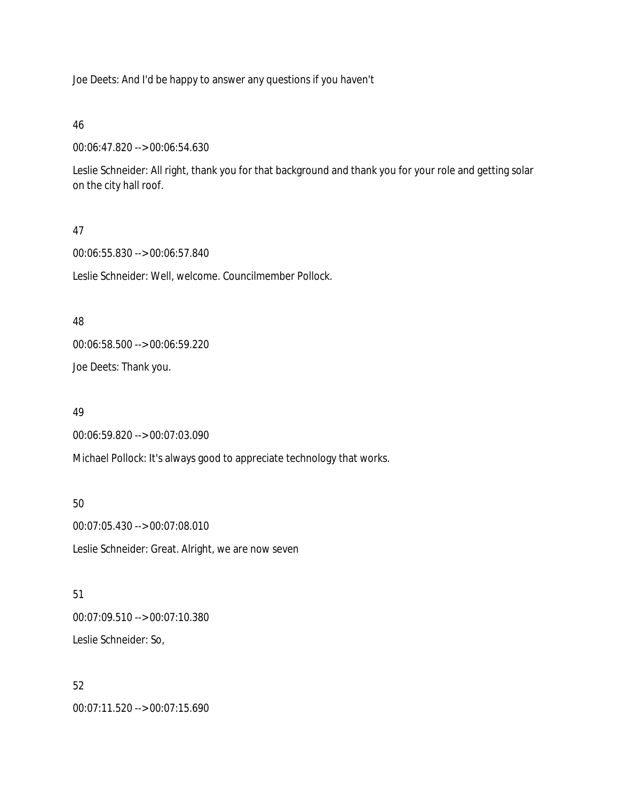Joe Deets: And I'd be happy to answer any questions if you haven't

46

00:06:47.820 --> 00:06:54.630

Leslie Schneider: All right, thank you for that background and thank you for your role and getting solar on the city hall roof.

#### 47

00:06:55.830 --> 00:06:57.840

Leslie Schneider: Well, welcome. Councilmember Pollock.

#### 48

00:06:58.500 --> 00:06:59.220

Joe Deets: Thank you.

#### 49

00:06:59.820 --> 00:07:03.090

Michael Pollock: It's always good to appreciate technology that works.

50 00:07:05.430 --> 00:07:08.010 Leslie Schneider: Great. Alright, we are now seven

51 00:07:09.510 --> 00:07:10.380 Leslie Schneider: So,

52 00:07:11.520 --> 00:07:15.690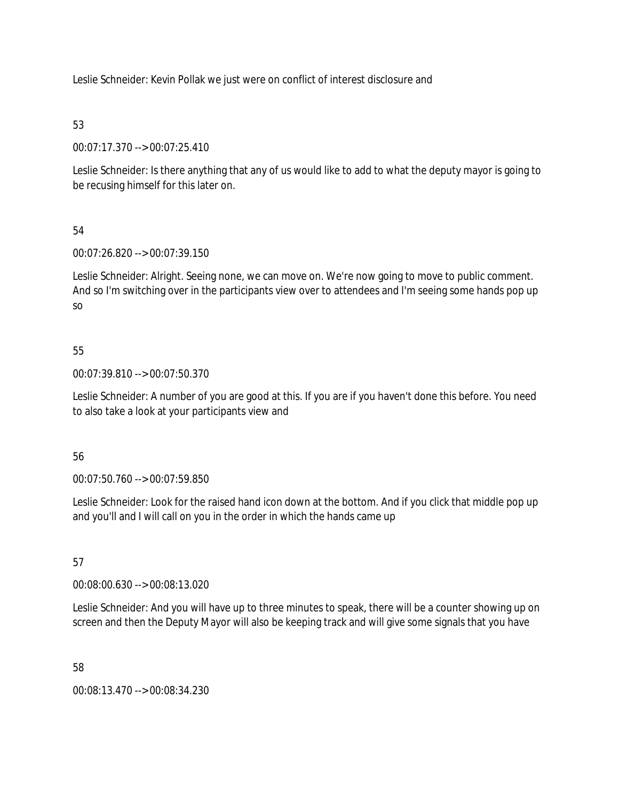Leslie Schneider: Kevin Pollak we just were on conflict of interest disclosure and

# 53

00:07:17.370 --> 00:07:25.410

Leslie Schneider: Is there anything that any of us would like to add to what the deputy mayor is going to be recusing himself for this later on.

# 54

00:07:26.820 --> 00:07:39.150

Leslie Schneider: Alright. Seeing none, we can move on. We're now going to move to public comment. And so I'm switching over in the participants view over to attendees and I'm seeing some hands pop up so

# 55

00:07:39.810 --> 00:07:50.370

Leslie Schneider: A number of you are good at this. If you are if you haven't done this before. You need to also take a look at your participants view and

## 56

00:07:50.760 --> 00:07:59.850

Leslie Schneider: Look for the raised hand icon down at the bottom. And if you click that middle pop up and you'll and I will call on you in the order in which the hands came up

# 57

00:08:00.630 --> 00:08:13.020

Leslie Schneider: And you will have up to three minutes to speak, there will be a counter showing up on screen and then the Deputy Mayor will also be keeping track and will give some signals that you have

## 58

00:08:13.470 --> 00:08:34.230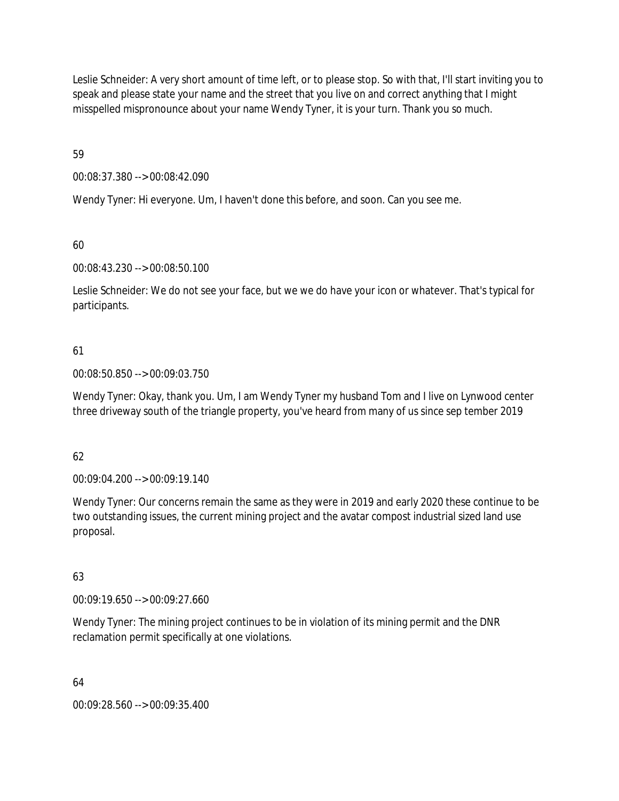Leslie Schneider: A very short amount of time left, or to please stop. So with that, I'll start inviting you to speak and please state your name and the street that you live on and correct anything that I might misspelled mispronounce about your name Wendy Tyner, it is your turn. Thank you so much.

59

00:08:37.380 --> 00:08:42.090

Wendy Tyner: Hi everyone. Um, I haven't done this before, and soon. Can you see me.

60

00:08:43.230 --> 00:08:50.100

Leslie Schneider: We do not see your face, but we we do have your icon or whatever. That's typical for participants.

## 61

00:08:50.850 --> 00:09:03.750

Wendy Tyner: Okay, thank you. Um, I am Wendy Tyner my husband Tom and I live on Lynwood center three driveway south of the triangle property, you've heard from many of us since sep tember 2019

## 62

00:09:04.200 --> 00:09:19.140

Wendy Tyner: Our concerns remain the same as they were in 2019 and early 2020 these continue to be two outstanding issues, the current mining project and the avatar compost industrial sized land use proposal.

## 63

00:09:19.650 --> 00:09:27.660

Wendy Tyner: The mining project continues to be in violation of its mining permit and the DNR reclamation permit specifically at one violations.

64

00:09:28.560 --> 00:09:35.400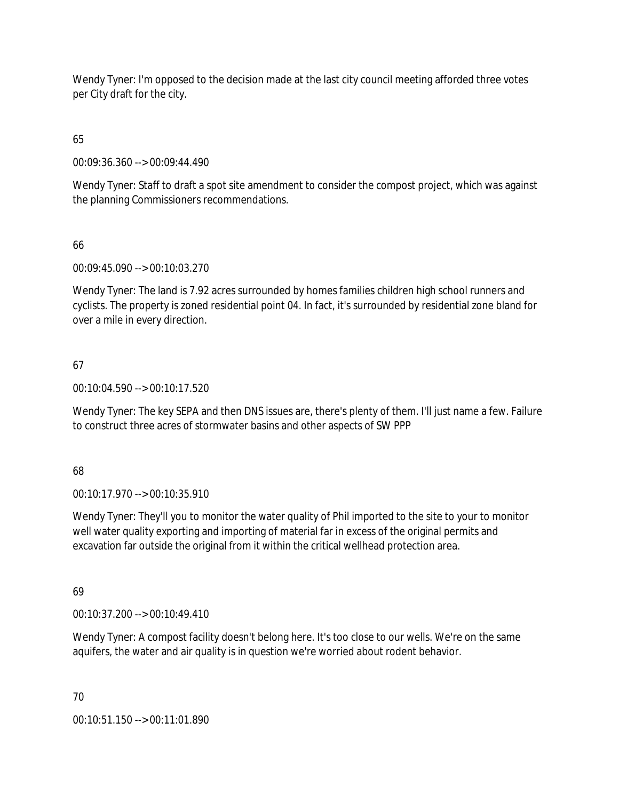Wendy Tyner: I'm opposed to the decision made at the last city council meeting afforded three votes per City draft for the city.

65

00:09:36.360 --> 00:09:44.490

Wendy Tyner: Staff to draft a spot site amendment to consider the compost project, which was against the planning Commissioners recommendations.

## 66

00:09:45.090 --> 00:10:03.270

Wendy Tyner: The land is 7.92 acres surrounded by homes families children high school runners and cyclists. The property is zoned residential point 04. In fact, it's surrounded by residential zone bland for over a mile in every direction.

## 67

00:10:04.590 --> 00:10:17.520

Wendy Tyner: The key SEPA and then DNS issues are, there's plenty of them. I'll just name a few. Failure to construct three acres of stormwater basins and other aspects of SW PPP

#### 68

00:10:17.970 --> 00:10:35.910

Wendy Tyner: They'll you to monitor the water quality of Phil imported to the site to your to monitor well water quality exporting and importing of material far in excess of the original permits and excavation far outside the original from it within the critical wellhead protection area.

## 69

00:10:37.200 --> 00:10:49.410

Wendy Tyner: A compost facility doesn't belong here. It's too close to our wells. We're on the same aquifers, the water and air quality is in question we're worried about rodent behavior.

#### 70

00:10:51.150 --> 00:11:01.890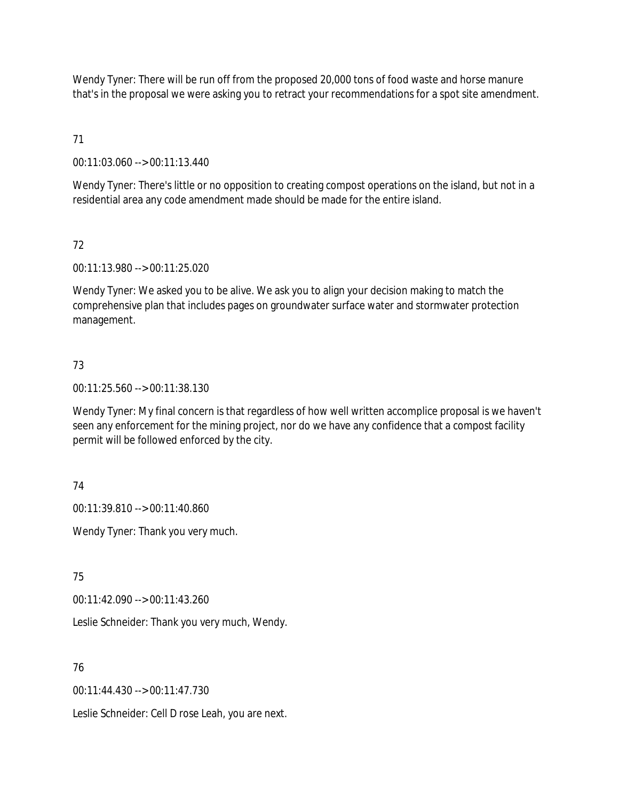Wendy Tyner: There will be run off from the proposed 20,000 tons of food waste and horse manure that's in the proposal we were asking you to retract your recommendations for a spot site amendment.

71

00:11:03.060 --> 00:11:13.440

Wendy Tyner: There's little or no opposition to creating compost operations on the island, but not in a residential area any code amendment made should be made for the entire island.

## 72

00:11:13.980 --> 00:11:25.020

Wendy Tyner: We asked you to be alive. We ask you to align your decision making to match the comprehensive plan that includes pages on groundwater surface water and stormwater protection management.

## 73

00:11:25.560 --> 00:11:38.130

Wendy Tyner: My final concern is that regardless of how well written accomplice proposal is we haven't seen any enforcement for the mining project, nor do we have any confidence that a compost facility permit will be followed enforced by the city.

74

00:11:39.810 --> 00:11:40.860 Wendy Tyner: Thank you very much.

75

00:11:42.090 --> 00:11:43.260

Leslie Schneider: Thank you very much, Wendy.

76

00:11:44.430 --> 00:11:47.730

Leslie Schneider: Cell D rose Leah, you are next.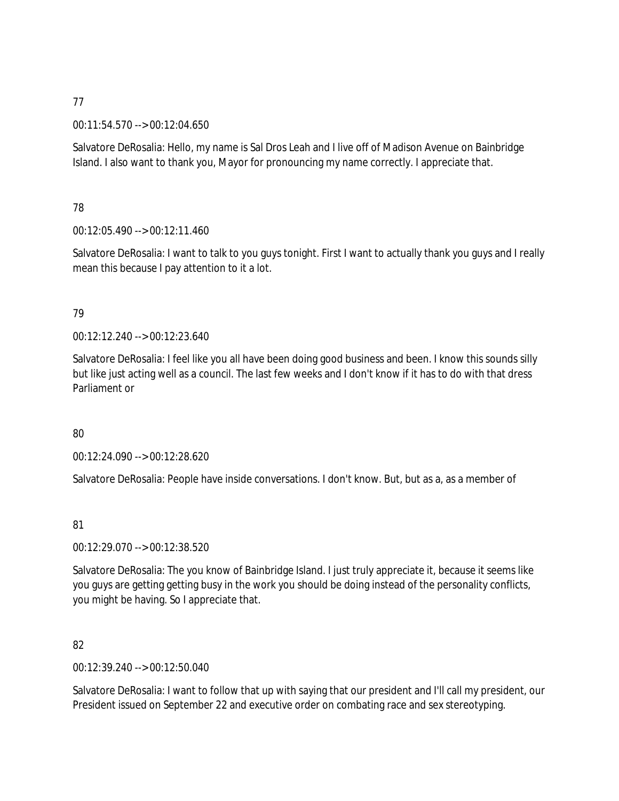00:11:54.570 --> 00:12:04.650

Salvatore DeRosalia: Hello, my name is Sal Dros Leah and I live off of Madison Avenue on Bainbridge Island. I also want to thank you, Mayor for pronouncing my name correctly. I appreciate that.

## 78

00:12:05.490 --> 00:12:11.460

Salvatore DeRosalia: I want to talk to you guys tonight. First I want to actually thank you guys and I really mean this because I pay attention to it a lot.

## 79

00:12:12.240 --> 00:12:23.640

Salvatore DeRosalia: I feel like you all have been doing good business and been. I know this sounds silly but like just acting well as a council. The last few weeks and I don't know if it has to do with that dress Parliament or

## 80

00:12:24.090 --> 00:12:28.620

Salvatore DeRosalia: People have inside conversations. I don't know. But, but as a, as a member of

## 81

00:12:29.070 --> 00:12:38.520

Salvatore DeRosalia: The you know of Bainbridge Island. I just truly appreciate it, because it seems like you guys are getting getting busy in the work you should be doing instead of the personality conflicts, you might be having. So I appreciate that.

## 82

00:12:39.240 --> 00:12:50.040

Salvatore DeRosalia: I want to follow that up with saying that our president and I'll call my president, our President issued on September 22 and executive order on combating race and sex stereotyping.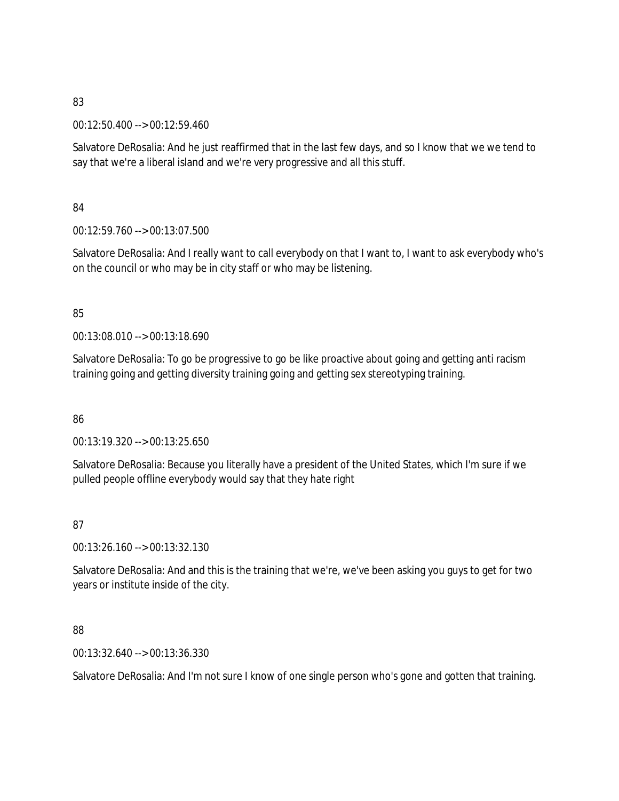00:12:50.400 --> 00:12:59.460

Salvatore DeRosalia: And he just reaffirmed that in the last few days, and so I know that we we tend to say that we're a liberal island and we're very progressive and all this stuff.

84

00:12:59.760 --> 00:13:07.500

Salvatore DeRosalia: And I really want to call everybody on that I want to, I want to ask everybody who's on the council or who may be in city staff or who may be listening.

## 85

00:13:08.010 --> 00:13:18.690

Salvatore DeRosalia: To go be progressive to go be like proactive about going and getting anti racism training going and getting diversity training going and getting sex stereotyping training.

86

00:13:19.320 --> 00:13:25.650

Salvatore DeRosalia: Because you literally have a president of the United States, which I'm sure if we pulled people offline everybody would say that they hate right

87

00:13:26.160 --> 00:13:32.130

Salvatore DeRosalia: And and this is the training that we're, we've been asking you guys to get for two years or institute inside of the city.

## 88

00:13:32.640 --> 00:13:36.330

Salvatore DeRosalia: And I'm not sure I know of one single person who's gone and gotten that training.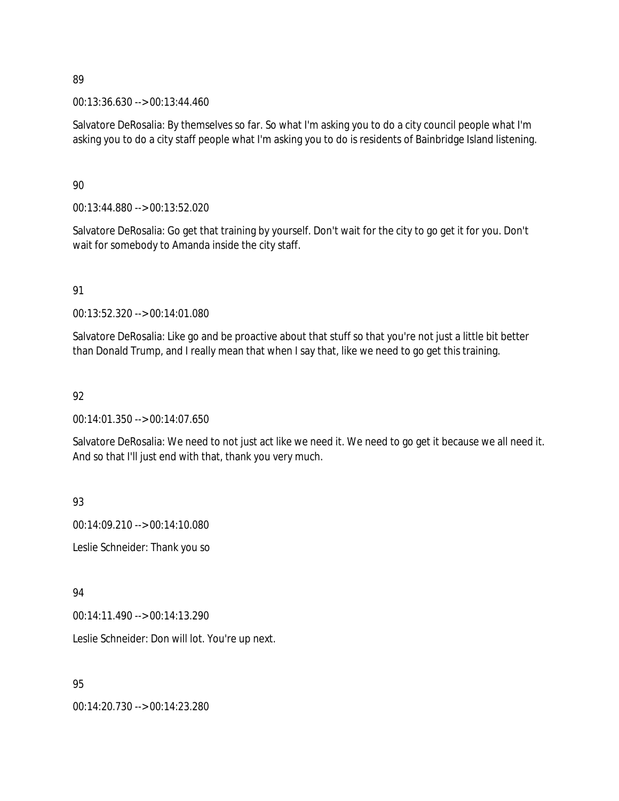00:13:36.630 --> 00:13:44.460

Salvatore DeRosalia: By themselves so far. So what I'm asking you to do a city council people what I'm asking you to do a city staff people what I'm asking you to do is residents of Bainbridge Island listening.

#### 90

00:13:44.880 --> 00:13:52.020

Salvatore DeRosalia: Go get that training by yourself. Don't wait for the city to go get it for you. Don't wait for somebody to Amanda inside the city staff.

#### 91

00:13:52.320 --> 00:14:01.080

Salvatore DeRosalia: Like go and be proactive about that stuff so that you're not just a little bit better than Donald Trump, and I really mean that when I say that, like we need to go get this training.

#### 92

00:14:01.350 --> 00:14:07.650

Salvatore DeRosalia: We need to not just act like we need it. We need to go get it because we all need it. And so that I'll just end with that, thank you very much.

## 93

00:14:09.210 --> 00:14:10.080 Leslie Schneider: Thank you so

#### 94

00:14:11.490 --> 00:14:13.290

Leslie Schneider: Don will lot. You're up next.

## 95

00:14:20.730 --> 00:14:23.280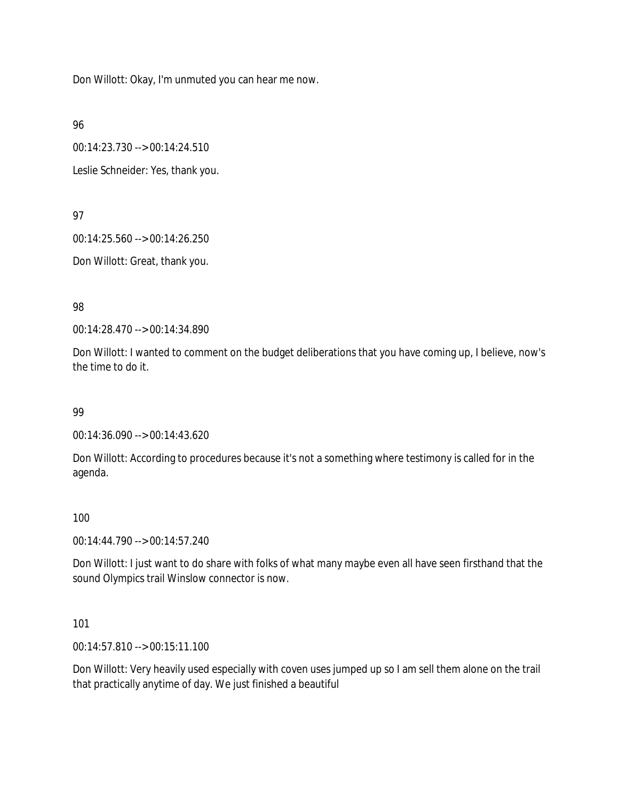Don Willott: Okay, I'm unmuted you can hear me now.

96

00:14:23.730 --> 00:14:24.510

Leslie Schneider: Yes, thank you.

97

00:14:25.560 --> 00:14:26.250

Don Willott: Great, thank you.

98

00:14:28.470 --> 00:14:34.890

Don Willott: I wanted to comment on the budget deliberations that you have coming up, I believe, now's the time to do it.

99

00:14:36.090 --> 00:14:43.620

Don Willott: According to procedures because it's not a something where testimony is called for in the agenda.

## 100

00:14:44.790 --> 00:14:57.240

Don Willott: I just want to do share with folks of what many maybe even all have seen firsthand that the sound Olympics trail Winslow connector is now.

## 101

00:14:57.810 --> 00:15:11.100

Don Willott: Very heavily used especially with coven uses jumped up so I am sell them alone on the trail that practically anytime of day. We just finished a beautiful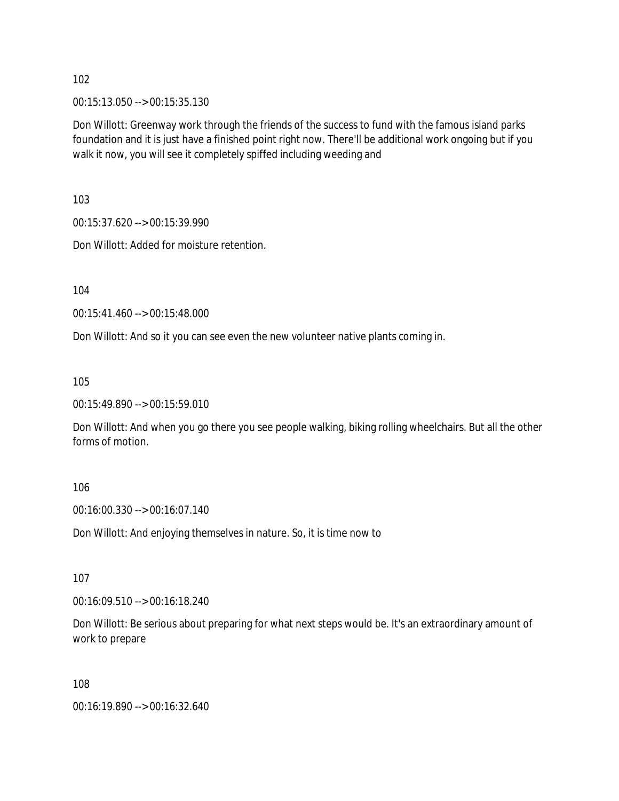00:15:13.050 --> 00:15:35.130

Don Willott: Greenway work through the friends of the success to fund with the famous island parks foundation and it is just have a finished point right now. There'll be additional work ongoing but if you walk it now, you will see it completely spiffed including weeding and

103

00:15:37.620 --> 00:15:39.990

Don Willott: Added for moisture retention.

104

00:15:41.460 --> 00:15:48.000

Don Willott: And so it you can see even the new volunteer native plants coming in.

105

00:15:49.890 --> 00:15:59.010

Don Willott: And when you go there you see people walking, biking rolling wheelchairs. But all the other forms of motion.

106

00:16:00.330 --> 00:16:07.140

Don Willott: And enjoying themselves in nature. So, it is time now to

107

00:16:09.510 --> 00:16:18.240

Don Willott: Be serious about preparing for what next steps would be. It's an extraordinary amount of work to prepare

108

00:16:19.890 --> 00:16:32.640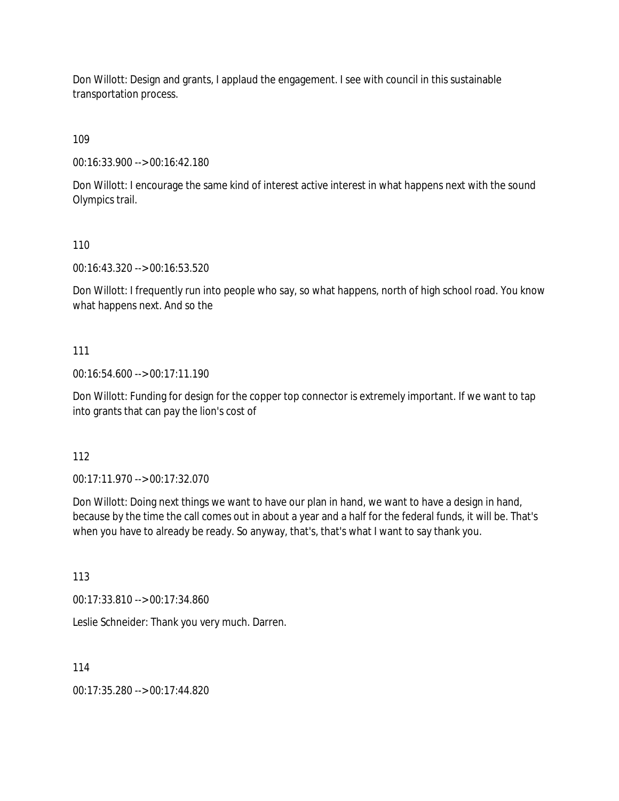Don Willott: Design and grants, I applaud the engagement. I see with council in this sustainable transportation process.

109

00:16:33.900 --> 00:16:42.180

Don Willott: I encourage the same kind of interest active interest in what happens next with the sound Olympics trail.

110

00:16:43.320 --> 00:16:53.520

Don Willott: I frequently run into people who say, so what happens, north of high school road. You know what happens next. And so the

111

00:16:54.600 --> 00:17:11.190

Don Willott: Funding for design for the copper top connector is extremely important. If we want to tap into grants that can pay the lion's cost of

112

00:17:11.970 --> 00:17:32.070

Don Willott: Doing next things we want to have our plan in hand, we want to have a design in hand, because by the time the call comes out in about a year and a half for the federal funds, it will be. That's when you have to already be ready. So anyway, that's, that's what I want to say thank you.

113

00:17:33.810 --> 00:17:34.860

Leslie Schneider: Thank you very much. Darren.

114

00:17:35.280 --> 00:17:44.820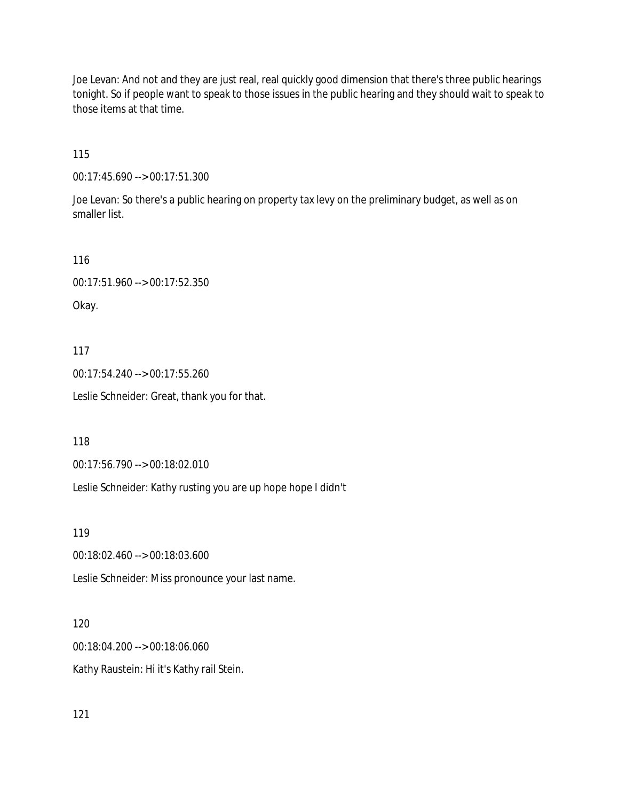Joe Levan: And not and they are just real, real quickly good dimension that there's three public hearings tonight. So if people want to speak to those issues in the public hearing and they should wait to speak to those items at that time.

115

00:17:45.690 --> 00:17:51.300

Joe Levan: So there's a public hearing on property tax levy on the preliminary budget, as well as on smaller list.

116

00:17:51.960 --> 00:17:52.350

Okay.

117

00:17:54.240 --> 00:17:55.260

Leslie Schneider: Great, thank you for that.

118

00:17:56.790 --> 00:18:02.010

Leslie Schneider: Kathy rusting you are up hope hope I didn't

119

00:18:02.460 --> 00:18:03.600

Leslie Schneider: Miss pronounce your last name.

120

00:18:04.200 --> 00:18:06.060 Kathy Raustein: Hi it's Kathy rail Stein.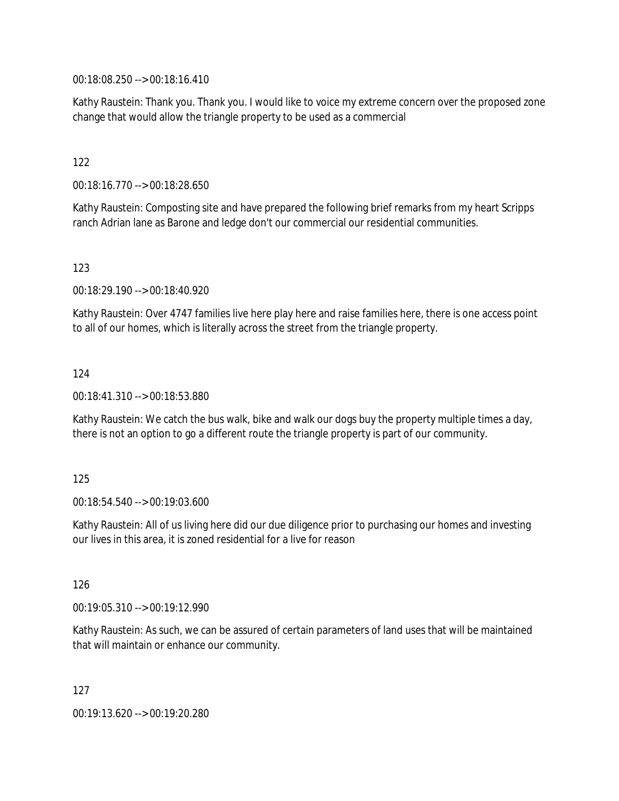00:18:08.250 --> 00:18:16.410

Kathy Raustein: Thank you. Thank you. I would like to voice my extreme concern over the proposed zone change that would allow the triangle property to be used as a commercial

#### 122

00:18:16.770 --> 00:18:28.650

Kathy Raustein: Composting site and have prepared the following brief remarks from my heart Scripps ranch Adrian lane as Barone and ledge don't our commercial our residential communities.

#### 123

00:18:29.190 --> 00:18:40.920

Kathy Raustein: Over 4747 families live here play here and raise families here, there is one access point to all of our homes, which is literally across the street from the triangle property.

#### 124

00:18:41.310 --> 00:18:53.880

Kathy Raustein: We catch the bus walk, bike and walk our dogs buy the property multiple times a day, there is not an option to go a different route the triangle property is part of our community.

#### 125

00:18:54.540 --> 00:19:03.600

Kathy Raustein: All of us living here did our due diligence prior to purchasing our homes and investing our lives in this area, it is zoned residential for a live for reason

#### 126

00:19:05.310 --> 00:19:12.990

Kathy Raustein: As such, we can be assured of certain parameters of land uses that will be maintained that will maintain or enhance our community.

127

00:19:13.620 --> 00:19:20.280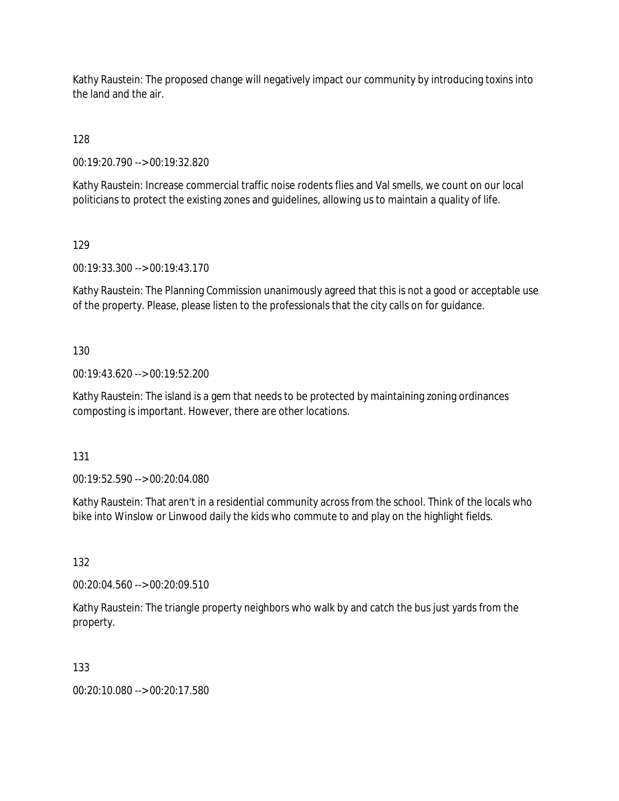Kathy Raustein: The proposed change will negatively impact our community by introducing toxins into the land and the air.

128

00:19:20.790 --> 00:19:32.820

Kathy Raustein: Increase commercial traffic noise rodents flies and Val smells, we count on our local politicians to protect the existing zones and guidelines, allowing us to maintain a quality of life.

129

00:19:33.300 --> 00:19:43.170

Kathy Raustein: The Planning Commission unanimously agreed that this is not a good or acceptable use of the property. Please, please listen to the professionals that the city calls on for guidance.

130

00:19:43.620 --> 00:19:52.200

Kathy Raustein: The island is a gem that needs to be protected by maintaining zoning ordinances composting is important. However, there are other locations.

131

00:19:52.590 --> 00:20:04.080

Kathy Raustein: That aren't in a residential community across from the school. Think of the locals who bike into Winslow or Linwood daily the kids who commute to and play on the highlight fields.

132

00:20:04.560 --> 00:20:09.510

Kathy Raustein: The triangle property neighbors who walk by and catch the bus just yards from the property.

133

00:20:10.080 --> 00:20:17.580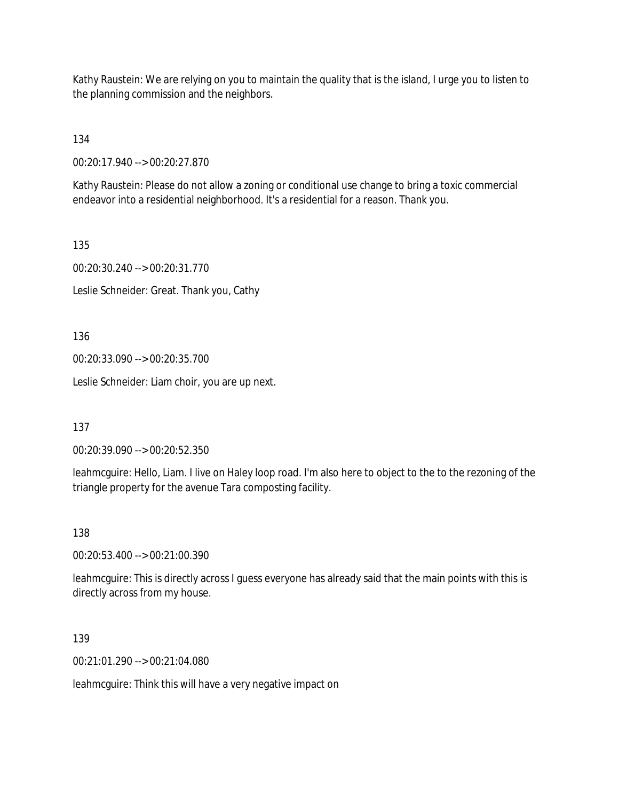Kathy Raustein: We are relying on you to maintain the quality that is the island, I urge you to listen to the planning commission and the neighbors.

134

00:20:17.940 --> 00:20:27.870

Kathy Raustein: Please do not allow a zoning or conditional use change to bring a toxic commercial endeavor into a residential neighborhood. It's a residential for a reason. Thank you.

135

00:20:30.240 --> 00:20:31.770 Leslie Schneider: Great. Thank you, Cathy

136

00:20:33.090 --> 00:20:35.700

Leslie Schneider: Liam choir, you are up next.

137

00:20:39.090 --> 00:20:52.350

leahmcguire: Hello, Liam. I live on Haley loop road. I'm also here to object to the to the rezoning of the triangle property for the avenue Tara composting facility.

138

00:20:53.400 --> 00:21:00.390

leahmcguire: This is directly across I guess everyone has already said that the main points with this is directly across from my house.

139

00:21:01.290 --> 00:21:04.080

leahmcguire: Think this will have a very negative impact on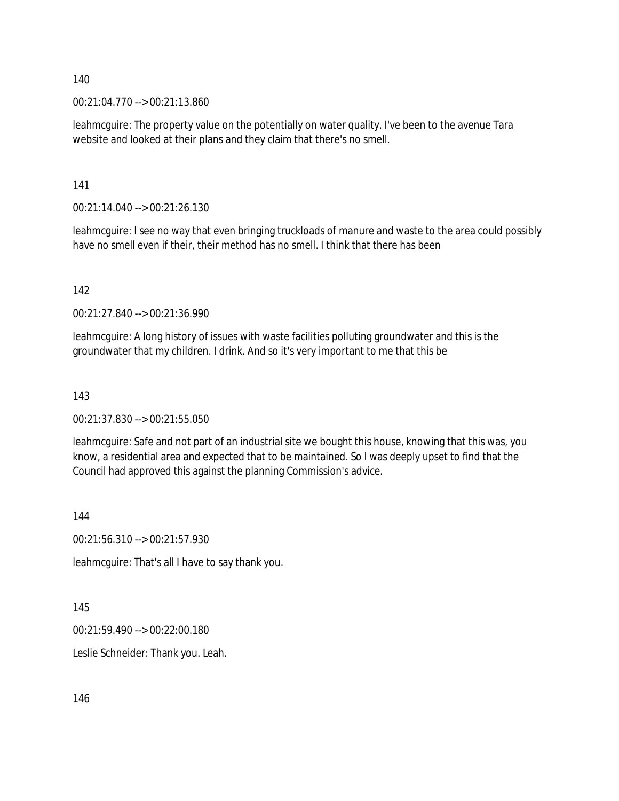00:21:04.770 --> 00:21:13.860

leahmcguire: The property value on the potentially on water quality. I've been to the avenue Tara website and looked at their plans and they claim that there's no smell.

141

00:21:14.040 --> 00:21:26.130

leahmcguire: I see no way that even bringing truckloads of manure and waste to the area could possibly have no smell even if their, their method has no smell. I think that there has been

#### 142

00:21:27.840 --> 00:21:36.990

leahmcguire: A long history of issues with waste facilities polluting groundwater and this is the groundwater that my children. I drink. And so it's very important to me that this be

#### 143

00:21:37.830 --> 00:21:55.050

leahmcguire: Safe and not part of an industrial site we bought this house, knowing that this was, you know, a residential area and expected that to be maintained. So I was deeply upset to find that the Council had approved this against the planning Commission's advice.

144

00:21:56.310 --> 00:21:57.930

leahmcguire: That's all I have to say thank you.

145

00:21:59.490 --> 00:22:00.180

Leslie Schneider: Thank you. Leah.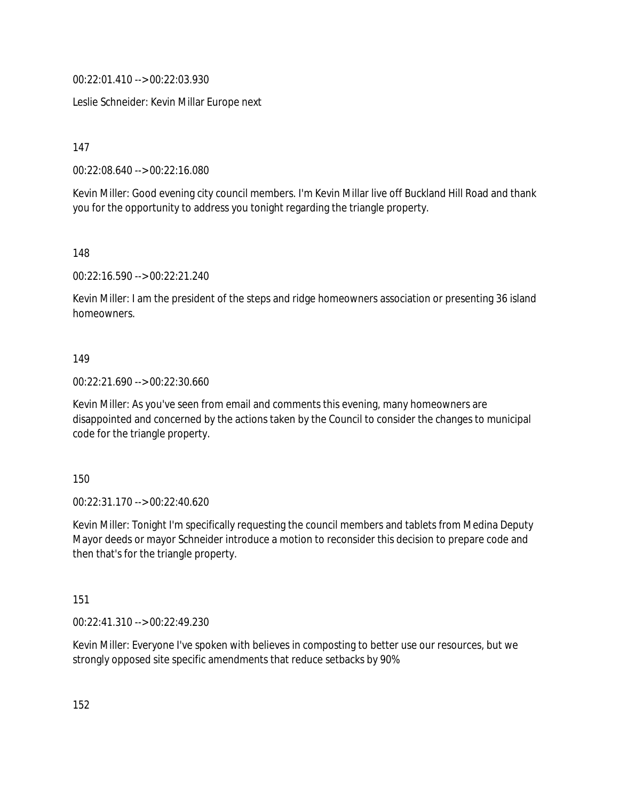00:22:01.410 --> 00:22:03.930

Leslie Schneider: Kevin Millar Europe next

147

00:22:08.640 --> 00:22:16.080

Kevin Miller: Good evening city council members. I'm Kevin Millar live off Buckland Hill Road and thank you for the opportunity to address you tonight regarding the triangle property.

148

00:22:16.590 --> 00:22:21.240

Kevin Miller: I am the president of the steps and ridge homeowners association or presenting 36 island homeowners.

#### 149

00:22:21.690 --> 00:22:30.660

Kevin Miller: As you've seen from email and comments this evening, many homeowners are disappointed and concerned by the actions taken by the Council to consider the changes to municipal code for the triangle property.

150

00:22:31.170 --> 00:22:40.620

Kevin Miller: Tonight I'm specifically requesting the council members and tablets from Medina Deputy Mayor deeds or mayor Schneider introduce a motion to reconsider this decision to prepare code and then that's for the triangle property.

151

00:22:41.310 --> 00:22:49.230

Kevin Miller: Everyone I've spoken with believes in composting to better use our resources, but we strongly opposed site specific amendments that reduce setbacks by 90%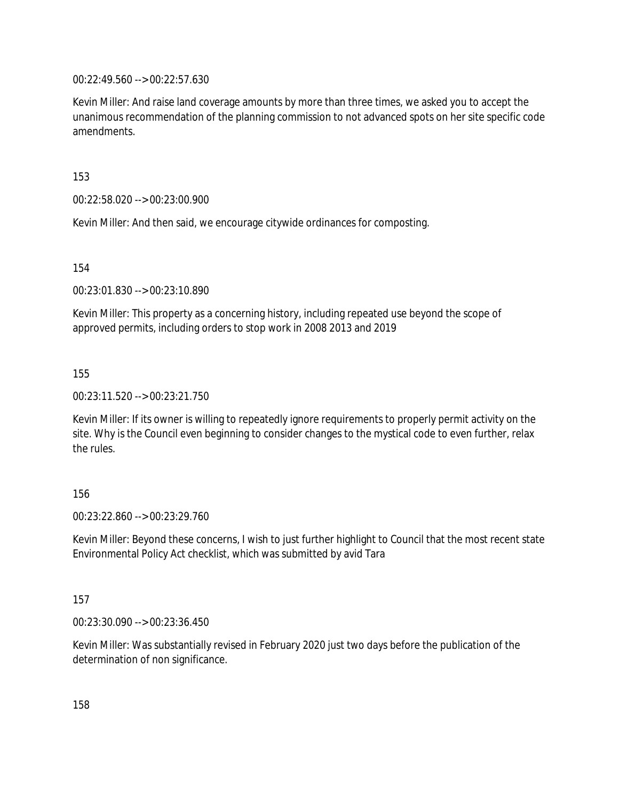00:22:49.560 --> 00:22:57.630

Kevin Miller: And raise land coverage amounts by more than three times, we asked you to accept the unanimous recommendation of the planning commission to not advanced spots on her site specific code amendments.

153

00:22:58.020 --> 00:23:00.900

Kevin Miller: And then said, we encourage citywide ordinances for composting.

154

00:23:01.830 --> 00:23:10.890

Kevin Miller: This property as a concerning history, including repeated use beyond the scope of approved permits, including orders to stop work in 2008 2013 and 2019

155

00:23:11.520 --> 00:23:21.750

Kevin Miller: If its owner is willing to repeatedly ignore requirements to properly permit activity on the site. Why is the Council even beginning to consider changes to the mystical code to even further, relax the rules.

156

00:23:22.860 --> 00:23:29.760

Kevin Miller: Beyond these concerns, I wish to just further highlight to Council that the most recent state Environmental Policy Act checklist, which was submitted by avid Tara

157

00:23:30.090 --> 00:23:36.450

Kevin Miller: Was substantially revised in February 2020 just two days before the publication of the determination of non significance.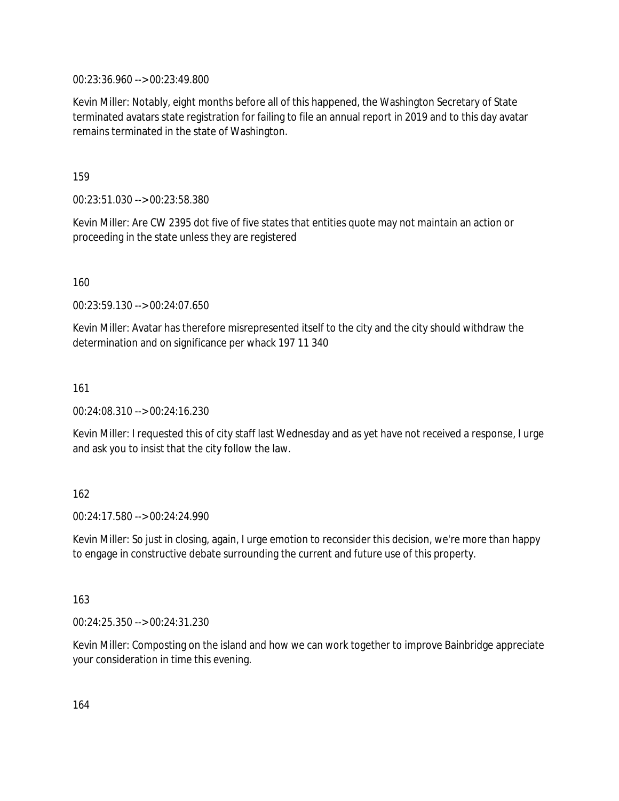00:23:36.960 --> 00:23:49.800

Kevin Miller: Notably, eight months before all of this happened, the Washington Secretary of State terminated avatars state registration for failing to file an annual report in 2019 and to this day avatar remains terminated in the state of Washington.

159

00:23:51.030 --> 00:23:58.380

Kevin Miller: Are CW 2395 dot five of five states that entities quote may not maintain an action or proceeding in the state unless they are registered

160

00:23:59.130 --> 00:24:07.650

Kevin Miller: Avatar has therefore misrepresented itself to the city and the city should withdraw the determination and on significance per whack 197 11 340

161

00:24:08.310 --> 00:24:16.230

Kevin Miller: I requested this of city staff last Wednesday and as yet have not received a response, I urge and ask you to insist that the city follow the law.

162

00:24:17.580 --> 00:24:24.990

Kevin Miller: So just in closing, again, I urge emotion to reconsider this decision, we're more than happy to engage in constructive debate surrounding the current and future use of this property.

163

00:24:25.350 --> 00:24:31.230

Kevin Miller: Composting on the island and how we can work together to improve Bainbridge appreciate your consideration in time this evening.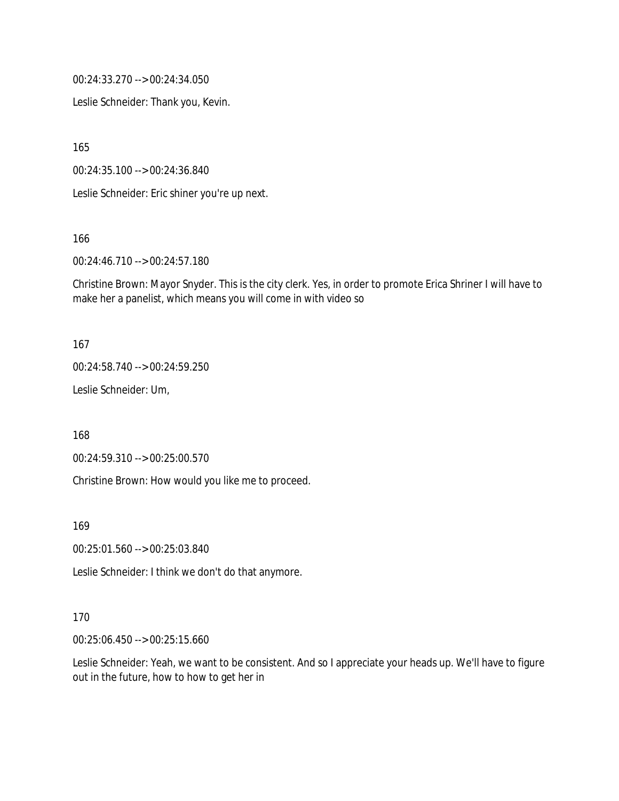00:24:33.270 --> 00:24:34.050

Leslie Schneider: Thank you, Kevin.

165

00:24:35.100 --> 00:24:36.840

Leslie Schneider: Eric shiner you're up next.

166

00:24:46.710 --> 00:24:57.180

Christine Brown: Mayor Snyder. This is the city clerk. Yes, in order to promote Erica Shriner I will have to make her a panelist, which means you will come in with video so

167

00:24:58.740 --> 00:24:59.250

Leslie Schneider: Um,

168

00:24:59.310 --> 00:25:00.570

Christine Brown: How would you like me to proceed.

169

00:25:01.560 --> 00:25:03.840

Leslie Schneider: I think we don't do that anymore.

#### 170

00:25:06.450 --> 00:25:15.660

Leslie Schneider: Yeah, we want to be consistent. And so I appreciate your heads up. We'll have to figure out in the future, how to how to get her in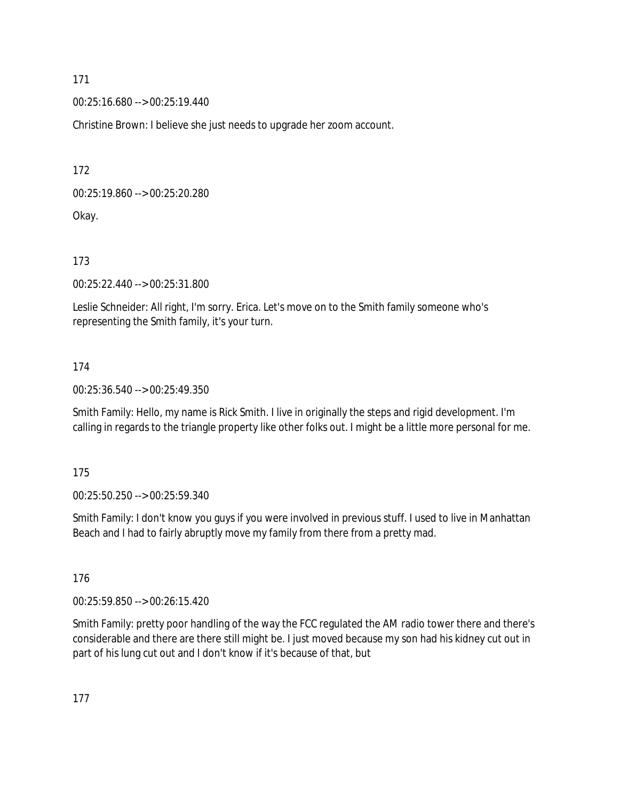00:25:16.680 --> 00:25:19.440

Christine Brown: I believe she just needs to upgrade her zoom account.

172

00:25:19.860 --> 00:25:20.280

Okay.

173

00:25:22.440 --> 00:25:31.800

Leslie Schneider: All right, I'm sorry. Erica. Let's move on to the Smith family someone who's representing the Smith family, it's your turn.

#### 174

00:25:36.540 --> 00:25:49.350

Smith Family: Hello, my name is Rick Smith. I live in originally the steps and rigid development. I'm calling in regards to the triangle property like other folks out. I might be a little more personal for me.

175

00:25:50.250 --> 00:25:59.340

Smith Family: I don't know you guys if you were involved in previous stuff. I used to live in Manhattan Beach and I had to fairly abruptly move my family from there from a pretty mad.

176

00:25:59.850 --> 00:26:15.420

Smith Family: pretty poor handling of the way the FCC regulated the AM radio tower there and there's considerable and there are there still might be. I just moved because my son had his kidney cut out in part of his lung cut out and I don't know if it's because of that, but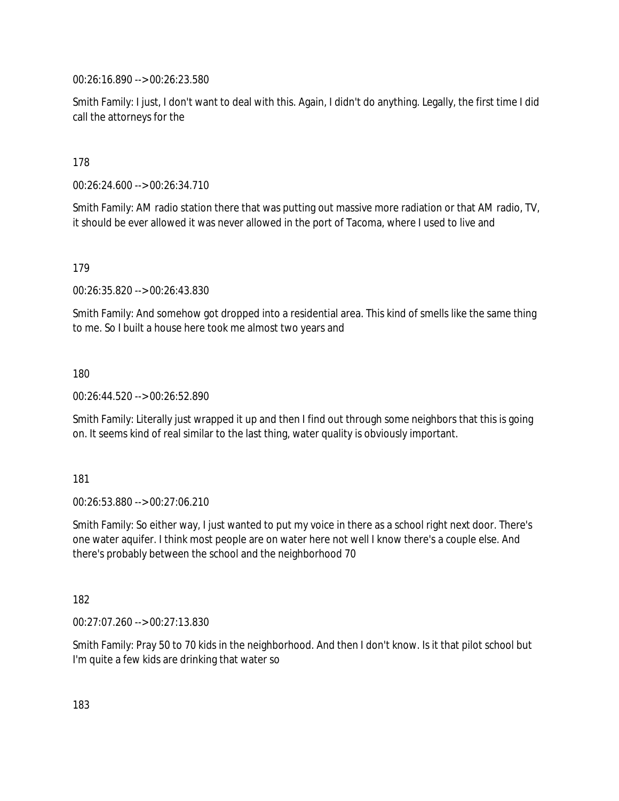00:26:16.890 --> 00:26:23.580

Smith Family: I just, I don't want to deal with this. Again, I didn't do anything. Legally, the first time I did call the attorneys for the

178

00:26:24.600 --> 00:26:34.710

Smith Family: AM radio station there that was putting out massive more radiation or that AM radio, TV, it should be ever allowed it was never allowed in the port of Tacoma, where I used to live and

179

00:26:35.820 --> 00:26:43.830

Smith Family: And somehow got dropped into a residential area. This kind of smells like the same thing to me. So I built a house here took me almost two years and

180

00:26:44.520 --> 00:26:52.890

Smith Family: Literally just wrapped it up and then I find out through some neighbors that this is going on. It seems kind of real similar to the last thing, water quality is obviously important.

181

00:26:53.880 --> 00:27:06.210

Smith Family: So either way, I just wanted to put my voice in there as a school right next door. There's one water aquifer. I think most people are on water here not well I know there's a couple else. And there's probably between the school and the neighborhood 70

182

00:27:07.260 --> 00:27:13.830

Smith Family: Pray 50 to 70 kids in the neighborhood. And then I don't know. Is it that pilot school but I'm quite a few kids are drinking that water so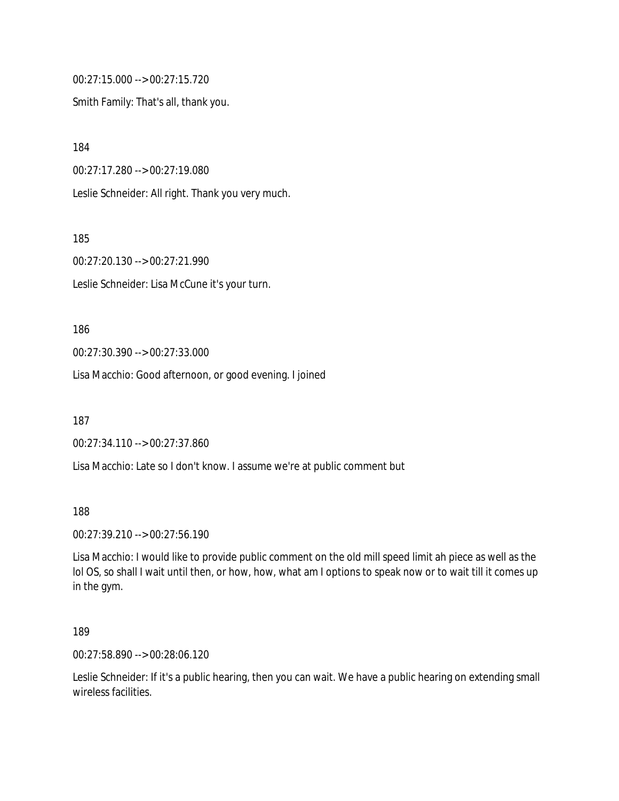00:27:15.000 --> 00:27:15.720

Smith Family: That's all, thank you.

184 00:27:17.280 --> 00:27:19.080 Leslie Schneider: All right. Thank you very much.

185

00:27:20.130 --> 00:27:21.990

Leslie Schneider: Lisa McCune it's your turn.

186

00:27:30.390 --> 00:27:33.000

Lisa Macchio: Good afternoon, or good evening. I joined

187

00:27:34.110 --> 00:27:37.860

Lisa Macchio: Late so I don't know. I assume we're at public comment but

188

00:27:39.210 --> 00:27:56.190

Lisa Macchio: I would like to provide public comment on the old mill speed limit ah piece as well as the lol OS, so shall I wait until then, or how, how, what am I options to speak now or to wait till it comes up in the gym.

189

00:27:58.890 --> 00:28:06.120

Leslie Schneider: If it's a public hearing, then you can wait. We have a public hearing on extending small wireless facilities.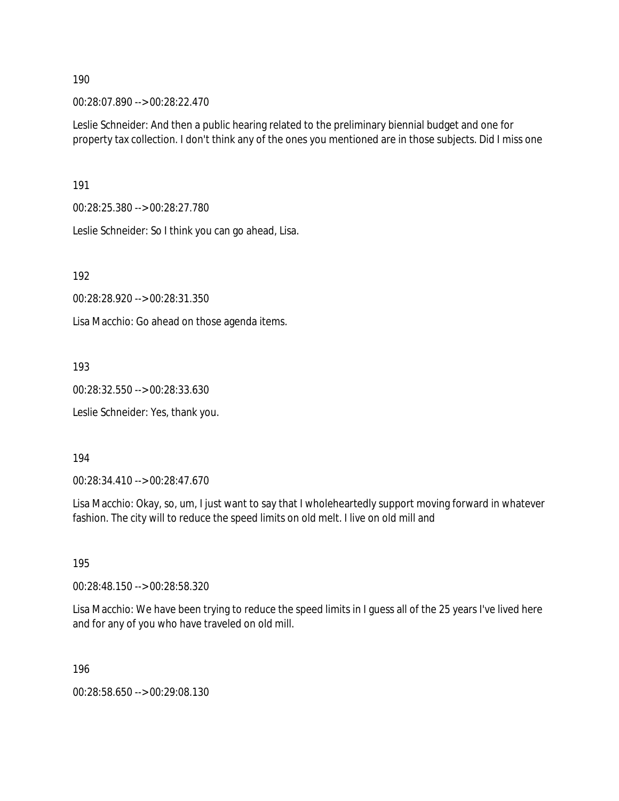00:28:07.890 --> 00:28:22.470

Leslie Schneider: And then a public hearing related to the preliminary biennial budget and one for property tax collection. I don't think any of the ones you mentioned are in those subjects. Did I miss one

191

00:28:25.380 --> 00:28:27.780

Leslie Schneider: So I think you can go ahead, Lisa.

192

00:28:28.920 --> 00:28:31.350

Lisa Macchio: Go ahead on those agenda items.

193

00:28:32.550 --> 00:28:33.630

Leslie Schneider: Yes, thank you.

#### 194

00:28:34.410 --> 00:28:47.670

Lisa Macchio: Okay, so, um, I just want to say that I wholeheartedly support moving forward in whatever fashion. The city will to reduce the speed limits on old melt. I live on old mill and

195

00:28:48.150 --> 00:28:58.320

Lisa Macchio: We have been trying to reduce the speed limits in I guess all of the 25 years I've lived here and for any of you who have traveled on old mill.

196

00:28:58.650 --> 00:29:08.130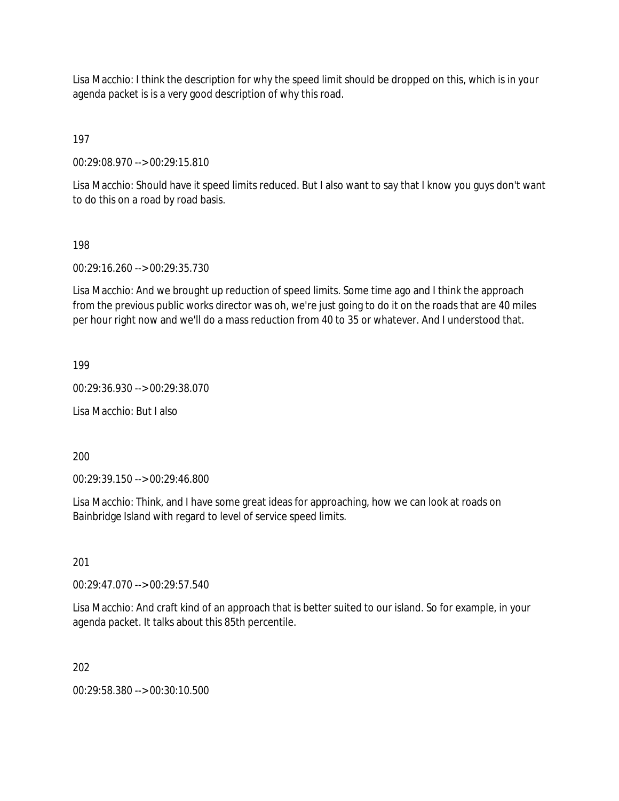Lisa Macchio: I think the description for why the speed limit should be dropped on this, which is in your agenda packet is is a very good description of why this road.

197

00:29:08.970 --> 00:29:15.810

Lisa Macchio: Should have it speed limits reduced. But I also want to say that I know you guys don't want to do this on a road by road basis.

#### 198

00:29:16.260 --> 00:29:35.730

Lisa Macchio: And we brought up reduction of speed limits. Some time ago and I think the approach from the previous public works director was oh, we're just going to do it on the roads that are 40 miles per hour right now and we'll do a mass reduction from 40 to 35 or whatever. And I understood that.

199

00:29:36.930 --> 00:29:38.070

Lisa Macchio: But I also

200

00:29:39.150 --> 00:29:46.800

Lisa Macchio: Think, and I have some great ideas for approaching, how we can look at roads on Bainbridge Island with regard to level of service speed limits.

201

00:29:47.070 --> 00:29:57.540

Lisa Macchio: And craft kind of an approach that is better suited to our island. So for example, in your agenda packet. It talks about this 85th percentile.

202

00:29:58.380 --> 00:30:10.500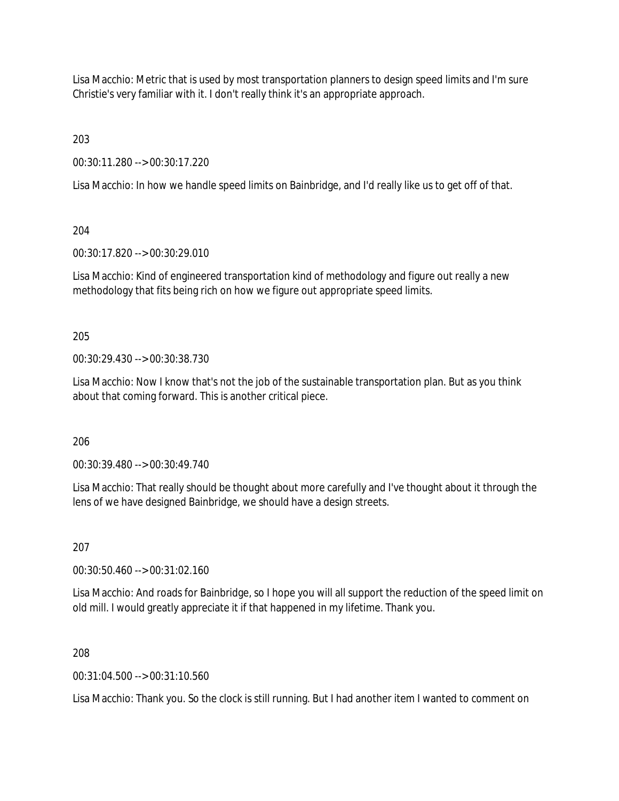Lisa Macchio: Metric that is used by most transportation planners to design speed limits and I'm sure Christie's very familiar with it. I don't really think it's an appropriate approach.

203

00:30:11.280 --> 00:30:17.220

Lisa Macchio: In how we handle speed limits on Bainbridge, and I'd really like us to get off of that.

204

00:30:17.820 --> 00:30:29.010

Lisa Macchio: Kind of engineered transportation kind of methodology and figure out really a new methodology that fits being rich on how we figure out appropriate speed limits.

205

00:30:29.430 --> 00:30:38.730

Lisa Macchio: Now I know that's not the job of the sustainable transportation plan. But as you think about that coming forward. This is another critical piece.

206

00:30:39.480 --> 00:30:49.740

Lisa Macchio: That really should be thought about more carefully and I've thought about it through the lens of we have designed Bainbridge, we should have a design streets.

207

00:30:50.460 --> 00:31:02.160

Lisa Macchio: And roads for Bainbridge, so I hope you will all support the reduction of the speed limit on old mill. I would greatly appreciate it if that happened in my lifetime. Thank you.

208

00:31:04.500 --> 00:31:10.560

Lisa Macchio: Thank you. So the clock is still running. But I had another item I wanted to comment on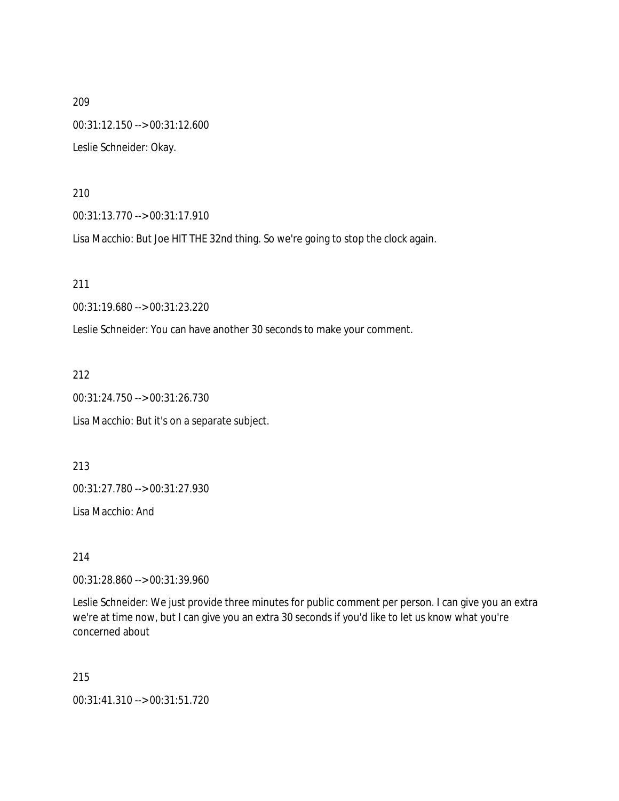209 00:31:12.150 --> 00:31:12.600 Leslie Schneider: Okay.

210

00:31:13.770 --> 00:31:17.910

Lisa Macchio: But Joe HIT THE 32nd thing. So we're going to stop the clock again.

211

00:31:19.680 --> 00:31:23.220

Leslie Schneider: You can have another 30 seconds to make your comment.

212

00:31:24.750 --> 00:31:26.730

Lisa Macchio: But it's on a separate subject.

213

00:31:27.780 --> 00:31:27.930

Lisa Macchio: And

214

00:31:28.860 --> 00:31:39.960

Leslie Schneider: We just provide three minutes for public comment per person. I can give you an extra we're at time now, but I can give you an extra 30 seconds if you'd like to let us know what you're concerned about

215

00:31:41.310 --> 00:31:51.720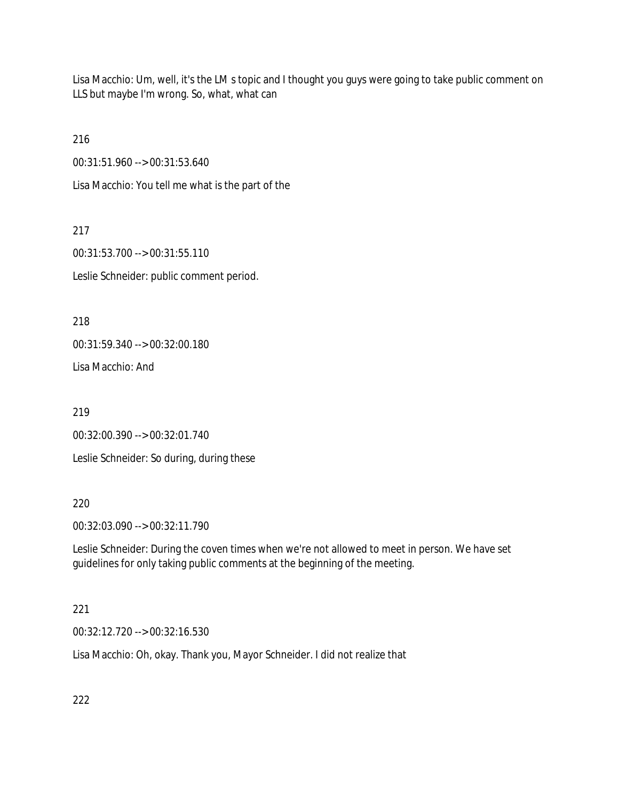Lisa Macchio: Um, well, it's the LM s topic and I thought you guys were going to take public comment on LLS but maybe I'm wrong. So, what, what can

216

00:31:51.960 --> 00:31:53.640

Lisa Macchio: You tell me what is the part of the

217

00:31:53.700 --> 00:31:55.110 Leslie Schneider: public comment period.

218

00:31:59.340 --> 00:32:00.180

Lisa Macchio: And

219

00:32:00.390 --> 00:32:01.740

Leslie Schneider: So during, during these

220

00:32:03.090 --> 00:32:11.790

Leslie Schneider: During the coven times when we're not allowed to meet in person. We have set guidelines for only taking public comments at the beginning of the meeting.

## 221

00:32:12.720 --> 00:32:16.530

Lisa Macchio: Oh, okay. Thank you, Mayor Schneider. I did not realize that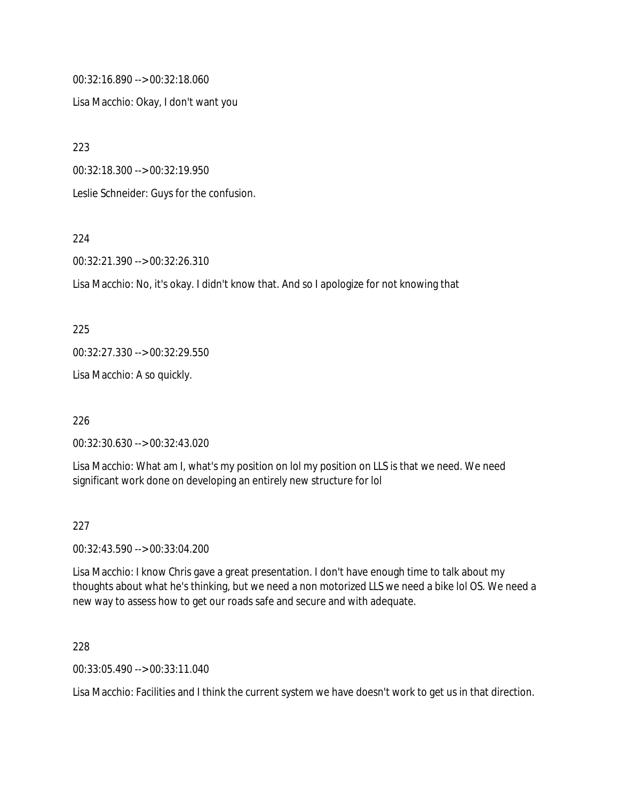00:32:16.890 --> 00:32:18.060

Lisa Macchio: Okay, I don't want you

223

00:32:18.300 --> 00:32:19.950

Leslie Schneider: Guys for the confusion.

224

00:32:21.390 --> 00:32:26.310

Lisa Macchio: No, it's okay. I didn't know that. And so I apologize for not knowing that

225

00:32:27.330 --> 00:32:29.550

Lisa Macchio: A so quickly.

226

00:32:30.630 --> 00:32:43.020

Lisa Macchio: What am I, what's my position on lol my position on LLS is that we need. We need significant work done on developing an entirely new structure for lol

#### 227

00:32:43.590 --> 00:33:04.200

Lisa Macchio: I know Chris gave a great presentation. I don't have enough time to talk about my thoughts about what he's thinking, but we need a non motorized LLS we need a bike lol OS. We need a new way to assess how to get our roads safe and secure and with adequate.

228

00:33:05.490 --> 00:33:11.040

Lisa Macchio: Facilities and I think the current system we have doesn't work to get us in that direction.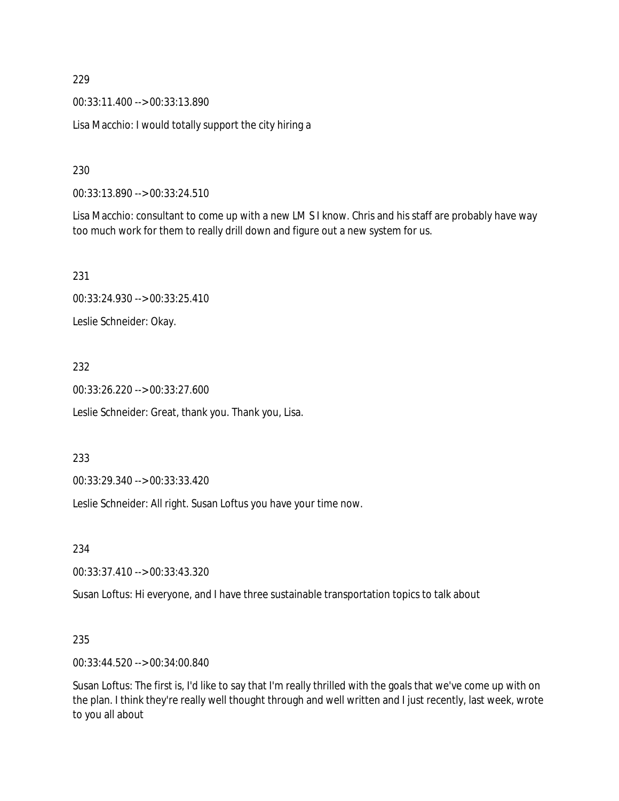00:33:11.400 --> 00:33:13.890

Lisa Macchio: I would totally support the city hiring a

230

00:33:13.890 --> 00:33:24.510

Lisa Macchio: consultant to come up with a new LM S I know. Chris and his staff are probably have way too much work for them to really drill down and figure out a new system for us.

231

00:33:24.930 --> 00:33:25.410

Leslie Schneider: Okay.

### 232

00:33:26.220 --> 00:33:27.600

Leslie Schneider: Great, thank you. Thank you, Lisa.

233

00:33:29.340 --> 00:33:33.420

Leslie Schneider: All right. Susan Loftus you have your time now.

234

00:33:37.410 --> 00:33:43.320

Susan Loftus: Hi everyone, and I have three sustainable transportation topics to talk about

### 235

00:33:44.520 --> 00:34:00.840

Susan Loftus: The first is, I'd like to say that I'm really thrilled with the goals that we've come up with on the plan. I think they're really well thought through and well written and I just recently, last week, wrote to you all about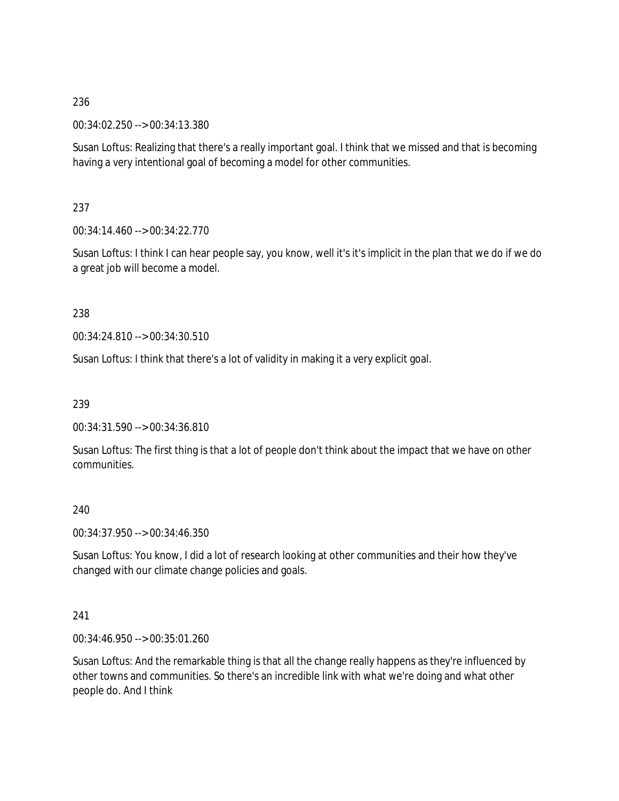00:34:02.250 --> 00:34:13.380

Susan Loftus: Realizing that there's a really important goal. I think that we missed and that is becoming having a very intentional goal of becoming a model for other communities.

237

00:34:14.460 --> 00:34:22.770

Susan Loftus: I think I can hear people say, you know, well it's it's implicit in the plan that we do if we do a great job will become a model.

#### 238

00:34:24.810 --> 00:34:30.510

Susan Loftus: I think that there's a lot of validity in making it a very explicit goal.

239

00:34:31.590 --> 00:34:36.810

Susan Loftus: The first thing is that a lot of people don't think about the impact that we have on other communities.

240

00:34:37.950 --> 00:34:46.350

Susan Loftus: You know, I did a lot of research looking at other communities and their how they've changed with our climate change policies and goals.

#### 241

00:34:46.950 --> 00:35:01.260

Susan Loftus: And the remarkable thing is that all the change really happens as they're influenced by other towns and communities. So there's an incredible link with what we're doing and what other people do. And I think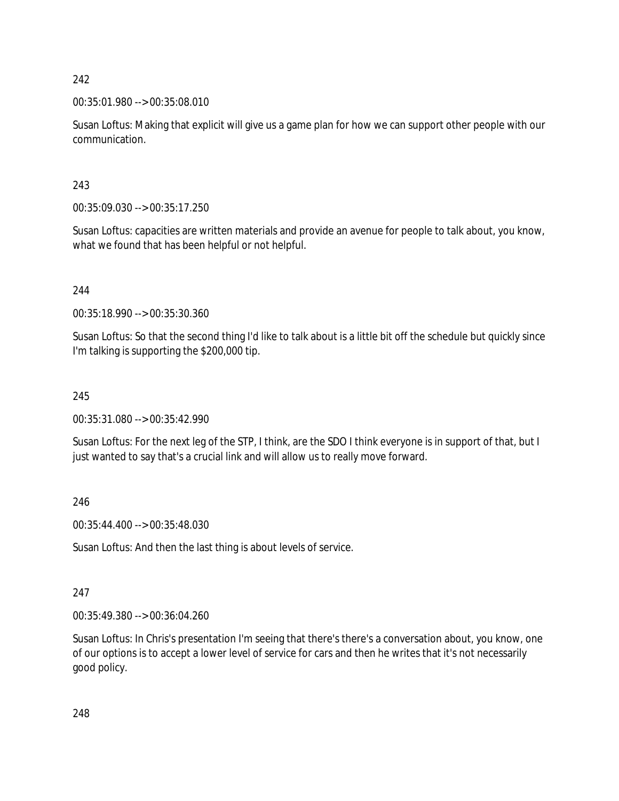## 00:35:01.980 --> 00:35:08.010

Susan Loftus: Making that explicit will give us a game plan for how we can support other people with our communication.

# 243

00:35:09.030 --> 00:35:17.250

Susan Loftus: capacities are written materials and provide an avenue for people to talk about, you know, what we found that has been helpful or not helpful.

## 244

00:35:18.990 --> 00:35:30.360

Susan Loftus: So that the second thing I'd like to talk about is a little bit off the schedule but quickly since I'm talking is supporting the \$200,000 tip.

# 245

00:35:31.080 --> 00:35:42.990

Susan Loftus: For the next leg of the STP, I think, are the SDO I think everyone is in support of that, but I just wanted to say that's a crucial link and will allow us to really move forward.

### 246

00:35:44.400 --> 00:35:48.030

Susan Loftus: And then the last thing is about levels of service.

### 247

00:35:49.380 --> 00:36:04.260

Susan Loftus: In Chris's presentation I'm seeing that there's there's a conversation about, you know, one of our options is to accept a lower level of service for cars and then he writes that it's not necessarily good policy.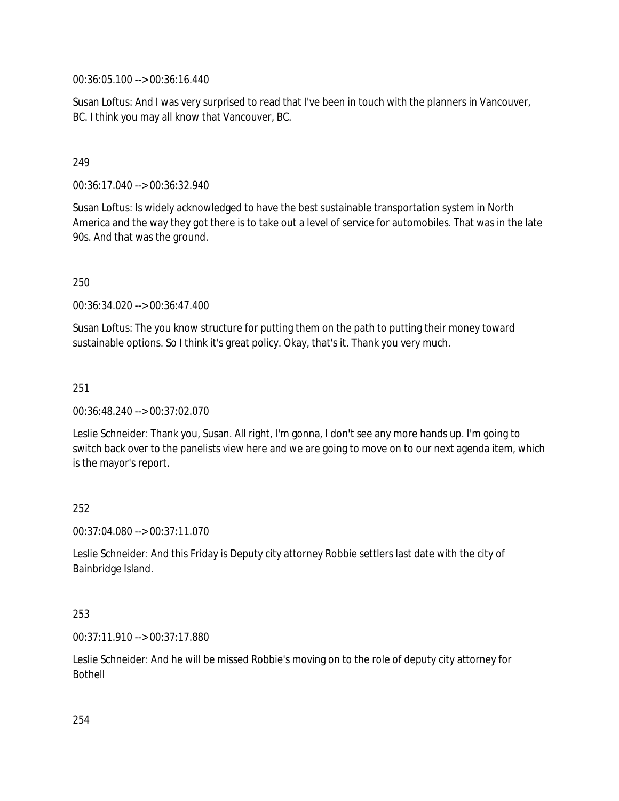00:36:05.100 --> 00:36:16.440

Susan Loftus: And I was very surprised to read that I've been in touch with the planners in Vancouver, BC. I think you may all know that Vancouver, BC.

## 249

00:36:17.040 --> 00:36:32.940

Susan Loftus: Is widely acknowledged to have the best sustainable transportation system in North America and the way they got there is to take out a level of service for automobiles. That was in the late 90s. And that was the ground.

### 250

00:36:34.020 --> 00:36:47.400

Susan Loftus: The you know structure for putting them on the path to putting their money toward sustainable options. So I think it's great policy. Okay, that's it. Thank you very much.

## 251

00:36:48.240 --> 00:37:02.070

Leslie Schneider: Thank you, Susan. All right, I'm gonna, I don't see any more hands up. I'm going to switch back over to the panelists view here and we are going to move on to our next agenda item, which is the mayor's report.

# 252

00:37:04.080 --> 00:37:11.070

Leslie Schneider: And this Friday is Deputy city attorney Robbie settlers last date with the city of Bainbridge Island.

### 253

00:37:11.910 --> 00:37:17.880

Leslie Schneider: And he will be missed Robbie's moving on to the role of deputy city attorney for Bothell

254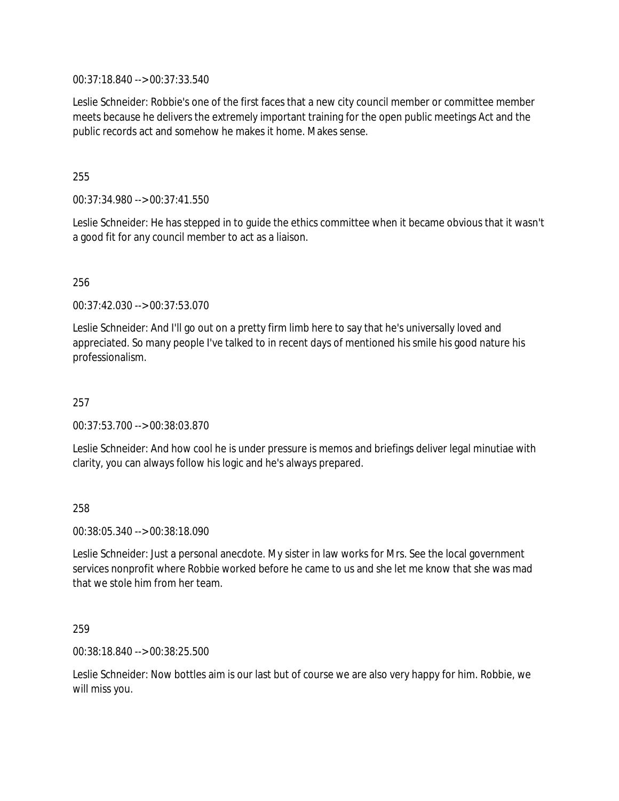00:37:18.840 --> 00:37:33.540

Leslie Schneider: Robbie's one of the first faces that a new city council member or committee member meets because he delivers the extremely important training for the open public meetings Act and the public records act and somehow he makes it home. Makes sense.

255

00:37:34.980 --> 00:37:41.550

Leslie Schneider: He has stepped in to guide the ethics committee when it became obvious that it wasn't a good fit for any council member to act as a liaison.

256

00:37:42.030 --> 00:37:53.070

Leslie Schneider: And I'll go out on a pretty firm limb here to say that he's universally loved and appreciated. So many people I've talked to in recent days of mentioned his smile his good nature his professionalism.

257

00:37:53.700 --> 00:38:03.870

Leslie Schneider: And how cool he is under pressure is memos and briefings deliver legal minutiae with clarity, you can always follow his logic and he's always prepared.

258

00:38:05.340 --> 00:38:18.090

Leslie Schneider: Just a personal anecdote. My sister in law works for Mrs. See the local government services nonprofit where Robbie worked before he came to us and she let me know that she was mad that we stole him from her team.

259

00:38:18.840 --> 00:38:25.500

Leslie Schneider: Now bottles aim is our last but of course we are also very happy for him. Robbie, we will miss you.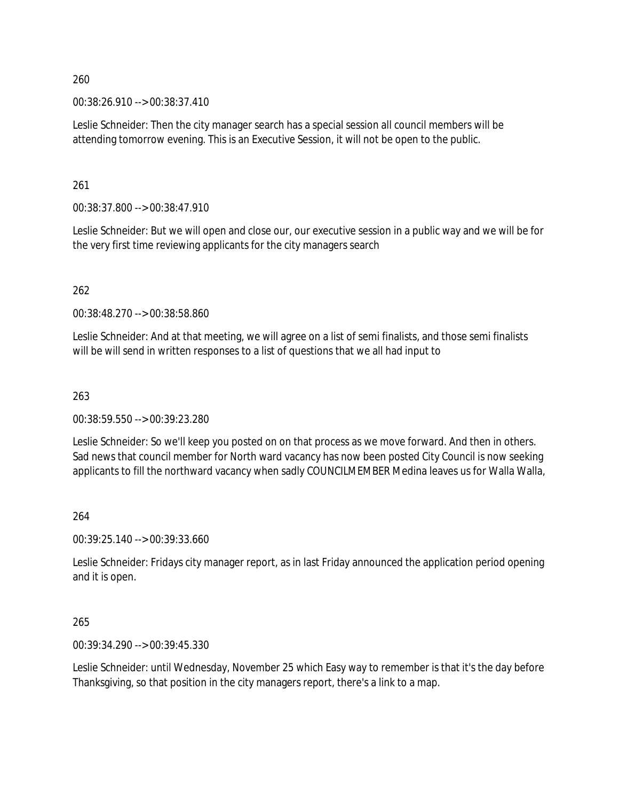00:38:26.910 --> 00:38:37.410

Leslie Schneider: Then the city manager search has a special session all council members will be attending tomorrow evening. This is an Executive Session, it will not be open to the public.

261

00:38:37.800 --> 00:38:47.910

Leslie Schneider: But we will open and close our, our executive session in a public way and we will be for the very first time reviewing applicants for the city managers search

262

00:38:48.270 --> 00:38:58.860

Leslie Schneider: And at that meeting, we will agree on a list of semi finalists, and those semi finalists will be will send in written responses to a list of questions that we all had input to

263

00:38:59.550 --> 00:39:23.280

Leslie Schneider: So we'll keep you posted on on that process as we move forward. And then in others. Sad news that council member for North ward vacancy has now been posted City Council is now seeking applicants to fill the northward vacancy when sadly COUNCILMEMBER Medina leaves us for Walla Walla,

264

00:39:25.140 --> 00:39:33.660

Leslie Schneider: Fridays city manager report, as in last Friday announced the application period opening and it is open.

265

00:39:34.290 --> 00:39:45.330

Leslie Schneider: until Wednesday, November 25 which Easy way to remember is that it's the day before Thanksgiving, so that position in the city managers report, there's a link to a map.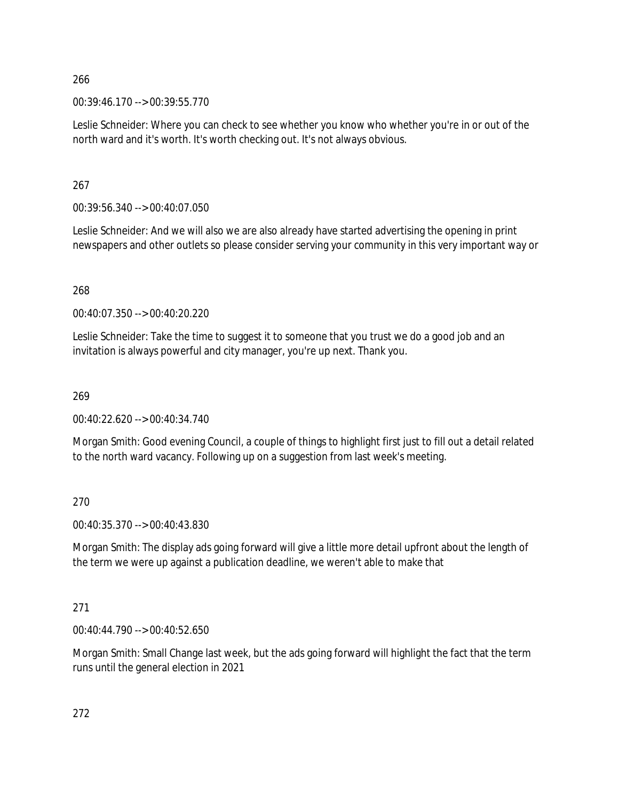00:39:46.170 --> 00:39:55.770

Leslie Schneider: Where you can check to see whether you know who whether you're in or out of the north ward and it's worth. It's worth checking out. It's not always obvious.

267

00:39:56.340 --> 00:40:07.050

Leslie Schneider: And we will also we are also already have started advertising the opening in print newspapers and other outlets so please consider serving your community in this very important way or

268

00:40:07.350 --> 00:40:20.220

Leslie Schneider: Take the time to suggest it to someone that you trust we do a good job and an invitation is always powerful and city manager, you're up next. Thank you.

269

00:40:22.620 --> 00:40:34.740

Morgan Smith: Good evening Council, a couple of things to highlight first just to fill out a detail related to the north ward vacancy. Following up on a suggestion from last week's meeting.

270

00:40:35.370 --> 00:40:43.830

Morgan Smith: The display ads going forward will give a little more detail upfront about the length of the term we were up against a publication deadline, we weren't able to make that

271

00:40:44.790 --> 00:40:52.650

Morgan Smith: Small Change last week, but the ads going forward will highlight the fact that the term runs until the general election in 2021

272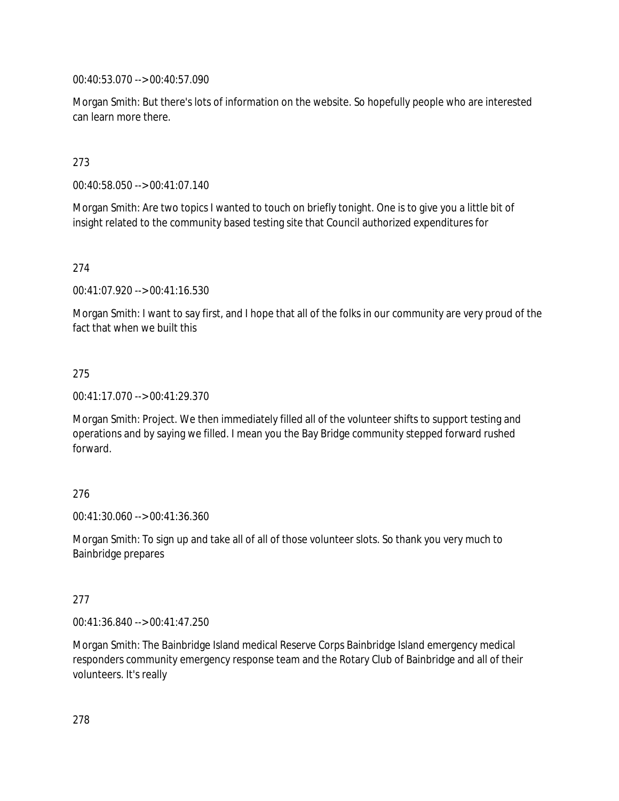00:40:53.070 --> 00:40:57.090

Morgan Smith: But there's lots of information on the website. So hopefully people who are interested can learn more there.

273

00:40:58.050 --> 00:41:07.140

Morgan Smith: Are two topics I wanted to touch on briefly tonight. One is to give you a little bit of insight related to the community based testing site that Council authorized expenditures for

274

00:41:07.920 --> 00:41:16.530

Morgan Smith: I want to say first, and I hope that all of the folks in our community are very proud of the fact that when we built this

#### 275

00:41:17.070 --> 00:41:29.370

Morgan Smith: Project. We then immediately filled all of the volunteer shifts to support testing and operations and by saying we filled. I mean you the Bay Bridge community stepped forward rushed forward.

### 276

00:41:30.060 --> 00:41:36.360

Morgan Smith: To sign up and take all of all of those volunteer slots. So thank you very much to Bainbridge prepares

### 277

00:41:36.840 --> 00:41:47.250

Morgan Smith: The Bainbridge Island medical Reserve Corps Bainbridge Island emergency medical responders community emergency response team and the Rotary Club of Bainbridge and all of their volunteers. It's really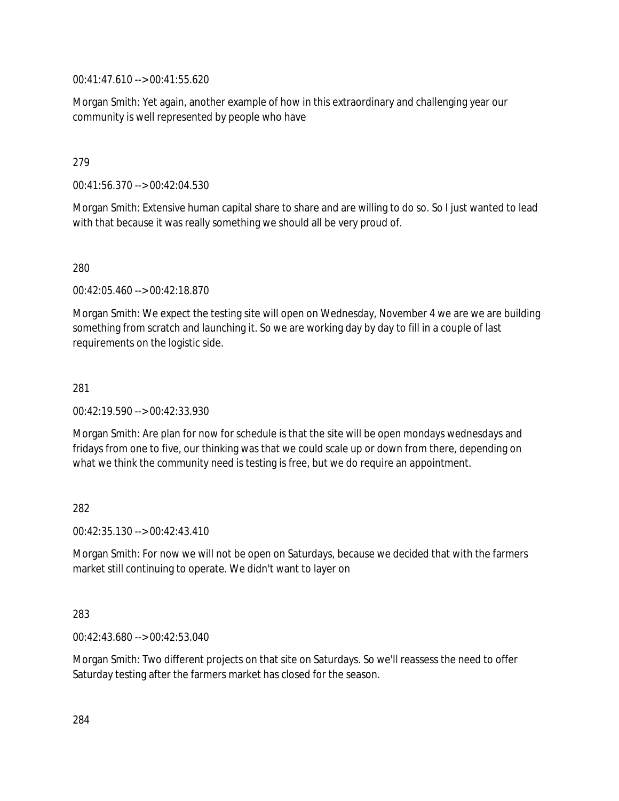00:41:47.610 --> 00:41:55.620

Morgan Smith: Yet again, another example of how in this extraordinary and challenging year our community is well represented by people who have

## 279

00:41:56.370 --> 00:42:04.530

Morgan Smith: Extensive human capital share to share and are willing to do so. So I just wanted to lead with that because it was really something we should all be very proud of.

280

00:42:05.460 --> 00:42:18.870

Morgan Smith: We expect the testing site will open on Wednesday, November 4 we are we are building something from scratch and launching it. So we are working day by day to fill in a couple of last requirements on the logistic side.

#### 281

00:42:19.590 --> 00:42:33.930

Morgan Smith: Are plan for now for schedule is that the site will be open mondays wednesdays and fridays from one to five, our thinking was that we could scale up or down from there, depending on what we think the community need is testing is free, but we do require an appointment.

### 282

00:42:35.130 --> 00:42:43.410

Morgan Smith: For now we will not be open on Saturdays, because we decided that with the farmers market still continuing to operate. We didn't want to layer on

#### 283

00:42:43.680 --> 00:42:53.040

Morgan Smith: Two different projects on that site on Saturdays. So we'll reassess the need to offer Saturday testing after the farmers market has closed for the season.

284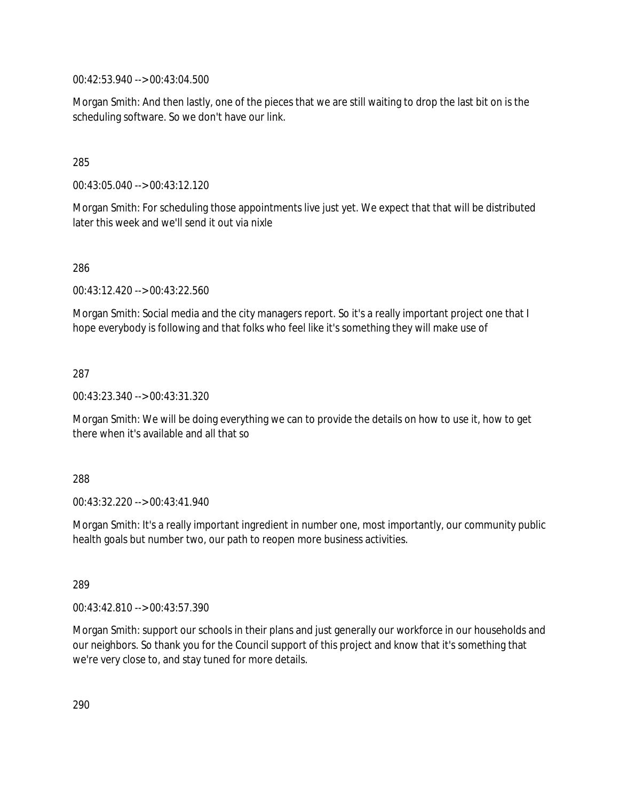00:42:53.940 --> 00:43:04.500

Morgan Smith: And then lastly, one of the pieces that we are still waiting to drop the last bit on is the scheduling software. So we don't have our link.

285

00:43:05.040 --> 00:43:12.120

Morgan Smith: For scheduling those appointments live just yet. We expect that that will be distributed later this week and we'll send it out via nixle

286

00:43:12.420 --> 00:43:22.560

Morgan Smith: Social media and the city managers report. So it's a really important project one that I hope everybody is following and that folks who feel like it's something they will make use of

287

00:43:23.340 --> 00:43:31.320

Morgan Smith: We will be doing everything we can to provide the details on how to use it, how to get there when it's available and all that so

288

00:43:32.220 --> 00:43:41.940

Morgan Smith: It's a really important ingredient in number one, most importantly, our community public health goals but number two, our path to reopen more business activities.

289

00:43:42.810 --> 00:43:57.390

Morgan Smith: support our schools in their plans and just generally our workforce in our households and our neighbors. So thank you for the Council support of this project and know that it's something that we're very close to, and stay tuned for more details.

290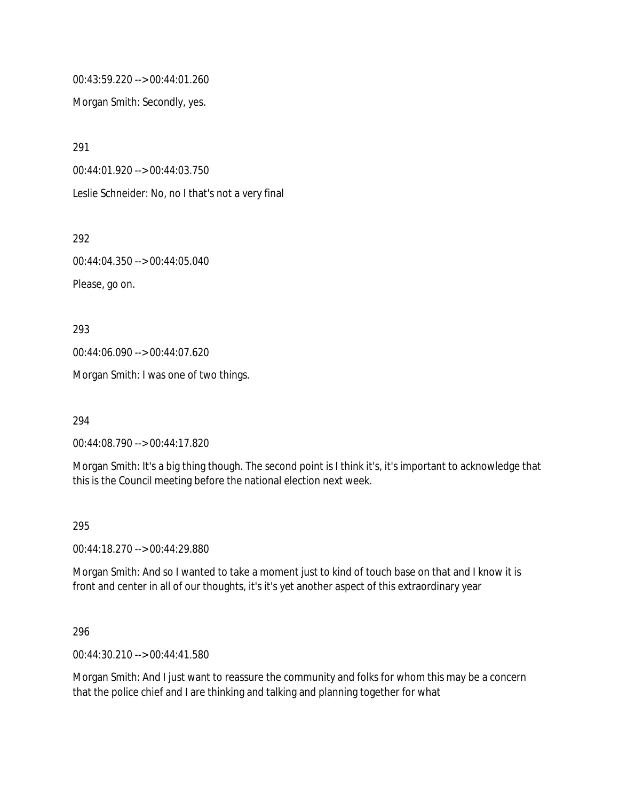00:43:59.220 --> 00:44:01.260

Morgan Smith: Secondly, yes.

291

00:44:01.920 --> 00:44:03.750

Leslie Schneider: No, no I that's not a very final

292

00:44:04.350 --> 00:44:05.040

Please, go on.

293

00:44:06.090 --> 00:44:07.620

Morgan Smith: I was one of two things.

294

00:44:08.790 --> 00:44:17.820

Morgan Smith: It's a big thing though. The second point is I think it's, it's important to acknowledge that this is the Council meeting before the national election next week.

#### 295

00:44:18.270 --> 00:44:29.880

Morgan Smith: And so I wanted to take a moment just to kind of touch base on that and I know it is front and center in all of our thoughts, it's it's yet another aspect of this extraordinary year

296

00:44:30.210 --> 00:44:41.580

Morgan Smith: And I just want to reassure the community and folks for whom this may be a concern that the police chief and I are thinking and talking and planning together for what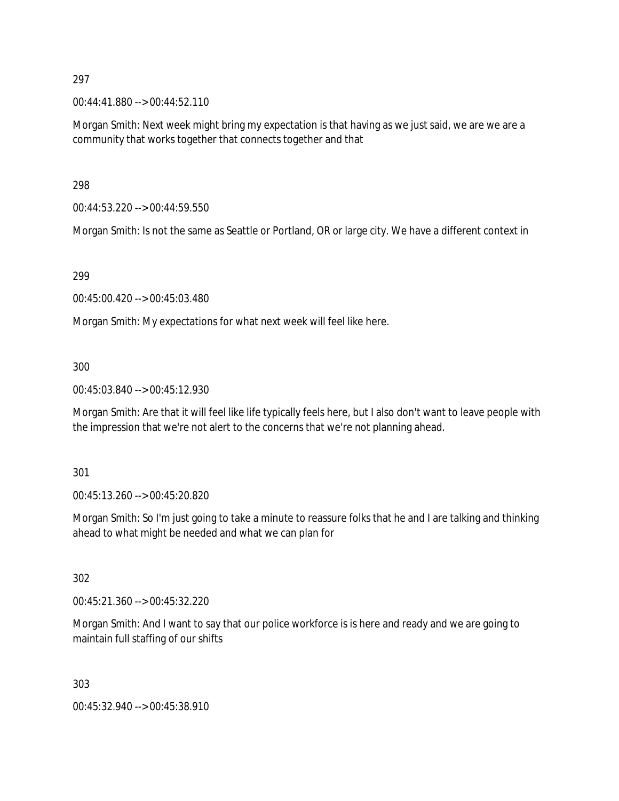00:44:41.880 --> 00:44:52.110

Morgan Smith: Next week might bring my expectation is that having as we just said, we are we are a community that works together that connects together and that

298

00:44:53.220 --> 00:44:59.550

Morgan Smith: Is not the same as Seattle or Portland, OR or large city. We have a different context in

299

00:45:00.420 --> 00:45:03.480

Morgan Smith: My expectations for what next week will feel like here.

300

00:45:03.840 --> 00:45:12.930

Morgan Smith: Are that it will feel like life typically feels here, but I also don't want to leave people with the impression that we're not alert to the concerns that we're not planning ahead.

301

00:45:13.260 --> 00:45:20.820

Morgan Smith: So I'm just going to take a minute to reassure folks that he and I are talking and thinking ahead to what might be needed and what we can plan for

302

00:45:21.360 --> 00:45:32.220

Morgan Smith: And I want to say that our police workforce is is here and ready and we are going to maintain full staffing of our shifts

303

00:45:32.940 --> 00:45:38.910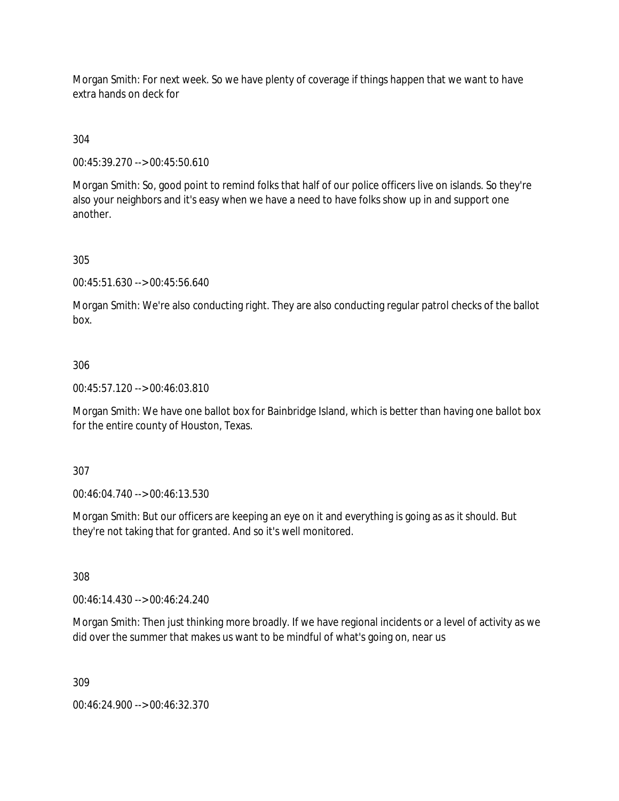Morgan Smith: For next week. So we have plenty of coverage if things happen that we want to have extra hands on deck for

304

00:45:39.270 --> 00:45:50.610

Morgan Smith: So, good point to remind folks that half of our police officers live on islands. So they're also your neighbors and it's easy when we have a need to have folks show up in and support one another.

305

00:45:51.630 --> 00:45:56.640

Morgan Smith: We're also conducting right. They are also conducting regular patrol checks of the ballot box.

306

00:45:57.120 --> 00:46:03.810

Morgan Smith: We have one ballot box for Bainbridge Island, which is better than having one ballot box for the entire county of Houston, Texas.

307

00:46:04.740 --> 00:46:13.530

Morgan Smith: But our officers are keeping an eye on it and everything is going as as it should. But they're not taking that for granted. And so it's well monitored.

308

00:46:14.430 --> 00:46:24.240

Morgan Smith: Then just thinking more broadly. If we have regional incidents or a level of activity as we did over the summer that makes us want to be mindful of what's going on, near us

309

00:46:24.900 --> 00:46:32.370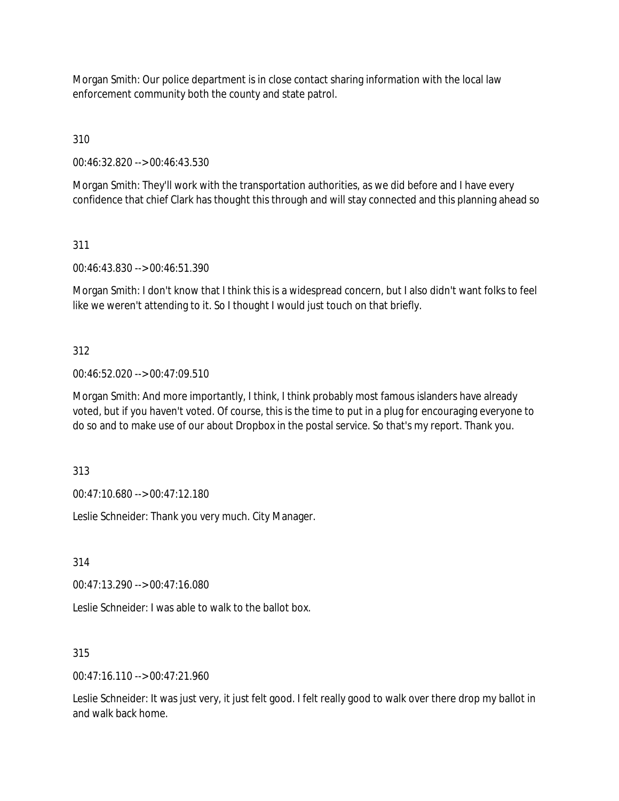Morgan Smith: Our police department is in close contact sharing information with the local law enforcement community both the county and state patrol.

310

00:46:32.820 --> 00:46:43.530

Morgan Smith: They'll work with the transportation authorities, as we did before and I have every confidence that chief Clark has thought this through and will stay connected and this planning ahead so

## 311

00:46:43.830 --> 00:46:51.390

Morgan Smith: I don't know that I think this is a widespread concern, but I also didn't want folks to feel like we weren't attending to it. So I thought I would just touch on that briefly.

## 312

00:46:52.020 --> 00:47:09.510

Morgan Smith: And more importantly, I think, I think probably most famous islanders have already voted, but if you haven't voted. Of course, this is the time to put in a plug for encouraging everyone to do so and to make use of our about Dropbox in the postal service. So that's my report. Thank you.

313

00:47:10.680 --> 00:47:12.180

Leslie Schneider: Thank you very much. City Manager.

314

00:47:13.290 --> 00:47:16.080

Leslie Schneider: I was able to walk to the ballot box.

### 315

 $0.47:16.110 \rightarrow 0.0147:21.960$ 

Leslie Schneider: It was just very, it just felt good. I felt really good to walk over there drop my ballot in and walk back home.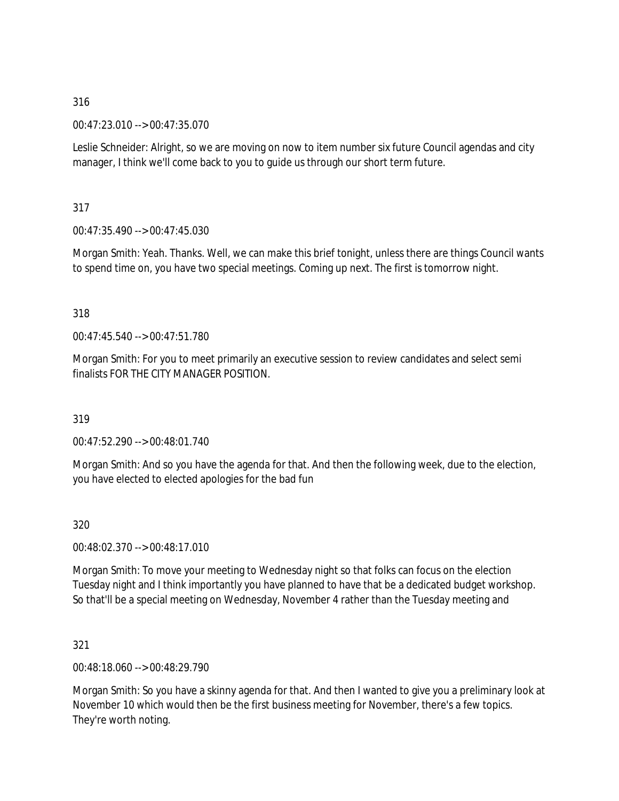00:47:23.010 --> 00:47:35.070

Leslie Schneider: Alright, so we are moving on now to item number six future Council agendas and city manager, I think we'll come back to you to guide us through our short term future.

317

00:47:35.490 --> 00:47:45.030

Morgan Smith: Yeah. Thanks. Well, we can make this brief tonight, unless there are things Council wants to spend time on, you have two special meetings. Coming up next. The first is tomorrow night.

318

00:47:45.540 --> 00:47:51.780

Morgan Smith: For you to meet primarily an executive session to review candidates and select semi finalists FOR THE CITY MANAGER POSITION.

319

00:47:52.290 --> 00:48:01.740

Morgan Smith: And so you have the agenda for that. And then the following week, due to the election, you have elected to elected apologies for the bad fun

320

00:48:02.370 --> 00:48:17.010

Morgan Smith: To move your meeting to Wednesday night so that folks can focus on the election Tuesday night and I think importantly you have planned to have that be a dedicated budget workshop. So that'll be a special meeting on Wednesday, November 4 rather than the Tuesday meeting and

321

00:48:18.060 --> 00:48:29.790

Morgan Smith: So you have a skinny agenda for that. And then I wanted to give you a preliminary look at November 10 which would then be the first business meeting for November, there's a few topics. They're worth noting.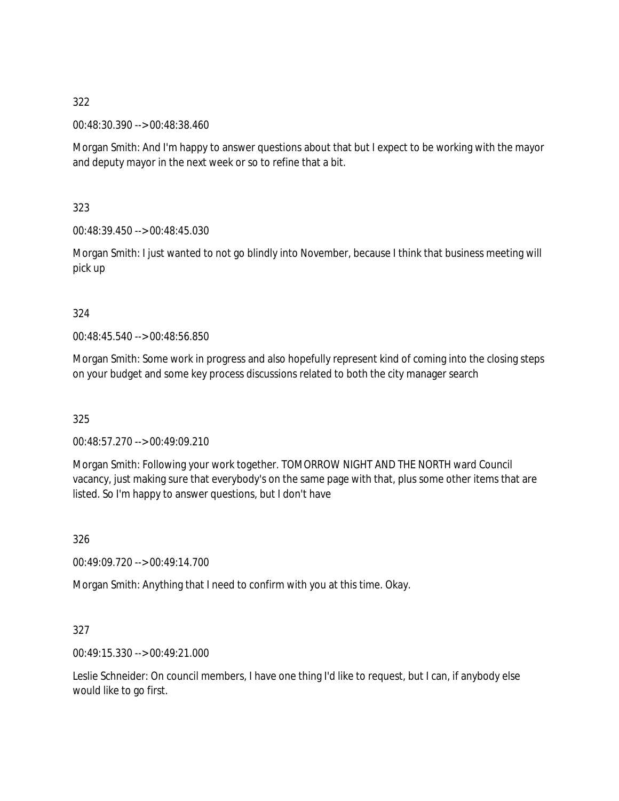00:48:30.390 --> 00:48:38.460

Morgan Smith: And I'm happy to answer questions about that but I expect to be working with the mayor and deputy mayor in the next week or so to refine that a bit.

323

00:48:39.450 --> 00:48:45.030

Morgan Smith: I just wanted to not go blindly into November, because I think that business meeting will pick up

324

00:48:45.540 --> 00:48:56.850

Morgan Smith: Some work in progress and also hopefully represent kind of coming into the closing steps on your budget and some key process discussions related to both the city manager search

325

00:48:57.270 --> 00:49:09.210

Morgan Smith: Following your work together. TOMORROW NIGHT AND THE NORTH ward Council vacancy, just making sure that everybody's on the same page with that, plus some other items that are listed. So I'm happy to answer questions, but I don't have

326

00:49:09.720 --> 00:49:14.700

Morgan Smith: Anything that I need to confirm with you at this time. Okay.

327

00:49:15.330 --> 00:49:21.000

Leslie Schneider: On council members, I have one thing I'd like to request, but I can, if anybody else would like to go first.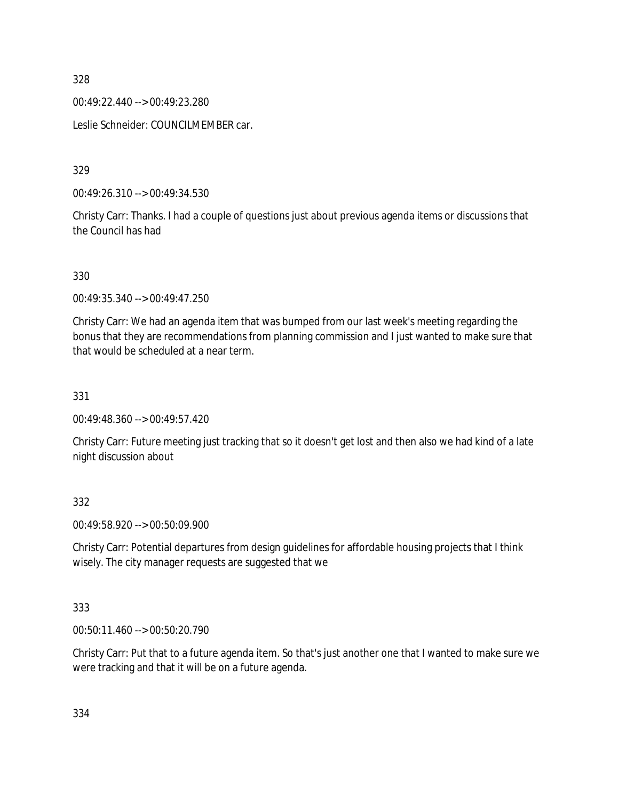00:49:22.440 --> 00:49:23.280

Leslie Schneider: COUNCILMEMBER car.

329

00:49:26.310 --> 00:49:34.530

Christy Carr: Thanks. I had a couple of questions just about previous agenda items or discussions that the Council has had

330

00:49:35.340 --> 00:49:47.250

Christy Carr: We had an agenda item that was bumped from our last week's meeting regarding the bonus that they are recommendations from planning commission and I just wanted to make sure that that would be scheduled at a near term.

331

00:49:48.360 --> 00:49:57.420

Christy Carr: Future meeting just tracking that so it doesn't get lost and then also we had kind of a late night discussion about

332

00:49:58.920 --> 00:50:09.900

Christy Carr: Potential departures from design guidelines for affordable housing projects that I think wisely. The city manager requests are suggested that we

333

00:50:11.460 --> 00:50:20.790

Christy Carr: Put that to a future agenda item. So that's just another one that I wanted to make sure we were tracking and that it will be on a future agenda.

334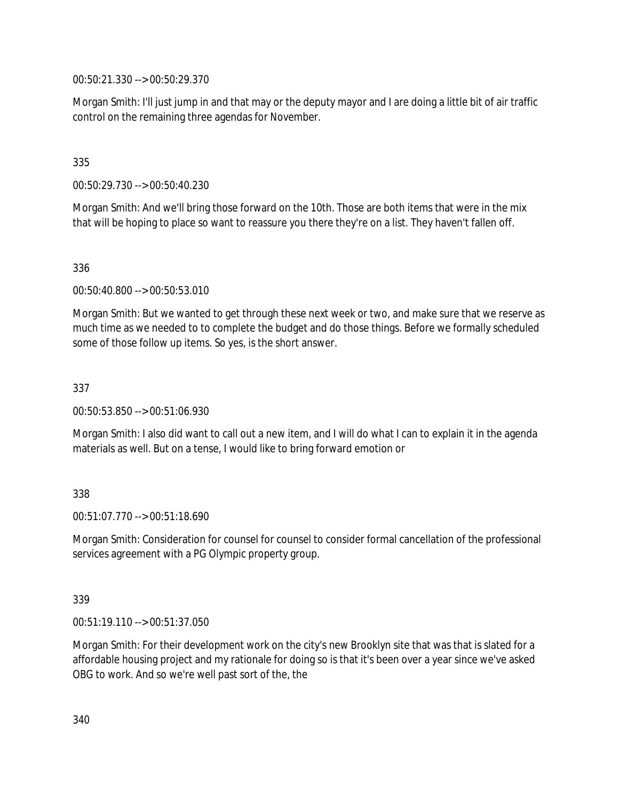00:50:21.330 --> 00:50:29.370

Morgan Smith: I'll just jump in and that may or the deputy mayor and I are doing a little bit of air traffic control on the remaining three agendas for November.

## 335

00:50:29.730 --> 00:50:40.230

Morgan Smith: And we'll bring those forward on the 10th. Those are both items that were in the mix that will be hoping to place so want to reassure you there they're on a list. They haven't fallen off.

### 336

00:50:40.800 --> 00:50:53.010

Morgan Smith: But we wanted to get through these next week or two, and make sure that we reserve as much time as we needed to to complete the budget and do those things. Before we formally scheduled some of those follow up items. So yes, is the short answer.

### 337

00:50:53.850 --> 00:51:06.930

Morgan Smith: I also did want to call out a new item, and I will do what I can to explain it in the agenda materials as well. But on a tense, I would like to bring forward emotion or

### 338

00:51:07.770 --> 00:51:18.690

Morgan Smith: Consideration for counsel for counsel to consider formal cancellation of the professional services agreement with a PG Olympic property group.

### 339

00:51:19.110 --> 00:51:37.050

Morgan Smith: For their development work on the city's new Brooklyn site that was that is slated for a affordable housing project and my rationale for doing so is that it's been over a year since we've asked OBG to work. And so we're well past sort of the, the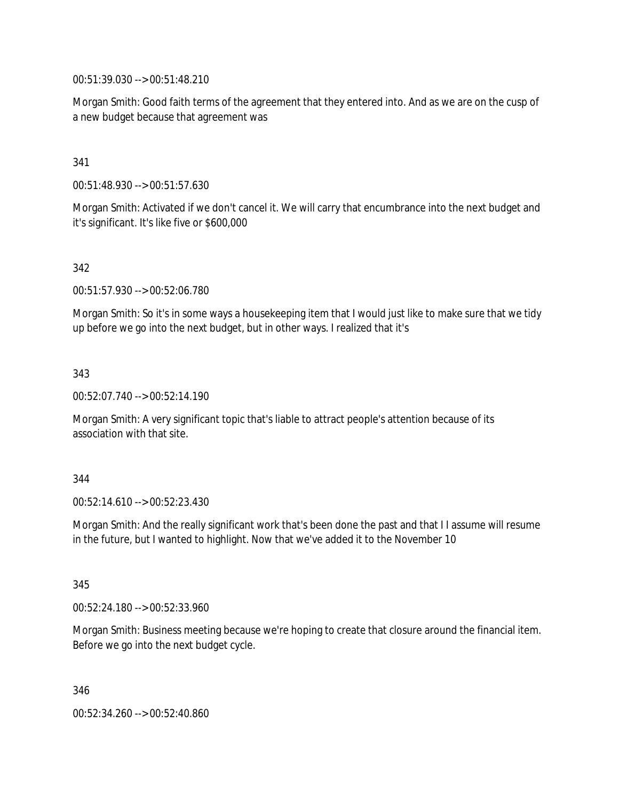00:51:39.030 --> 00:51:48.210

Morgan Smith: Good faith terms of the agreement that they entered into. And as we are on the cusp of a new budget because that agreement was

## 341

00:51:48.930 --> 00:51:57.630

Morgan Smith: Activated if we don't cancel it. We will carry that encumbrance into the next budget and it's significant. It's like five or \$600,000

### 342

00:51:57.930 --> 00:52:06.780

Morgan Smith: So it's in some ways a housekeeping item that I would just like to make sure that we tidy up before we go into the next budget, but in other ways. I realized that it's

### 343

00:52:07.740 --> 00:52:14.190

Morgan Smith: A very significant topic that's liable to attract people's attention because of its association with that site.

#### 344

00:52:14.610 --> 00:52:23.430

Morgan Smith: And the really significant work that's been done the past and that I I assume will resume in the future, but I wanted to highlight. Now that we've added it to the November 10

#### 345

00:52:24.180 --> 00:52:33.960

Morgan Smith: Business meeting because we're hoping to create that closure around the financial item. Before we go into the next budget cycle.

346

00:52:34.260 --> 00:52:40.860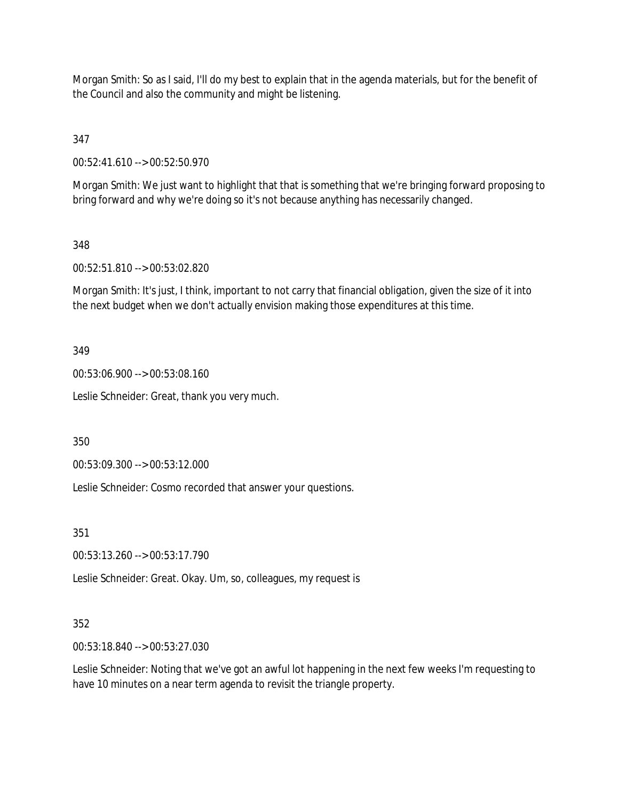Morgan Smith: So as I said, I'll do my best to explain that in the agenda materials, but for the benefit of the Council and also the community and might be listening.

347

00:52:41.610 --> 00:52:50.970

Morgan Smith: We just want to highlight that that is something that we're bringing forward proposing to bring forward and why we're doing so it's not because anything has necessarily changed.

## 348

00:52:51.810 --> 00:53:02.820

Morgan Smith: It's just, I think, important to not carry that financial obligation, given the size of it into the next budget when we don't actually envision making those expenditures at this time.

### 349

00:53:06.900 --> 00:53:08.160

Leslie Schneider: Great, thank you very much.

350

00:53:09.300 --> 00:53:12.000

Leslie Schneider: Cosmo recorded that answer your questions.

351

00:53:13.260 --> 00:53:17.790

Leslie Schneider: Great. Okay. Um, so, colleagues, my request is

### 352

00:53:18.840 --> 00:53:27.030

Leslie Schneider: Noting that we've got an awful lot happening in the next few weeks I'm requesting to have 10 minutes on a near term agenda to revisit the triangle property.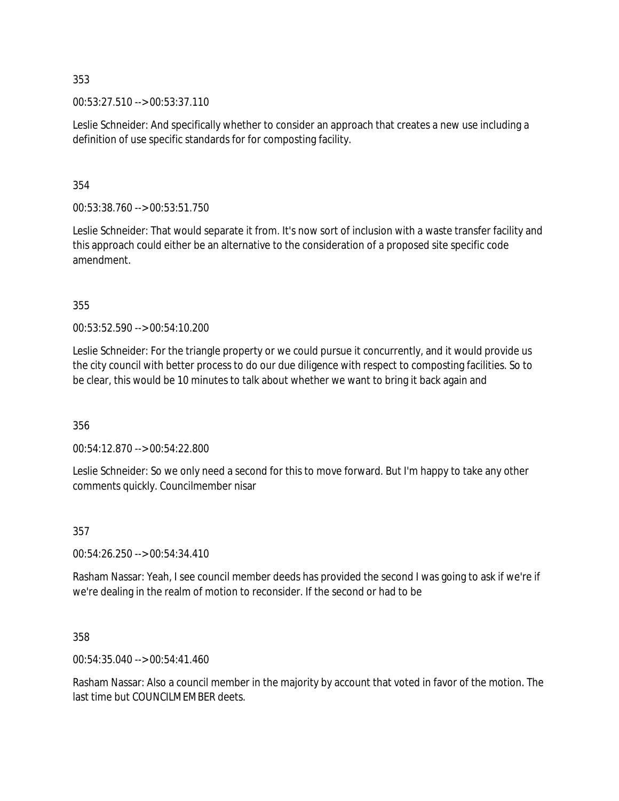00:53:27.510 --> 00:53:37.110

Leslie Schneider: And specifically whether to consider an approach that creates a new use including a definition of use specific standards for for composting facility.

354

00:53:38.760 --> 00:53:51.750

Leslie Schneider: That would separate it from. It's now sort of inclusion with a waste transfer facility and this approach could either be an alternative to the consideration of a proposed site specific code amendment.

355

00:53:52.590 --> 00:54:10.200

Leslie Schneider: For the triangle property or we could pursue it concurrently, and it would provide us the city council with better process to do our due diligence with respect to composting facilities. So to be clear, this would be 10 minutes to talk about whether we want to bring it back again and

356

00:54:12.870 --> 00:54:22.800

Leslie Schneider: So we only need a second for this to move forward. But I'm happy to take any other comments quickly. Councilmember nisar

357

00:54:26.250 --> 00:54:34.410

Rasham Nassar: Yeah, I see council member deeds has provided the second I was going to ask if we're if we're dealing in the realm of motion to reconsider. If the second or had to be

358

00:54:35.040 --> 00:54:41.460

Rasham Nassar: Also a council member in the majority by account that voted in favor of the motion. The last time but COUNCILMEMBER deets.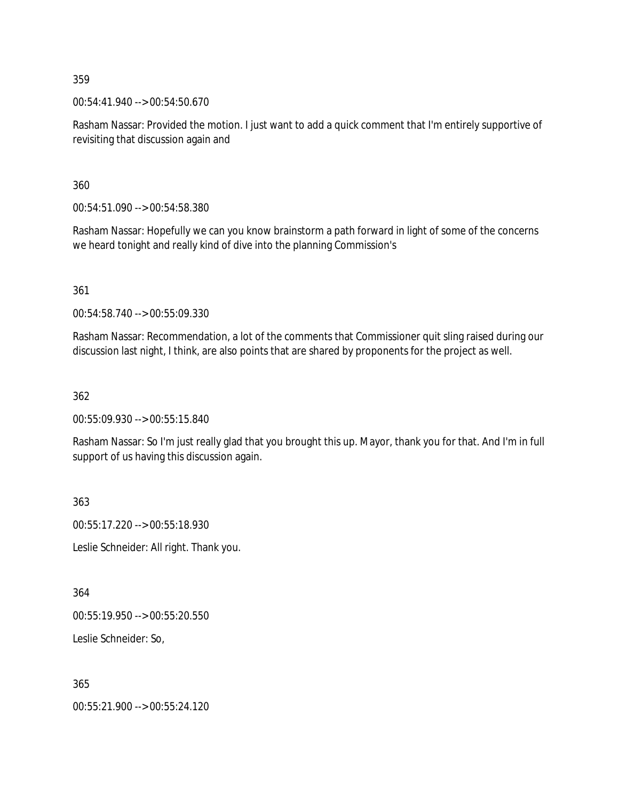00:54:41.940 --> 00:54:50.670

Rasham Nassar: Provided the motion. I just want to add a quick comment that I'm entirely supportive of revisiting that discussion again and

360

00:54:51.090 --> 00:54:58.380

Rasham Nassar: Hopefully we can you know brainstorm a path forward in light of some of the concerns we heard tonight and really kind of dive into the planning Commission's

361

00:54:58.740 --> 00:55:09.330

Rasham Nassar: Recommendation, a lot of the comments that Commissioner quit sling raised during our discussion last night, I think, are also points that are shared by proponents for the project as well.

362

00:55:09.930 --> 00:55:15.840

Rasham Nassar: So I'm just really glad that you brought this up. Mayor, thank you for that. And I'm in full support of us having this discussion again.

363

00:55:17.220 --> 00:55:18.930 Leslie Schneider: All right. Thank you.

364

00:55:19.950 --> 00:55:20.550

Leslie Schneider: So,

365

00:55:21.900 --> 00:55:24.120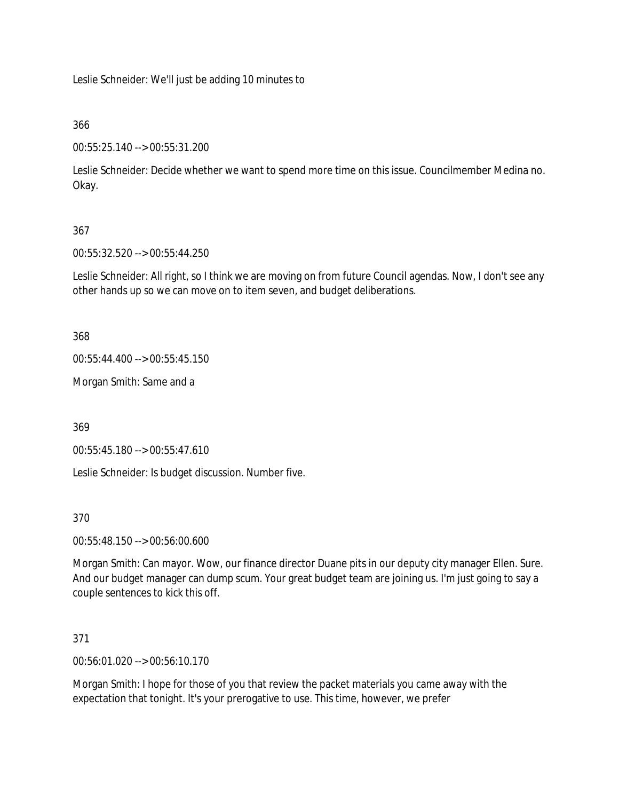Leslie Schneider: We'll just be adding 10 minutes to

## 366

00:55:25.140 --> 00:55:31.200

Leslie Schneider: Decide whether we want to spend more time on this issue. Councilmember Medina no. Okay.

## 367

00:55:32.520 --> 00:55:44.250

Leslie Schneider: All right, so I think we are moving on from future Council agendas. Now, I don't see any other hands up so we can move on to item seven, and budget deliberations.

368

00:55:44.400 --> 00:55:45.150

Morgan Smith: Same and a

369

00:55:45.180 --> 00:55:47.610

Leslie Schneider: Is budget discussion. Number five.

### 370

00:55:48.150 --> 00:56:00.600

Morgan Smith: Can mayor. Wow, our finance director Duane pits in our deputy city manager Ellen. Sure. And our budget manager can dump scum. Your great budget team are joining us. I'm just going to say a couple sentences to kick this off.

### 371

00:56:01.020 --> 00:56:10.170

Morgan Smith: I hope for those of you that review the packet materials you came away with the expectation that tonight. It's your prerogative to use. This time, however, we prefer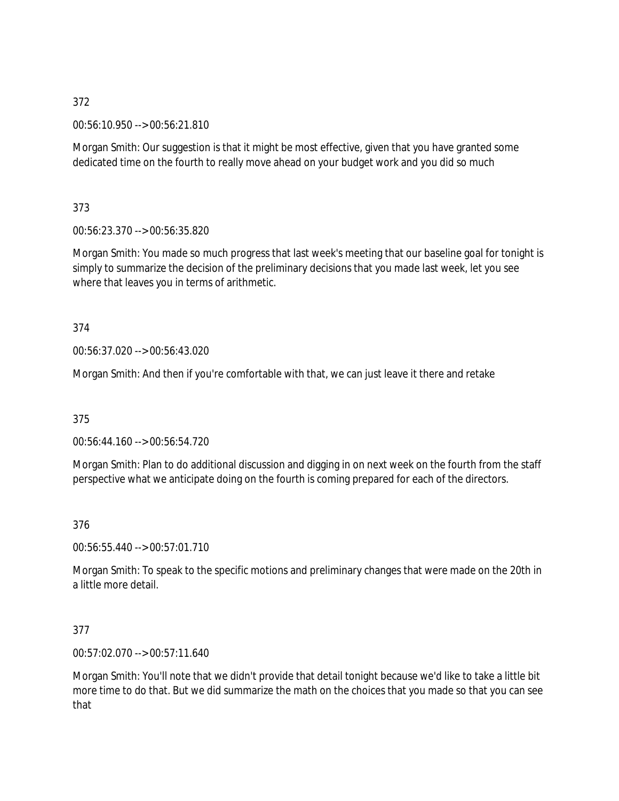00:56:10.950 --> 00:56:21.810

Morgan Smith: Our suggestion is that it might be most effective, given that you have granted some dedicated time on the fourth to really move ahead on your budget work and you did so much

373

00:56:23.370 --> 00:56:35.820

Morgan Smith: You made so much progress that last week's meeting that our baseline goal for tonight is simply to summarize the decision of the preliminary decisions that you made last week, let you see where that leaves you in terms of arithmetic.

# 374

00:56:37.020 --> 00:56:43.020

Morgan Smith: And then if you're comfortable with that, we can just leave it there and retake

375

00:56:44.160 --> 00:56:54.720

Morgan Smith: Plan to do additional discussion and digging in on next week on the fourth from the staff perspective what we anticipate doing on the fourth is coming prepared for each of the directors.

376

00:56:55.440 --> 00:57:01.710

Morgan Smith: To speak to the specific motions and preliminary changes that were made on the 20th in a little more detail.

# 377

00:57:02.070 --> 00:57:11.640

Morgan Smith: You'll note that we didn't provide that detail tonight because we'd like to take a little bit more time to do that. But we did summarize the math on the choices that you made so that you can see that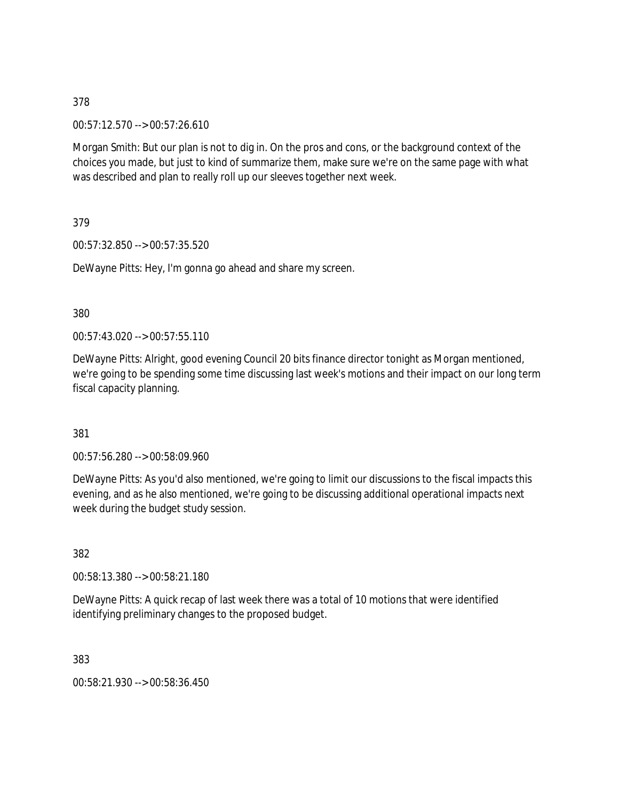00:57:12.570 --> 00:57:26.610

Morgan Smith: But our plan is not to dig in. On the pros and cons, or the background context of the choices you made, but just to kind of summarize them, make sure we're on the same page with what was described and plan to really roll up our sleeves together next week.

379

00:57:32.850 --> 00:57:35.520

DeWayne Pitts: Hey, I'm gonna go ahead and share my screen.

380

00:57:43.020 --> 00:57:55.110

DeWayne Pitts: Alright, good evening Council 20 bits finance director tonight as Morgan mentioned, we're going to be spending some time discussing last week's motions and their impact on our long term fiscal capacity planning.

381

00:57:56.280 --> 00:58:09.960

DeWayne Pitts: As you'd also mentioned, we're going to limit our discussions to the fiscal impacts this evening, and as he also mentioned, we're going to be discussing additional operational impacts next week during the budget study session.

382

00:58:13.380 --> 00:58:21.180

DeWayne Pitts: A quick recap of last week there was a total of 10 motions that were identified identifying preliminary changes to the proposed budget.

383

00:58:21.930 --> 00:58:36.450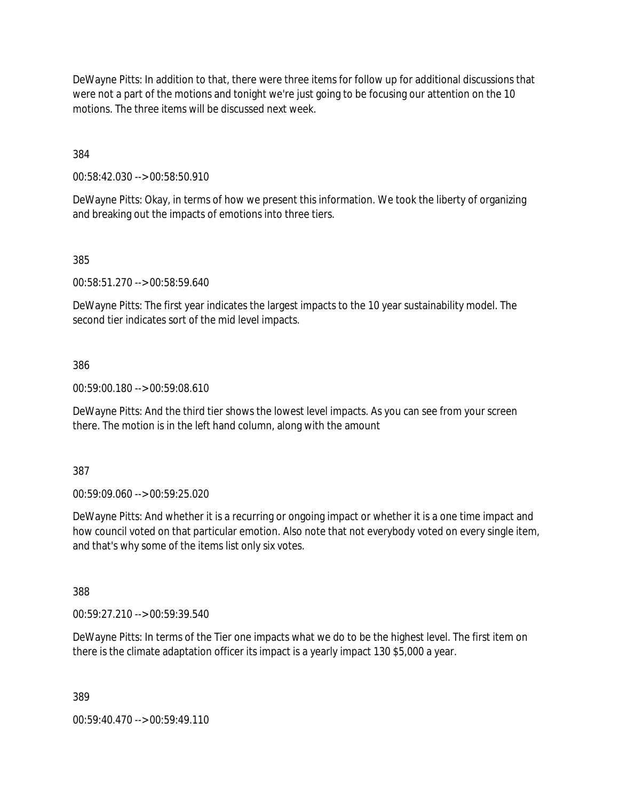DeWayne Pitts: In addition to that, there were three items for follow up for additional discussions that were not a part of the motions and tonight we're just going to be focusing our attention on the 10 motions. The three items will be discussed next week.

384

00:58:42.030 --> 00:58:50.910

DeWayne Pitts: Okay, in terms of how we present this information. We took the liberty of organizing and breaking out the impacts of emotions into three tiers.

385

00:58:51.270 --> 00:58:59.640

DeWayne Pitts: The first year indicates the largest impacts to the 10 year sustainability model. The second tier indicates sort of the mid level impacts.

386

00:59:00.180 --> 00:59:08.610

DeWayne Pitts: And the third tier shows the lowest level impacts. As you can see from your screen there. The motion is in the left hand column, along with the amount

387

00:59:09.060 --> 00:59:25.020

DeWayne Pitts: And whether it is a recurring or ongoing impact or whether it is a one time impact and how council voted on that particular emotion. Also note that not everybody voted on every single item, and that's why some of the items list only six votes.

388

00:59:27.210 --> 00:59:39.540

DeWayne Pitts: In terms of the Tier one impacts what we do to be the highest level. The first item on there is the climate adaptation officer its impact is a yearly impact 130 \$5,000 a year.

389

00:59:40.470 --> 00:59:49.110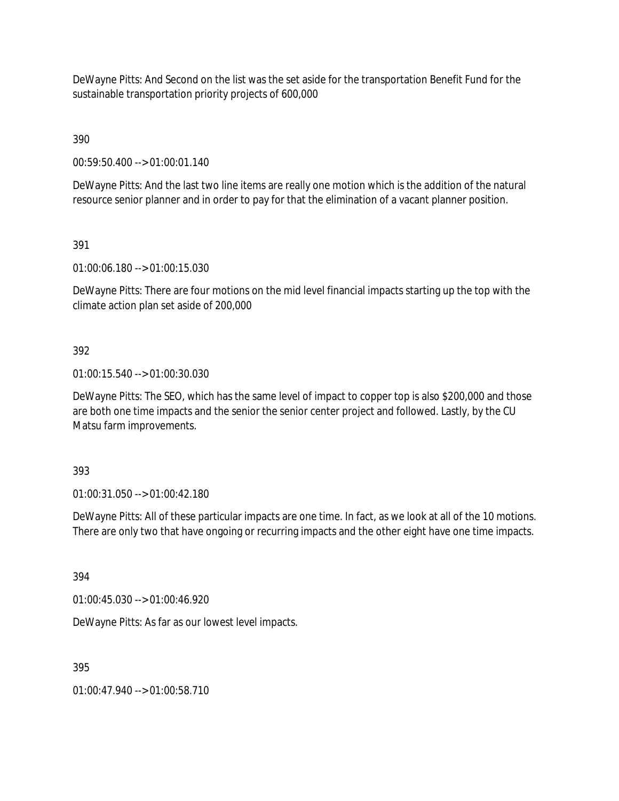DeWayne Pitts: And Second on the list was the set aside for the transportation Benefit Fund for the sustainable transportation priority projects of 600,000

390

00:59:50.400 --> 01:00:01.140

DeWayne Pitts: And the last two line items are really one motion which is the addition of the natural resource senior planner and in order to pay for that the elimination of a vacant planner position.

391

01:00:06.180 --> 01:00:15.030

DeWayne Pitts: There are four motions on the mid level financial impacts starting up the top with the climate action plan set aside of 200,000

### 392

01:00:15.540 --> 01:00:30.030

DeWayne Pitts: The SEO, which has the same level of impact to copper top is also \$200,000 and those are both one time impacts and the senior the senior center project and followed. Lastly, by the CU Matsu farm improvements.

393

01:00:31.050 --> 01:00:42.180

DeWayne Pitts: All of these particular impacts are one time. In fact, as we look at all of the 10 motions. There are only two that have ongoing or recurring impacts and the other eight have one time impacts.

394

01:00:45.030 --> 01:00:46.920

DeWayne Pitts: As far as our lowest level impacts.

395

01:00:47.940 --> 01:00:58.710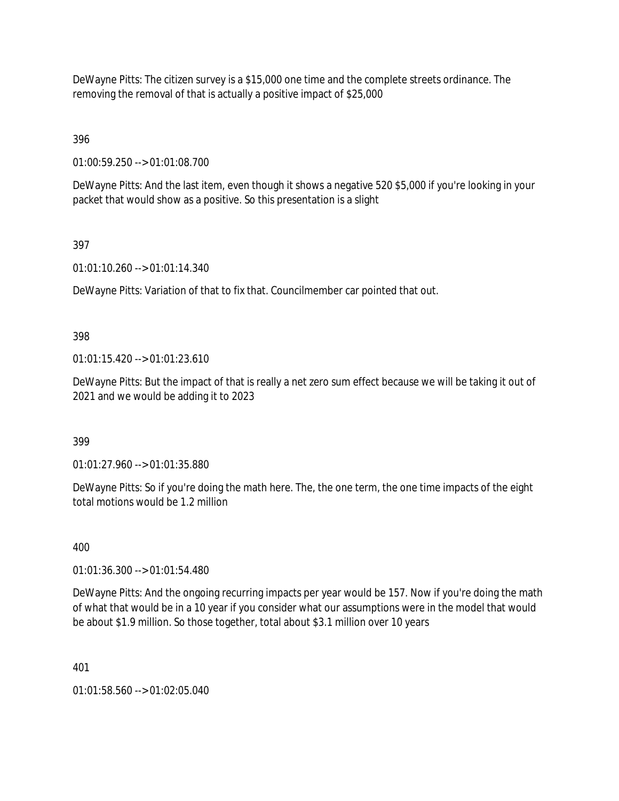DeWayne Pitts: The citizen survey is a \$15,000 one time and the complete streets ordinance. The removing the removal of that is actually a positive impact of \$25,000

396

01:00:59.250 --> 01:01:08.700

DeWayne Pitts: And the last item, even though it shows a negative 520 \$5,000 if you're looking in your packet that would show as a positive. So this presentation is a slight

397

01:01:10.260 --> 01:01:14.340

DeWayne Pitts: Variation of that to fix that. Councilmember car pointed that out.

398

01:01:15.420 --> 01:01:23.610

DeWayne Pitts: But the impact of that is really a net zero sum effect because we will be taking it out of 2021 and we would be adding it to 2023

399

01:01:27.960 --> 01:01:35.880

DeWayne Pitts: So if you're doing the math here. The, the one term, the one time impacts of the eight total motions would be 1.2 million

400

01:01:36.300 --> 01:01:54.480

DeWayne Pitts: And the ongoing recurring impacts per year would be 157. Now if you're doing the math of what that would be in a 10 year if you consider what our assumptions were in the model that would be about \$1.9 million. So those together, total about \$3.1 million over 10 years

401

01:01:58.560 --> 01:02:05.040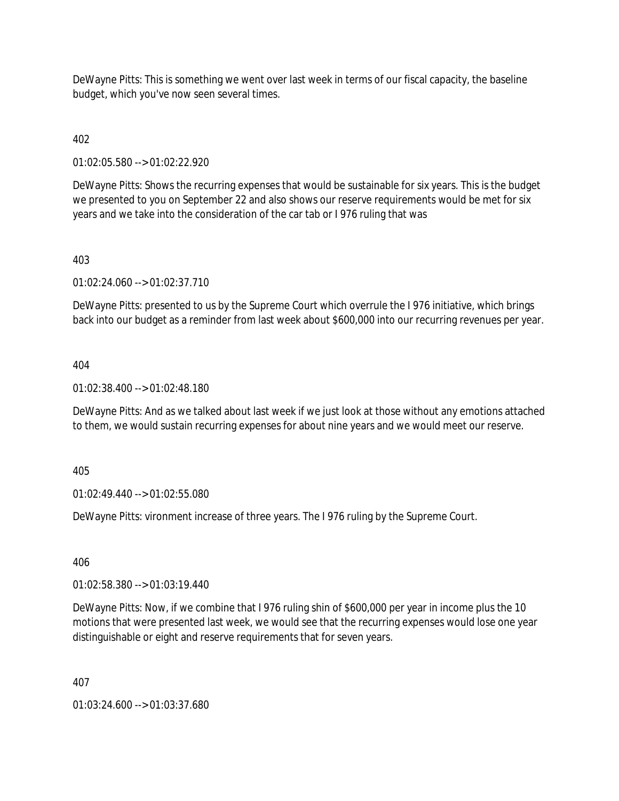DeWayne Pitts: This is something we went over last week in terms of our fiscal capacity, the baseline budget, which you've now seen several times.

402

01:02:05.580 --> 01:02:22.920

DeWayne Pitts: Shows the recurring expenses that would be sustainable for six years. This is the budget we presented to you on September 22 and also shows our reserve requirements would be met for six years and we take into the consideration of the car tab or I 976 ruling that was

## 403

01:02:24.060 --> 01:02:37.710

DeWayne Pitts: presented to us by the Supreme Court which overrule the I 976 initiative, which brings back into our budget as a reminder from last week about \$600,000 into our recurring revenues per year.

### 404

01:02:38.400 --> 01:02:48.180

DeWayne Pitts: And as we talked about last week if we just look at those without any emotions attached to them, we would sustain recurring expenses for about nine years and we would meet our reserve.

405

01:02:49.440 --> 01:02:55.080

DeWayne Pitts: vironment increase of three years. The I 976 ruling by the Supreme Court.

406

01:02:58.380 --> 01:03:19.440

DeWayne Pitts: Now, if we combine that I 976 ruling shin of \$600,000 per year in income plus the 10 motions that were presented last week, we would see that the recurring expenses would lose one year distinguishable or eight and reserve requirements that for seven years.

407

01:03:24.600 --> 01:03:37.680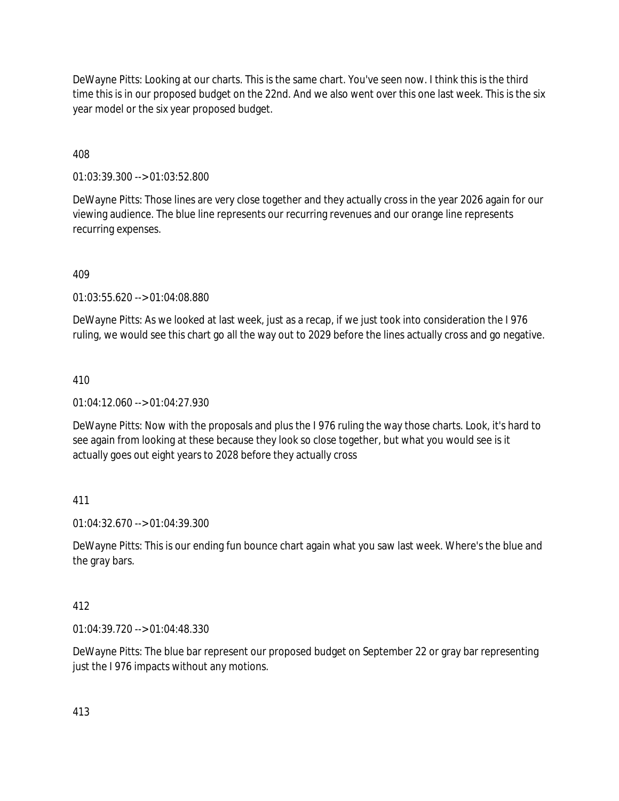DeWayne Pitts: Looking at our charts. This is the same chart. You've seen now. I think this is the third time this is in our proposed budget on the 22nd. And we also went over this one last week. This is the six year model or the six year proposed budget.

## 408

01:03:39.300 --> 01:03:52.800

DeWayne Pitts: Those lines are very close together and they actually cross in the year 2026 again for our viewing audience. The blue line represents our recurring revenues and our orange line represents recurring expenses.

## 409

01:03:55.620 --> 01:04:08.880

DeWayne Pitts: As we looked at last week, just as a recap, if we just took into consideration the I 976 ruling, we would see this chart go all the way out to 2029 before the lines actually cross and go negative.

## 410

01:04:12.060 --> 01:04:27.930

DeWayne Pitts: Now with the proposals and plus the I 976 ruling the way those charts. Look, it's hard to see again from looking at these because they look so close together, but what you would see is it actually goes out eight years to 2028 before they actually cross

# 411

01:04:32.670 --> 01:04:39.300

DeWayne Pitts: This is our ending fun bounce chart again what you saw last week. Where's the blue and the gray bars.

### 412

01:04:39.720 --> 01:04:48.330

DeWayne Pitts: The blue bar represent our proposed budget on September 22 or gray bar representing just the I 976 impacts without any motions.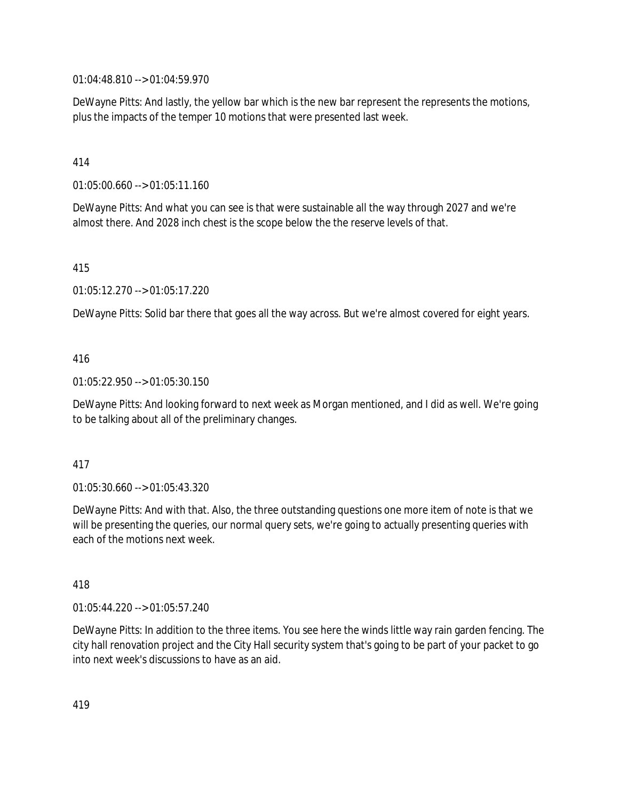01:04:48.810 --> 01:04:59.970

DeWayne Pitts: And lastly, the yellow bar which is the new bar represent the represents the motions, plus the impacts of the temper 10 motions that were presented last week.

### 414

01:05:00.660 --> 01:05:11.160

DeWayne Pitts: And what you can see is that were sustainable all the way through 2027 and we're almost there. And 2028 inch chest is the scope below the the reserve levels of that.

### 415

01:05:12.270 --> 01:05:17.220

DeWayne Pitts: Solid bar there that goes all the way across. But we're almost covered for eight years.

## 416

01:05:22.950 --> 01:05:30.150

DeWayne Pitts: And looking forward to next week as Morgan mentioned, and I did as well. We're going to be talking about all of the preliminary changes.

### 417

01:05:30.660 --> 01:05:43.320

DeWayne Pitts: And with that. Also, the three outstanding questions one more item of note is that we will be presenting the queries, our normal query sets, we're going to actually presenting queries with each of the motions next week.

### 418

01:05:44.220 --> 01:05:57.240

DeWayne Pitts: In addition to the three items. You see here the winds little way rain garden fencing. The city hall renovation project and the City Hall security system that's going to be part of your packet to go into next week's discussions to have as an aid.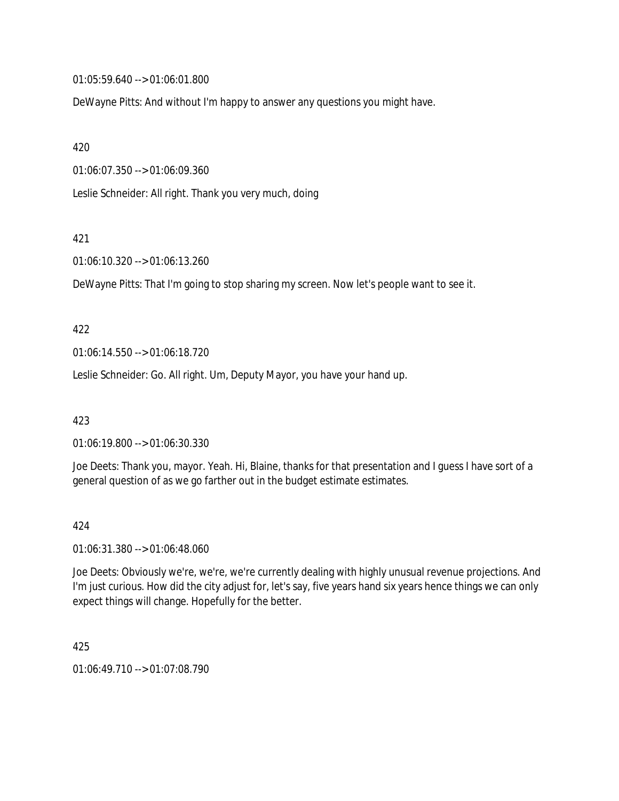01:05:59.640 --> 01:06:01.800

DeWayne Pitts: And without I'm happy to answer any questions you might have.

420

01:06:07.350 --> 01:06:09.360

Leslie Schneider: All right. Thank you very much, doing

421

01:06:10.320 --> 01:06:13.260

DeWayne Pitts: That I'm going to stop sharing my screen. Now let's people want to see it.

#### 422

01:06:14.550 --> 01:06:18.720

Leslie Schneider: Go. All right. Um, Deputy Mayor, you have your hand up.

423

01:06:19.800 --> 01:06:30.330

Joe Deets: Thank you, mayor. Yeah. Hi, Blaine, thanks for that presentation and I guess I have sort of a general question of as we go farther out in the budget estimate estimates.

424

01:06:31.380 --> 01:06:48.060

Joe Deets: Obviously we're, we're, we're currently dealing with highly unusual revenue projections. And I'm just curious. How did the city adjust for, let's say, five years hand six years hence things we can only expect things will change. Hopefully for the better.

425

01:06:49.710 --> 01:07:08.790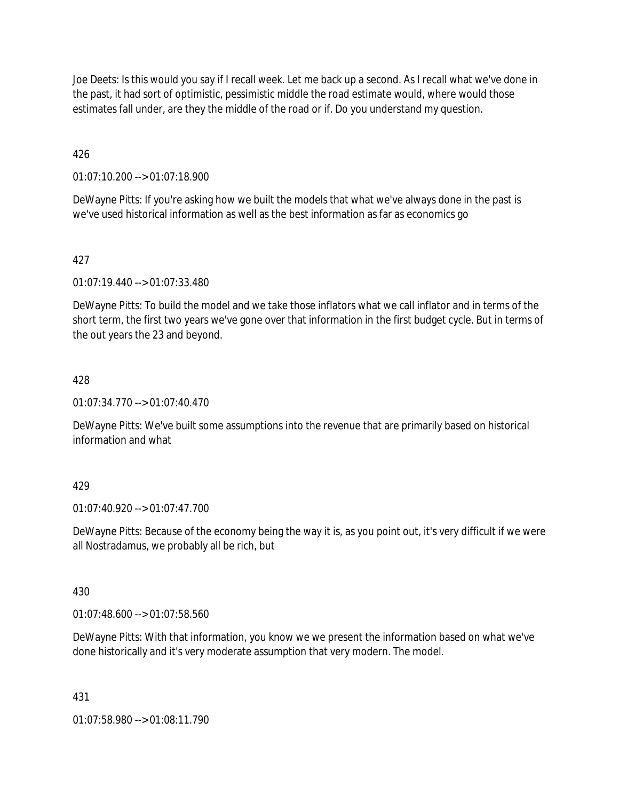Joe Deets: Is this would you say if I recall week. Let me back up a second. As I recall what we've done in the past, it had sort of optimistic, pessimistic middle the road estimate would, where would those estimates fall under, are they the middle of the road or if. Do you understand my question.

426

01:07:10.200 --> 01:07:18.900

DeWayne Pitts: If you're asking how we built the models that what we've always done in the past is we've used historical information as well as the best information as far as economics go

## 427

01:07:19.440 --> 01:07:33.480

DeWayne Pitts: To build the model and we take those inflators what we call inflator and in terms of the short term, the first two years we've gone over that information in the first budget cycle. But in terms of the out years the 23 and beyond.

### 428

 $01:07:34.770 \rightarrow 01:07:40.470$ 

DeWayne Pitts: We've built some assumptions into the revenue that are primarily based on historical information and what

### 429

01:07:40.920 --> 01:07:47.700

DeWayne Pitts: Because of the economy being the way it is, as you point out, it's very difficult if we were all Nostradamus, we probably all be rich, but

### 430

01:07:48.600 --> 01:07:58.560

DeWayne Pitts: With that information, you know we we present the information based on what we've done historically and it's very moderate assumption that very modern. The model.

### 431

01:07:58.980 --> 01:08:11.790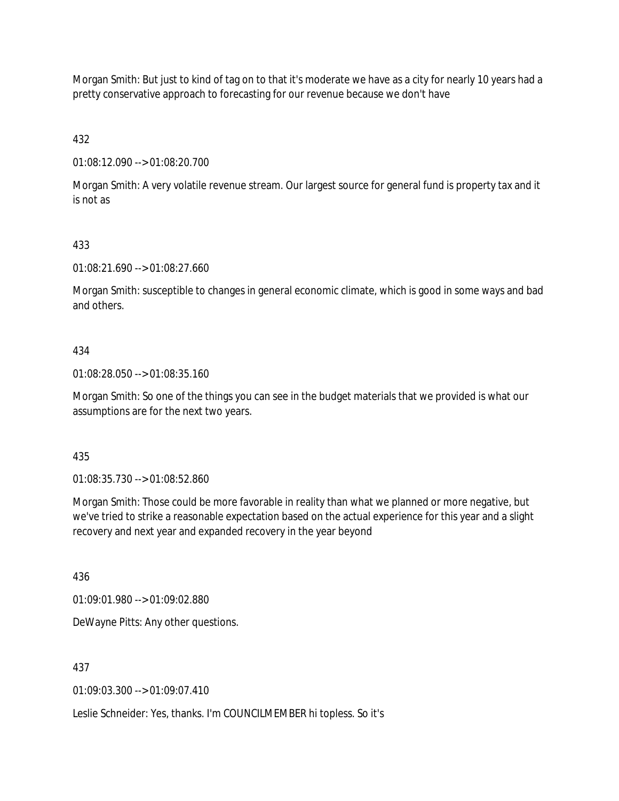Morgan Smith: But just to kind of tag on to that it's moderate we have as a city for nearly 10 years had a pretty conservative approach to forecasting for our revenue because we don't have

432

01:08:12.090 --> 01:08:20.700

Morgan Smith: A very volatile revenue stream. Our largest source for general fund is property tax and it is not as

## 433

01:08:21.690 --> 01:08:27.660

Morgan Smith: susceptible to changes in general economic climate, which is good in some ways and bad and others.

## 434

01:08:28.050 --> 01:08:35.160

Morgan Smith: So one of the things you can see in the budget materials that we provided is what our assumptions are for the next two years.

435

01:08:35.730 --> 01:08:52.860

Morgan Smith: Those could be more favorable in reality than what we planned or more negative, but we've tried to strike a reasonable expectation based on the actual experience for this year and a slight recovery and next year and expanded recovery in the year beyond

436

01:09:01.980 --> 01:09:02.880

DeWayne Pitts: Any other questions.

437

01:09:03.300 --> 01:09:07.410

Leslie Schneider: Yes, thanks. I'm COUNCILMEMBER hi topless. So it's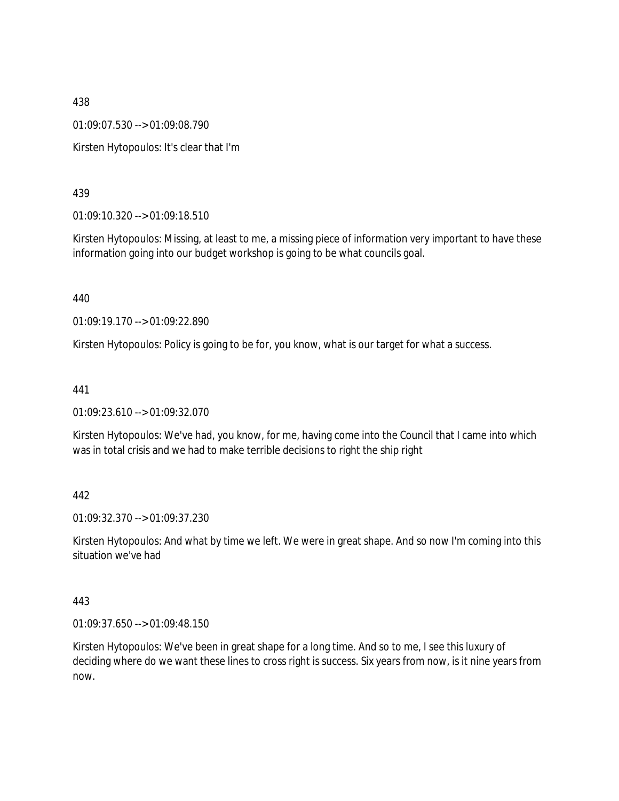01:09:07.530 --> 01:09:08.790

Kirsten Hytopoulos: It's clear that I'm

### 439

01:09:10.320 --> 01:09:18.510

Kirsten Hytopoulos: Missing, at least to me, a missing piece of information very important to have these information going into our budget workshop is going to be what councils goal.

440

01:09:19.170 --> 01:09:22.890

Kirsten Hytopoulos: Policy is going to be for, you know, what is our target for what a success.

#### 441

01:09:23.610 --> 01:09:32.070

Kirsten Hytopoulos: We've had, you know, for me, having come into the Council that I came into which was in total crisis and we had to make terrible decisions to right the ship right

#### 442

01:09:32.370 --> 01:09:37.230

Kirsten Hytopoulos: And what by time we left. We were in great shape. And so now I'm coming into this situation we've had

#### 443

01:09:37.650 --> 01:09:48.150

Kirsten Hytopoulos: We've been in great shape for a long time. And so to me, I see this luxury of deciding where do we want these lines to cross right is success. Six years from now, is it nine years from now.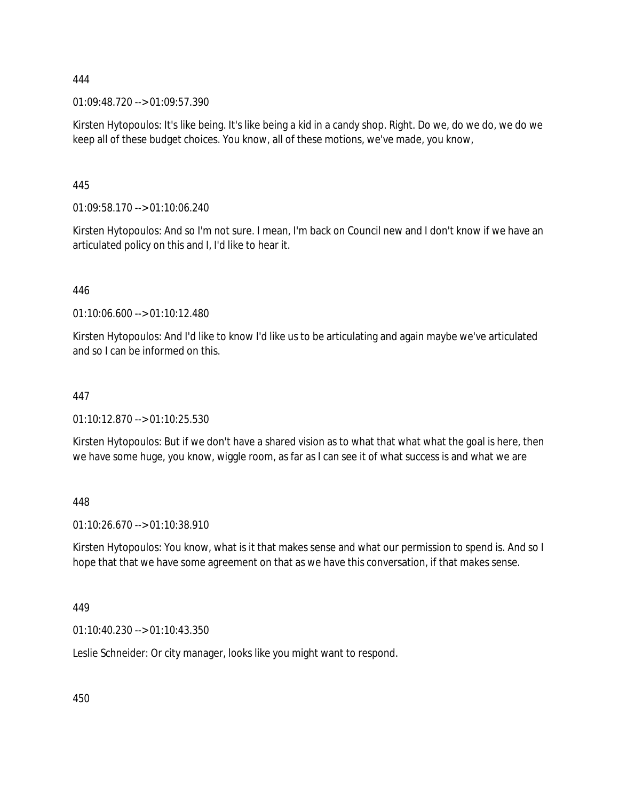01:09:48.720 --> 01:09:57.390

Kirsten Hytopoulos: It's like being. It's like being a kid in a candy shop. Right. Do we, do we do, we do we keep all of these budget choices. You know, all of these motions, we've made, you know,

445

01:09:58.170 --> 01:10:06.240

Kirsten Hytopoulos: And so I'm not sure. I mean, I'm back on Council new and I don't know if we have an articulated policy on this and I, I'd like to hear it.

446

01:10:06.600 --> 01:10:12.480

Kirsten Hytopoulos: And I'd like to know I'd like us to be articulating and again maybe we've articulated and so I can be informed on this.

#### 447

01:10:12.870 --> 01:10:25.530

Kirsten Hytopoulos: But if we don't have a shared vision as to what that what what the goal is here, then we have some huge, you know, wiggle room, as far as I can see it of what success is and what we are

448

01:10:26.670 --> 01:10:38.910

Kirsten Hytopoulos: You know, what is it that makes sense and what our permission to spend is. And so I hope that that we have some agreement on that as we have this conversation, if that makes sense.

449

01:10:40.230 --> 01:10:43.350

Leslie Schneider: Or city manager, looks like you might want to respond.

450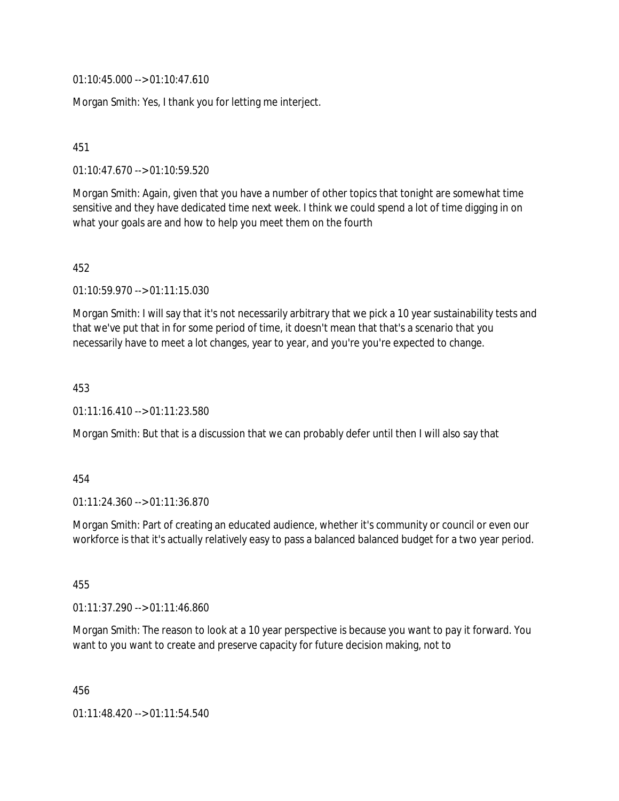01:10:45.000 --> 01:10:47.610

Morgan Smith: Yes, I thank you for letting me interject.

451

01:10:47.670 --> 01:10:59.520

Morgan Smith: Again, given that you have a number of other topics that tonight are somewhat time sensitive and they have dedicated time next week. I think we could spend a lot of time digging in on what your goals are and how to help you meet them on the fourth

452

01:10:59.970 --> 01:11:15.030

Morgan Smith: I will say that it's not necessarily arbitrary that we pick a 10 year sustainability tests and that we've put that in for some period of time, it doesn't mean that that's a scenario that you necessarily have to meet a lot changes, year to year, and you're you're expected to change.

453

01:11:16.410 --> 01:11:23.580

Morgan Smith: But that is a discussion that we can probably defer until then I will also say that

454

01:11:24.360 --> 01:11:36.870

Morgan Smith: Part of creating an educated audience, whether it's community or council or even our workforce is that it's actually relatively easy to pass a balanced balanced budget for a two year period.

455

01:11:37.290 --> 01:11:46.860

Morgan Smith: The reason to look at a 10 year perspective is because you want to pay it forward. You want to you want to create and preserve capacity for future decision making, not to

456

01:11:48.420 --> 01:11:54.540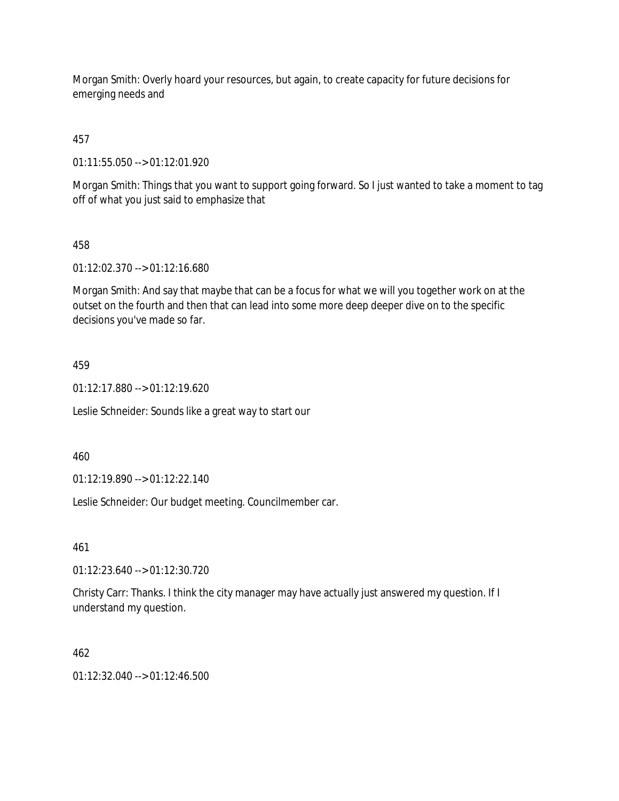Morgan Smith: Overly hoard your resources, but again, to create capacity for future decisions for emerging needs and

457

01:11:55.050 --> 01:12:01.920

Morgan Smith: Things that you want to support going forward. So I just wanted to take a moment to tag off of what you just said to emphasize that

## 458

01:12:02.370 --> 01:12:16.680

Morgan Smith: And say that maybe that can be a focus for what we will you together work on at the outset on the fourth and then that can lead into some more deep deeper dive on to the specific decisions you've made so far.

## 459

01:12:17.880 --> 01:12:19.620

Leslie Schneider: Sounds like a great way to start our

460

01:12:19.890 --> 01:12:22.140

Leslie Schneider: Our budget meeting. Councilmember car.

461

01:12:23.640 --> 01:12:30.720

Christy Carr: Thanks. I think the city manager may have actually just answered my question. If I understand my question.

### 462

01:12:32.040 --> 01:12:46.500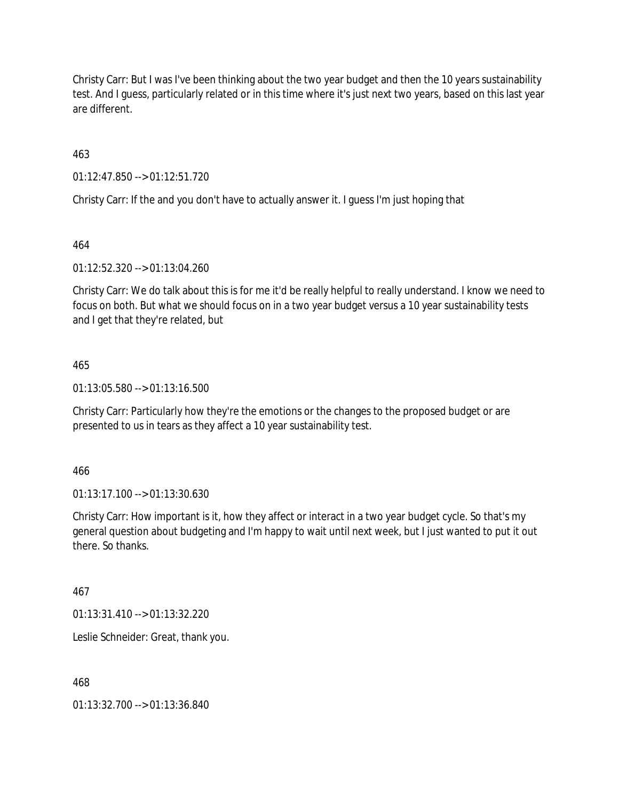Christy Carr: But I was I've been thinking about the two year budget and then the 10 years sustainability test. And I guess, particularly related or in this time where it's just next two years, based on this last year are different.

463

01:12:47.850 --> 01:12:51.720

Christy Carr: If the and you don't have to actually answer it. I guess I'm just hoping that

464

01:12:52.320 --> 01:13:04.260

Christy Carr: We do talk about this is for me it'd be really helpful to really understand. I know we need to focus on both. But what we should focus on in a two year budget versus a 10 year sustainability tests and I get that they're related, but

465

01:13:05.580 --> 01:13:16.500

Christy Carr: Particularly how they're the emotions or the changes to the proposed budget or are presented to us in tears as they affect a 10 year sustainability test.

466

01:13:17.100 --> 01:13:30.630

Christy Carr: How important is it, how they affect or interact in a two year budget cycle. So that's my general question about budgeting and I'm happy to wait until next week, but I just wanted to put it out there. So thanks.

467

01:13:31.410 --> 01:13:32.220

Leslie Schneider: Great, thank you.

468

01:13:32.700 --> 01:13:36.840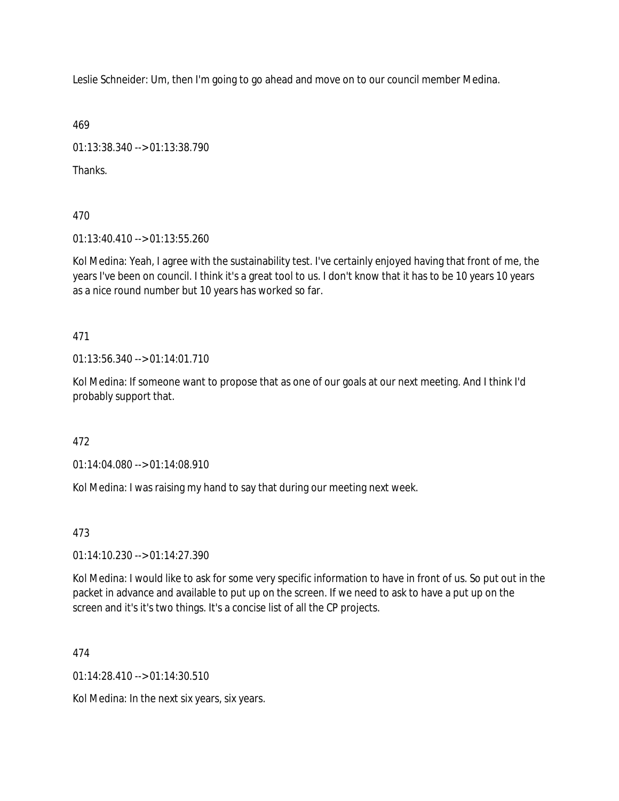Leslie Schneider: Um, then I'm going to go ahead and move on to our council member Medina.

469

01:13:38.340 --> 01:13:38.790

Thanks.

470

01:13:40.410 --> 01:13:55.260

Kol Medina: Yeah, I agree with the sustainability test. I've certainly enjoyed having that front of me, the years I've been on council. I think it's a great tool to us. I don't know that it has to be 10 years 10 years as a nice round number but 10 years has worked so far.

471

01:13:56.340 --> 01:14:01.710

Kol Medina: If someone want to propose that as one of our goals at our next meeting. And I think I'd probably support that.

472

01:14:04.080 --> 01:14:08.910

Kol Medina: I was raising my hand to say that during our meeting next week.

473

01:14:10.230 --> 01:14:27.390

Kol Medina: I would like to ask for some very specific information to have in front of us. So put out in the packet in advance and available to put up on the screen. If we need to ask to have a put up on the screen and it's it's two things. It's a concise list of all the CP projects.

474

 $01.14.28$  410 -->  $01.14.30$  510

Kol Medina: In the next six years, six years.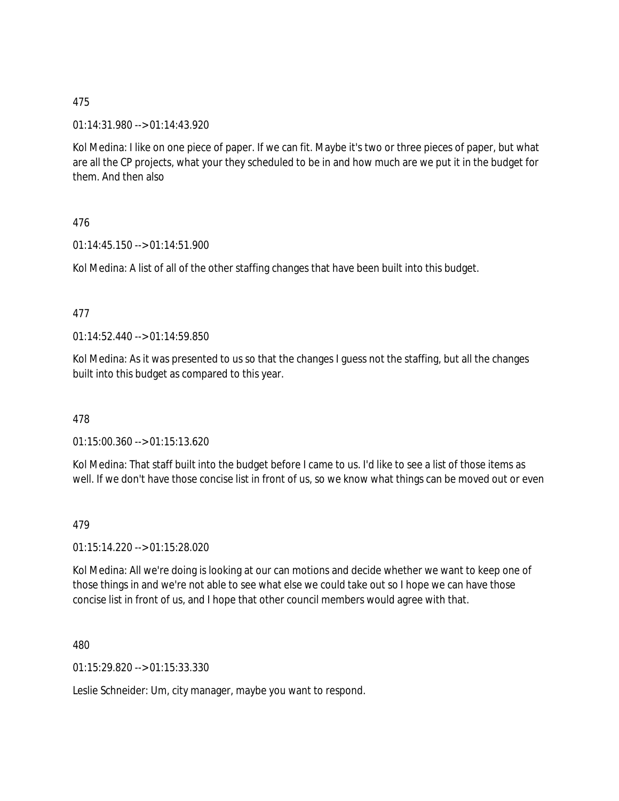01:14:31.980 --> 01:14:43.920

Kol Medina: I like on one piece of paper. If we can fit. Maybe it's two or three pieces of paper, but what are all the CP projects, what your they scheduled to be in and how much are we put it in the budget for them. And then also

## 476

01:14:45.150 --> 01:14:51.900

Kol Medina: A list of all of the other staffing changes that have been built into this budget.

### 477

01:14:52.440 --> 01:14:59.850

Kol Medina: As it was presented to us so that the changes I guess not the staffing, but all the changes built into this budget as compared to this year.

### 478

01:15:00.360 --> 01:15:13.620

Kol Medina: That staff built into the budget before I came to us. I'd like to see a list of those items as well. If we don't have those concise list in front of us, so we know what things can be moved out or even

### 479

01:15:14.220 --> 01:15:28.020

Kol Medina: All we're doing is looking at our can motions and decide whether we want to keep one of those things in and we're not able to see what else we could take out so I hope we can have those concise list in front of us, and I hope that other council members would agree with that.

480

01:15:29.820 --> 01:15:33.330

Leslie Schneider: Um, city manager, maybe you want to respond.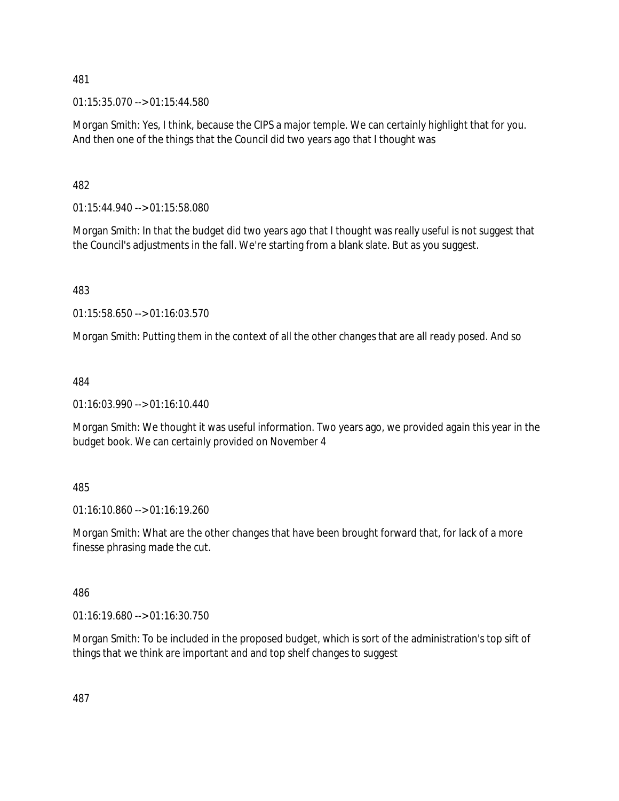01:15:35.070 --> 01:15:44.580

Morgan Smith: Yes, I think, because the CIPS a major temple. We can certainly highlight that for you. And then one of the things that the Council did two years ago that I thought was

482

01:15:44.940 --> 01:15:58.080

Morgan Smith: In that the budget did two years ago that I thought was really useful is not suggest that the Council's adjustments in the fall. We're starting from a blank slate. But as you suggest.

483

01:15:58.650 --> 01:16:03.570

Morgan Smith: Putting them in the context of all the other changes that are all ready posed. And so

484

01:16:03.990 --> 01:16:10.440

Morgan Smith: We thought it was useful information. Two years ago, we provided again this year in the budget book. We can certainly provided on November 4

485

01:16:10.860 --> 01:16:19.260

Morgan Smith: What are the other changes that have been brought forward that, for lack of a more finesse phrasing made the cut.

486

01:16:19.680 --> 01:16:30.750

Morgan Smith: To be included in the proposed budget, which is sort of the administration's top sift of things that we think are important and and top shelf changes to suggest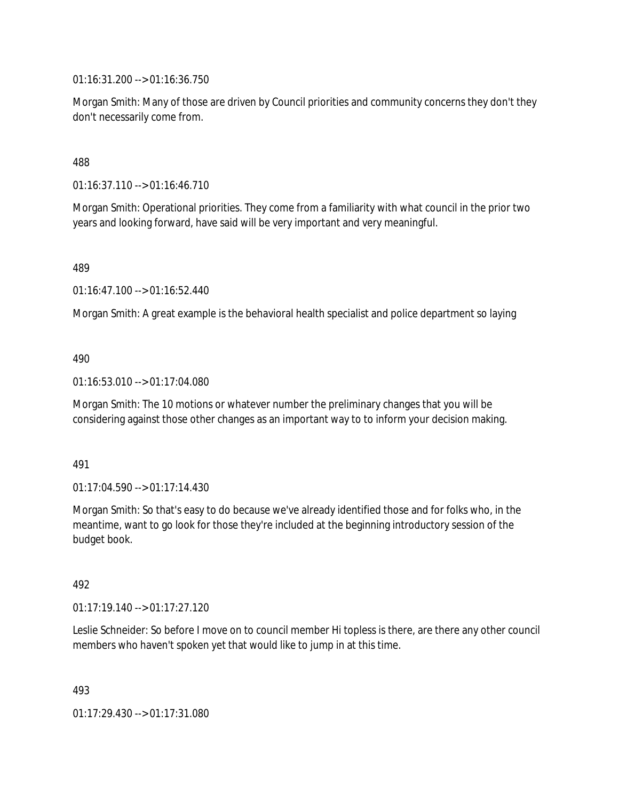01:16:31.200 --> 01:16:36.750

Morgan Smith: Many of those are driven by Council priorities and community concerns they don't they don't necessarily come from.

488

01:16:37.110 --> 01:16:46.710

Morgan Smith: Operational priorities. They come from a familiarity with what council in the prior two years and looking forward, have said will be very important and very meaningful.

489

01:16:47.100 --> 01:16:52.440

Morgan Smith: A great example is the behavioral health specialist and police department so laying

490

01:16:53.010 --> 01:17:04.080

Morgan Smith: The 10 motions or whatever number the preliminary changes that you will be considering against those other changes as an important way to to inform your decision making.

491

01:17:04.590 --> 01:17:14.430

Morgan Smith: So that's easy to do because we've already identified those and for folks who, in the meantime, want to go look for those they're included at the beginning introductory session of the budget book.

492

01:17:19.140 --> 01:17:27.120

Leslie Schneider: So before I move on to council member Hi topless is there, are there any other council members who haven't spoken yet that would like to jump in at this time.

493

01:17:29.430 --> 01:17:31.080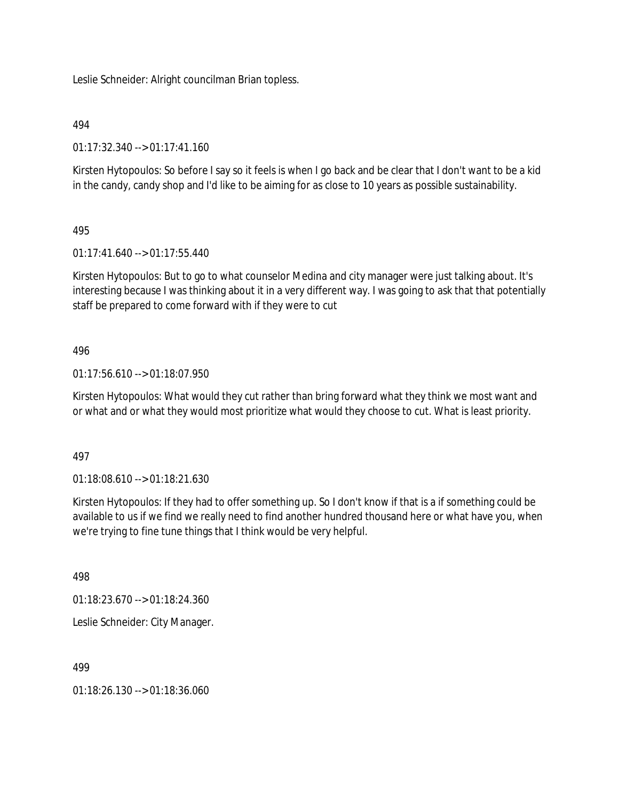Leslie Schneider: Alright councilman Brian topless.

## 494

01:17:32.340 --> 01:17:41.160

Kirsten Hytopoulos: So before I say so it feels is when I go back and be clear that I don't want to be a kid in the candy, candy shop and I'd like to be aiming for as close to 10 years as possible sustainability.

## 495

01:17:41.640 --> 01:17:55.440

Kirsten Hytopoulos: But to go to what counselor Medina and city manager were just talking about. It's interesting because I was thinking about it in a very different way. I was going to ask that that potentially staff be prepared to come forward with if they were to cut

## 496

01:17:56.610 --> 01:18:07.950

Kirsten Hytopoulos: What would they cut rather than bring forward what they think we most want and or what and or what they would most prioritize what would they choose to cut. What is least priority.

### 497

01:18:08.610 --> 01:18:21.630

Kirsten Hytopoulos: If they had to offer something up. So I don't know if that is a if something could be available to us if we find we really need to find another hundred thousand here or what have you, when we're trying to fine tune things that I think would be very helpful.

498

01:18:23.670 --> 01:18:24.360

Leslie Schneider: City Manager.

### 499

01:18:26.130 --> 01:18:36.060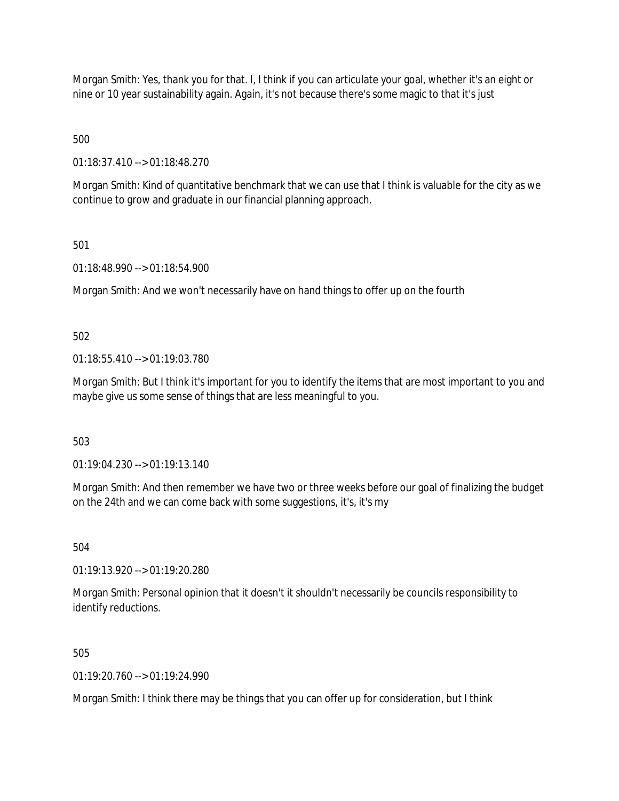Morgan Smith: Yes, thank you for that. I, I think if you can articulate your goal, whether it's an eight or nine or 10 year sustainability again. Again, it's not because there's some magic to that it's just

500

01:18:37.410 --> 01:18:48.270

Morgan Smith: Kind of quantitative benchmark that we can use that I think is valuable for the city as we continue to grow and graduate in our financial planning approach.

501

01:18:48.990 --> 01:18:54.900

Morgan Smith: And we won't necessarily have on hand things to offer up on the fourth

502

01:18:55.410 --> 01:19:03.780

Morgan Smith: But I think it's important for you to identify the items that are most important to you and maybe give us some sense of things that are less meaningful to you.

503

01:19:04.230 --> 01:19:13.140

Morgan Smith: And then remember we have two or three weeks before our goal of finalizing the budget on the 24th and we can come back with some suggestions, it's, it's my

504

01:19:13.920 --> 01:19:20.280

Morgan Smith: Personal opinion that it doesn't it shouldn't necessarily be councils responsibility to identify reductions.

505

 $01.19.20$  760 -->  $01.19.24$  990

Morgan Smith: I think there may be things that you can offer up for consideration, but I think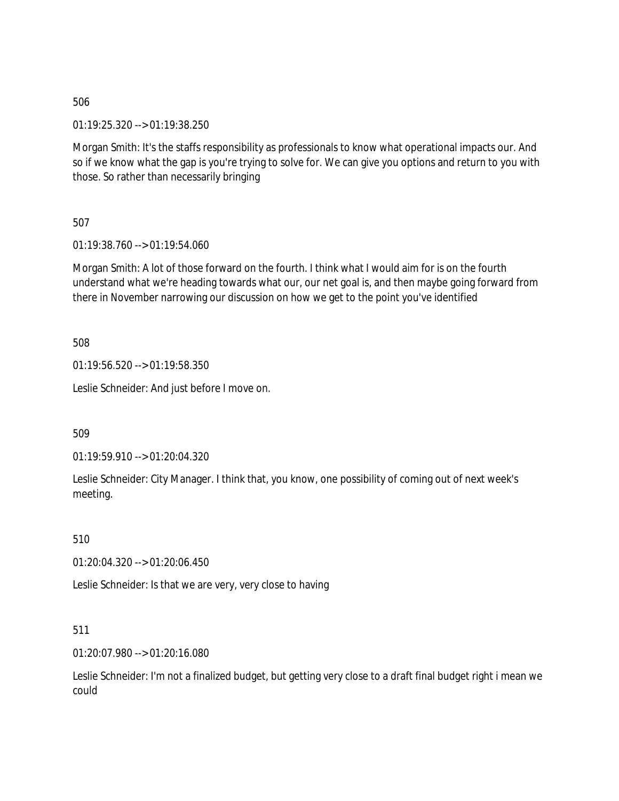01:19:25.320 --> 01:19:38.250

Morgan Smith: It's the staffs responsibility as professionals to know what operational impacts our. And so if we know what the gap is you're trying to solve for. We can give you options and return to you with those. So rather than necessarily bringing

507

01:19:38.760 --> 01:19:54.060

Morgan Smith: A lot of those forward on the fourth. I think what I would aim for is on the fourth understand what we're heading towards what our, our net goal is, and then maybe going forward from there in November narrowing our discussion on how we get to the point you've identified

508

01:19:56.520 --> 01:19:58.350

Leslie Schneider: And just before I move on.

509

01:19:59.910 --> 01:20:04.320

Leslie Schneider: City Manager. I think that, you know, one possibility of coming out of next week's meeting.

510

01:20:04.320 --> 01:20:06.450

Leslie Schneider: Is that we are very, very close to having

511

01:20:07.980 --> 01:20:16.080

Leslie Schneider: I'm not a finalized budget, but getting very close to a draft final budget right i mean we could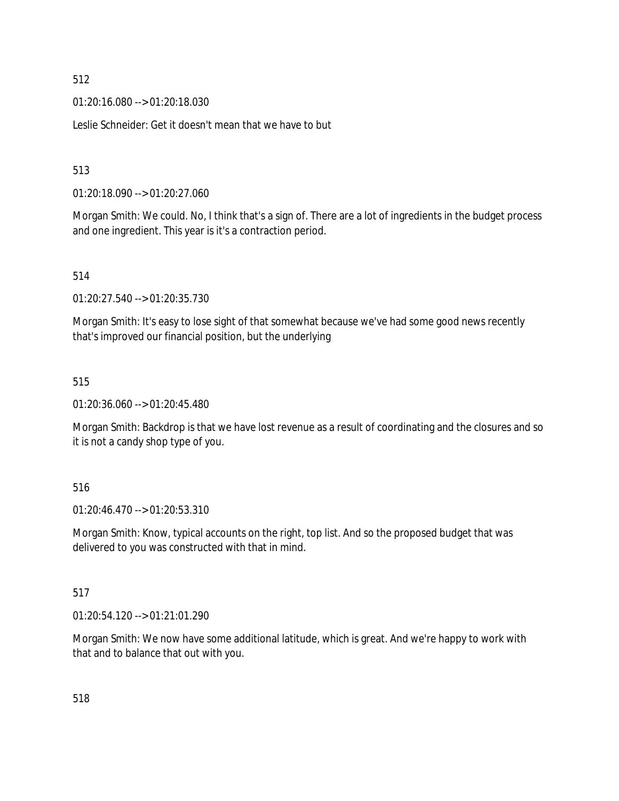01:20:16.080 --> 01:20:18.030

Leslie Schneider: Get it doesn't mean that we have to but

## 513

01:20:18.090 --> 01:20:27.060

Morgan Smith: We could. No, I think that's a sign of. There are a lot of ingredients in the budget process and one ingredient. This year is it's a contraction period.

## 514

01:20:27.540 --> 01:20:35.730

Morgan Smith: It's easy to lose sight of that somewhat because we've had some good news recently that's improved our financial position, but the underlying

## 515

01:20:36.060 --> 01:20:45.480

Morgan Smith: Backdrop is that we have lost revenue as a result of coordinating and the closures and so it is not a candy shop type of you.

### 516

01:20:46.470 --> 01:20:53.310

Morgan Smith: Know, typical accounts on the right, top list. And so the proposed budget that was delivered to you was constructed with that in mind.

### 517

01:20:54.120 --> 01:21:01.290

Morgan Smith: We now have some additional latitude, which is great. And we're happy to work with that and to balance that out with you.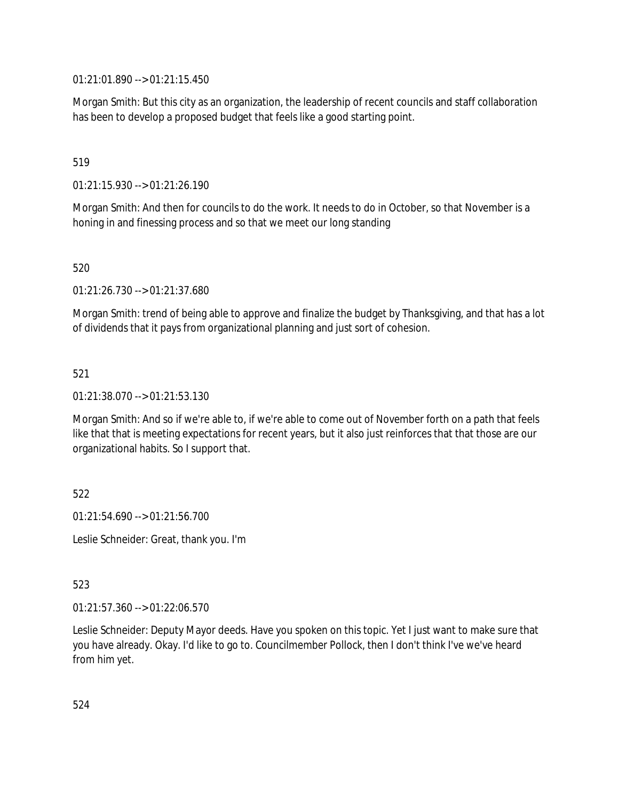01:21:01.890 --> 01:21:15.450

Morgan Smith: But this city as an organization, the leadership of recent councils and staff collaboration has been to develop a proposed budget that feels like a good starting point.

## 519

01:21:15.930 --> 01:21:26.190

Morgan Smith: And then for councils to do the work. It needs to do in October, so that November is a honing in and finessing process and so that we meet our long standing

520

01:21:26.730 --> 01:21:37.680

Morgan Smith: trend of being able to approve and finalize the budget by Thanksgiving, and that has a lot of dividends that it pays from organizational planning and just sort of cohesion.

## 521

01:21:38.070 --> 01:21:53.130

Morgan Smith: And so if we're able to, if we're able to come out of November forth on a path that feels like that that is meeting expectations for recent years, but it also just reinforces that that those are our organizational habits. So I support that.

522

01:21:54.690 --> 01:21:56.700

Leslie Schneider: Great, thank you. I'm

523

01:21:57.360 --> 01:22:06.570

Leslie Schneider: Deputy Mayor deeds. Have you spoken on this topic. Yet I just want to make sure that you have already. Okay. I'd like to go to. Councilmember Pollock, then I don't think I've we've heard from him yet.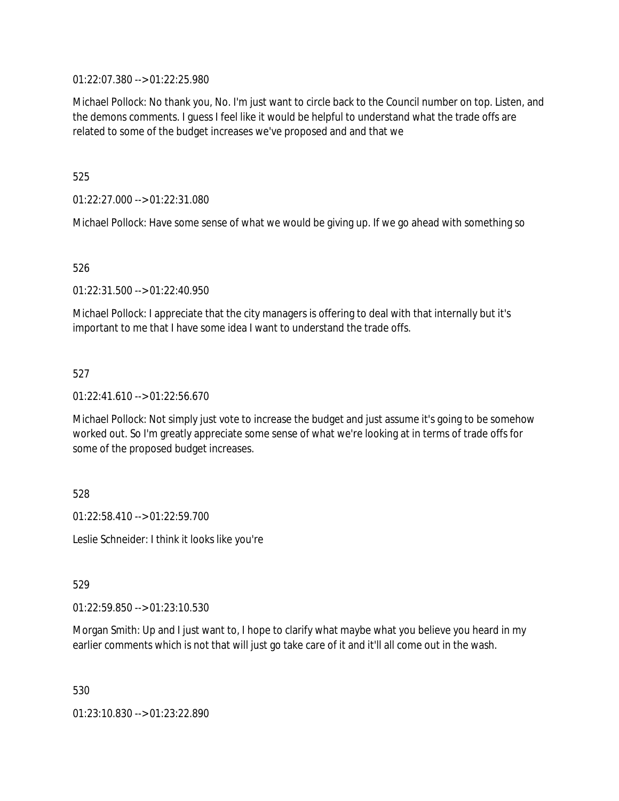01:22:07.380 --> 01:22:25.980

Michael Pollock: No thank you, No. I'm just want to circle back to the Council number on top. Listen, and the demons comments. I guess I feel like it would be helpful to understand what the trade offs are related to some of the budget increases we've proposed and and that we

525

01:22:27.000 --> 01:22:31.080

Michael Pollock: Have some sense of what we would be giving up. If we go ahead with something so

526

01:22:31.500 --> 01:22:40.950

Michael Pollock: I appreciate that the city managers is offering to deal with that internally but it's important to me that I have some idea I want to understand the trade offs.

527

01:22:41.610 --> 01:22:56.670

Michael Pollock: Not simply just vote to increase the budget and just assume it's going to be somehow worked out. So I'm greatly appreciate some sense of what we're looking at in terms of trade offs for some of the proposed budget increases.

528

01:22:58.410 --> 01:22:59.700

Leslie Schneider: I think it looks like you're

529

01:22:59.850 --> 01:23:10.530

Morgan Smith: Up and I just want to, I hope to clarify what maybe what you believe you heard in my earlier comments which is not that will just go take care of it and it'll all come out in the wash.

530

01:23:10.830 --> 01:23:22.890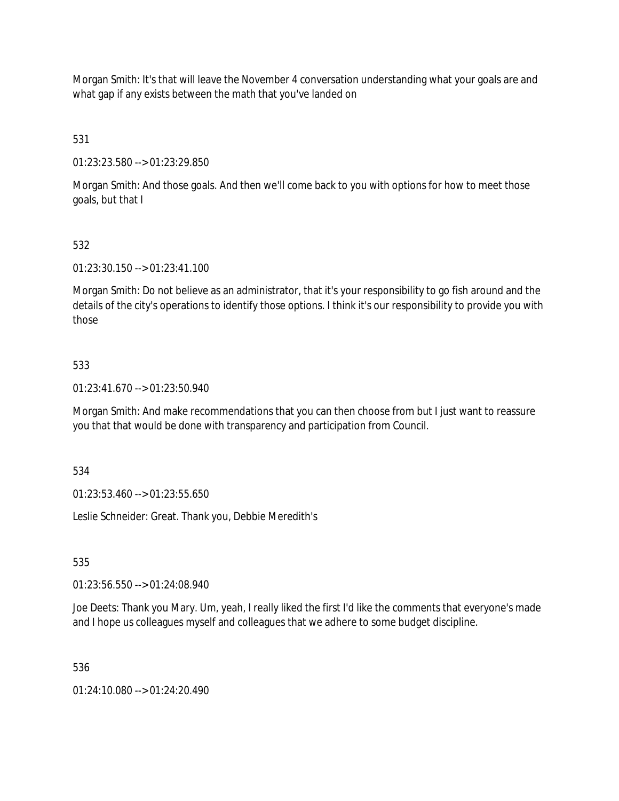Morgan Smith: It's that will leave the November 4 conversation understanding what your goals are and what gap if any exists between the math that you've landed on

531

01:23:23.580 --> 01:23:29.850

Morgan Smith: And those goals. And then we'll come back to you with options for how to meet those goals, but that I

# 532

01:23:30.150 --> 01:23:41.100

Morgan Smith: Do not believe as an administrator, that it's your responsibility to go fish around and the details of the city's operations to identify those options. I think it's our responsibility to provide you with those

## 533

01:23:41.670 --> 01:23:50.940

Morgan Smith: And make recommendations that you can then choose from but I just want to reassure you that that would be done with transparency and participation from Council.

534

01:23:53.460 --> 01:23:55.650

Leslie Schneider: Great. Thank you, Debbie Meredith's

535

01:23:56.550 --> 01:24:08.940

Joe Deets: Thank you Mary. Um, yeah, I really liked the first I'd like the comments that everyone's made and I hope us colleagues myself and colleagues that we adhere to some budget discipline.

536

01:24:10.080 --> 01:24:20.490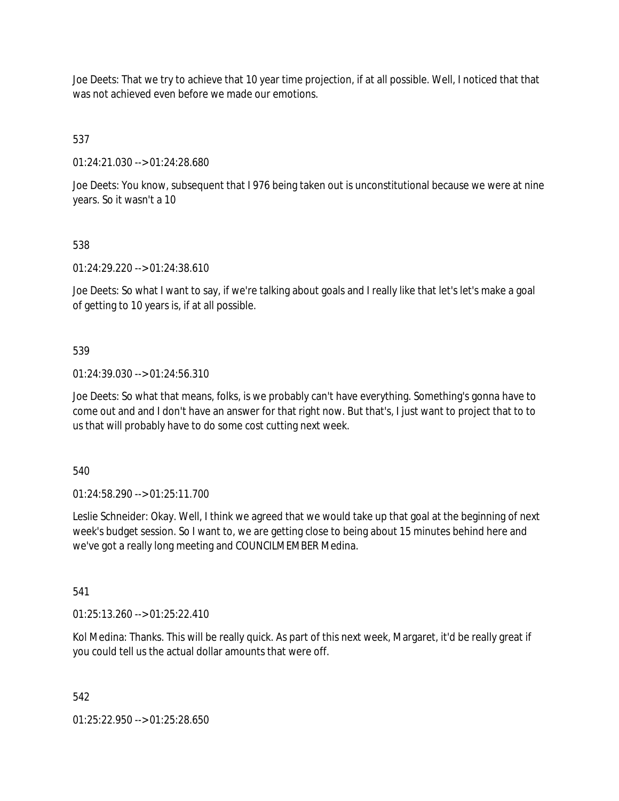Joe Deets: That we try to achieve that 10 year time projection, if at all possible. Well, I noticed that that was not achieved even before we made our emotions.

537

01:24:21.030 --> 01:24:28.680

Joe Deets: You know, subsequent that I 976 being taken out is unconstitutional because we were at nine years. So it wasn't a 10

# 538

01:24:29.220 --> 01:24:38.610

Joe Deets: So what I want to say, if we're talking about goals and I really like that let's let's make a goal of getting to 10 years is, if at all possible.

## 539

01:24:39.030 --> 01:24:56.310

Joe Deets: So what that means, folks, is we probably can't have everything. Something's gonna have to come out and and I don't have an answer for that right now. But that's, I just want to project that to to us that will probably have to do some cost cutting next week.

540

01:24:58.290 --> 01:25:11.700

Leslie Schneider: Okay. Well, I think we agreed that we would take up that goal at the beginning of next week's budget session. So I want to, we are getting close to being about 15 minutes behind here and we've got a really long meeting and COUNCILMEMBER Medina.

### 541

01:25:13.260 --> 01:25:22.410

Kol Medina: Thanks. This will be really quick. As part of this next week, Margaret, it'd be really great if you could tell us the actual dollar amounts that were off.

### 542

01:25:22.950 --> 01:25:28.650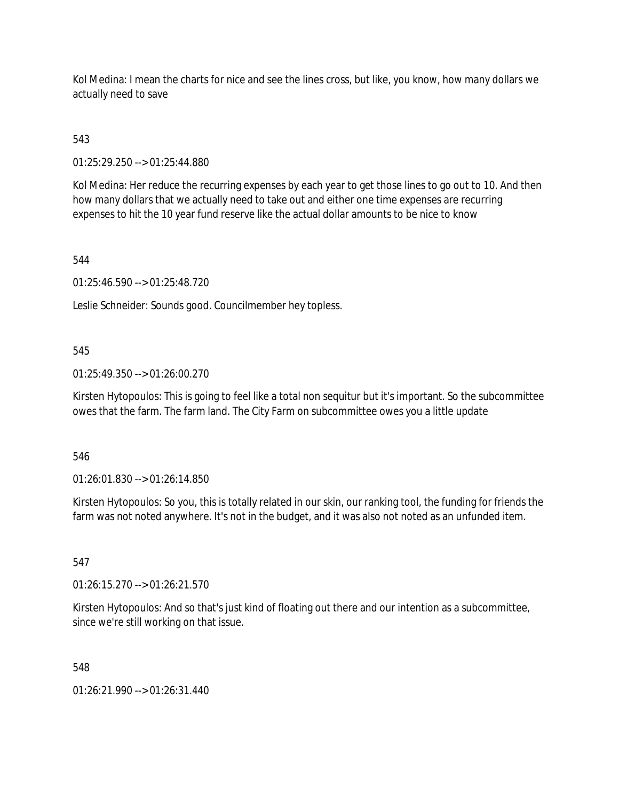Kol Medina: I mean the charts for nice and see the lines cross, but like, you know, how many dollars we actually need to save

543

01:25:29.250 --> 01:25:44.880

Kol Medina: Her reduce the recurring expenses by each year to get those lines to go out to 10. And then how many dollars that we actually need to take out and either one time expenses are recurring expenses to hit the 10 year fund reserve like the actual dollar amounts to be nice to know

544

01:25:46.590 --> 01:25:48.720

Leslie Schneider: Sounds good. Councilmember hey topless.

### 545

01:25:49.350 --> 01:26:00.270

Kirsten Hytopoulos: This is going to feel like a total non sequitur but it's important. So the subcommittee owes that the farm. The farm land. The City Farm on subcommittee owes you a little update

546

01:26:01.830 --> 01:26:14.850

Kirsten Hytopoulos: So you, this is totally related in our skin, our ranking tool, the funding for friends the farm was not noted anywhere. It's not in the budget, and it was also not noted as an unfunded item.

547

01:26:15.270 --> 01:26:21.570

Kirsten Hytopoulos: And so that's just kind of floating out there and our intention as a subcommittee, since we're still working on that issue.

548

01:26:21.990 --> 01:26:31.440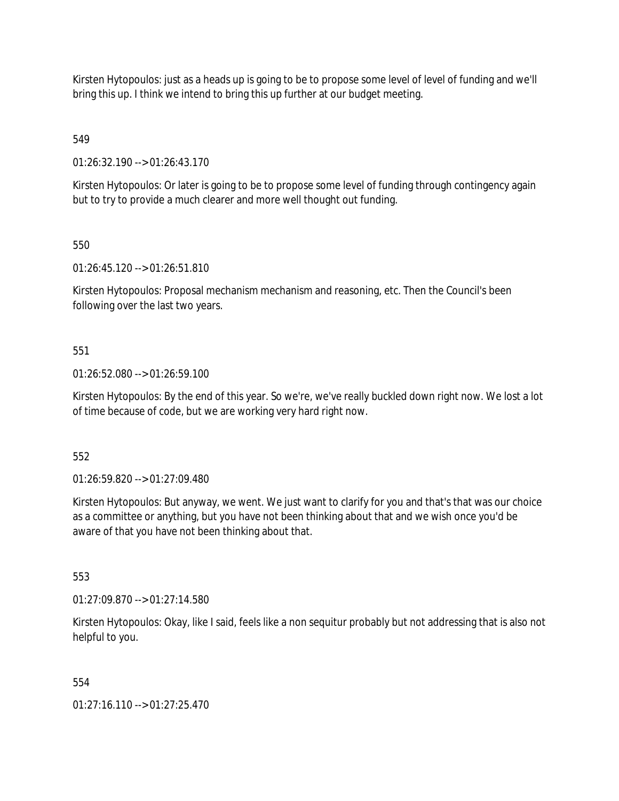Kirsten Hytopoulos: just as a heads up is going to be to propose some level of level of funding and we'll bring this up. I think we intend to bring this up further at our budget meeting.

549

01:26:32.190 --> 01:26:43.170

Kirsten Hytopoulos: Or later is going to be to propose some level of funding through contingency again but to try to provide a much clearer and more well thought out funding.

550

01:26:45.120 --> 01:26:51.810

Kirsten Hytopoulos: Proposal mechanism mechanism and reasoning, etc. Then the Council's been following over the last two years.

551

01:26:52.080 --> 01:26:59.100

Kirsten Hytopoulos: By the end of this year. So we're, we've really buckled down right now. We lost a lot of time because of code, but we are working very hard right now.

552

01:26:59.820 --> 01:27:09.480

Kirsten Hytopoulos: But anyway, we went. We just want to clarify for you and that's that was our choice as a committee or anything, but you have not been thinking about that and we wish once you'd be aware of that you have not been thinking about that.

553

01:27:09.870 --> 01:27:14.580

Kirsten Hytopoulos: Okay, like I said, feels like a non sequitur probably but not addressing that is also not helpful to you.

554

01:27:16.110 --> 01:27:25.470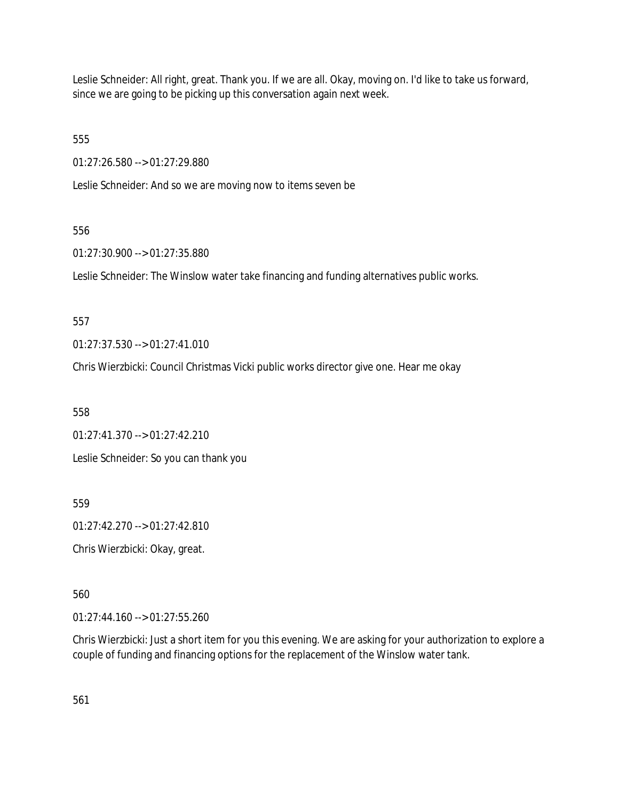Leslie Schneider: All right, great. Thank you. If we are all. Okay, moving on. I'd like to take us forward, since we are going to be picking up this conversation again next week.

555

01:27:26.580 --> 01:27:29.880

Leslie Schneider: And so we are moving now to items seven be

## 556

01:27:30.900 --> 01:27:35.880

Leslie Schneider: The Winslow water take financing and funding alternatives public works.

557

01:27:37.530 --> 01:27:41.010

Chris Wierzbicki: Council Christmas Vicki public works director give one. Hear me okay

558

01:27:41.370 --> 01:27:42.210

Leslie Schneider: So you can thank you

559

01:27:42.270 --> 01:27:42.810

Chris Wierzbicki: Okay, great.

560

01:27:44.160 --> 01:27:55.260

Chris Wierzbicki: Just a short item for you this evening. We are asking for your authorization to explore a couple of funding and financing options for the replacement of the Winslow water tank.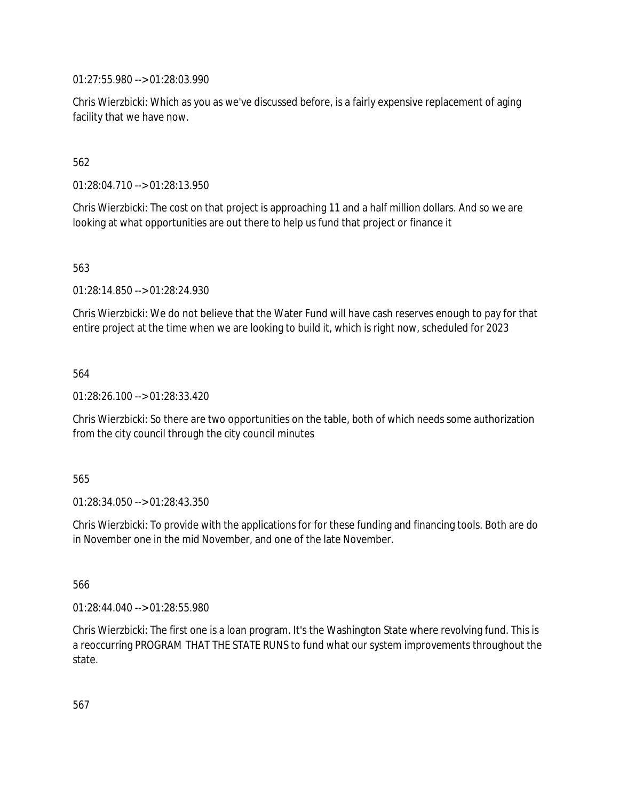01:27:55.980 --> 01:28:03.990

Chris Wierzbicki: Which as you as we've discussed before, is a fairly expensive replacement of aging facility that we have now.

562

01:28:04.710 --> 01:28:13.950

Chris Wierzbicki: The cost on that project is approaching 11 and a half million dollars. And so we are looking at what opportunities are out there to help us fund that project or finance it

563

01:28:14.850 --> 01:28:24.930

Chris Wierzbicki: We do not believe that the Water Fund will have cash reserves enough to pay for that entire project at the time when we are looking to build it, which is right now, scheduled for 2023

564

01:28:26.100 --> 01:28:33.420

Chris Wierzbicki: So there are two opportunities on the table, both of which needs some authorization from the city council through the city council minutes

565

01:28:34.050 --> 01:28:43.350

Chris Wierzbicki: To provide with the applications for for these funding and financing tools. Both are do in November one in the mid November, and one of the late November.

566

01:28:44.040 --> 01:28:55.980

Chris Wierzbicki: The first one is a loan program. It's the Washington State where revolving fund. This is a reoccurring PROGRAM THAT THE STATE RUNS to fund what our system improvements throughout the state.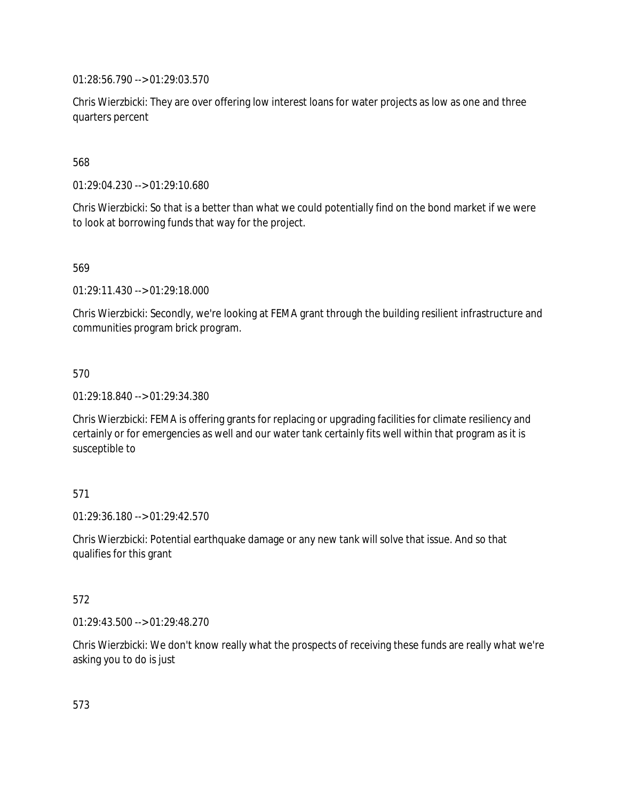01:28:56.790 --> 01:29:03.570

Chris Wierzbicki: They are over offering low interest loans for water projects as low as one and three quarters percent

568

01:29:04.230 --> 01:29:10.680

Chris Wierzbicki: So that is a better than what we could potentially find on the bond market if we were to look at borrowing funds that way for the project.

569

01:29:11.430 --> 01:29:18.000

Chris Wierzbicki: Secondly, we're looking at FEMA grant through the building resilient infrastructure and communities program brick program.

570

01:29:18.840 --> 01:29:34.380

Chris Wierzbicki: FEMA is offering grants for replacing or upgrading facilities for climate resiliency and certainly or for emergencies as well and our water tank certainly fits well within that program as it is susceptible to

### 571

01:29:36.180 --> 01:29:42.570

Chris Wierzbicki: Potential earthquake damage or any new tank will solve that issue. And so that qualifies for this grant

### 572

01:29:43.500 --> 01:29:48.270

Chris Wierzbicki: We don't know really what the prospects of receiving these funds are really what we're asking you to do is just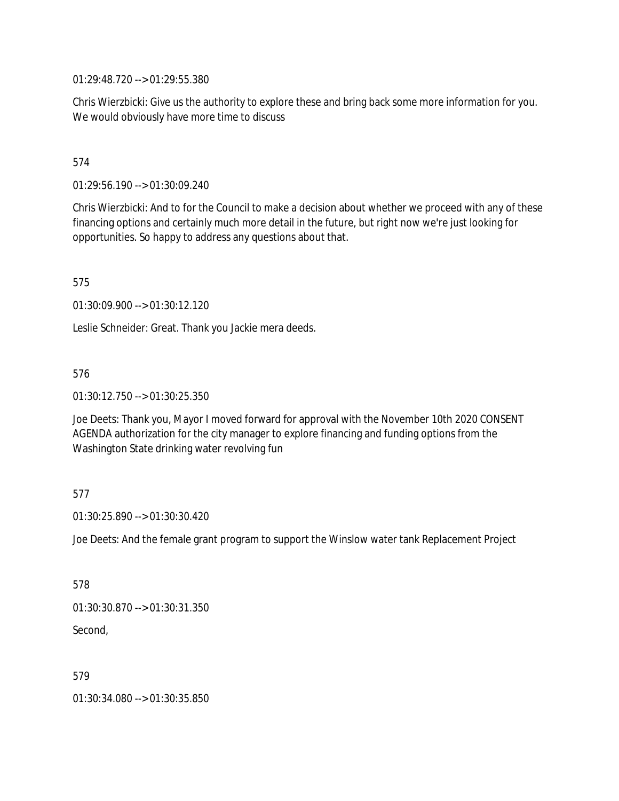01:29:48.720 --> 01:29:55.380

Chris Wierzbicki: Give us the authority to explore these and bring back some more information for you. We would obviously have more time to discuss

### 574

01:29:56.190 --> 01:30:09.240

Chris Wierzbicki: And to for the Council to make a decision about whether we proceed with any of these financing options and certainly much more detail in the future, but right now we're just looking for opportunities. So happy to address any questions about that.

575

01:30:09.900 --> 01:30:12.120

Leslie Schneider: Great. Thank you Jackie mera deeds.

### 576

01:30:12.750 --> 01:30:25.350

Joe Deets: Thank you, Mayor I moved forward for approval with the November 10th 2020 CONSENT AGENDA authorization for the city manager to explore financing and funding options from the Washington State drinking water revolving fun

### 577

01:30:25.890 --> 01:30:30.420

Joe Deets: And the female grant program to support the Winslow water tank Replacement Project

578

01:30:30.870 --> 01:30:31.350

Second,

579

01:30:34.080 --> 01:30:35.850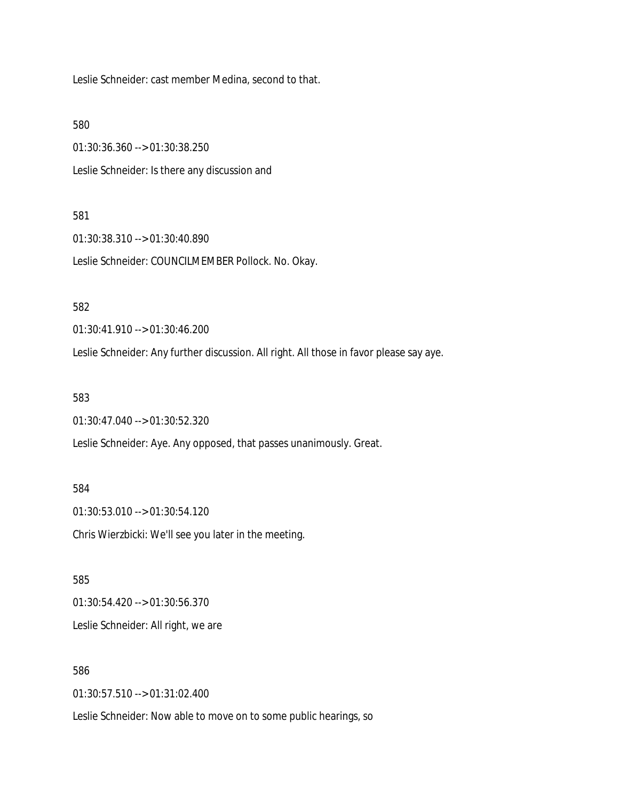Leslie Schneider: cast member Medina, second to that.

580

01:30:36.360 --> 01:30:38.250 Leslie Schneider: Is there any discussion and

#### 581

01:30:38.310 --> 01:30:40.890 Leslie Schneider: COUNCILMEMBER Pollock. No. Okay.

582

01:30:41.910 --> 01:30:46.200

Leslie Schneider: Any further discussion. All right. All those in favor please say aye.

583

01:30:47.040 --> 01:30:52.320

Leslie Schneider: Aye. Any opposed, that passes unanimously. Great.

584

01:30:53.010 --> 01:30:54.120

Chris Wierzbicki: We'll see you later in the meeting.

585 01:30:54.420 --> 01:30:56.370

Leslie Schneider: All right, we are

586

01:30:57.510 --> 01:31:02.400

Leslie Schneider: Now able to move on to some public hearings, so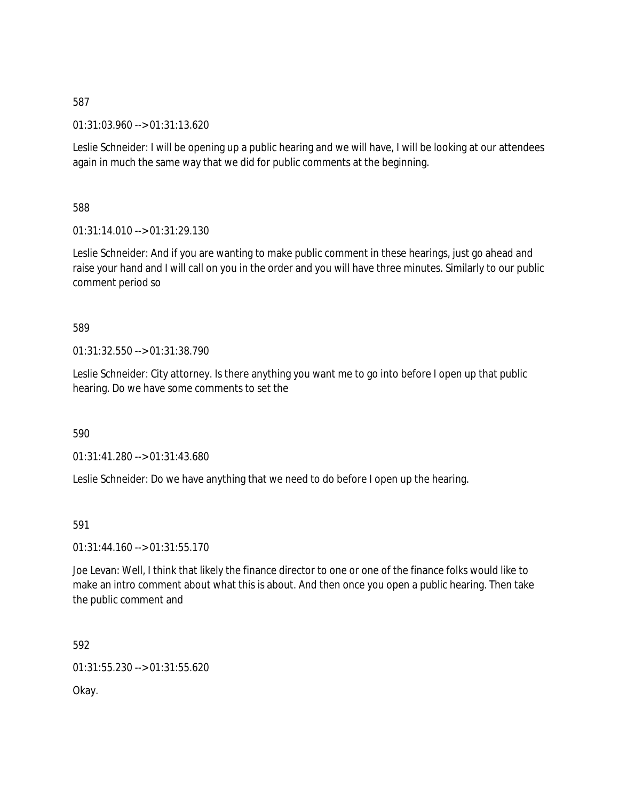01:31:03.960 --> 01:31:13.620

Leslie Schneider: I will be opening up a public hearing and we will have, I will be looking at our attendees again in much the same way that we did for public comments at the beginning.

588

01:31:14.010 --> 01:31:29.130

Leslie Schneider: And if you are wanting to make public comment in these hearings, just go ahead and raise your hand and I will call on you in the order and you will have three minutes. Similarly to our public comment period so

## 589

01:31:32.550 --> 01:31:38.790

Leslie Schneider: City attorney. Is there anything you want me to go into before I open up that public hearing. Do we have some comments to set the

590

01:31:41.280 --> 01:31:43.680

Leslie Schneider: Do we have anything that we need to do before I open up the hearing.

### 591

 $01:31:44.160 \rightarrow 01:31:55.170$ 

Joe Levan: Well, I think that likely the finance director to one or one of the finance folks would like to make an intro comment about what this is about. And then once you open a public hearing. Then take the public comment and

592

01:31:55.230 --> 01:31:55.620

Okay.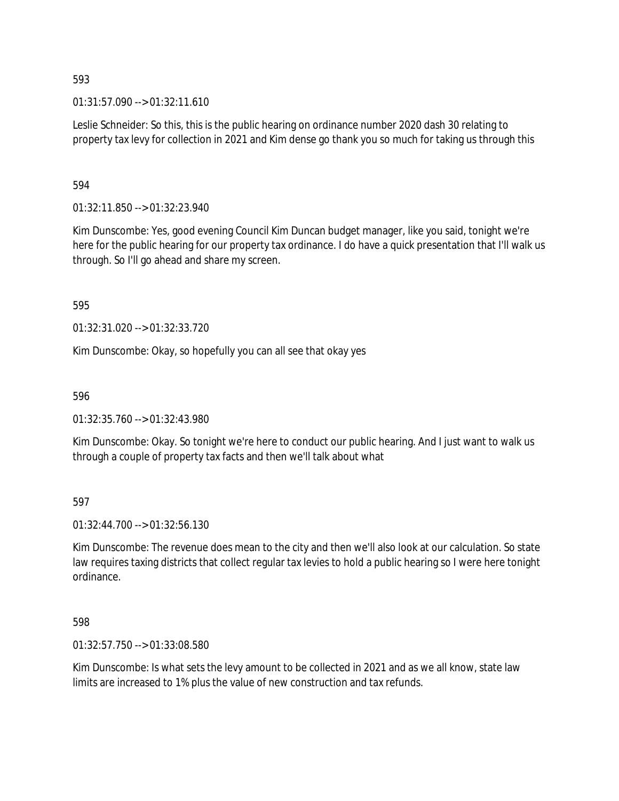$01:31:57.090 \rightarrow 01:32:11.610$ 

Leslie Schneider: So this, this is the public hearing on ordinance number 2020 dash 30 relating to property tax levy for collection in 2021 and Kim dense go thank you so much for taking us through this

### 594

01:32:11.850 --> 01:32:23.940

Kim Dunscombe: Yes, good evening Council Kim Duncan budget manager, like you said, tonight we're here for the public hearing for our property tax ordinance. I do have a quick presentation that I'll walk us through. So I'll go ahead and share my screen.

595

01:32:31.020 --> 01:32:33.720

Kim Dunscombe: Okay, so hopefully you can all see that okay yes

596

01:32:35.760 --> 01:32:43.980

Kim Dunscombe: Okay. So tonight we're here to conduct our public hearing. And I just want to walk us through a couple of property tax facts and then we'll talk about what

597

01:32:44.700 --> 01:32:56.130

Kim Dunscombe: The revenue does mean to the city and then we'll also look at our calculation. So state law requires taxing districts that collect regular tax levies to hold a public hearing so I were here tonight ordinance.

598

01:32:57.750 --> 01:33:08.580

Kim Dunscombe: Is what sets the levy amount to be collected in 2021 and as we all know, state law limits are increased to 1% plus the value of new construction and tax refunds.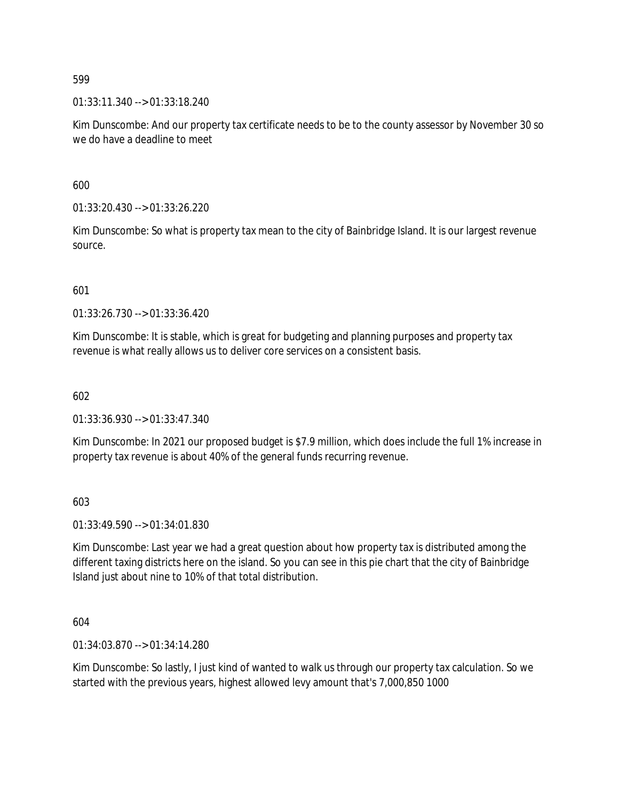01:33:11.340 --> 01:33:18.240

Kim Dunscombe: And our property tax certificate needs to be to the county assessor by November 30 so we do have a deadline to meet

600

01:33:20.430 --> 01:33:26.220

Kim Dunscombe: So what is property tax mean to the city of Bainbridge Island. It is our largest revenue source.

601

01:33:26.730 --> 01:33:36.420

Kim Dunscombe: It is stable, which is great for budgeting and planning purposes and property tax revenue is what really allows us to deliver core services on a consistent basis.

602

01:33:36.930 --> 01:33:47.340

Kim Dunscombe: In 2021 our proposed budget is \$7.9 million, which does include the full 1% increase in property tax revenue is about 40% of the general funds recurring revenue.

603

01:33:49.590 --> 01:34:01.830

Kim Dunscombe: Last year we had a great question about how property tax is distributed among the different taxing districts here on the island. So you can see in this pie chart that the city of Bainbridge Island just about nine to 10% of that total distribution.

604

01:34:03.870 --> 01:34:14.280

Kim Dunscombe: So lastly, I just kind of wanted to walk us through our property tax calculation. So we started with the previous years, highest allowed levy amount that's 7,000,850 1000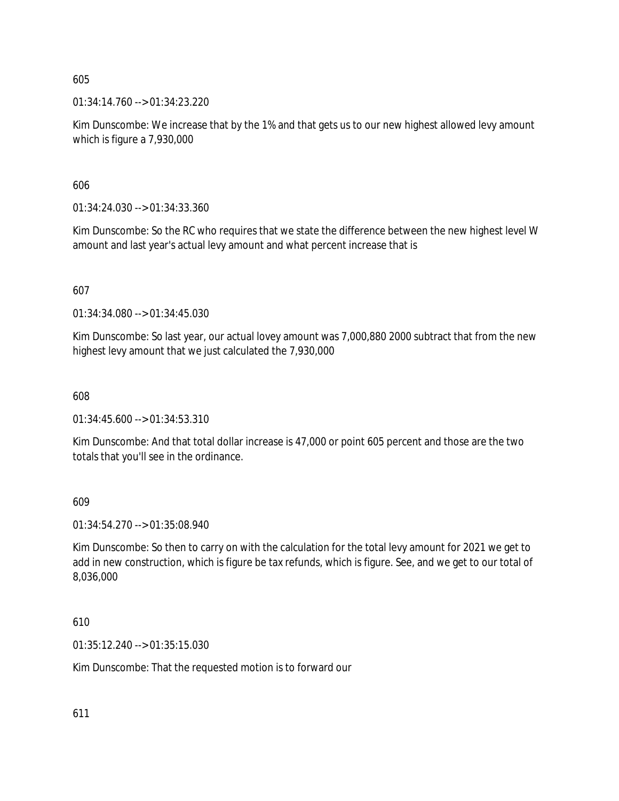01:34:14.760 --> 01:34:23.220

Kim Dunscombe: We increase that by the 1% and that gets us to our new highest allowed levy amount which is figure a 7,930,000

606

01:34:24.030 --> 01:34:33.360

Kim Dunscombe: So the RC who requires that we state the difference between the new highest level W amount and last year's actual levy amount and what percent increase that is

607

01:34:34.080 --> 01:34:45.030

Kim Dunscombe: So last year, our actual lovey amount was 7,000,880 2000 subtract that from the new highest levy amount that we just calculated the 7,930,000

608

 $01:34:45.600 \rightarrow 01:34:53.310$ 

Kim Dunscombe: And that total dollar increase is 47,000 or point 605 percent and those are the two totals that you'll see in the ordinance.

609

01:34:54.270 --> 01:35:08.940

Kim Dunscombe: So then to carry on with the calculation for the total levy amount for 2021 we get to add in new construction, which is figure be tax refunds, which is figure. See, and we get to our total of 8,036,000

610

01:35:12.240 --> 01:35:15.030

Kim Dunscombe: That the requested motion is to forward our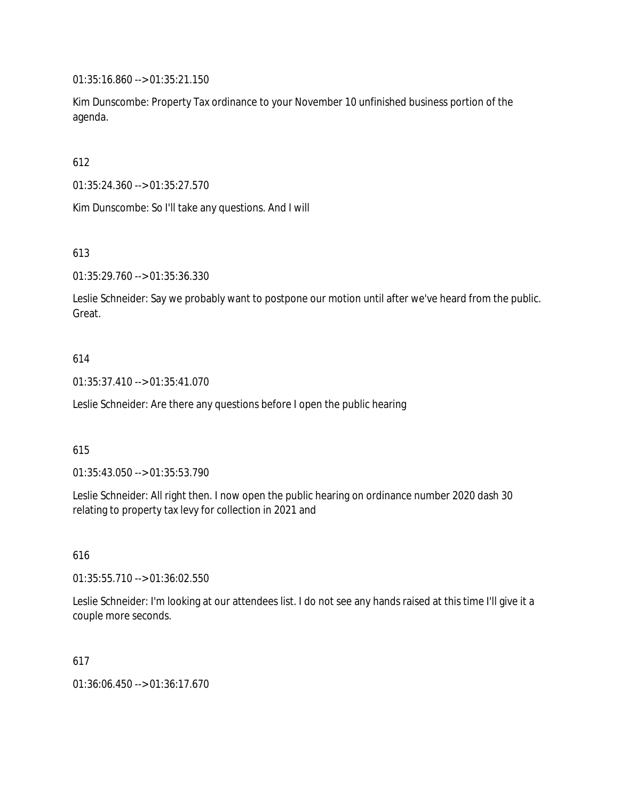01:35:16.860 --> 01:35:21.150

Kim Dunscombe: Property Tax ordinance to your November 10 unfinished business portion of the agenda.

612

01:35:24.360 --> 01:35:27.570

Kim Dunscombe: So I'll take any questions. And I will

613

01:35:29.760 --> 01:35:36.330

Leslie Schneider: Say we probably want to postpone our motion until after we've heard from the public. Great.

### 614

01:35:37.410 --> 01:35:41.070

Leslie Schneider: Are there any questions before I open the public hearing

### 615

01:35:43.050 --> 01:35:53.790

Leslie Schneider: All right then. I now open the public hearing on ordinance number 2020 dash 30 relating to property tax levy for collection in 2021 and

616

01:35:55.710 --> 01:36:02.550

Leslie Schneider: I'm looking at our attendees list. I do not see any hands raised at this time I'll give it a couple more seconds.

### 617

01:36:06.450 --> 01:36:17.670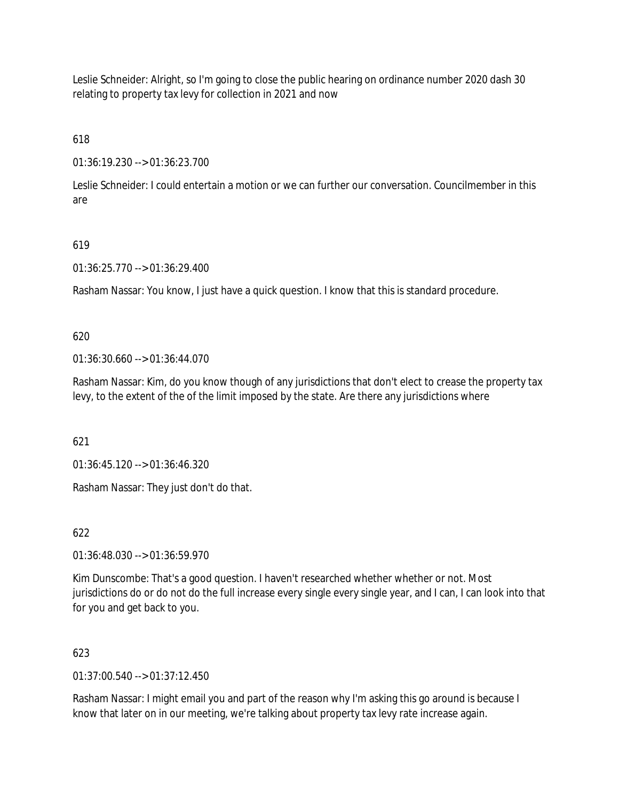Leslie Schneider: Alright, so I'm going to close the public hearing on ordinance number 2020 dash 30 relating to property tax levy for collection in 2021 and now

618

01:36:19.230 --> 01:36:23.700

Leslie Schneider: I could entertain a motion or we can further our conversation. Councilmember in this are

# 619

01:36:25.770 --> 01:36:29.400

Rasham Nassar: You know, I just have a quick question. I know that this is standard procedure.

# 620

01:36:30.660 --> 01:36:44.070

Rasham Nassar: Kim, do you know though of any jurisdictions that don't elect to crease the property tax levy, to the extent of the of the limit imposed by the state. Are there any jurisdictions where

621

01:36:45.120 --> 01:36:46.320

Rasham Nassar: They just don't do that.

# 622

01:36:48.030 --> 01:36:59.970

Kim Dunscombe: That's a good question. I haven't researched whether whether or not. Most jurisdictions do or do not do the full increase every single every single year, and I can, I can look into that for you and get back to you.

# 623

 $01:37:00.540 \rightarrow 01:37:12.450$ 

Rasham Nassar: I might email you and part of the reason why I'm asking this go around is because I know that later on in our meeting, we're talking about property tax levy rate increase again.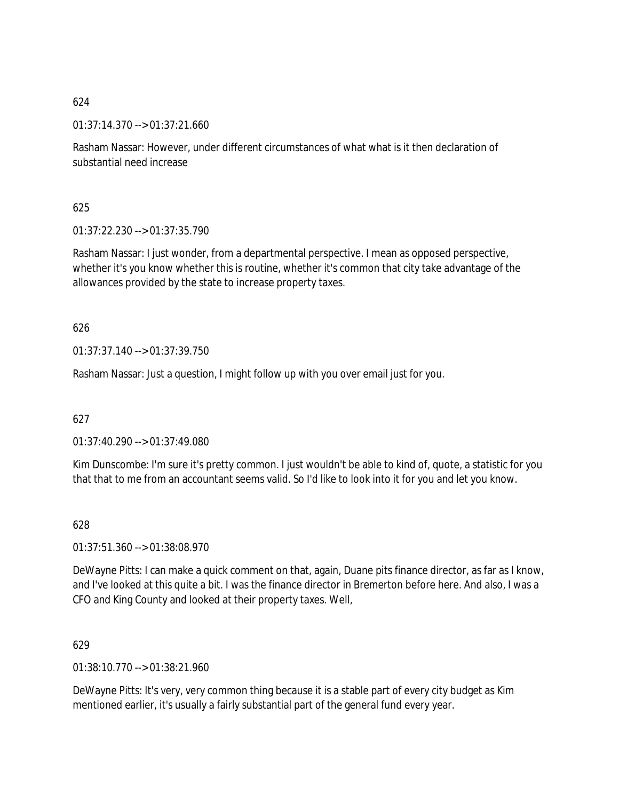01:37:14.370 --> 01:37:21.660

Rasham Nassar: However, under different circumstances of what what is it then declaration of substantial need increase

625

01:37:22.230 --> 01:37:35.790

Rasham Nassar: I just wonder, from a departmental perspective. I mean as opposed perspective, whether it's you know whether this is routine, whether it's common that city take advantage of the allowances provided by the state to increase property taxes.

626

01:37:37.140 --> 01:37:39.750

Rasham Nassar: Just a question, I might follow up with you over email just for you.

627

01:37:40.290 --> 01:37:49.080

Kim Dunscombe: I'm sure it's pretty common. I just wouldn't be able to kind of, quote, a statistic for you that that to me from an accountant seems valid. So I'd like to look into it for you and let you know.

628

01:37:51.360 --> 01:38:08.970

DeWayne Pitts: I can make a quick comment on that, again, Duane pits finance director, as far as I know, and I've looked at this quite a bit. I was the finance director in Bremerton before here. And also, I was a CFO and King County and looked at their property taxes. Well,

629

01:38:10.770 --> 01:38:21.960

DeWayne Pitts: It's very, very common thing because it is a stable part of every city budget as Kim mentioned earlier, it's usually a fairly substantial part of the general fund every year.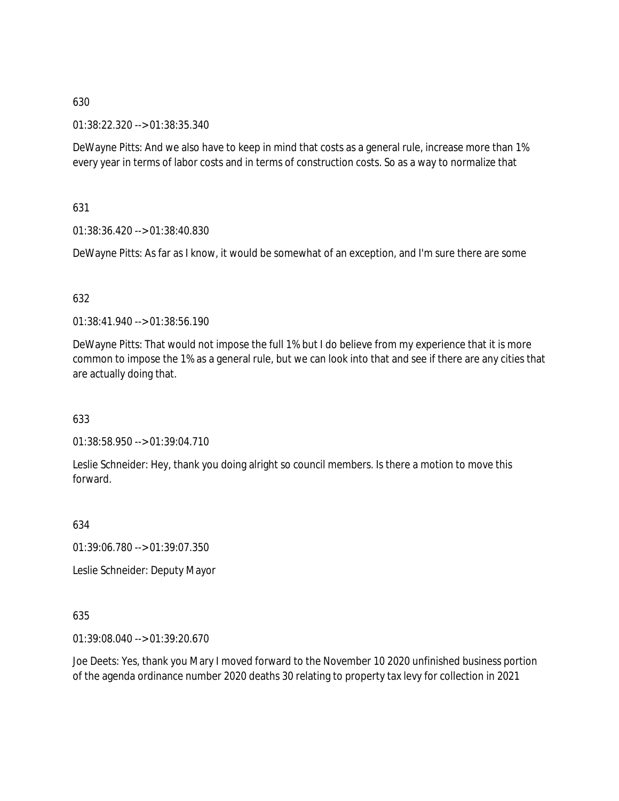01:38:22.320 --> 01:38:35.340

DeWayne Pitts: And we also have to keep in mind that costs as a general rule, increase more than 1% every year in terms of labor costs and in terms of construction costs. So as a way to normalize that

631

01:38:36.420 --> 01:38:40.830

DeWayne Pitts: As far as I know, it would be somewhat of an exception, and I'm sure there are some

## 632

01:38:41.940 --> 01:38:56.190

DeWayne Pitts: That would not impose the full 1% but I do believe from my experience that it is more common to impose the 1% as a general rule, but we can look into that and see if there are any cities that are actually doing that.

633

01:38:58.950 --> 01:39:04.710

Leslie Schneider: Hey, thank you doing alright so council members. Is there a motion to move this forward.

634

01:39:06.780 --> 01:39:07.350

Leslie Schneider: Deputy Mayor

### 635

01:39:08.040 --> 01:39:20.670

Joe Deets: Yes, thank you Mary I moved forward to the November 10 2020 unfinished business portion of the agenda ordinance number 2020 deaths 30 relating to property tax levy for collection in 2021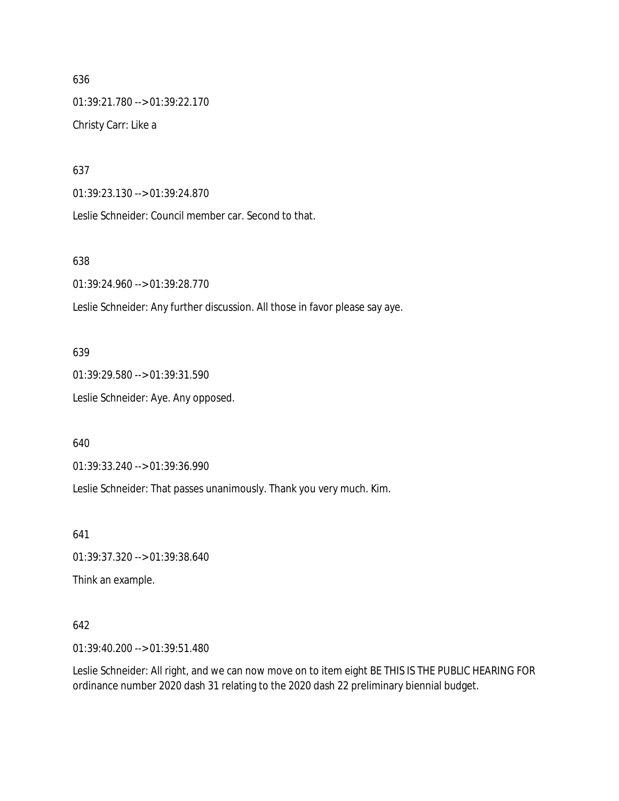636 01:39:21.780 --> 01:39:22.170 Christy Carr: Like a

637

01:39:23.130 --> 01:39:24.870

Leslie Schneider: Council member car. Second to that.

### 638

01:39:24.960 --> 01:39:28.770

Leslie Schneider: Any further discussion. All those in favor please say aye.

#### 639

01:39:29.580 --> 01:39:31.590 Leslie Schneider: Aye. Any opposed.

640

01:39:33.240 --> 01:39:36.990

Leslie Schneider: That passes unanimously. Thank you very much. Kim.

641

01:39:37.320 --> 01:39:38.640

Think an example.

#### 642

01:39:40.200 --> 01:39:51.480

Leslie Schneider: All right, and we can now move on to item eight BE THIS IS THE PUBLIC HEARING FOR ordinance number 2020 dash 31 relating to the 2020 dash 22 preliminary biennial budget.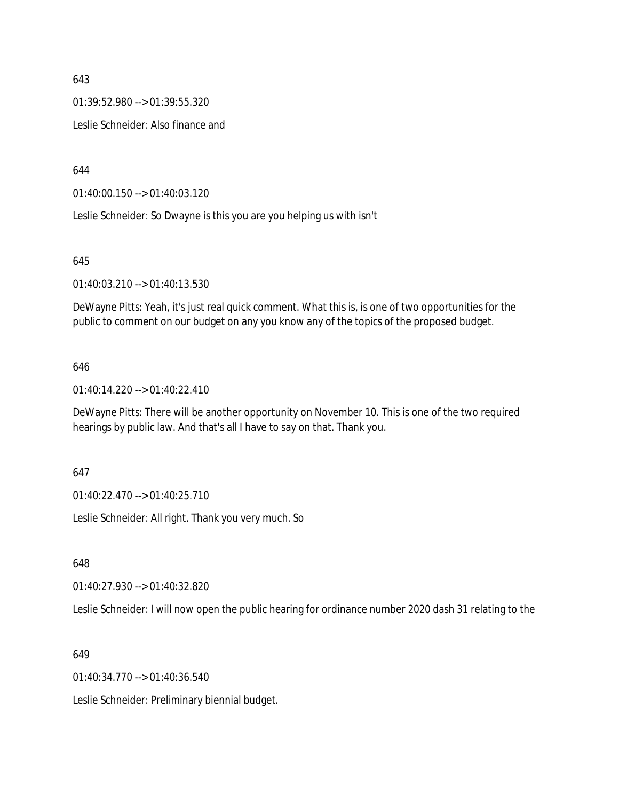01:39:52.980 --> 01:39:55.320

Leslie Schneider: Also finance and

644

01:40:00.150 --> 01:40:03.120

Leslie Schneider: So Dwayne is this you are you helping us with isn't

#### 645

01:40:03.210 --> 01:40:13.530

DeWayne Pitts: Yeah, it's just real quick comment. What this is, is one of two opportunities for the public to comment on our budget on any you know any of the topics of the proposed budget.

### 646

01:40:14.220 --> 01:40:22.410

DeWayne Pitts: There will be another opportunity on November 10. This is one of the two required hearings by public law. And that's all I have to say on that. Thank you.

647

01:40:22.470 --> 01:40:25.710

Leslie Schneider: All right. Thank you very much. So

648

01:40:27.930 --> 01:40:32.820

Leslie Schneider: I will now open the public hearing for ordinance number 2020 dash 31 relating to the

### 649

01:40:34.770 --> 01:40:36.540

Leslie Schneider: Preliminary biennial budget.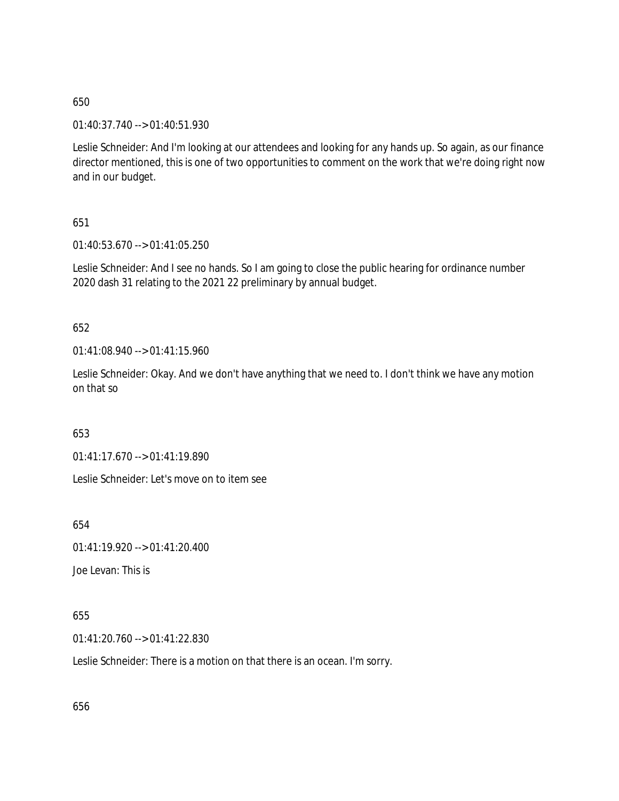01:40:37.740 --> 01:40:51.930

Leslie Schneider: And I'm looking at our attendees and looking for any hands up. So again, as our finance director mentioned, this is one of two opportunities to comment on the work that we're doing right now and in our budget.

## 651

01:40:53.670 --> 01:41:05.250

Leslie Schneider: And I see no hands. So I am going to close the public hearing for ordinance number 2020 dash 31 relating to the 2021 22 preliminary by annual budget.

## 652

01:41:08.940 --> 01:41:15.960

Leslie Schneider: Okay. And we don't have anything that we need to. I don't think we have any motion on that so

### 653

01:41:17.670 --> 01:41:19.890

Leslie Schneider: Let's move on to item see

654

01:41:19.920 --> 01:41:20.400

Joe Levan: This is

# 655

01:41:20.760 --> 01:41:22.830

Leslie Schneider: There is a motion on that there is an ocean. I'm sorry.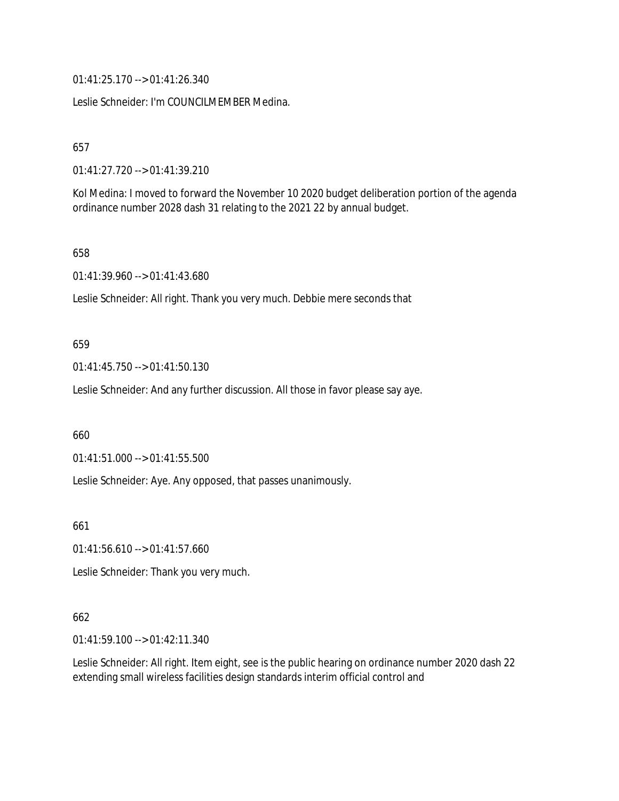01:41:25.170 --> 01:41:26.340

Leslie Schneider: I'm COUNCILMEMBER Medina.

657

01:41:27.720 --> 01:41:39.210

Kol Medina: I moved to forward the November 10 2020 budget deliberation portion of the agenda ordinance number 2028 dash 31 relating to the 2021 22 by annual budget.

658

01:41:39.960 --> 01:41:43.680

Leslie Schneider: All right. Thank you very much. Debbie mere seconds that

#### 659

01:41:45.750 --> 01:41:50.130

Leslie Schneider: And any further discussion. All those in favor please say aye.

660

01:41:51.000 --> 01:41:55.500

Leslie Schneider: Aye. Any opposed, that passes unanimously.

661

01:41:56.610 --> 01:41:57.660

Leslie Schneider: Thank you very much.

### 662

01:41:59.100 --> 01:42:11.340

Leslie Schneider: All right. Item eight, see is the public hearing on ordinance number 2020 dash 22 extending small wireless facilities design standards interim official control and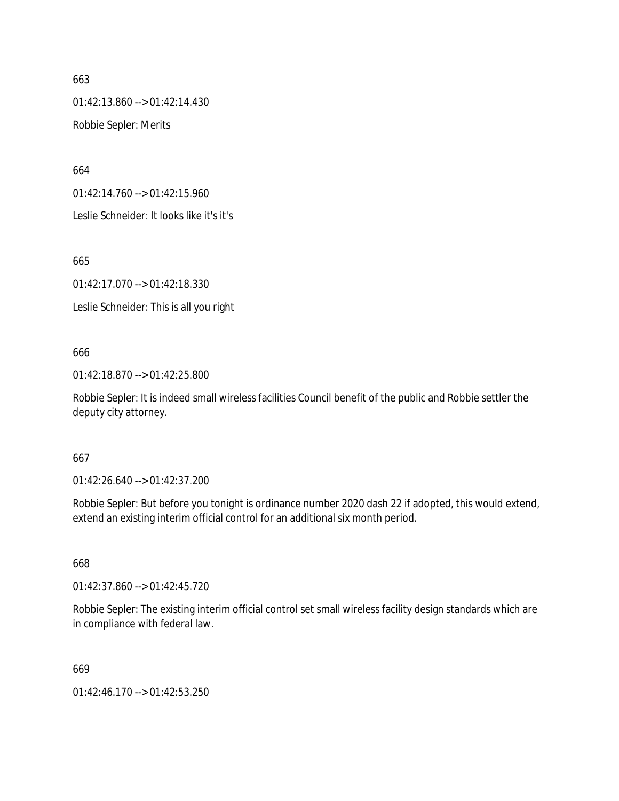01:42:13.860 --> 01:42:14.430

Robbie Sepler: Merits

664

01:42:14.760 --> 01:42:15.960

Leslie Schneider: It looks like it's it's

665

01:42:17.070 --> 01:42:18.330

Leslie Schneider: This is all you right

### 666

01:42:18.870 --> 01:42:25.800

Robbie Sepler: It is indeed small wireless facilities Council benefit of the public and Robbie settler the deputy city attorney.

## 667

01:42:26.640 --> 01:42:37.200

Robbie Sepler: But before you tonight is ordinance number 2020 dash 22 if adopted, this would extend, extend an existing interim official control for an additional six month period.

### 668

01:42:37.860 --> 01:42:45.720

Robbie Sepler: The existing interim official control set small wireless facility design standards which are in compliance with federal law.

669

01:42:46.170 --> 01:42:53.250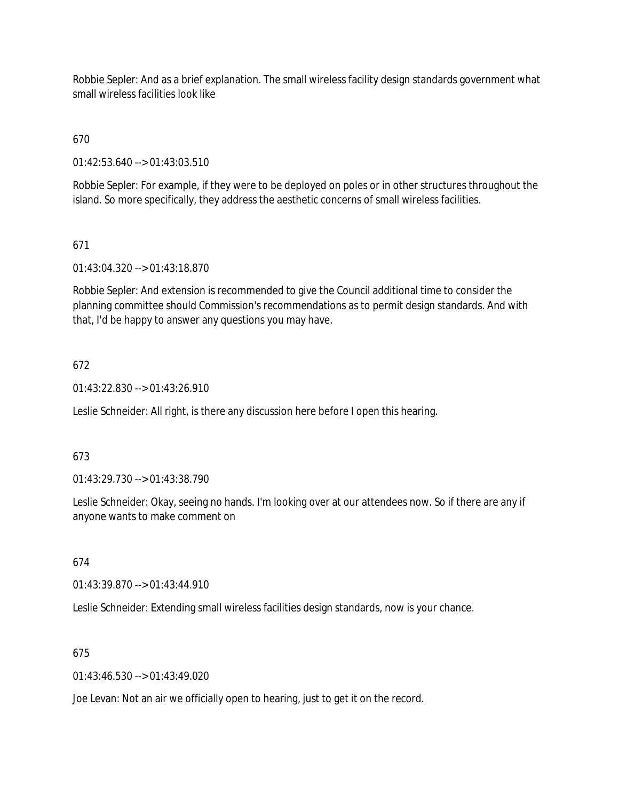Robbie Sepler: And as a brief explanation. The small wireless facility design standards government what small wireless facilities look like

# 670

01:42:53.640 --> 01:43:03.510

Robbie Sepler: For example, if they were to be deployed on poles or in other structures throughout the island. So more specifically, they address the aesthetic concerns of small wireless facilities.

# 671

01:43:04.320 --> 01:43:18.870

Robbie Sepler: And extension is recommended to give the Council additional time to consider the planning committee should Commission's recommendations as to permit design standards. And with that, I'd be happy to answer any questions you may have.

## 672

01:43:22.830 --> 01:43:26.910

Leslie Schneider: All right, is there any discussion here before I open this hearing.

### 673

01:43:29.730 --> 01:43:38.790

Leslie Schneider: Okay, seeing no hands. I'm looking over at our attendees now. So if there are any if anyone wants to make comment on

### 674

01:43:39.870 --> 01:43:44.910

Leslie Schneider: Extending small wireless facilities design standards, now is your chance.

### 675

 $01.43.46.530 - 01.43.49.020$ 

Joe Levan: Not an air we officially open to hearing, just to get it on the record.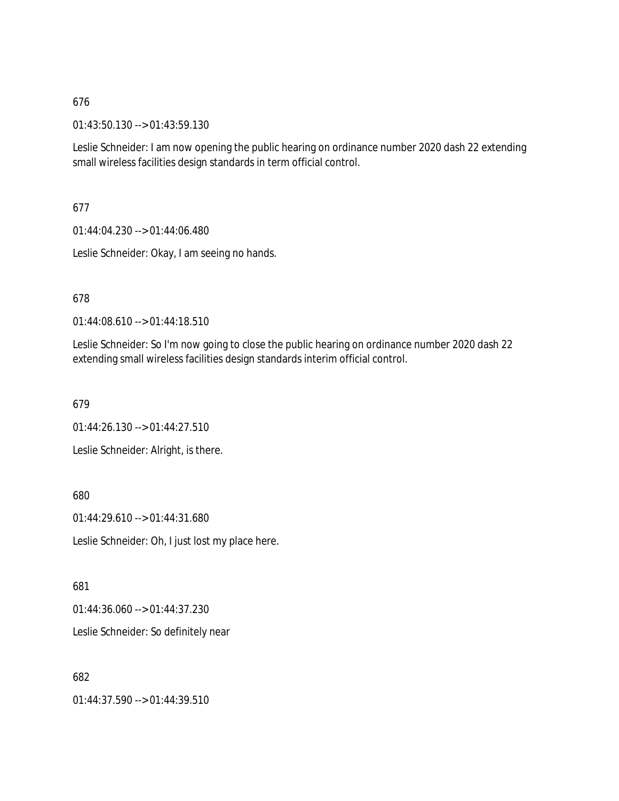01:43:50.130 --> 01:43:59.130

Leslie Schneider: I am now opening the public hearing on ordinance number 2020 dash 22 extending small wireless facilities design standards in term official control.

677

01:44:04.230 --> 01:44:06.480

Leslie Schneider: Okay, I am seeing no hands.

## 678

01:44:08.610 --> 01:44:18.510

Leslie Schneider: So I'm now going to close the public hearing on ordinance number 2020 dash 22 extending small wireless facilities design standards interim official control.

679

01:44:26.130 --> 01:44:27.510

Leslie Schneider: Alright, is there.

680

01:44:29.610 --> 01:44:31.680

Leslie Schneider: Oh, I just lost my place here.

681

01:44:36.060 --> 01:44:37.230

Leslie Schneider: So definitely near

682

01:44:37.590 --> 01:44:39.510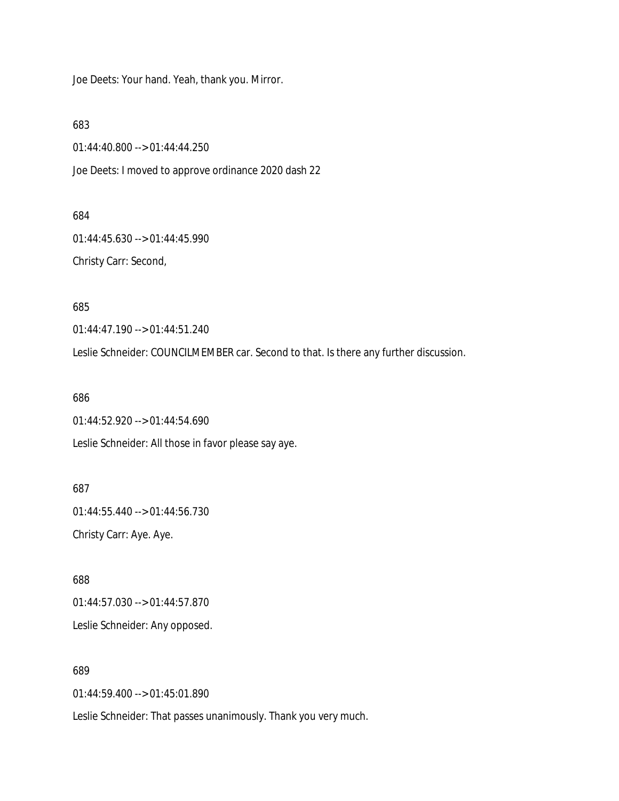Joe Deets: Your hand. Yeah, thank you. Mirror.

683

01:44:40.800 --> 01:44:44.250

Joe Deets: I moved to approve ordinance 2020 dash 22

684

01:44:45.630 --> 01:44:45.990 Christy Carr: Second,

685

01:44:47.190 --> 01:44:51.240

Leslie Schneider: COUNCILMEMBER car. Second to that. Is there any further discussion.

686

01:44:52.920 --> 01:44:54.690

Leslie Schneider: All those in favor please say aye.

687 01:44:55.440 --> 01:44:56.730 Christy Carr: Aye. Aye.

688 01:44:57.030 --> 01:44:57.870

Leslie Schneider: Any opposed.

689

01:44:59.400 --> 01:45:01.890

Leslie Schneider: That passes unanimously. Thank you very much.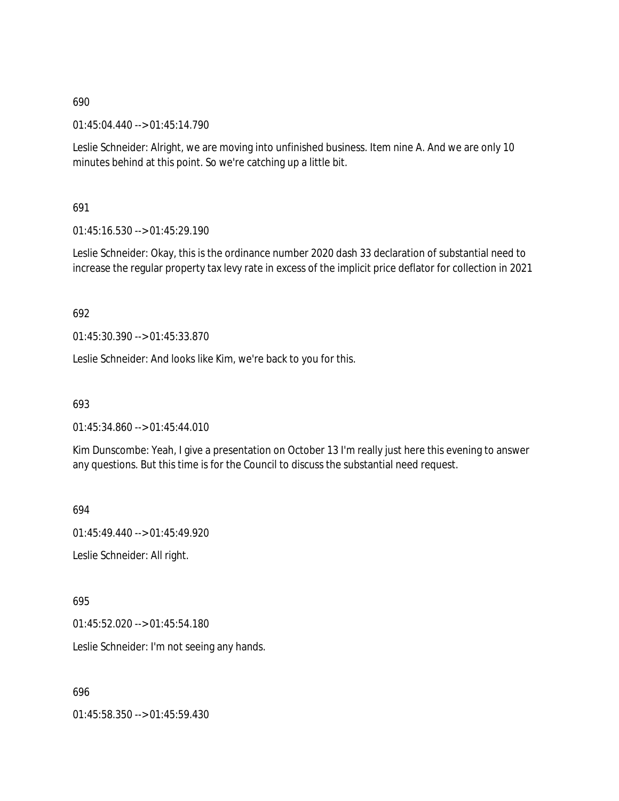01:45:04.440 --> 01:45:14.790

Leslie Schneider: Alright, we are moving into unfinished business. Item nine A. And we are only 10 minutes behind at this point. So we're catching up a little bit.

691

01:45:16.530 --> 01:45:29.190

Leslie Schneider: Okay, this is the ordinance number 2020 dash 33 declaration of substantial need to increase the regular property tax levy rate in excess of the implicit price deflator for collection in 2021

692

01:45:30.390 --> 01:45:33.870

Leslie Schneider: And looks like Kim, we're back to you for this.

693

01:45:34.860 --> 01:45:44.010

Kim Dunscombe: Yeah, I give a presentation on October 13 I'm really just here this evening to answer any questions. But this time is for the Council to discuss the substantial need request.

694

01:45:49.440 --> 01:45:49.920

Leslie Schneider: All right.

695

01:45:52.020 --> 01:45:54.180

Leslie Schneider: I'm not seeing any hands.

696

01:45:58.350 --> 01:45:59.430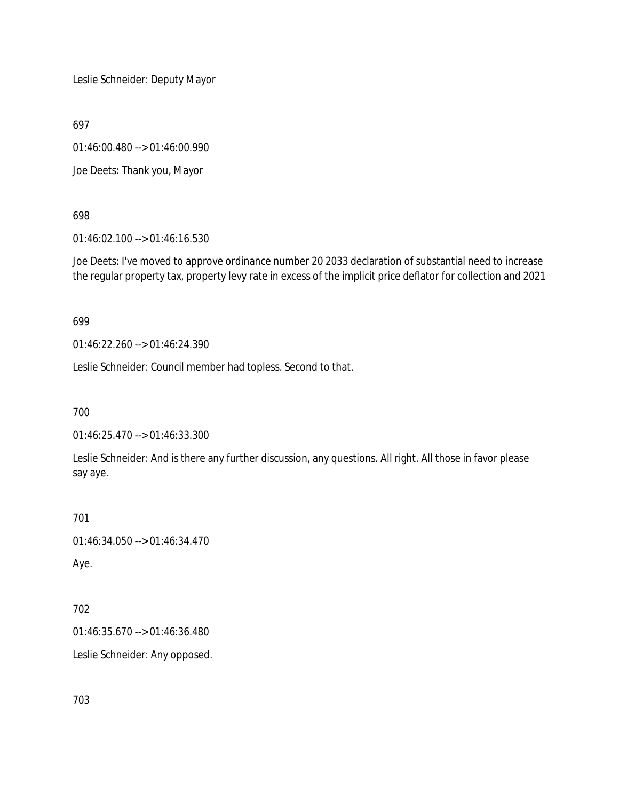Leslie Schneider: Deputy Mayor

697

01:46:00.480 --> 01:46:00.990

Joe Deets: Thank you, Mayor

698

01:46:02.100 --> 01:46:16.530

Joe Deets: I've moved to approve ordinance number 20 2033 declaration of substantial need to increase the regular property tax, property levy rate in excess of the implicit price deflator for collection and 2021

699

01:46:22.260 --> 01:46:24.390

Leslie Schneider: Council member had topless. Second to that.

700

01:46:25.470 --> 01:46:33.300

Leslie Schneider: And is there any further discussion, any questions. All right. All those in favor please say aye.

701

```
01:46:34.050 --> 01:46:34.470
```
Aye.

702

01:46:35.670 --> 01:46:36.480

Leslie Schneider: Any opposed.

703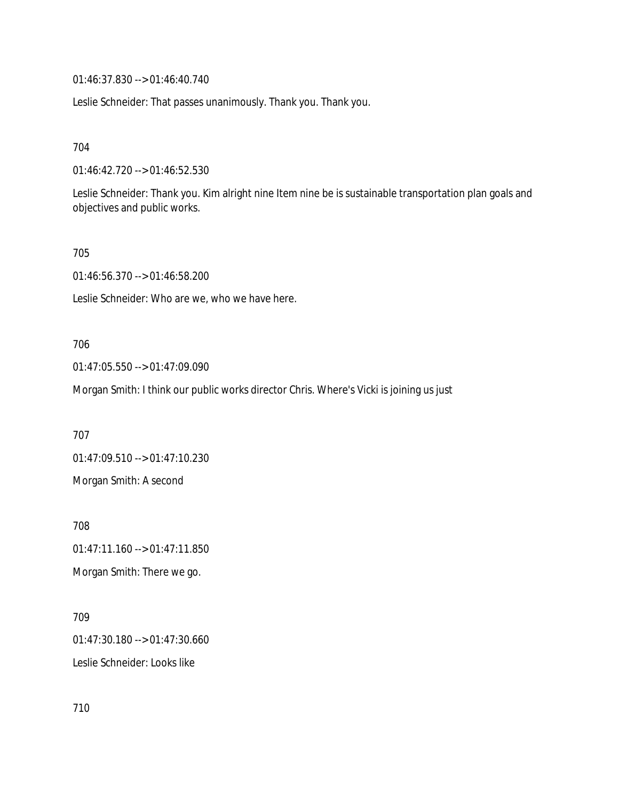01:46:37.830 --> 01:46:40.740

Leslie Schneider: That passes unanimously. Thank you. Thank you.

704

01:46:42.720 --> 01:46:52.530

Leslie Schneider: Thank you. Kim alright nine Item nine be is sustainable transportation plan goals and objectives and public works.

705

01:46:56.370 --> 01:46:58.200

Leslie Schneider: Who are we, who we have here.

#### 706

01:47:05.550 --> 01:47:09.090

Morgan Smith: I think our public works director Chris. Where's Vicki is joining us just

707

01:47:09.510 --> 01:47:10.230 Morgan Smith: A second

708 01:47:11.160 --> 01:47:11.850 Morgan Smith: There we go.

709 01:47:30.180 --> 01:47:30.660 Leslie Schneider: Looks like

710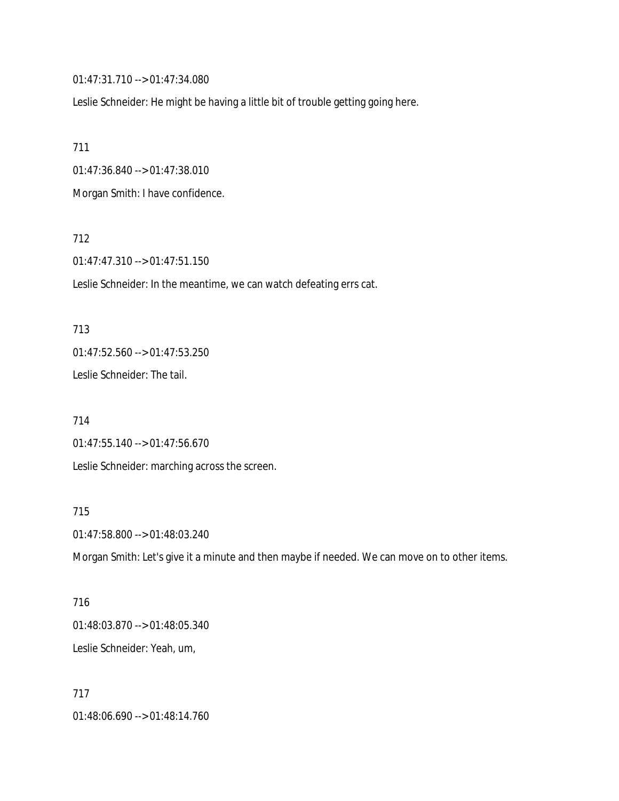01:47:31.710 --> 01:47:34.080

Leslie Schneider: He might be having a little bit of trouble getting going here.

711

01:47:36.840 --> 01:47:38.010

Morgan Smith: I have confidence.

712

01:47:47.310 --> 01:47:51.150

Leslie Schneider: In the meantime, we can watch defeating errs cat.

713 01:47:52.560 --> 01:47:53.250

Leslie Schneider: The tail.

714 01:47:55.140 --> 01:47:56.670 Leslie Schneider: marching across the screen.

#### 715

01:47:58.800 --> 01:48:03.240

Morgan Smith: Let's give it a minute and then maybe if needed. We can move on to other items.

716 01:48:03.870 --> 01:48:05.340 Leslie Schneider: Yeah, um,

717 01:48:06.690 --> 01:48:14.760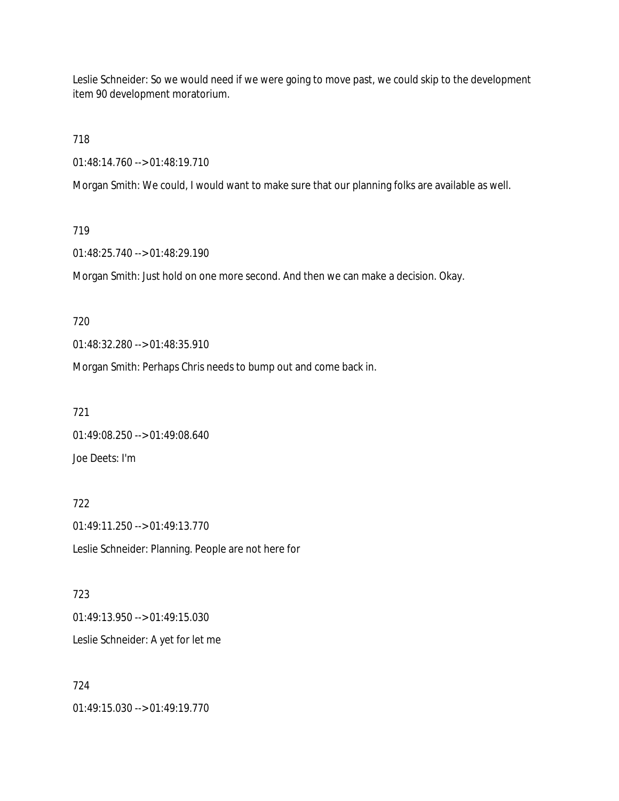Leslie Schneider: So we would need if we were going to move past, we could skip to the development item 90 development moratorium.

718

01:48:14.760 --> 01:48:19.710

Morgan Smith: We could, I would want to make sure that our planning folks are available as well.

## 719

01:48:25.740 --> 01:48:29.190

Morgan Smith: Just hold on one more second. And then we can make a decision. Okay.

## 720

01:48:32.280 --> 01:48:35.910

Morgan Smith: Perhaps Chris needs to bump out and come back in.

721 01:49:08.250 --> 01:49:08.640 Joe Deets: I'm

722 01:49:11.250 --> 01:49:13.770 Leslie Schneider: Planning. People are not here for

723 01:49:13.950 --> 01:49:15.030 Leslie Schneider: A yet for let me

724 01:49:15.030 --> 01:49:19.770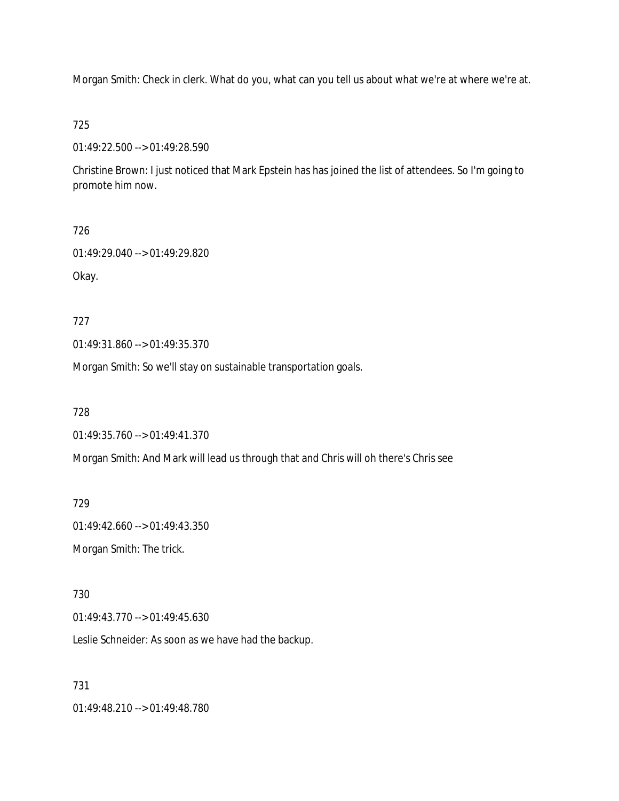Morgan Smith: Check in clerk. What do you, what can you tell us about what we're at where we're at.

725

01:49:22.500 --> 01:49:28.590

Christine Brown: I just noticed that Mark Epstein has has joined the list of attendees. So I'm going to promote him now.

726

01:49:29.040 --> 01:49:29.820

Okay.

727

01:49:31.860 --> 01:49:35.370

Morgan Smith: So we'll stay on sustainable transportation goals.

728

01:49:35.760 --> 01:49:41.370

Morgan Smith: And Mark will lead us through that and Chris will oh there's Chris see

729

01:49:42.660 --> 01:49:43.350

Morgan Smith: The trick.

730

01:49:43.770 --> 01:49:45.630

Leslie Schneider: As soon as we have had the backup.

731

01:49:48.210 --> 01:49:48.780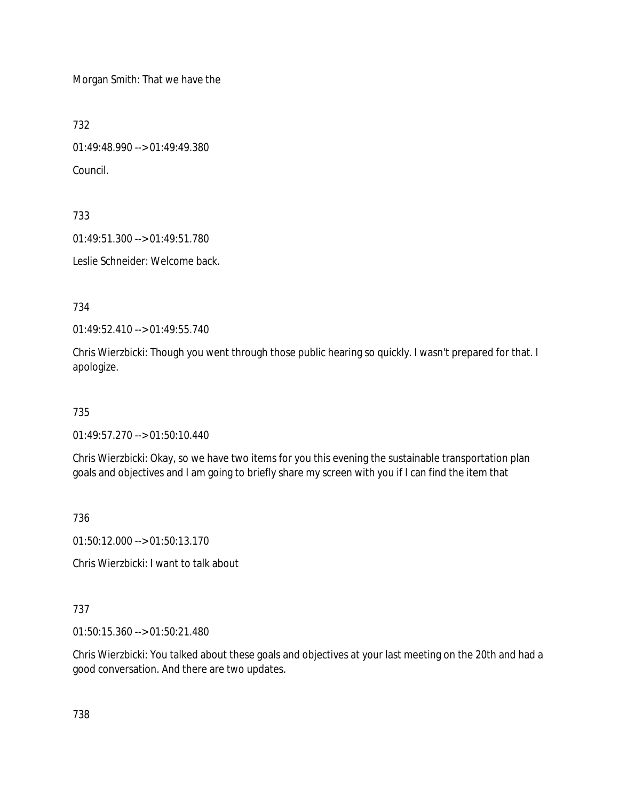Morgan Smith: That we have the

732

01:49:48.990 --> 01:49:49.380 Council.

733

01:49:51.300 --> 01:49:51.780

Leslie Schneider: Welcome back.

734

01:49:52.410 --> 01:49:55.740

Chris Wierzbicki: Though you went through those public hearing so quickly. I wasn't prepared for that. I apologize.

735

01:49:57.270 --> 01:50:10.440

Chris Wierzbicki: Okay, so we have two items for you this evening the sustainable transportation plan goals and objectives and I am going to briefly share my screen with you if I can find the item that

736

01:50:12.000 --> 01:50:13.170

Chris Wierzbicki: I want to talk about

## 737

01:50:15.360 --> 01:50:21.480

Chris Wierzbicki: You talked about these goals and objectives at your last meeting on the 20th and had a good conversation. And there are two updates.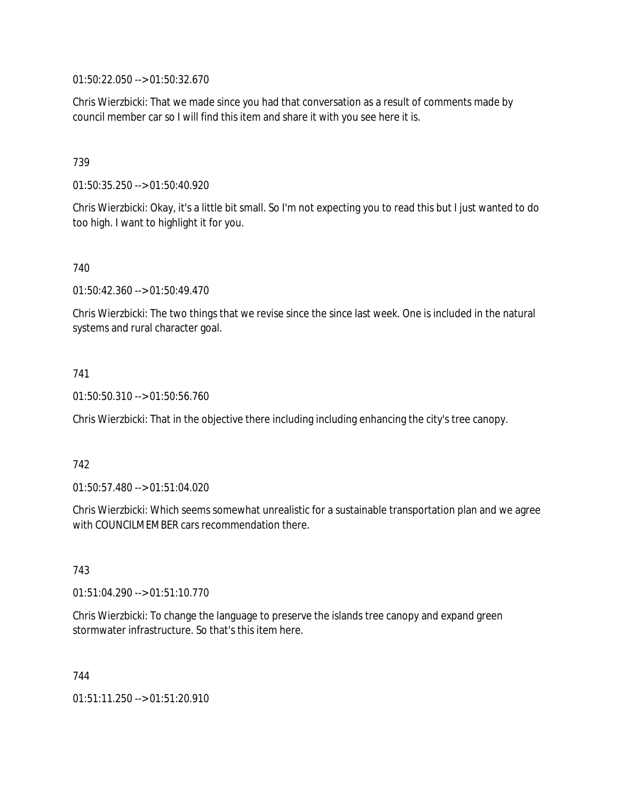01:50:22.050 --> 01:50:32.670

Chris Wierzbicki: That we made since you had that conversation as a result of comments made by council member car so I will find this item and share it with you see here it is.

## 739

01:50:35.250 --> 01:50:40.920

Chris Wierzbicki: Okay, it's a little bit small. So I'm not expecting you to read this but I just wanted to do too high. I want to highlight it for you.

740

01:50:42.360 --> 01:50:49.470

Chris Wierzbicki: The two things that we revise since the since last week. One is included in the natural systems and rural character goal.

### 741

01:50:50.310 --> 01:50:56.760

Chris Wierzbicki: That in the objective there including including enhancing the city's tree canopy.

#### 742

01:50:57.480 --> 01:51:04.020

Chris Wierzbicki: Which seems somewhat unrealistic for a sustainable transportation plan and we agree with COUNCILMEMBER cars recommendation there.

#### 743

01:51:04.290 --> 01:51:10.770

Chris Wierzbicki: To change the language to preserve the islands tree canopy and expand green stormwater infrastructure. So that's this item here.

#### 744

01:51:11.250 --> 01:51:20.910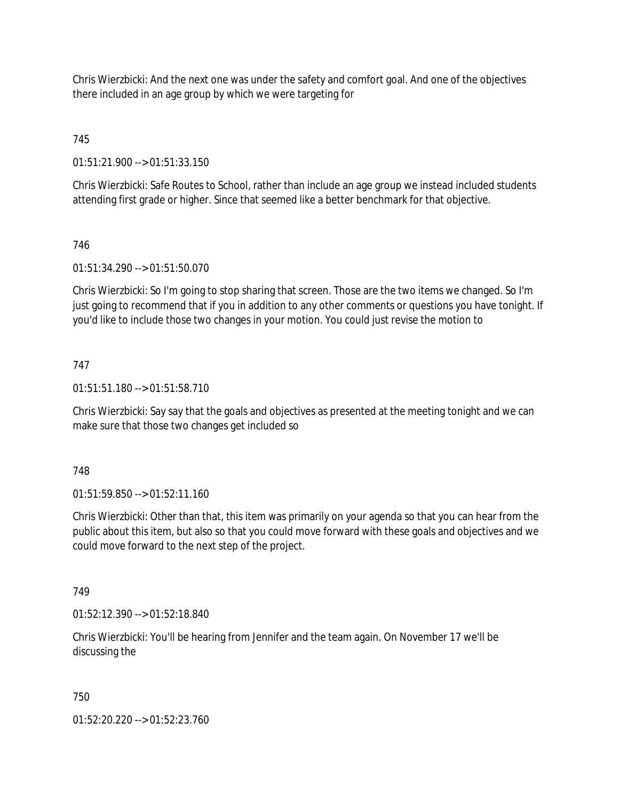Chris Wierzbicki: And the next one was under the safety and comfort goal. And one of the objectives there included in an age group by which we were targeting for

745

01:51:21.900 --> 01:51:33.150

Chris Wierzbicki: Safe Routes to School, rather than include an age group we instead included students attending first grade or higher. Since that seemed like a better benchmark for that objective.

# 746

01:51:34.290 --> 01:51:50.070

Chris Wierzbicki: So I'm going to stop sharing that screen. Those are the two items we changed. So I'm just going to recommend that if you in addition to any other comments or questions you have tonight. If you'd like to include those two changes in your motion. You could just revise the motion to

## 747

01:51:51.180 --> 01:51:58.710

Chris Wierzbicki: Say say that the goals and objectives as presented at the meeting tonight and we can make sure that those two changes get included so

### 748

01:51:59.850 --> 01:52:11.160

Chris Wierzbicki: Other than that, this item was primarily on your agenda so that you can hear from the public about this item, but also so that you could move forward with these goals and objectives and we could move forward to the next step of the project.

### 749

01:52:12.390 --> 01:52:18.840

Chris Wierzbicki: You'll be hearing from Jennifer and the team again. On November 17 we'll be discussing the

### 750

01:52:20.220 --> 01:52:23.760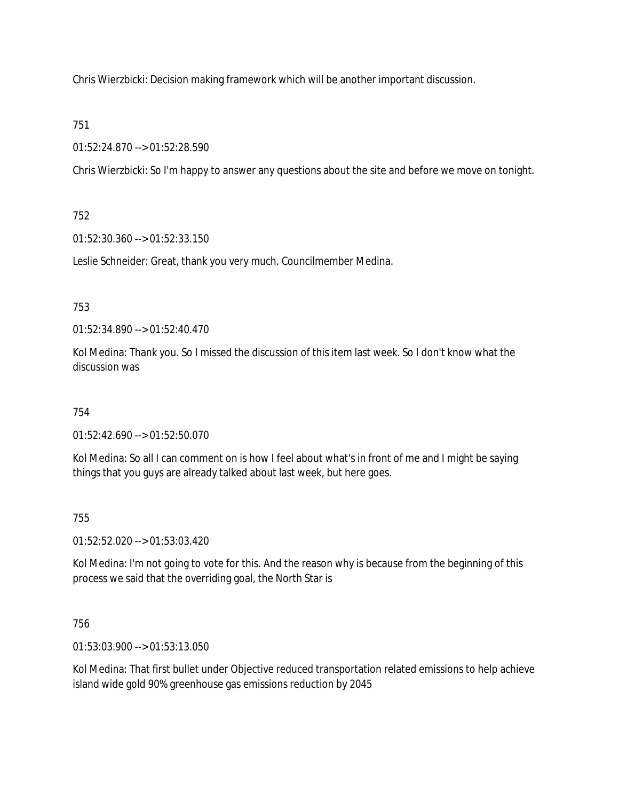Chris Wierzbicki: Decision making framework which will be another important discussion.

751

01:52:24.870 --> 01:52:28.590

Chris Wierzbicki: So I'm happy to answer any questions about the site and before we move on tonight.

752

01:52:30.360 --> 01:52:33.150

Leslie Schneider: Great, thank you very much. Councilmember Medina.

753

01:52:34.890 --> 01:52:40.470

Kol Medina: Thank you. So I missed the discussion of this item last week. So I don't know what the discussion was

754

01:52:42.690 --> 01:52:50.070

Kol Medina: So all I can comment on is how I feel about what's in front of me and I might be saying things that you guys are already talked about last week, but here goes.

755

01:52:52.020 --> 01:53:03.420

Kol Medina: I'm not going to vote for this. And the reason why is because from the beginning of this process we said that the overriding goal, the North Star is

756

01:53:03.900 --> 01:53:13.050

Kol Medina: That first bullet under Objective reduced transportation related emissions to help achieve island wide gold 90% greenhouse gas emissions reduction by 2045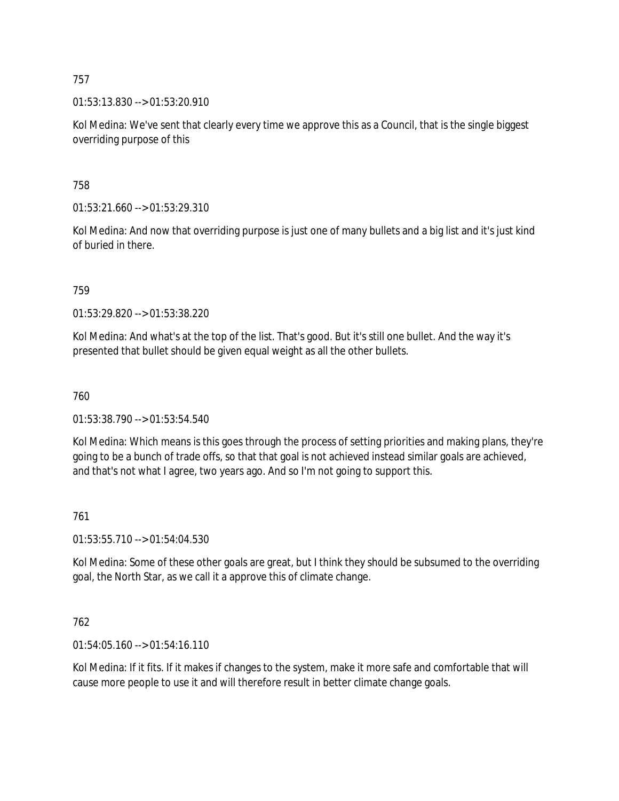01:53:13.830 --> 01:53:20.910

Kol Medina: We've sent that clearly every time we approve this as a Council, that is the single biggest overriding purpose of this

758

01:53:21.660 --> 01:53:29.310

Kol Medina: And now that overriding purpose is just one of many bullets and a big list and it's just kind of buried in there.

759

01:53:29.820 --> 01:53:38.220

Kol Medina: And what's at the top of the list. That's good. But it's still one bullet. And the way it's presented that bullet should be given equal weight as all the other bullets.

760

01:53:38.790 --> 01:53:54.540

Kol Medina: Which means is this goes through the process of setting priorities and making plans, they're going to be a bunch of trade offs, so that that goal is not achieved instead similar goals are achieved, and that's not what I agree, two years ago. And so I'm not going to support this.

# 761

01:53:55.710 --> 01:54:04.530

Kol Medina: Some of these other goals are great, but I think they should be subsumed to the overriding goal, the North Star, as we call it a approve this of climate change.

# 762

01:54:05.160 --> 01:54:16.110

Kol Medina: If it fits. If it makes if changes to the system, make it more safe and comfortable that will cause more people to use it and will therefore result in better climate change goals.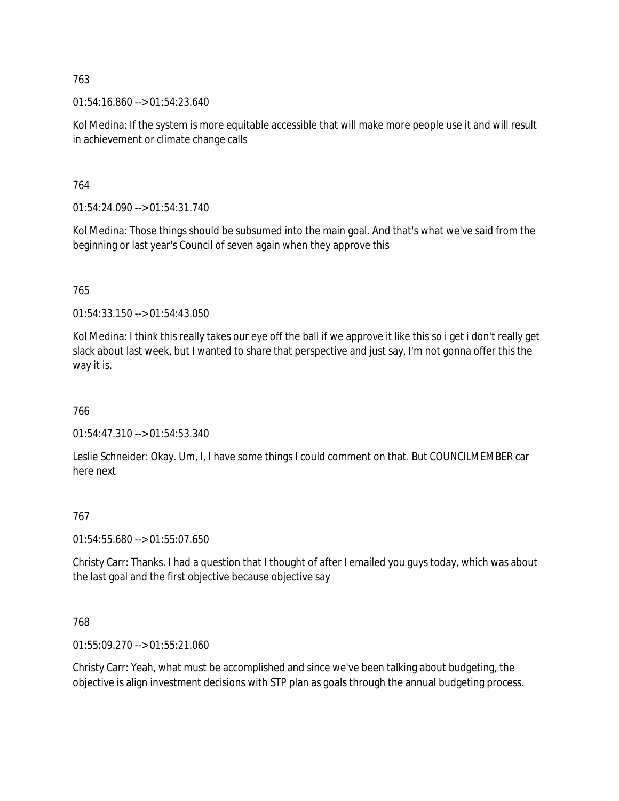01:54:16.860 --> 01:54:23.640

Kol Medina: If the system is more equitable accessible that will make more people use it and will result in achievement or climate change calls

764

01:54:24.090 --> 01:54:31.740

Kol Medina: Those things should be subsumed into the main goal. And that's what we've said from the beginning or last year's Council of seven again when they approve this

765

01:54:33.150 --> 01:54:43.050

Kol Medina: I think this really takes our eye off the ball if we approve it like this so i get i don't really get slack about last week, but I wanted to share that perspective and just say, I'm not gonna offer this the way it is.

766

01:54:47.310 --> 01:54:53.340

Leslie Schneider: Okay. Um, I, I have some things I could comment on that. But COUNCILMEMBER car here next

# 767

01:54:55.680 --> 01:55:07.650

Christy Carr: Thanks. I had a question that I thought of after I emailed you guys today, which was about the last goal and the first objective because objective say

### 768

01:55:09.270 --> 01:55:21.060

Christy Carr: Yeah, what must be accomplished and since we've been talking about budgeting, the objective is align investment decisions with STP plan as goals through the annual budgeting process.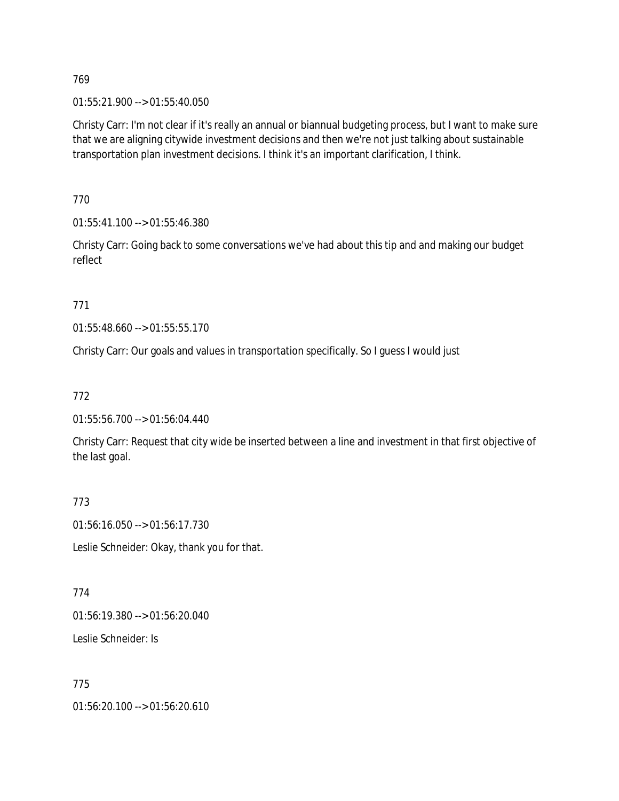01:55:21.900 --> 01:55:40.050

Christy Carr: I'm not clear if it's really an annual or biannual budgeting process, but I want to make sure that we are aligning citywide investment decisions and then we're not just talking about sustainable transportation plan investment decisions. I think it's an important clarification, I think.

770

01:55:41.100 --> 01:55:46.380

Christy Carr: Going back to some conversations we've had about this tip and and making our budget reflect

771

01:55:48.660 --> 01:55:55.170

Christy Carr: Our goals and values in transportation specifically. So I guess I would just

772

01:55:56.700 --> 01:56:04.440

Christy Carr: Request that city wide be inserted between a line and investment in that first objective of the last goal.

773

01:56:16.050 --> 01:56:17.730

Leslie Schneider: Okay, thank you for that.

774

01:56:19.380 --> 01:56:20.040

Leslie Schneider: Is

775

01:56:20.100 --> 01:56:20.610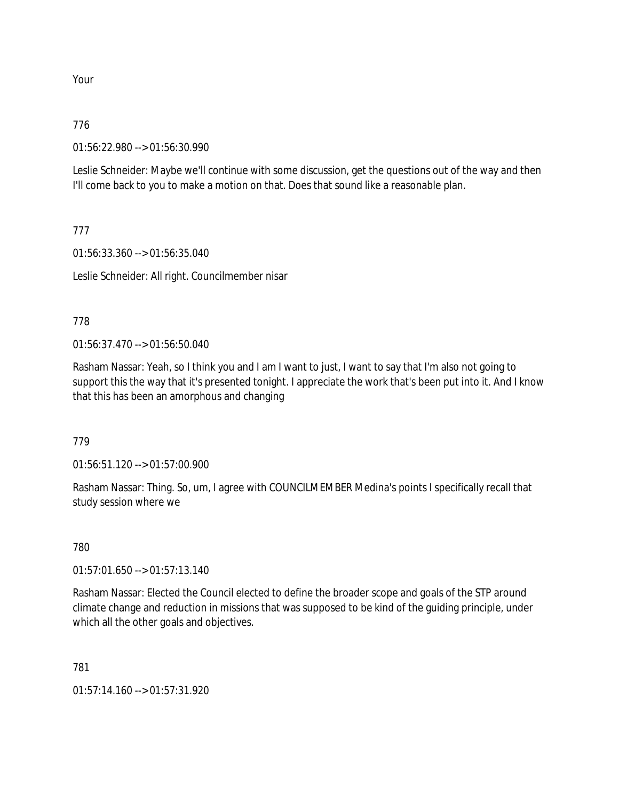Your

## 776

01:56:22.980 --> 01:56:30.990

Leslie Schneider: Maybe we'll continue with some discussion, get the questions out of the way and then I'll come back to you to make a motion on that. Does that sound like a reasonable plan.

# 777

01:56:33.360 --> 01:56:35.040

Leslie Schneider: All right. Councilmember nisar

# 778

01:56:37.470 --> 01:56:50.040

Rasham Nassar: Yeah, so I think you and I am I want to just, I want to say that I'm also not going to support this the way that it's presented tonight. I appreciate the work that's been put into it. And I know that this has been an amorphous and changing

# 779

01:56:51.120 --> 01:57:00.900

Rasham Nassar: Thing. So, um, I agree with COUNCILMEMBER Medina's points I specifically recall that study session where we

# 780

01:57:01.650 --> 01:57:13.140

Rasham Nassar: Elected the Council elected to define the broader scope and goals of the STP around climate change and reduction in missions that was supposed to be kind of the guiding principle, under which all the other goals and objectives.

# 781

01:57:14.160 --> 01:57:31.920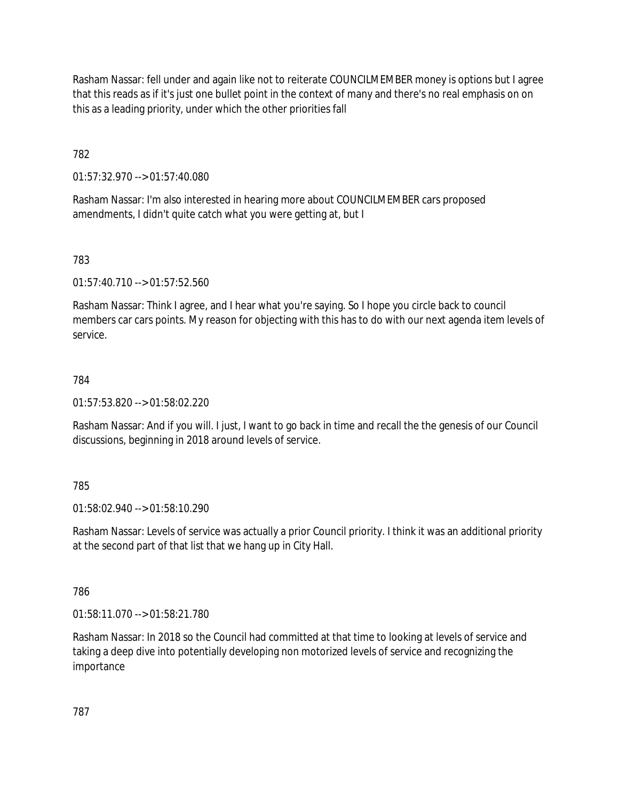Rasham Nassar: fell under and again like not to reiterate COUNCILMEMBER money is options but I agree that this reads as if it's just one bullet point in the context of many and there's no real emphasis on on this as a leading priority, under which the other priorities fall

782

01:57:32.970 --> 01:57:40.080

Rasham Nassar: I'm also interested in hearing more about COUNCILMEMBER cars proposed amendments, I didn't quite catch what you were getting at, but I

## 783

01:57:40.710 --> 01:57:52.560

Rasham Nassar: Think I agree, and I hear what you're saying. So I hope you circle back to council members car cars points. My reason for objecting with this has to do with our next agenda item levels of service.

### 784

01:57:53.820 --> 01:58:02.220

Rasham Nassar: And if you will. I just, I want to go back in time and recall the the genesis of our Council discussions, beginning in 2018 around levels of service.

### 785

01:58:02.940 --> 01:58:10.290

Rasham Nassar: Levels of service was actually a prior Council priority. I think it was an additional priority at the second part of that list that we hang up in City Hall.

### 786

01:58:11.070 --> 01:58:21.780

Rasham Nassar: In 2018 so the Council had committed at that time to looking at levels of service and taking a deep dive into potentially developing non motorized levels of service and recognizing the importance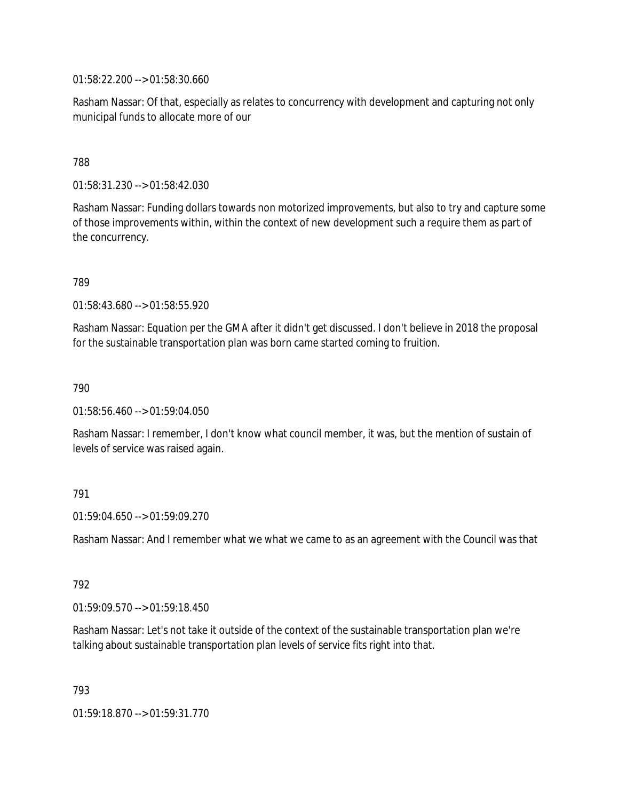01:58:22.200 --> 01:58:30.660

Rasham Nassar: Of that, especially as relates to concurrency with development and capturing not only municipal funds to allocate more of our

## 788

01:58:31.230 --> 01:58:42.030

Rasham Nassar: Funding dollars towards non motorized improvements, but also to try and capture some of those improvements within, within the context of new development such a require them as part of the concurrency.

789

01:58:43.680 --> 01:58:55.920

Rasham Nassar: Equation per the GMA after it didn't get discussed. I don't believe in 2018 the proposal for the sustainable transportation plan was born came started coming to fruition.

790

01:58:56.460 --> 01:59:04.050

Rasham Nassar: I remember, I don't know what council member, it was, but the mention of sustain of levels of service was raised again.

### 791

01:59:04.650 --> 01:59:09.270

Rasham Nassar: And I remember what we what we came to as an agreement with the Council was that

#### 792

01:59:09.570 --> 01:59:18.450

Rasham Nassar: Let's not take it outside of the context of the sustainable transportation plan we're talking about sustainable transportation plan levels of service fits right into that.

793

01:59:18.870 --> 01:59:31.770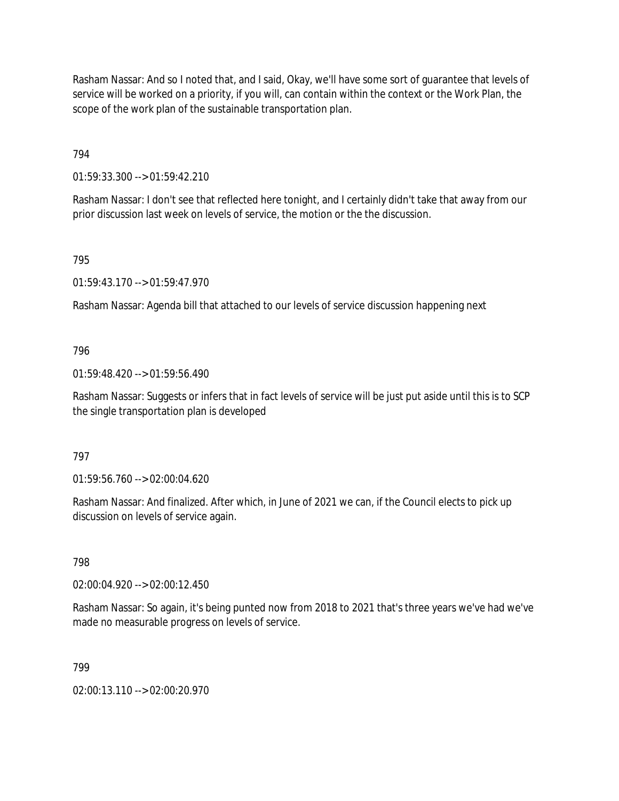Rasham Nassar: And so I noted that, and I said, Okay, we'll have some sort of guarantee that levels of service will be worked on a priority, if you will, can contain within the context or the Work Plan, the scope of the work plan of the sustainable transportation plan.

794

01:59:33.300 --> 01:59:42.210

Rasham Nassar: I don't see that reflected here tonight, and I certainly didn't take that away from our prior discussion last week on levels of service, the motion or the the discussion.

795

01:59:43.170 --> 01:59:47.970

Rasham Nassar: Agenda bill that attached to our levels of service discussion happening next

### 796

01:59:48.420 --> 01:59:56.490

Rasham Nassar: Suggests or infers that in fact levels of service will be just put aside until this is to SCP the single transportation plan is developed

### 797

01:59:56.760 --> 02:00:04.620

Rasham Nassar: And finalized. After which, in June of 2021 we can, if the Council elects to pick up discussion on levels of service again.

### 798

02:00:04.920 --> 02:00:12.450

Rasham Nassar: So again, it's being punted now from 2018 to 2021 that's three years we've had we've made no measurable progress on levels of service.

### 799

02:00:13.110 --> 02:00:20.970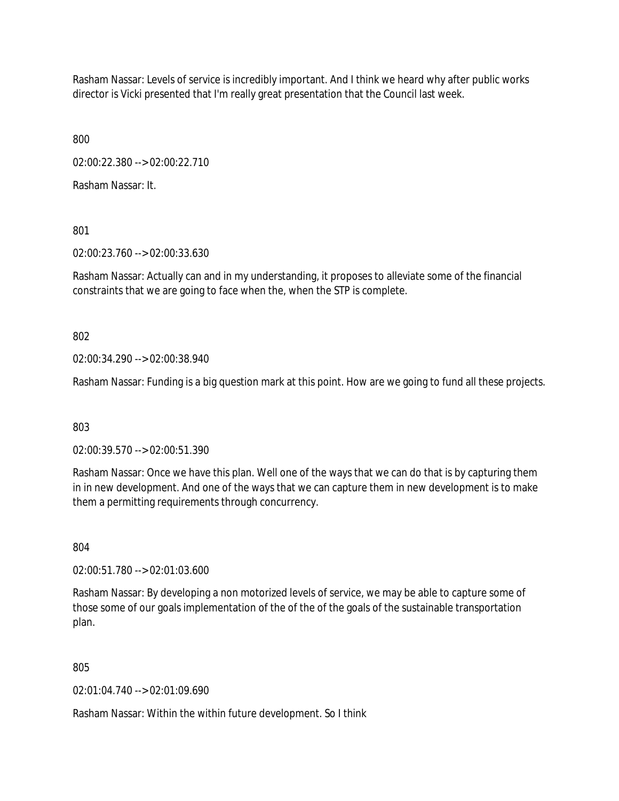Rasham Nassar: Levels of service is incredibly important. And I think we heard why after public works director is Vicki presented that I'm really great presentation that the Council last week.

800

02:00:22.380 --> 02:00:22.710

Rasham Nassar: It.

801

02:00:23.760 --> 02:00:33.630

Rasham Nassar: Actually can and in my understanding, it proposes to alleviate some of the financial constraints that we are going to face when the, when the STP is complete.

802

02:00:34.290 --> 02:00:38.940

Rasham Nassar: Funding is a big question mark at this point. How are we going to fund all these projects.

803

02:00:39.570 --> 02:00:51.390

Rasham Nassar: Once we have this plan. Well one of the ways that we can do that is by capturing them in in new development. And one of the ways that we can capture them in new development is to make them a permitting requirements through concurrency.

804

02:00:51.780 --> 02:01:03.600

Rasham Nassar: By developing a non motorized levels of service, we may be able to capture some of those some of our goals implementation of the of the of the goals of the sustainable transportation plan.

805

02:01:04.740 --> 02:01:09.690

Rasham Nassar: Within the within future development. So I think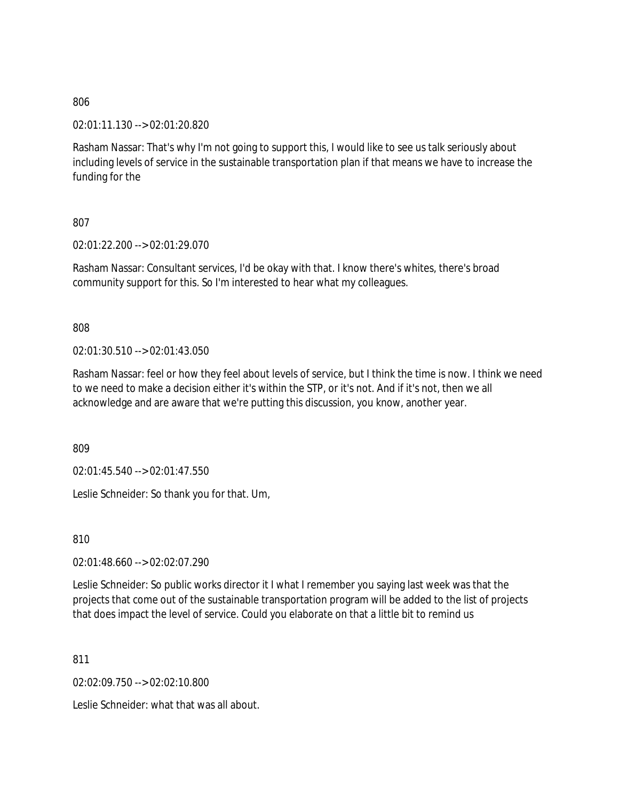02:01:11.130 --> 02:01:20.820

Rasham Nassar: That's why I'm not going to support this, I would like to see us talk seriously about including levels of service in the sustainable transportation plan if that means we have to increase the funding for the

807

02:01:22.200 --> 02:01:29.070

Rasham Nassar: Consultant services, I'd be okay with that. I know there's whites, there's broad community support for this. So I'm interested to hear what my colleagues.

808

02:01:30.510 --> 02:01:43.050

Rasham Nassar: feel or how they feel about levels of service, but I think the time is now. I think we need to we need to make a decision either it's within the STP, or it's not. And if it's not, then we all acknowledge and are aware that we're putting this discussion, you know, another year.

809

02:01:45.540 --> 02:01:47.550

Leslie Schneider: So thank you for that. Um,

810

02:01:48.660 --> 02:02:07.290

Leslie Schneider: So public works director it I what I remember you saying last week was that the projects that come out of the sustainable transportation program will be added to the list of projects that does impact the level of service. Could you elaborate on that a little bit to remind us

811

02:02:09.750 --> 02:02:10.800

Leslie Schneider: what that was all about.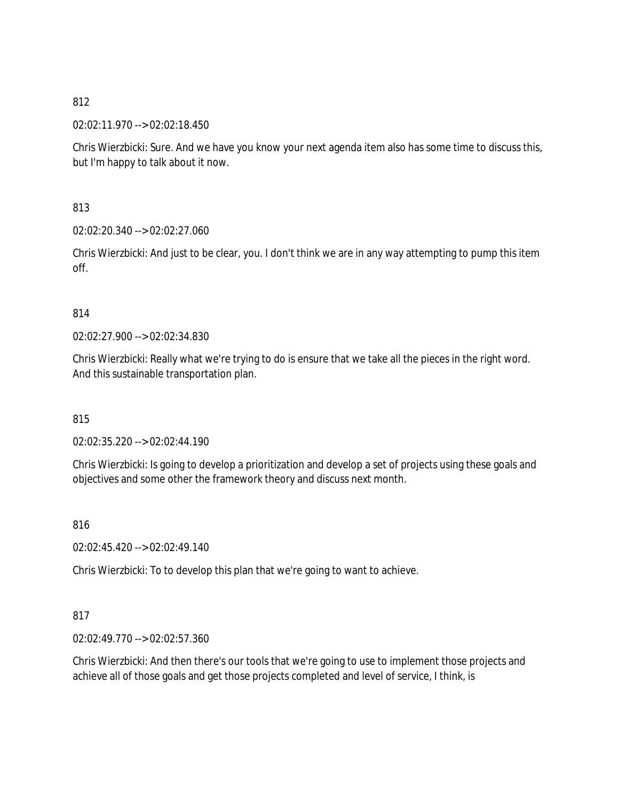02:02:11.970 --> 02:02:18.450

Chris Wierzbicki: Sure. And we have you know your next agenda item also has some time to discuss this, but I'm happy to talk about it now.

813

02:02:20.340 --> 02:02:27.060

Chris Wierzbicki: And just to be clear, you. I don't think we are in any way attempting to pump this item off.

# 814

02:02:27.900 --> 02:02:34.830

Chris Wierzbicki: Really what we're trying to do is ensure that we take all the pieces in the right word. And this sustainable transportation plan.

815

02:02:35.220 --> 02:02:44.190

Chris Wierzbicki: Is going to develop a prioritization and develop a set of projects using these goals and objectives and some other the framework theory and discuss next month.

816

02:02:45.420 --> 02:02:49.140

Chris Wierzbicki: To to develop this plan that we're going to want to achieve.

# 817

02:02:49.770 --> 02:02:57.360

Chris Wierzbicki: And then there's our tools that we're going to use to implement those projects and achieve all of those goals and get those projects completed and level of service, I think, is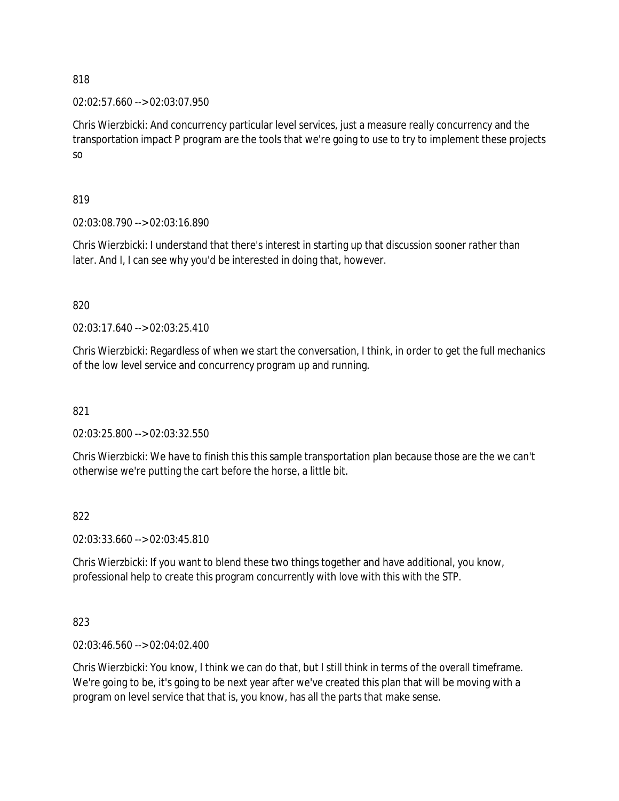02:02:57.660 --> 02:03:07.950

Chris Wierzbicki: And concurrency particular level services, just a measure really concurrency and the transportation impact P program are the tools that we're going to use to try to implement these projects so

819

02:03:08.790 --> 02:03:16.890

Chris Wierzbicki: I understand that there's interest in starting up that discussion sooner rather than later. And I, I can see why you'd be interested in doing that, however.

820

02:03:17.640 --> 02:03:25.410

Chris Wierzbicki: Regardless of when we start the conversation, I think, in order to get the full mechanics of the low level service and concurrency program up and running.

821

02:03:25.800 --> 02:03:32.550

Chris Wierzbicki: We have to finish this this sample transportation plan because those are the we can't otherwise we're putting the cart before the horse, a little bit.

### 822

02:03:33.660 --> 02:03:45.810

Chris Wierzbicki: If you want to blend these two things together and have additional, you know, professional help to create this program concurrently with love with this with the STP.

823

02:03:46.560 --> 02:04:02.400

Chris Wierzbicki: You know, I think we can do that, but I still think in terms of the overall timeframe. We're going to be, it's going to be next year after we've created this plan that will be moving with a program on level service that that is, you know, has all the parts that make sense.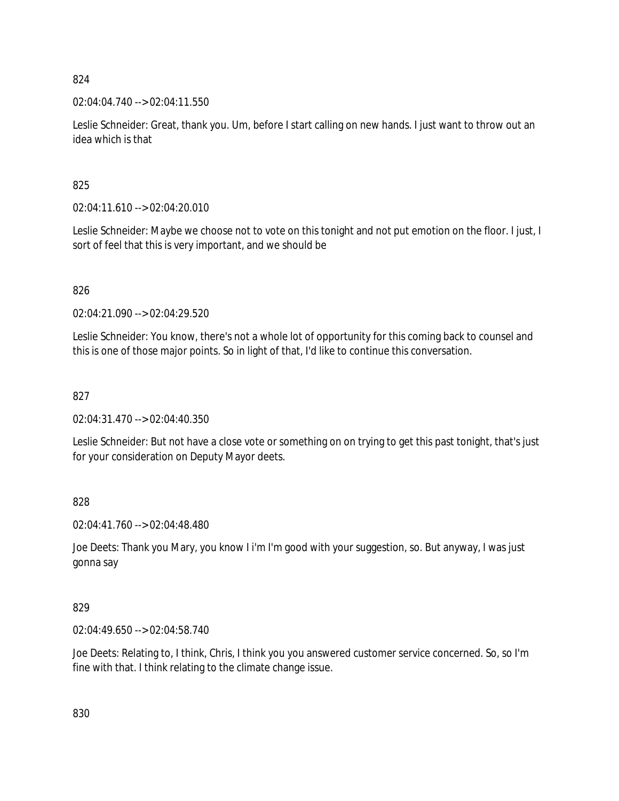02:04:04.740 --> 02:04:11.550

Leslie Schneider: Great, thank you. Um, before I start calling on new hands. I just want to throw out an idea which is that

825

02:04:11.610 --> 02:04:20.010

Leslie Schneider: Maybe we choose not to vote on this tonight and not put emotion on the floor. I just, I sort of feel that this is very important, and we should be

826

02:04:21.090 --> 02:04:29.520

Leslie Schneider: You know, there's not a whole lot of opportunity for this coming back to counsel and this is one of those major points. So in light of that, I'd like to continue this conversation.

## 827

02:04:31.470 --> 02:04:40.350

Leslie Schneider: But not have a close vote or something on on trying to get this past tonight, that's just for your consideration on Deputy Mayor deets.

828

02:04:41.760 --> 02:04:48.480

Joe Deets: Thank you Mary, you know I i'm I'm good with your suggestion, so. But anyway, I was just gonna say

829

02:04:49.650 --> 02:04:58.740

Joe Deets: Relating to, I think, Chris, I think you you answered customer service concerned. So, so I'm fine with that. I think relating to the climate change issue.

830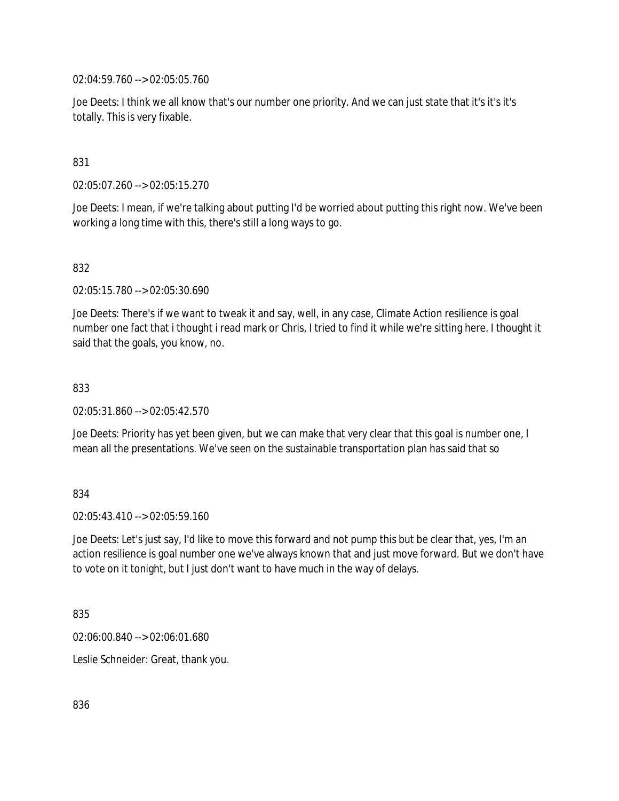02:04:59.760 --> 02:05:05.760

Joe Deets: I think we all know that's our number one priority. And we can just state that it's it's it's totally. This is very fixable.

## 831

02:05:07.260 --> 02:05:15.270

Joe Deets: I mean, if we're talking about putting I'd be worried about putting this right now. We've been working a long time with this, there's still a long ways to go.

### 832

02:05:15.780 --> 02:05:30.690

Joe Deets: There's if we want to tweak it and say, well, in any case, Climate Action resilience is goal number one fact that i thought i read mark or Chris, I tried to find it while we're sitting here. I thought it said that the goals, you know, no.

### 833

02:05:31.860 --> 02:05:42.570

Joe Deets: Priority has yet been given, but we can make that very clear that this goal is number one, I mean all the presentations. We've seen on the sustainable transportation plan has said that so

### 834

02:05:43.410 --> 02:05:59.160

Joe Deets: Let's just say, I'd like to move this forward and not pump this but be clear that, yes, I'm an action resilience is goal number one we've always known that and just move forward. But we don't have to vote on it tonight, but I just don't want to have much in the way of delays.

835

02:06:00.840 --> 02:06:01.680

Leslie Schneider: Great, thank you.

836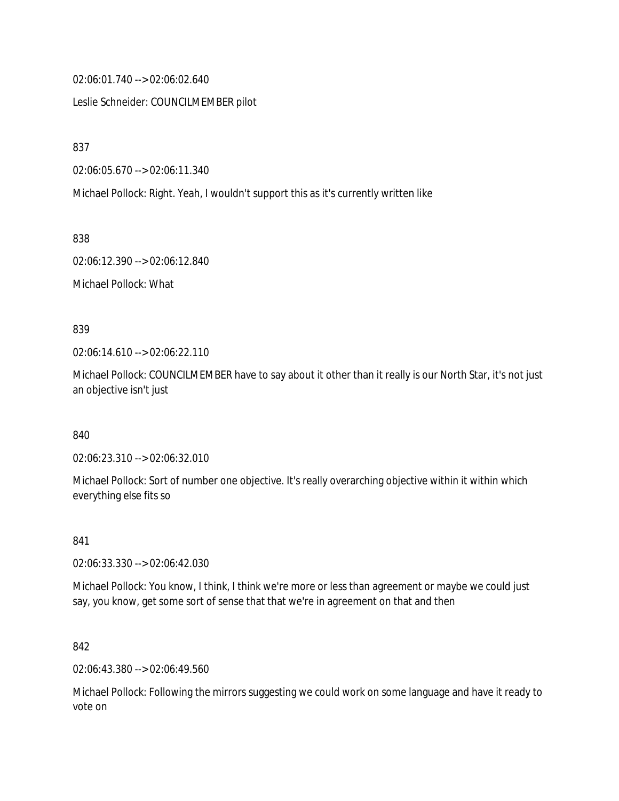02:06:01.740 --> 02:06:02.640

Leslie Schneider: COUNCILMEMBER pilot

837

02:06:05.670 --> 02:06:11.340

Michael Pollock: Right. Yeah, I wouldn't support this as it's currently written like

838

02:06:12.390 --> 02:06:12.840

Michael Pollock: What

839

02:06:14.610 --> 02:06:22.110

Michael Pollock: COUNCILMEMBER have to say about it other than it really is our North Star, it's not just an objective isn't just

840

02:06:23.310 --> 02:06:32.010

Michael Pollock: Sort of number one objective. It's really overarching objective within it within which everything else fits so

841

02:06:33.330 --> 02:06:42.030

Michael Pollock: You know, I think, I think we're more or less than agreement or maybe we could just say, you know, get some sort of sense that that we're in agreement on that and then

842

02:06:43.380 --> 02:06:49.560

Michael Pollock: Following the mirrors suggesting we could work on some language and have it ready to vote on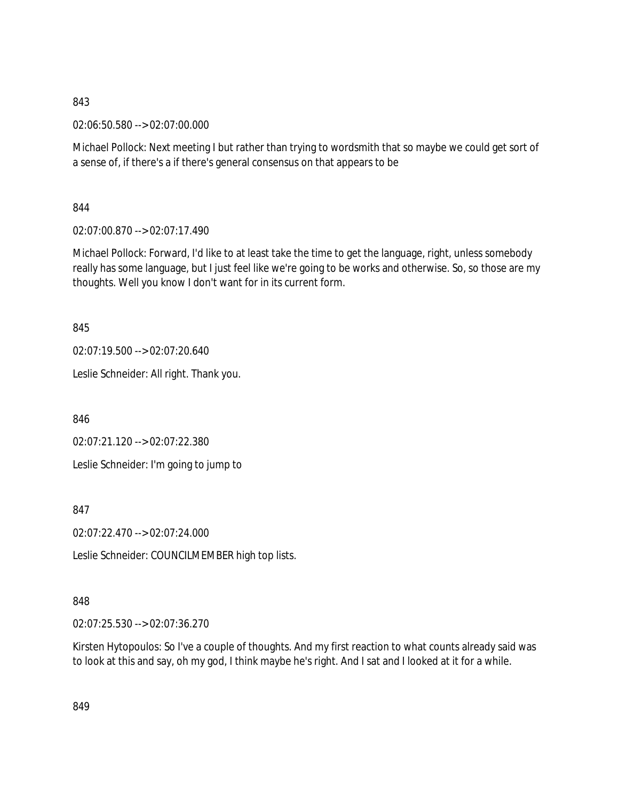02:06:50.580 --> 02:07:00.000

Michael Pollock: Next meeting I but rather than trying to wordsmith that so maybe we could get sort of a sense of, if there's a if there's general consensus on that appears to be

844

02:07:00.870 --> 02:07:17.490

Michael Pollock: Forward, I'd like to at least take the time to get the language, right, unless somebody really has some language, but I just feel like we're going to be works and otherwise. So, so those are my thoughts. Well you know I don't want for in its current form.

845

02:07:19.500 --> 02:07:20.640

Leslie Schneider: All right. Thank you.

846

02:07:21.120 --> 02:07:22.380

Leslie Schneider: I'm going to jump to

847

02:07:22.470 --> 02:07:24.000

Leslie Schneider: COUNCILMEMBER high top lists.

848

02:07:25.530 --> 02:07:36.270

Kirsten Hytopoulos: So I've a couple of thoughts. And my first reaction to what counts already said was to look at this and say, oh my god, I think maybe he's right. And I sat and I looked at it for a while.

849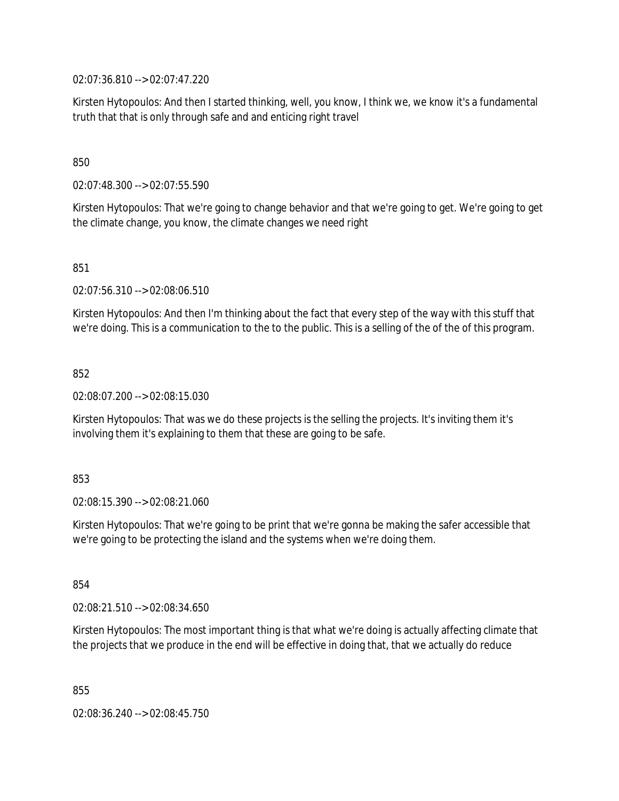02:07:36.810 --> 02:07:47.220

Kirsten Hytopoulos: And then I started thinking, well, you know, I think we, we know it's a fundamental truth that that is only through safe and and enticing right travel

### 850

02:07:48.300 --> 02:07:55.590

Kirsten Hytopoulos: That we're going to change behavior and that we're going to get. We're going to get the climate change, you know, the climate changes we need right

851

02:07:56.310 --> 02:08:06.510

Kirsten Hytopoulos: And then I'm thinking about the fact that every step of the way with this stuff that we're doing. This is a communication to the to the public. This is a selling of the of the of this program.

852

02:08:07.200 --> 02:08:15.030

Kirsten Hytopoulos: That was we do these projects is the selling the projects. It's inviting them it's involving them it's explaining to them that these are going to be safe.

#### 853

02:08:15.390 --> 02:08:21.060

Kirsten Hytopoulos: That we're going to be print that we're gonna be making the safer accessible that we're going to be protecting the island and the systems when we're doing them.

854

02:08:21.510 --> 02:08:34.650

Kirsten Hytopoulos: The most important thing is that what we're doing is actually affecting climate that the projects that we produce in the end will be effective in doing that, that we actually do reduce

855

02:08:36.240 --> 02:08:45.750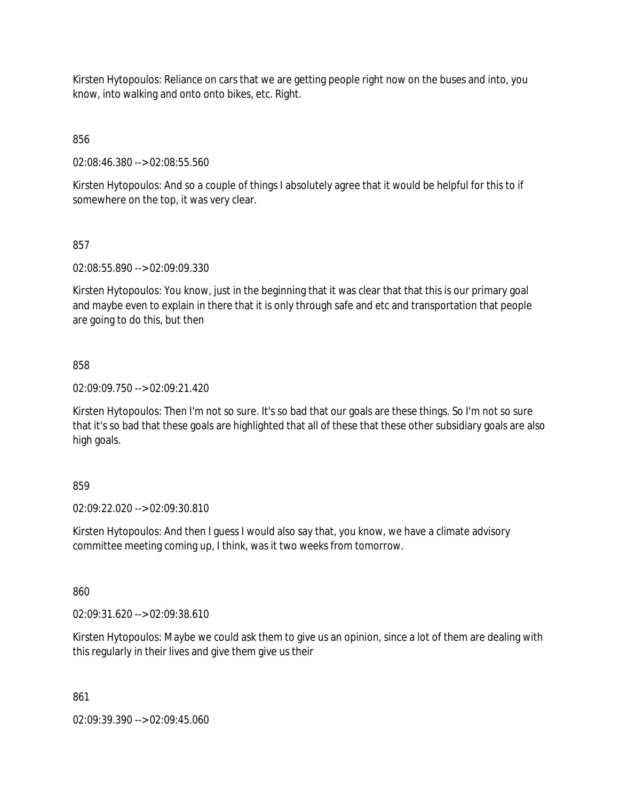Kirsten Hytopoulos: Reliance on cars that we are getting people right now on the buses and into, you know, into walking and onto onto bikes, etc. Right.

856

02:08:46.380 --> 02:08:55.560

Kirsten Hytopoulos: And so a couple of things I absolutely agree that it would be helpful for this to if somewhere on the top, it was very clear.

## 857

02:08:55.890 --> 02:09:09.330

Kirsten Hytopoulos: You know, just in the beginning that it was clear that that this is our primary goal and maybe even to explain in there that it is only through safe and etc and transportation that people are going to do this, but then

### 858

02:09:09.750 --> 02:09:21.420

Kirsten Hytopoulos: Then I'm not so sure. It's so bad that our goals are these things. So I'm not so sure that it's so bad that these goals are highlighted that all of these that these other subsidiary goals are also high goals.

### 859

02:09:22.020 --> 02:09:30.810

Kirsten Hytopoulos: And then I guess I would also say that, you know, we have a climate advisory committee meeting coming up, I think, was it two weeks from tomorrow.

### 860

02:09:31.620 --> 02:09:38.610

Kirsten Hytopoulos: Maybe we could ask them to give us an opinion, since a lot of them are dealing with this regularly in their lives and give them give us their

### 861

02:09:39.390 --> 02:09:45.060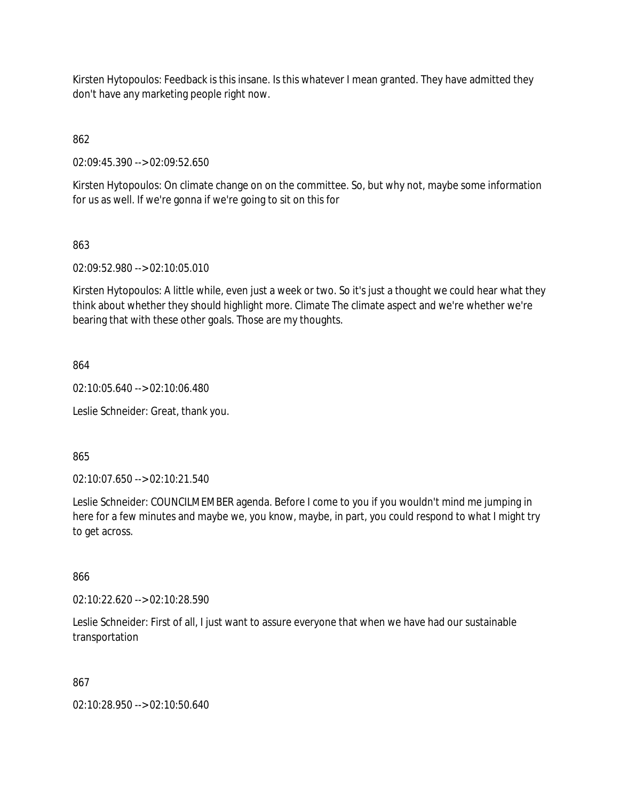Kirsten Hytopoulos: Feedback is this insane. Is this whatever I mean granted. They have admitted they don't have any marketing people right now.

862

02:09:45.390 --> 02:09:52.650

Kirsten Hytopoulos: On climate change on on the committee. So, but why not, maybe some information for us as well. If we're gonna if we're going to sit on this for

863

02:09:52.980 --> 02:10:05.010

Kirsten Hytopoulos: A little while, even just a week or two. So it's just a thought we could hear what they think about whether they should highlight more. Climate The climate aspect and we're whether we're bearing that with these other goals. Those are my thoughts.

864

02:10:05.640 --> 02:10:06.480

Leslie Schneider: Great, thank you.

865

02:10:07.650 --> 02:10:21.540

Leslie Schneider: COUNCILMEMBER agenda. Before I come to you if you wouldn't mind me jumping in here for a few minutes and maybe we, you know, maybe, in part, you could respond to what I might try to get across.

866

02:10:22.620 --> 02:10:28.590

Leslie Schneider: First of all, I just want to assure everyone that when we have had our sustainable transportation

867

02:10:28.950 --> 02:10:50.640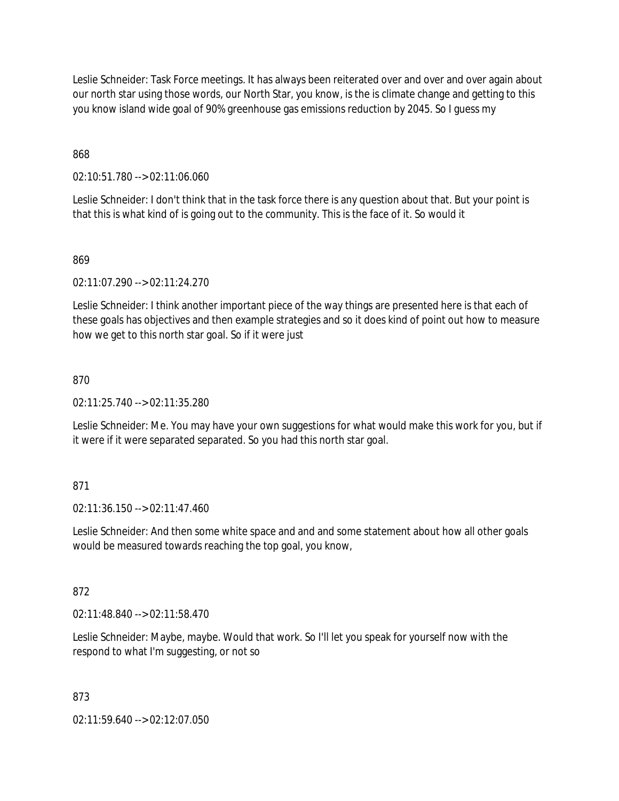Leslie Schneider: Task Force meetings. It has always been reiterated over and over and over again about our north star using those words, our North Star, you know, is the is climate change and getting to this you know island wide goal of 90% greenhouse gas emissions reduction by 2045. So I guess my

868

02:10:51.780 --> 02:11:06.060

Leslie Schneider: I don't think that in the task force there is any question about that. But your point is that this is what kind of is going out to the community. This is the face of it. So would it

### 869

02:11:07.290 --> 02:11:24.270

Leslie Schneider: I think another important piece of the way things are presented here is that each of these goals has objectives and then example strategies and so it does kind of point out how to measure how we get to this north star goal. So if it were just

### 870

02:11:25.740 --> 02:11:35.280

Leslie Schneider: Me. You may have your own suggestions for what would make this work for you, but if it were if it were separated separated. So you had this north star goal.

### 871

02:11:36.150 --> 02:11:47.460

Leslie Schneider: And then some white space and and and some statement about how all other goals would be measured towards reaching the top goal, you know,

### 872

02:11:48.840 --> 02:11:58.470

Leslie Schneider: Maybe, maybe. Would that work. So I'll let you speak for yourself now with the respond to what I'm suggesting, or not so

### 873

02:11:59.640 --> 02:12:07.050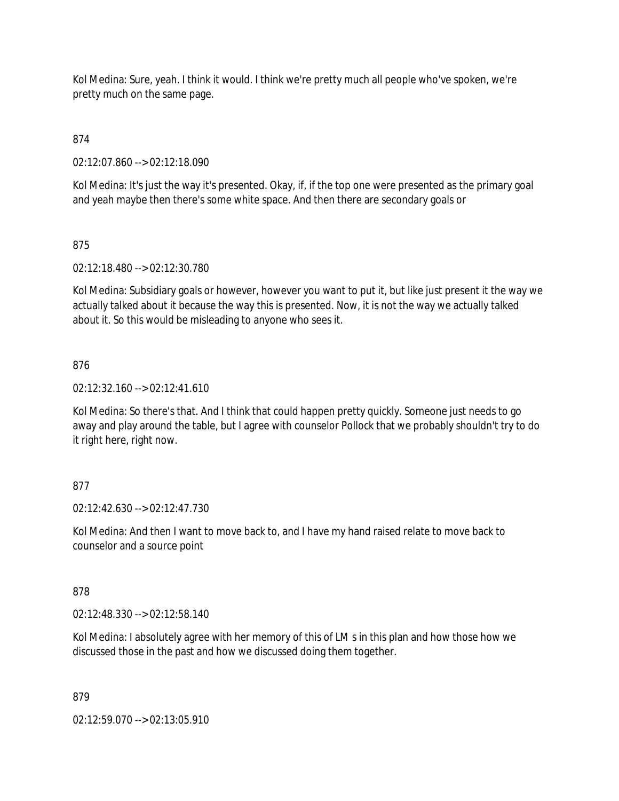Kol Medina: Sure, yeah. I think it would. I think we're pretty much all people who've spoken, we're pretty much on the same page.

# 874

02:12:07.860 --> 02:12:18.090

Kol Medina: It's just the way it's presented. Okay, if, if the top one were presented as the primary goal and yeah maybe then there's some white space. And then there are secondary goals or

# 875

02:12:18.480 --> 02:12:30.780

Kol Medina: Subsidiary goals or however, however you want to put it, but like just present it the way we actually talked about it because the way this is presented. Now, it is not the way we actually talked about it. So this would be misleading to anyone who sees it.

## 876

 $02:12:32.160 \rightarrow 02:12:41.610$ 

Kol Medina: So there's that. And I think that could happen pretty quickly. Someone just needs to go away and play around the table, but I agree with counselor Pollock that we probably shouldn't try to do it right here, right now.

# 877

02:12:42.630 --> 02:12:47.730

Kol Medina: And then I want to move back to, and I have my hand raised relate to move back to counselor and a source point

### 878

02:12:48.330 --> 02:12:58.140

Kol Medina: I absolutely agree with her memory of this of LM s in this plan and how those how we discussed those in the past and how we discussed doing them together.

### 879

02:12:59.070 --> 02:13:05.910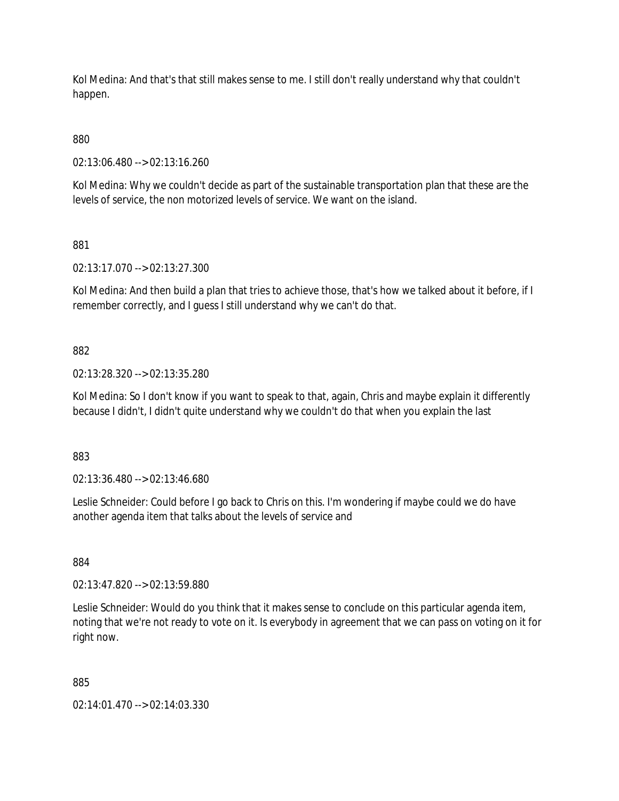Kol Medina: And that's that still makes sense to me. I still don't really understand why that couldn't happen.

880

02:13:06.480 --> 02:13:16.260

Kol Medina: Why we couldn't decide as part of the sustainable transportation plan that these are the levels of service, the non motorized levels of service. We want on the island.

881

02:13:17.070 --> 02:13:27.300

Kol Medina: And then build a plan that tries to achieve those, that's how we talked about it before, if I remember correctly, and I guess I still understand why we can't do that.

882

02:13:28.320 --> 02:13:35.280

Kol Medina: So I don't know if you want to speak to that, again, Chris and maybe explain it differently because I didn't, I didn't quite understand why we couldn't do that when you explain the last

883

02:13:36.480 --> 02:13:46.680

Leslie Schneider: Could before I go back to Chris on this. I'm wondering if maybe could we do have another agenda item that talks about the levels of service and

884

02:13:47.820 --> 02:13:59.880

Leslie Schneider: Would do you think that it makes sense to conclude on this particular agenda item, noting that we're not ready to vote on it. Is everybody in agreement that we can pass on voting on it for right now.

885

02:14:01.470 --> 02:14:03.330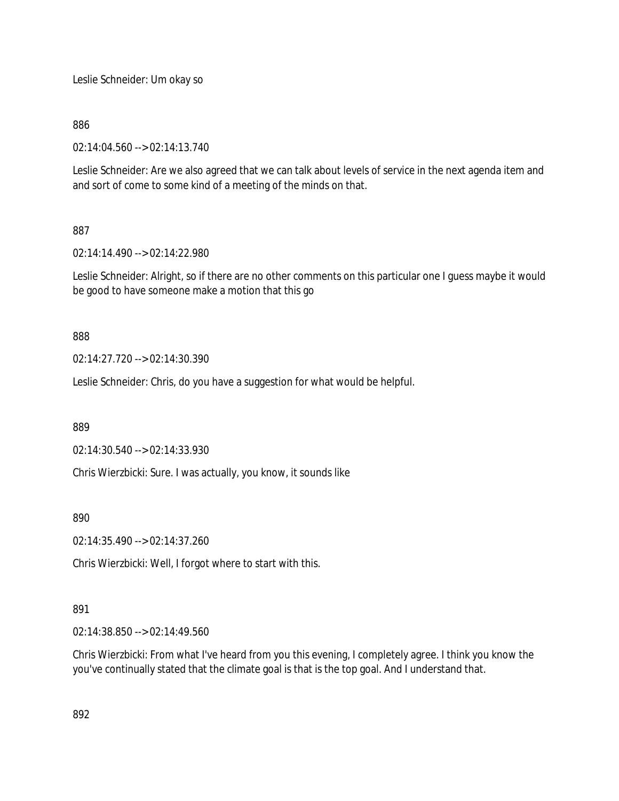Leslie Schneider: Um okay so

886

02:14:04.560 --> 02:14:13.740

Leslie Schneider: Are we also agreed that we can talk about levels of service in the next agenda item and and sort of come to some kind of a meeting of the minds on that.

# 887

02:14:14.490 --> 02:14:22.980

Leslie Schneider: Alright, so if there are no other comments on this particular one I guess maybe it would be good to have someone make a motion that this go

888

02:14:27.720 --> 02:14:30.390

Leslie Schneider: Chris, do you have a suggestion for what would be helpful.

889

02:14:30.540 --> 02:14:33.930

Chris Wierzbicki: Sure. I was actually, you know, it sounds like

890

02:14:35.490 --> 02:14:37.260

Chris Wierzbicki: Well, I forgot where to start with this.

### 891

02:14:38.850 --> 02:14:49.560

Chris Wierzbicki: From what I've heard from you this evening, I completely agree. I think you know the you've continually stated that the climate goal is that is the top goal. And I understand that.

892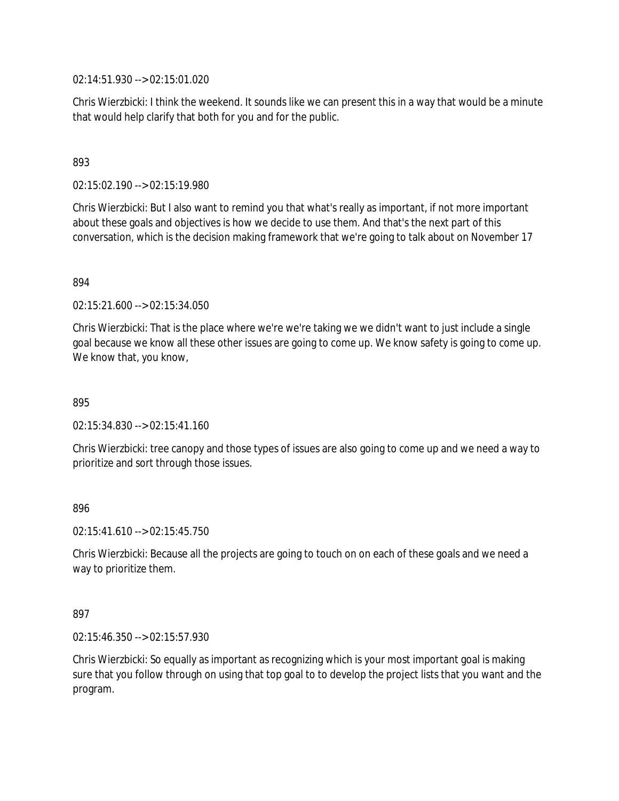02:14:51.930 --> 02:15:01.020

Chris Wierzbicki: I think the weekend. It sounds like we can present this in a way that would be a minute that would help clarify that both for you and for the public.

### 893

02:15:02.190 --> 02:15:19.980

Chris Wierzbicki: But I also want to remind you that what's really as important, if not more important about these goals and objectives is how we decide to use them. And that's the next part of this conversation, which is the decision making framework that we're going to talk about on November 17

#### 894

02:15:21.600 --> 02:15:34.050

Chris Wierzbicki: That is the place where we're we're taking we we didn't want to just include a single goal because we know all these other issues are going to come up. We know safety is going to come up. We know that, you know,

895

 $02.15:34.830 \rightarrow 02.15:41.160$ 

Chris Wierzbicki: tree canopy and those types of issues are also going to come up and we need a way to prioritize and sort through those issues.

### 896

02:15:41.610 --> 02:15:45.750

Chris Wierzbicki: Because all the projects are going to touch on on each of these goals and we need a way to prioritize them.

#### 897

02:15:46.350 --> 02:15:57.930

Chris Wierzbicki: So equally as important as recognizing which is your most important goal is making sure that you follow through on using that top goal to to develop the project lists that you want and the program.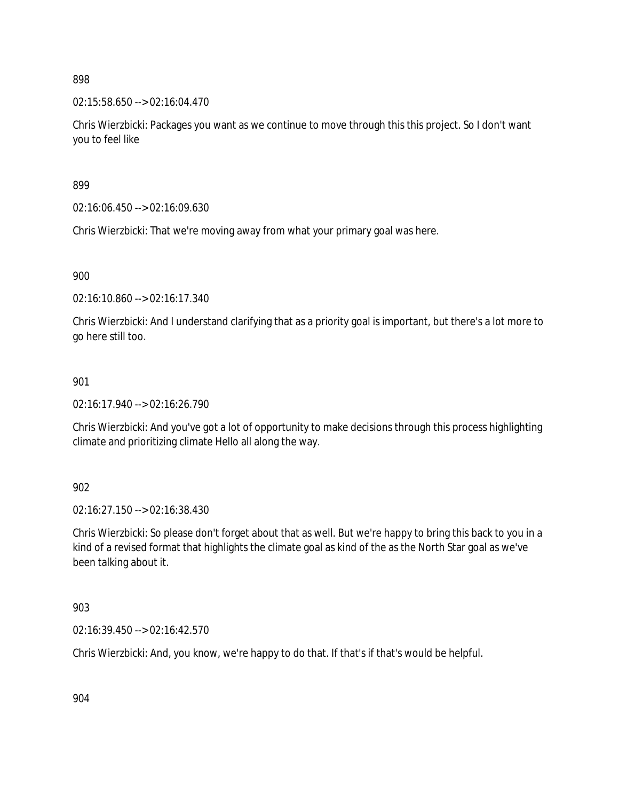02:15:58.650 --> 02:16:04.470

Chris Wierzbicki: Packages you want as we continue to move through this this project. So I don't want you to feel like

899

02:16:06.450 --> 02:16:09.630

Chris Wierzbicki: That we're moving away from what your primary goal was here.

900

02:16:10.860 --> 02:16:17.340

Chris Wierzbicki: And I understand clarifying that as a priority goal is important, but there's a lot more to go here still too.

901

02:16:17.940 --> 02:16:26.790

Chris Wierzbicki: And you've got a lot of opportunity to make decisions through this process highlighting climate and prioritizing climate Hello all along the way.

902

02:16:27.150 --> 02:16:38.430

Chris Wierzbicki: So please don't forget about that as well. But we're happy to bring this back to you in a kind of a revised format that highlights the climate goal as kind of the as the North Star goal as we've been talking about it.

903

02:16:39.450 --> 02:16:42.570

Chris Wierzbicki: And, you know, we're happy to do that. If that's if that's would be helpful.

904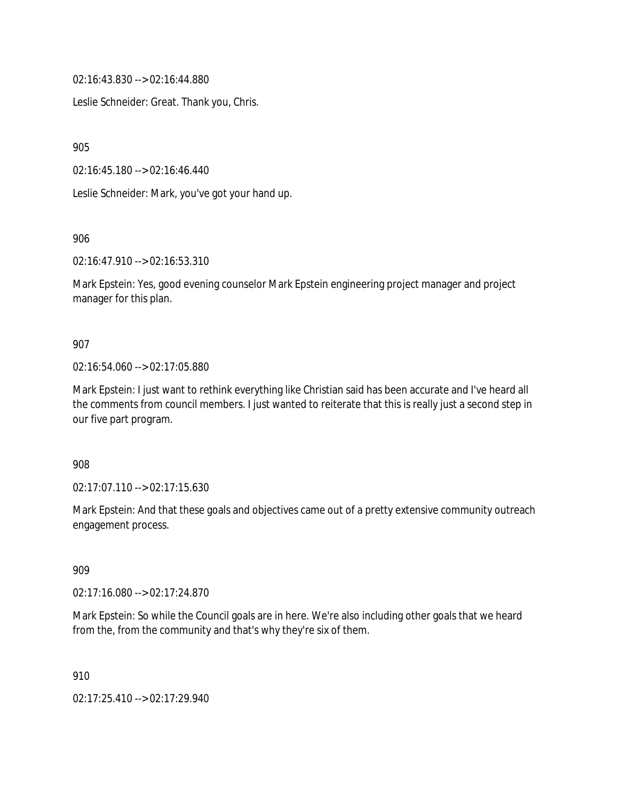02:16:43.830 --> 02:16:44.880

Leslie Schneider: Great. Thank you, Chris.

905

02:16:45.180 --> 02:16:46.440

Leslie Schneider: Mark, you've got your hand up.

906

02:16:47.910 --> 02:16:53.310

Mark Epstein: Yes, good evening counselor Mark Epstein engineering project manager and project manager for this plan.

## 907

02:16:54.060 --> 02:17:05.880

Mark Epstein: I just want to rethink everything like Christian said has been accurate and I've heard all the comments from council members. I just wanted to reiterate that this is really just a second step in our five part program.

908

02:17:07.110 --> 02:17:15.630

Mark Epstein: And that these goals and objectives came out of a pretty extensive community outreach engagement process.

909

02:17:16.080 --> 02:17:24.870

Mark Epstein: So while the Council goals are in here. We're also including other goals that we heard from the, from the community and that's why they're six of them.

910

02:17:25.410 --> 02:17:29.940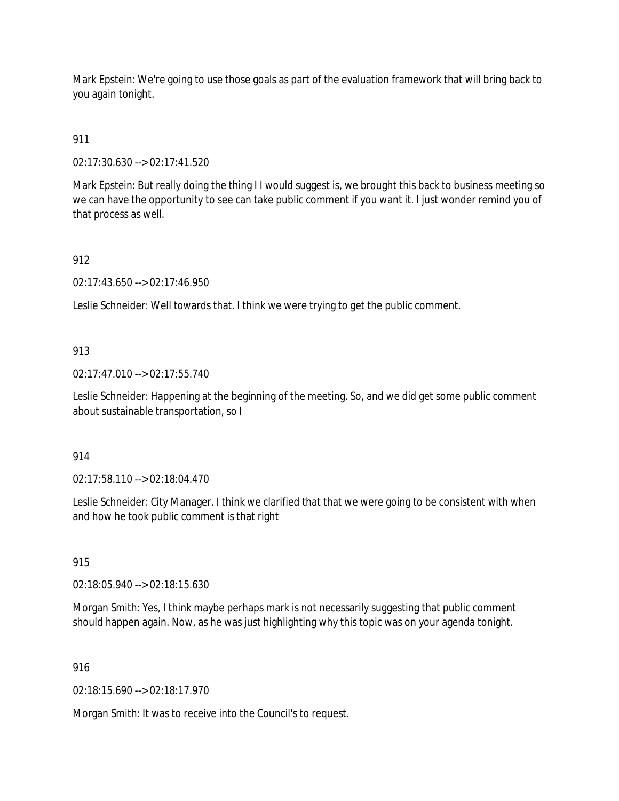Mark Epstein: We're going to use those goals as part of the evaluation framework that will bring back to you again tonight.

# 911

02:17:30.630 --> 02:17:41.520

Mark Epstein: But really doing the thing I I would suggest is, we brought this back to business meeting so we can have the opportunity to see can take public comment if you want it. I just wonder remind you of that process as well.

## 912

02:17:43.650 --> 02:17:46.950

Leslie Schneider: Well towards that. I think we were trying to get the public comment.

## 913

02:17:47.010 --> 02:17:55.740

Leslie Schneider: Happening at the beginning of the meeting. So, and we did get some public comment about sustainable transportation, so I

## 914

02:17:58.110 --> 02:18:04.470

Leslie Schneider: City Manager. I think we clarified that that we were going to be consistent with when and how he took public comment is that right

## 915

02:18:05.940 --> 02:18:15.630

Morgan Smith: Yes, I think maybe perhaps mark is not necessarily suggesting that public comment should happen again. Now, as he was just highlighting why this topic was on your agenda tonight.

## 916

02:18:15.690 --> 02:18:17.970

Morgan Smith: It was to receive into the Council's to request.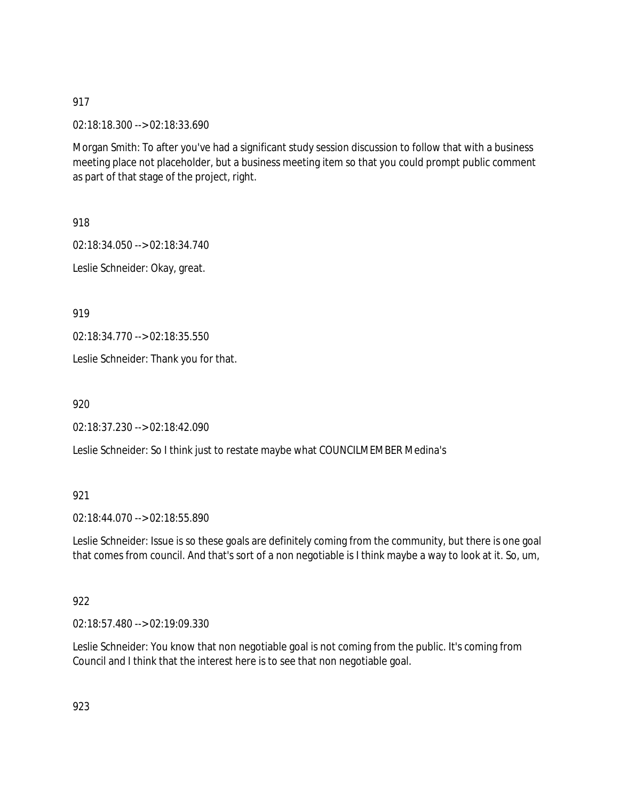02:18:18.300 --> 02:18:33.690

Morgan Smith: To after you've had a significant study session discussion to follow that with a business meeting place not placeholder, but a business meeting item so that you could prompt public comment as part of that stage of the project, right.

918

02:18:34.050 --> 02:18:34.740

Leslie Schneider: Okay, great.

919

02:18:34.770 --> 02:18:35.550

Leslie Schneider: Thank you for that.

920

02:18:37.230 --> 02:18:42.090

Leslie Schneider: So I think just to restate maybe what COUNCILMEMBER Medina's

## 921

02:18:44.070 --> 02:18:55.890

Leslie Schneider: Issue is so these goals are definitely coming from the community, but there is one goal that comes from council. And that's sort of a non negotiable is I think maybe a way to look at it. So, um,

## 922

02:18:57.480 --> 02:19:09.330

Leslie Schneider: You know that non negotiable goal is not coming from the public. It's coming from Council and I think that the interest here is to see that non negotiable goal.

923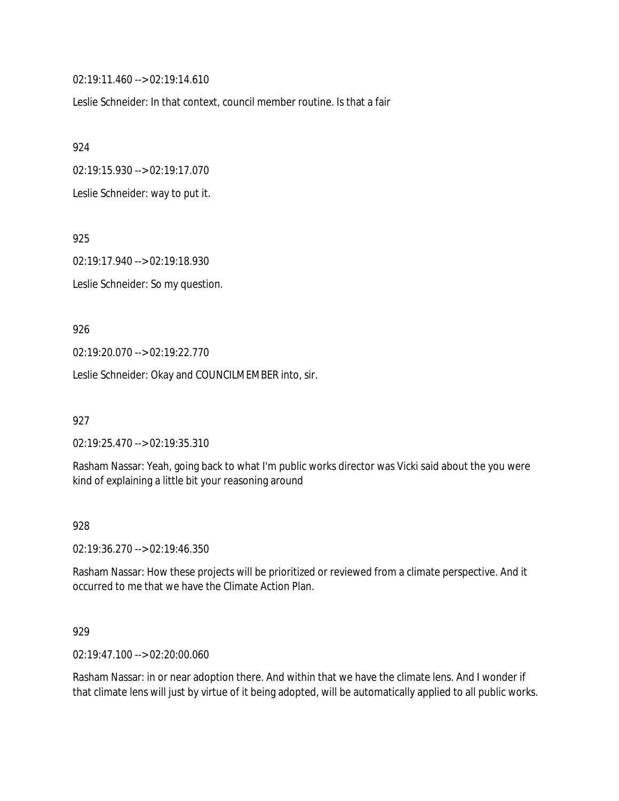02:19:11.460 --> 02:19:14.610

Leslie Schneider: In that context, council member routine. Is that a fair

924

02:19:15.930 --> 02:19:17.070

Leslie Schneider: way to put it.

925

02:19:17.940 --> 02:19:18.930

Leslie Schneider: So my question.

#### 926

02:19:20.070 --> 02:19:22.770

Leslie Schneider: Okay and COUNCILMEMBER into, sir.

927

02:19:25.470 --> 02:19:35.310

Rasham Nassar: Yeah, going back to what I'm public works director was Vicki said about the you were kind of explaining a little bit your reasoning around

#### 928

02:19:36.270 --> 02:19:46.350

Rasham Nassar: How these projects will be prioritized or reviewed from a climate perspective. And it occurred to me that we have the Climate Action Plan.

## 929

02:19:47.100 --> 02:20:00.060

Rasham Nassar: in or near adoption there. And within that we have the climate lens. And I wonder if that climate lens will just by virtue of it being adopted, will be automatically applied to all public works.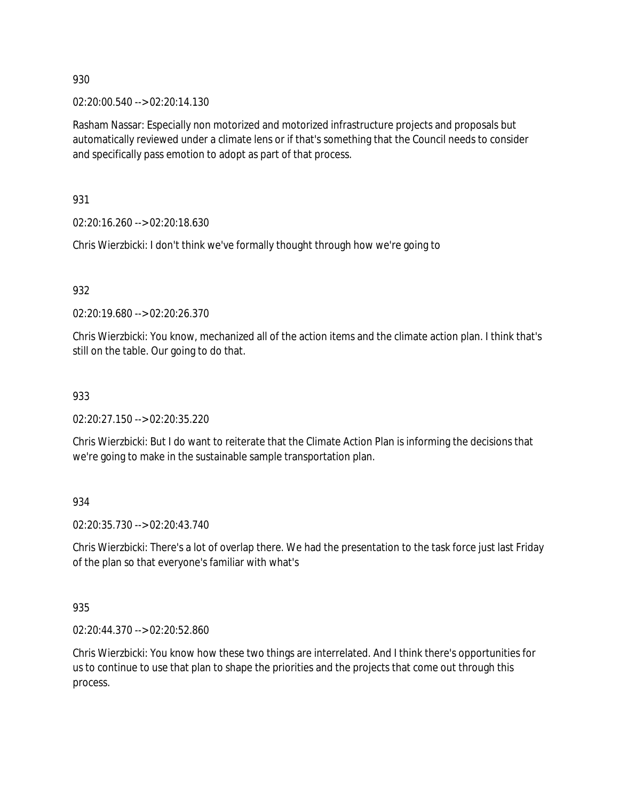02:20:00.540 --> 02:20:14.130

Rasham Nassar: Especially non motorized and motorized infrastructure projects and proposals but automatically reviewed under a climate lens or if that's something that the Council needs to consider and specifically pass emotion to adopt as part of that process.

931

02:20:16.260 --> 02:20:18.630

Chris Wierzbicki: I don't think we've formally thought through how we're going to

## 932

02:20:19.680 --> 02:20:26.370

Chris Wierzbicki: You know, mechanized all of the action items and the climate action plan. I think that's still on the table. Our going to do that.

## 933

02:20:27.150 --> 02:20:35.220

Chris Wierzbicki: But I do want to reiterate that the Climate Action Plan is informing the decisions that we're going to make in the sustainable sample transportation plan.

934

02:20:35.730 --> 02:20:43.740

Chris Wierzbicki: There's a lot of overlap there. We had the presentation to the task force just last Friday of the plan so that everyone's familiar with what's

935

02:20:44.370 --> 02:20:52.860

Chris Wierzbicki: You know how these two things are interrelated. And I think there's opportunities for us to continue to use that plan to shape the priorities and the projects that come out through this process.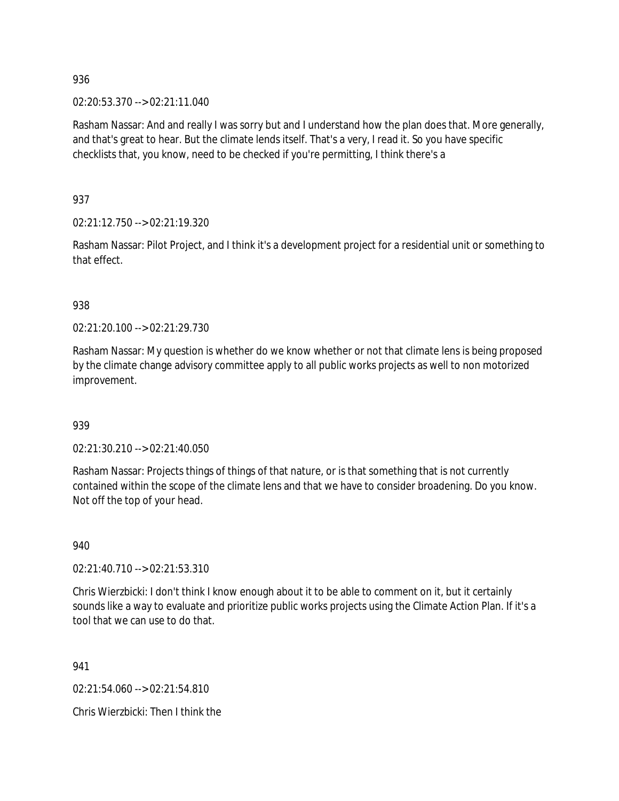## 02:20:53.370 --> 02:21:11.040

Rasham Nassar: And and really I was sorry but and I understand how the plan does that. More generally, and that's great to hear. But the climate lends itself. That's a very, I read it. So you have specific checklists that, you know, need to be checked if you're permitting, I think there's a

937

02:21:12.750 --> 02:21:19.320

Rasham Nassar: Pilot Project, and I think it's a development project for a residential unit or something to that effect.

## 938

02:21:20.100 --> 02:21:29.730

Rasham Nassar: My question is whether do we know whether or not that climate lens is being proposed by the climate change advisory committee apply to all public works projects as well to non motorized improvement.

## 939

02:21:30.210 --> 02:21:40.050

Rasham Nassar: Projects things of things of that nature, or is that something that is not currently contained within the scope of the climate lens and that we have to consider broadening. Do you know. Not off the top of your head.

940

02:21:40.710 --> 02:21:53.310

Chris Wierzbicki: I don't think I know enough about it to be able to comment on it, but it certainly sounds like a way to evaluate and prioritize public works projects using the Climate Action Plan. If it's a tool that we can use to do that.

941

02:21:54.060 --> 02:21:54.810

Chris Wierzbicki: Then I think the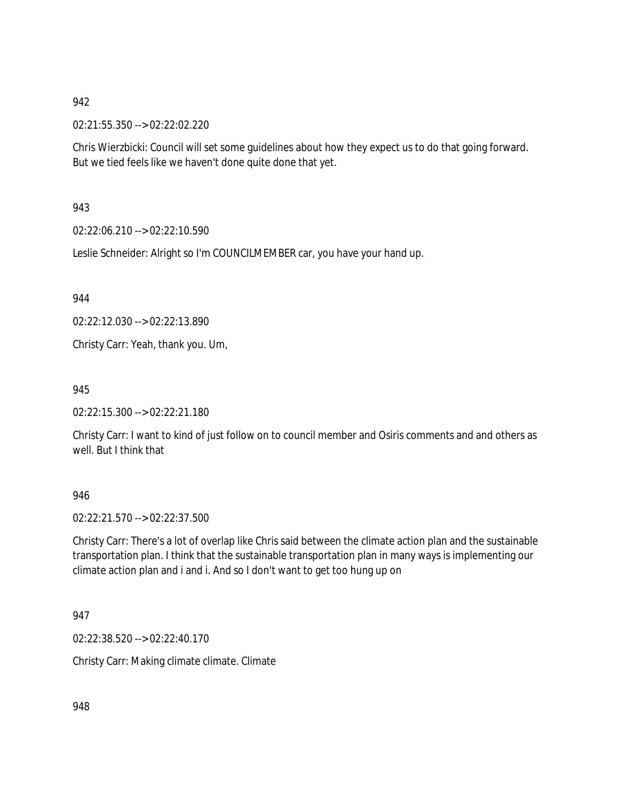02:21:55.350 --> 02:22:02.220

Chris Wierzbicki: Council will set some guidelines about how they expect us to do that going forward. But we tied feels like we haven't done quite done that yet.

943

02:22:06.210 --> 02:22:10.590

Leslie Schneider: Alright so I'm COUNCILMEMBER car, you have your hand up.

944

02:22:12.030 --> 02:22:13.890

Christy Carr: Yeah, thank you. Um,

945

02:22:15.300 --> 02:22:21.180

Christy Carr: I want to kind of just follow on to council member and Osiris comments and and others as well. But I think that

946

02:22:21.570 --> 02:22:37.500

Christy Carr: There's a lot of overlap like Chris said between the climate action plan and the sustainable transportation plan. I think that the sustainable transportation plan in many ways is implementing our climate action plan and i and i. And so I don't want to get too hung up on

947

02:22:38.520 --> 02:22:40.170

Christy Carr: Making climate climate. Climate

948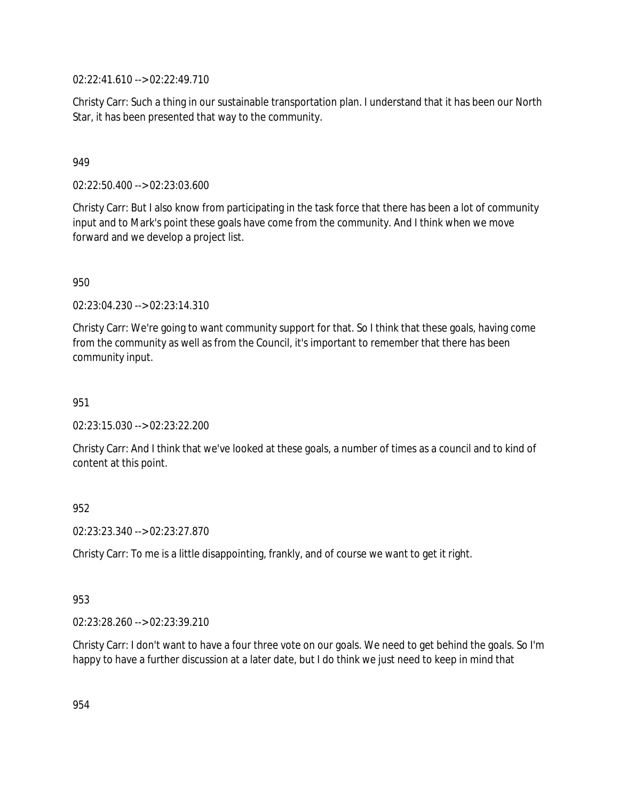02:22:41.610 --> 02:22:49.710

Christy Carr: Such a thing in our sustainable transportation plan. I understand that it has been our North Star, it has been presented that way to the community.

## 949

02:22:50.400 --> 02:23:03.600

Christy Carr: But I also know from participating in the task force that there has been a lot of community input and to Mark's point these goals have come from the community. And I think when we move forward and we develop a project list.

950

02:23:04.230 --> 02:23:14.310

Christy Carr: We're going to want community support for that. So I think that these goals, having come from the community as well as from the Council, it's important to remember that there has been community input.

951

02:23:15.030 --> 02:23:22.200

Christy Carr: And I think that we've looked at these goals, a number of times as a council and to kind of content at this point.

952

02:23:23.340 --> 02:23:27.870

Christy Carr: To me is a little disappointing, frankly, and of course we want to get it right.

953

02:23:28.260 --> 02:23:39.210

Christy Carr: I don't want to have a four three vote on our goals. We need to get behind the goals. So I'm happy to have a further discussion at a later date, but I do think we just need to keep in mind that

954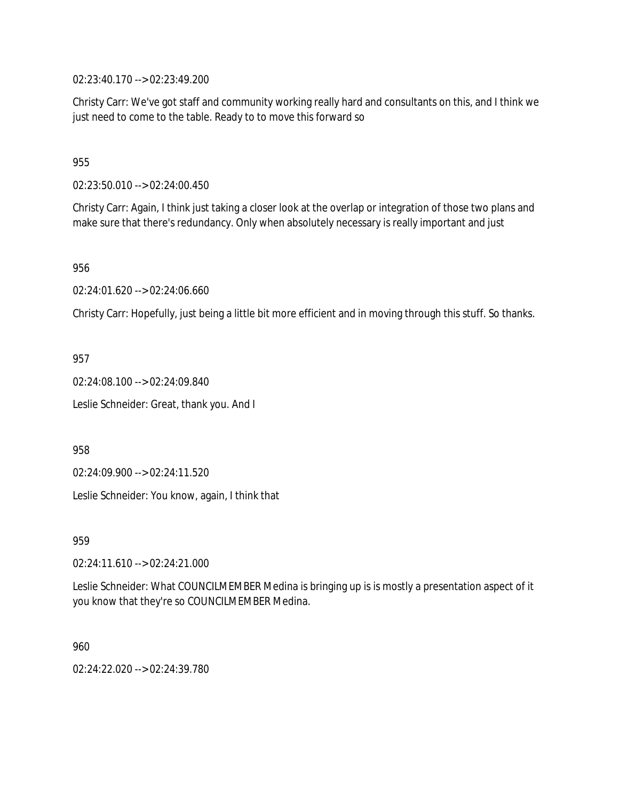02:23:40.170 --> 02:23:49.200

Christy Carr: We've got staff and community working really hard and consultants on this, and I think we just need to come to the table. Ready to to move this forward so

955

02:23:50.010 --> 02:24:00.450

Christy Carr: Again, I think just taking a closer look at the overlap or integration of those two plans and make sure that there's redundancy. Only when absolutely necessary is really important and just

956

02:24:01.620 --> 02:24:06.660

Christy Carr: Hopefully, just being a little bit more efficient and in moving through this stuff. So thanks.

957

02:24:08.100 --> 02:24:09.840 Leslie Schneider: Great, thank you. And I

958

02:24:09.900 --> 02:24:11.520

Leslie Schneider: You know, again, I think that

959

02:24:11.610 --> 02:24:21.000

Leslie Schneider: What COUNCILMEMBER Medina is bringing up is is mostly a presentation aspect of it you know that they're so COUNCILMEMBER Medina.

960

02:24:22.020 --> 02:24:39.780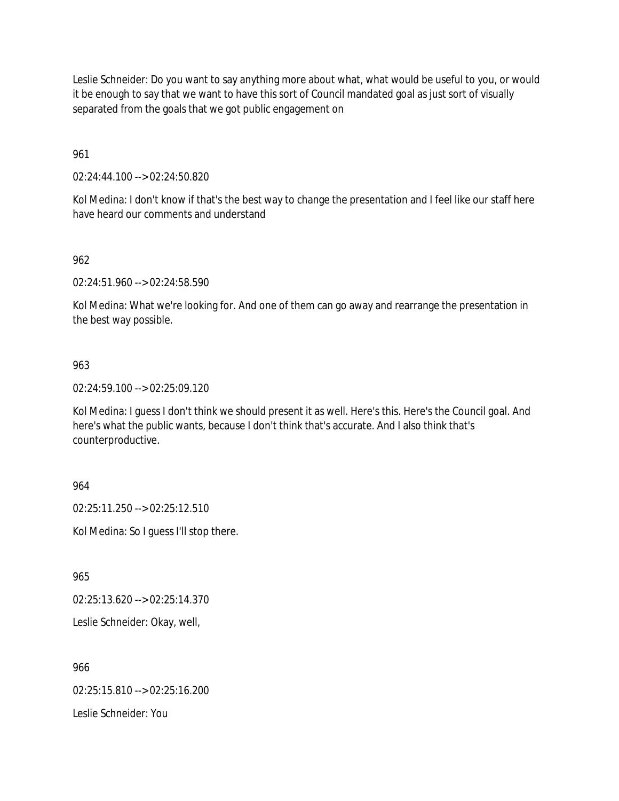Leslie Schneider: Do you want to say anything more about what, what would be useful to you, or would it be enough to say that we want to have this sort of Council mandated goal as just sort of visually separated from the goals that we got public engagement on

961

02:24:44.100 --> 02:24:50.820

Kol Medina: I don't know if that's the best way to change the presentation and I feel like our staff here have heard our comments and understand

## 962

02:24:51.960 --> 02:24:58.590

Kol Medina: What we're looking for. And one of them can go away and rearrange the presentation in the best way possible.

## 963

02:24:59.100 --> 02:25:09.120

Kol Medina: I guess I don't think we should present it as well. Here's this. Here's the Council goal. And here's what the public wants, because I don't think that's accurate. And I also think that's counterproductive.

964

02:25:11.250 --> 02:25:12.510

Kol Medina: So I guess I'll stop there.

965

02:25:13.620 --> 02:25:14.370

Leslie Schneider: Okay, well,

966

02:25:15.810 --> 02:25:16.200

Leslie Schneider: You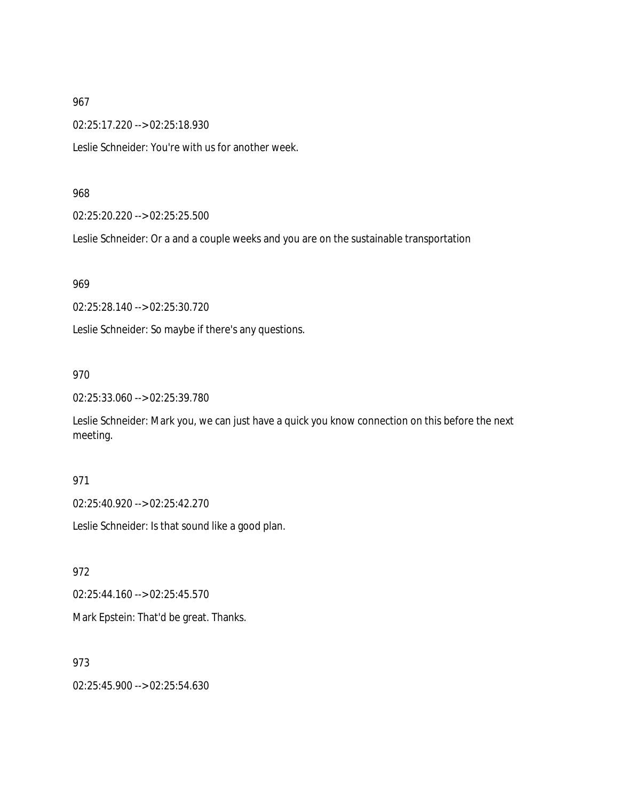02:25:17.220 --> 02:25:18.930

Leslie Schneider: You're with us for another week.

#### 968

02:25:20.220 --> 02:25:25.500

Leslie Schneider: Or a and a couple weeks and you are on the sustainable transportation

#### 969

02:25:28.140 --> 02:25:30.720

Leslie Schneider: So maybe if there's any questions.

#### 970

02:25:33.060 --> 02:25:39.780

Leslie Schneider: Mark you, we can just have a quick you know connection on this before the next meeting.

#### 971

02:25:40.920 --> 02:25:42.270

Leslie Schneider: Is that sound like a good plan.

972

02:25:44.160 --> 02:25:45.570

Mark Epstein: That'd be great. Thanks.

## 973

02:25:45.900 --> 02:25:54.630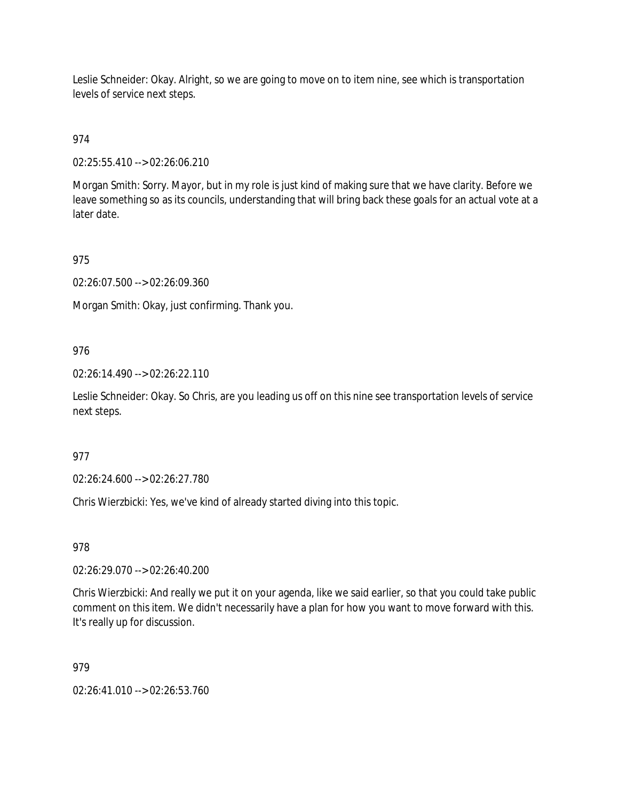Leslie Schneider: Okay. Alright, so we are going to move on to item nine, see which is transportation levels of service next steps.

974

02:25:55.410 --> 02:26:06.210

Morgan Smith: Sorry. Mayor, but in my role is just kind of making sure that we have clarity. Before we leave something so as its councils, understanding that will bring back these goals for an actual vote at a later date.

975

02:26:07.500 --> 02:26:09.360

Morgan Smith: Okay, just confirming. Thank you.

976

02:26:14.490 --> 02:26:22.110

Leslie Schneider: Okay. So Chris, are you leading us off on this nine see transportation levels of service next steps.

977

02:26:24.600 --> 02:26:27.780

Chris Wierzbicki: Yes, we've kind of already started diving into this topic.

978

02:26:29.070 --> 02:26:40.200

Chris Wierzbicki: And really we put it on your agenda, like we said earlier, so that you could take public comment on this item. We didn't necessarily have a plan for how you want to move forward with this. It's really up for discussion.

979

02:26:41.010 --> 02:26:53.760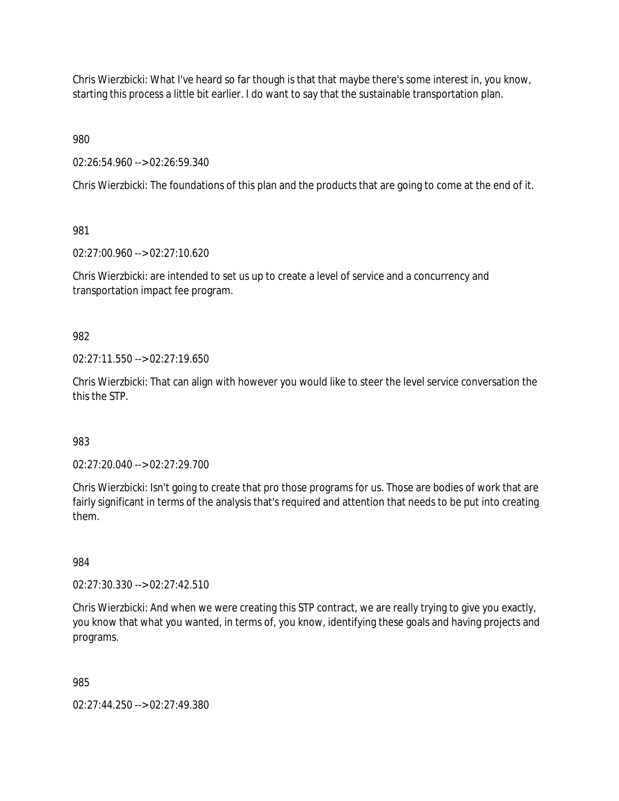Chris Wierzbicki: What I've heard so far though is that that maybe there's some interest in, you know, starting this process a little bit earlier. I do want to say that the sustainable transportation plan.

980

02:26:54.960 --> 02:26:59.340

Chris Wierzbicki: The foundations of this plan and the products that are going to come at the end of it.

981

02:27:00.960 --> 02:27:10.620

Chris Wierzbicki: are intended to set us up to create a level of service and a concurrency and transportation impact fee program.

982

02:27:11.550 --> 02:27:19.650

Chris Wierzbicki: That can align with however you would like to steer the level service conversation the this the STP.

983

02:27:20.040 --> 02:27:29.700

Chris Wierzbicki: Isn't going to create that pro those programs for us. Those are bodies of work that are fairly significant in terms of the analysis that's required and attention that needs to be put into creating them.

984

02:27:30.330 --> 02:27:42.510

Chris Wierzbicki: And when we were creating this STP contract, we are really trying to give you exactly, you know that what you wanted, in terms of, you know, identifying these goals and having projects and programs.

985

02:27:44.250 --> 02:27:49.380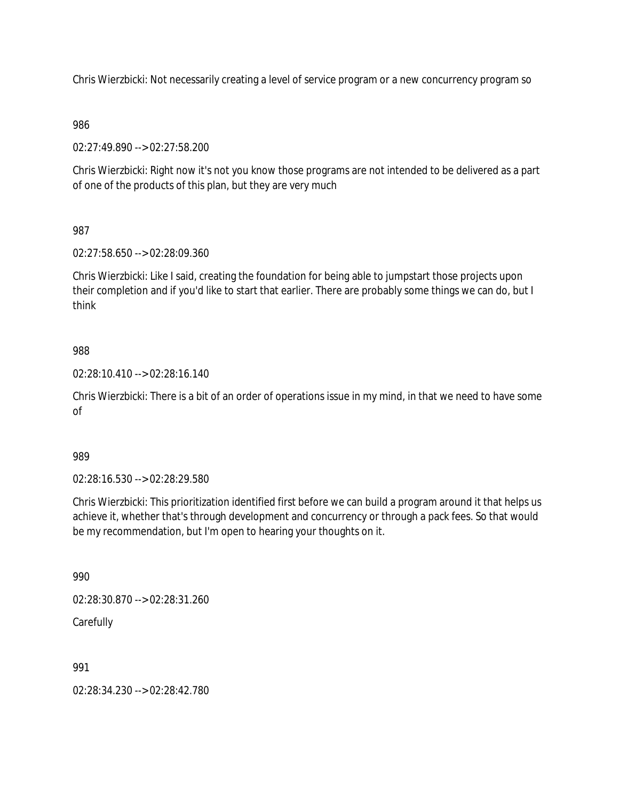Chris Wierzbicki: Not necessarily creating a level of service program or a new concurrency program so

## 986

02:27:49.890 --> 02:27:58.200

Chris Wierzbicki: Right now it's not you know those programs are not intended to be delivered as a part of one of the products of this plan, but they are very much

## 987

02:27:58.650 --> 02:28:09.360

Chris Wierzbicki: Like I said, creating the foundation for being able to jumpstart those projects upon their completion and if you'd like to start that earlier. There are probably some things we can do, but I think

## 988

02:28:10.410 --> 02:28:16.140

Chris Wierzbicki: There is a bit of an order of operations issue in my mind, in that we need to have some of

## 989

02:28:16.530 --> 02:28:29.580

Chris Wierzbicki: This prioritization identified first before we can build a program around it that helps us achieve it, whether that's through development and concurrency or through a pack fees. So that would be my recommendation, but I'm open to hearing your thoughts on it.

990

02:28:30.870 --> 02:28:31.260

**Carefully** 

991

02:28:34.230 --> 02:28:42.780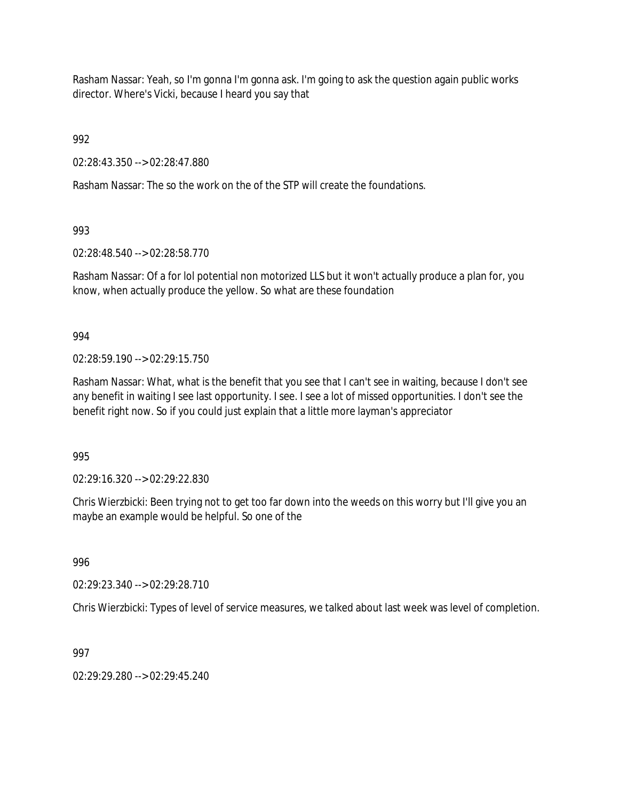Rasham Nassar: Yeah, so I'm gonna I'm gonna ask. I'm going to ask the question again public works director. Where's Vicki, because I heard you say that

992

02:28:43.350 --> 02:28:47.880

Rasham Nassar: The so the work on the of the STP will create the foundations.

993

02:28:48.540 --> 02:28:58.770

Rasham Nassar: Of a for lol potential non motorized LLS but it won't actually produce a plan for, you know, when actually produce the yellow. So what are these foundation

994

02:28:59.190 --> 02:29:15.750

Rasham Nassar: What, what is the benefit that you see that I can't see in waiting, because I don't see any benefit in waiting I see last opportunity. I see. I see a lot of missed opportunities. I don't see the benefit right now. So if you could just explain that a little more layman's appreciator

995

02:29:16.320 --> 02:29:22.830

Chris Wierzbicki: Been trying not to get too far down into the weeds on this worry but I'll give you an maybe an example would be helpful. So one of the

996

02:29:23.340 --> 02:29:28.710

Chris Wierzbicki: Types of level of service measures, we talked about last week was level of completion.

997

02:29:29.280 --> 02:29:45.240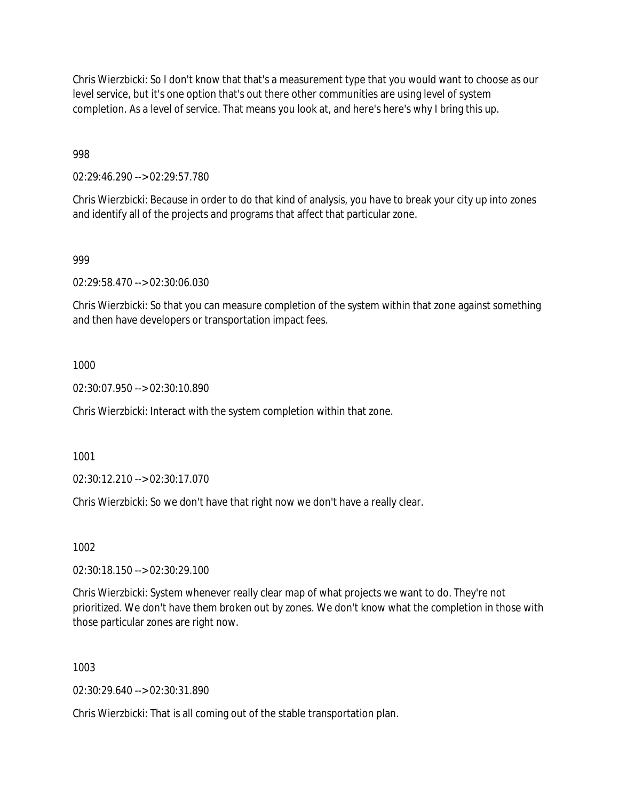Chris Wierzbicki: So I don't know that that's a measurement type that you would want to choose as our level service, but it's one option that's out there other communities are using level of system completion. As a level of service. That means you look at, and here's here's why I bring this up.

998

02:29:46.290 --> 02:29:57.780

Chris Wierzbicki: Because in order to do that kind of analysis, you have to break your city up into zones and identify all of the projects and programs that affect that particular zone.

#### 999

02:29:58.470 --> 02:30:06.030

Chris Wierzbicki: So that you can measure completion of the system within that zone against something and then have developers or transportation impact fees.

#### 1000

02:30:07.950 --> 02:30:10.890

Chris Wierzbicki: Interact with the system completion within that zone.

1001

02:30:12.210 --> 02:30:17.070

Chris Wierzbicki: So we don't have that right now we don't have a really clear.

1002

02:30:18.150 --> 02:30:29.100

Chris Wierzbicki: System whenever really clear map of what projects we want to do. They're not prioritized. We don't have them broken out by zones. We don't know what the completion in those with those particular zones are right now.

1003

02:30:29.640 --> 02:30:31.890

Chris Wierzbicki: That is all coming out of the stable transportation plan.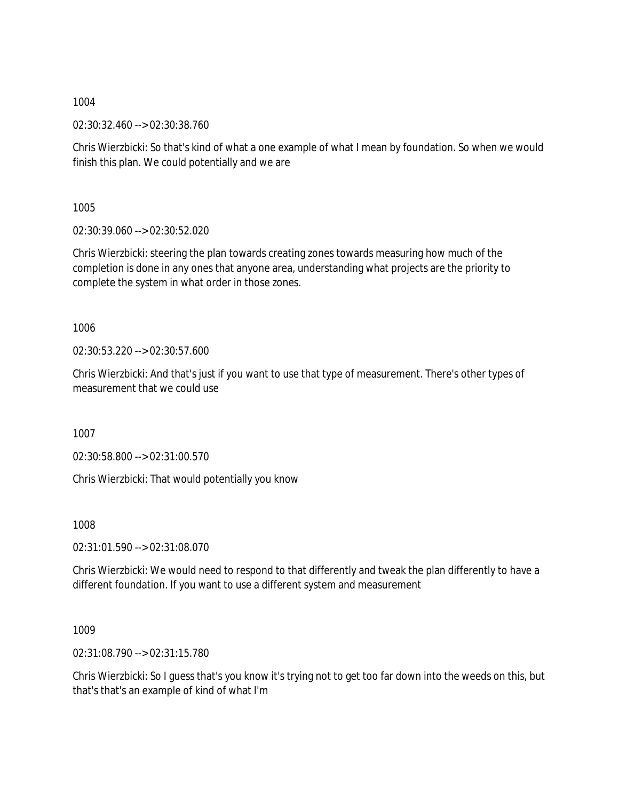02:30:32.460 --> 02:30:38.760

Chris Wierzbicki: So that's kind of what a one example of what I mean by foundation. So when we would finish this plan. We could potentially and we are

1005

02:30:39.060 --> 02:30:52.020

Chris Wierzbicki: steering the plan towards creating zones towards measuring how much of the completion is done in any ones that anyone area, understanding what projects are the priority to complete the system in what order in those zones.

1006

02:30:53.220 --> 02:30:57.600

Chris Wierzbicki: And that's just if you want to use that type of measurement. There's other types of measurement that we could use

1007

02:30:58.800 --> 02:31:00.570

Chris Wierzbicki: That would potentially you know

1008

02:31:01.590 --> 02:31:08.070

Chris Wierzbicki: We would need to respond to that differently and tweak the plan differently to have a different foundation. If you want to use a different system and measurement

1009

02:31:08.790 --> 02:31:15.780

Chris Wierzbicki: So I guess that's you know it's trying not to get too far down into the weeds on this, but that's that's an example of kind of what I'm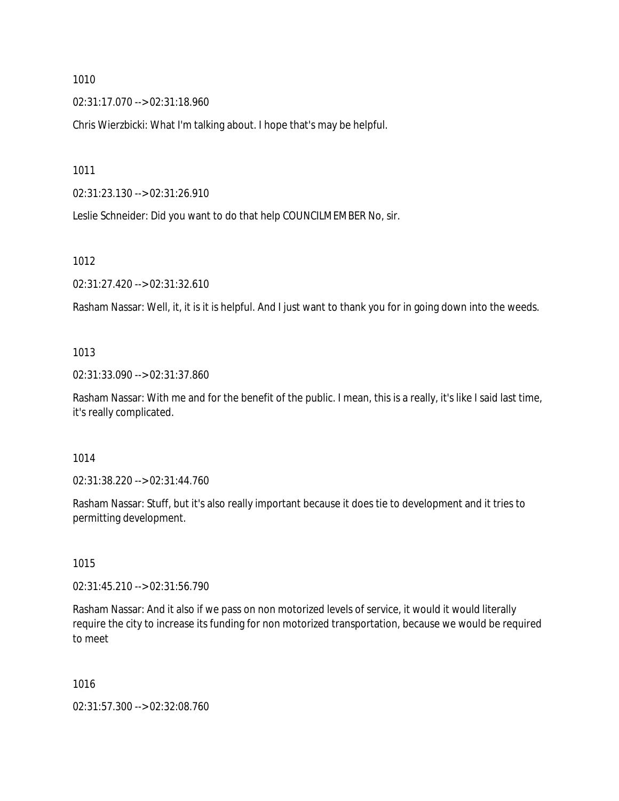02:31:17.070 --> 02:31:18.960

Chris Wierzbicki: What I'm talking about. I hope that's may be helpful.

1011

02:31:23.130 --> 02:31:26.910

Leslie Schneider: Did you want to do that help COUNCILMEMBER No, sir.

1012

02:31:27.420 --> 02:31:32.610

Rasham Nassar: Well, it, it is it is helpful. And I just want to thank you for in going down into the weeds.

## 1013

02:31:33.090 --> 02:31:37.860

Rasham Nassar: With me and for the benefit of the public. I mean, this is a really, it's like I said last time, it's really complicated.

## 1014

02:31:38.220 --> 02:31:44.760

Rasham Nassar: Stuff, but it's also really important because it does tie to development and it tries to permitting development.

## 1015

02:31:45.210 --> 02:31:56.790

Rasham Nassar: And it also if we pass on non motorized levels of service, it would it would literally require the city to increase its funding for non motorized transportation, because we would be required to meet

## 1016

02:31:57.300 --> 02:32:08.760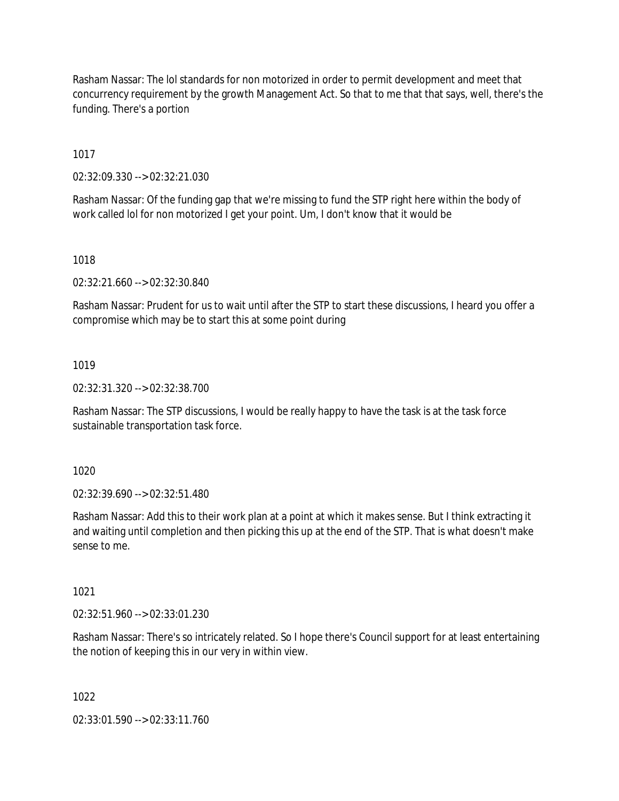Rasham Nassar: The lol standards for non motorized in order to permit development and meet that concurrency requirement by the growth Management Act. So that to me that that says, well, there's the funding. There's a portion

1017

02:32:09.330 --> 02:32:21.030

Rasham Nassar: Of the funding gap that we're missing to fund the STP right here within the body of work called lol for non motorized I get your point. Um, I don't know that it would be

1018

02:32:21.660 --> 02:32:30.840

Rasham Nassar: Prudent for us to wait until after the STP to start these discussions, I heard you offer a compromise which may be to start this at some point during

#### 1019

02:32:31.320 --> 02:32:38.700

Rasham Nassar: The STP discussions, I would be really happy to have the task is at the task force sustainable transportation task force.

1020

02:32:39.690 --> 02:32:51.480

Rasham Nassar: Add this to their work plan at a point at which it makes sense. But I think extracting it and waiting until completion and then picking this up at the end of the STP. That is what doesn't make sense to me.

1021

02:32:51.960 --> 02:33:01.230

Rasham Nassar: There's so intricately related. So I hope there's Council support for at least entertaining the notion of keeping this in our very in within view.

1022

02:33:01.590 --> 02:33:11.760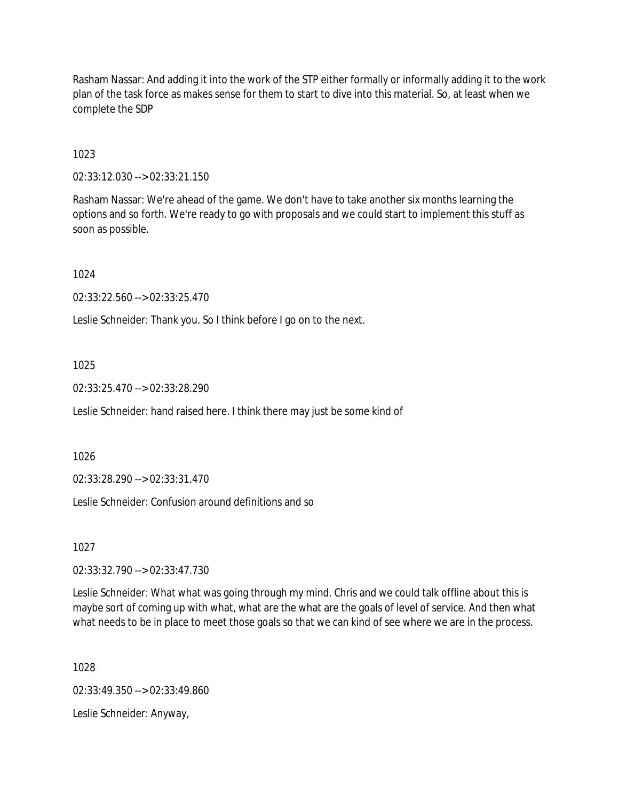Rasham Nassar: And adding it into the work of the STP either formally or informally adding it to the work plan of the task force as makes sense for them to start to dive into this material. So, at least when we complete the SDP

1023

02:33:12.030 --> 02:33:21.150

Rasham Nassar: We're ahead of the game. We don't have to take another six months learning the options and so forth. We're ready to go with proposals and we could start to implement this stuff as soon as possible.

1024

02:33:22.560 --> 02:33:25.470

Leslie Schneider: Thank you. So I think before I go on to the next.

1025

02:33:25.470 --> 02:33:28.290

Leslie Schneider: hand raised here. I think there may just be some kind of

1026

02:33:28.290 --> 02:33:31.470

Leslie Schneider: Confusion around definitions and so

1027

02:33:32.790 --> 02:33:47.730

Leslie Schneider: What what was going through my mind. Chris and we could talk offline about this is maybe sort of coming up with what, what are the what are the goals of level of service. And then what what needs to be in place to meet those goals so that we can kind of see where we are in the process.

1028

02:33:49.350 --> 02:33:49.860

Leslie Schneider: Anyway,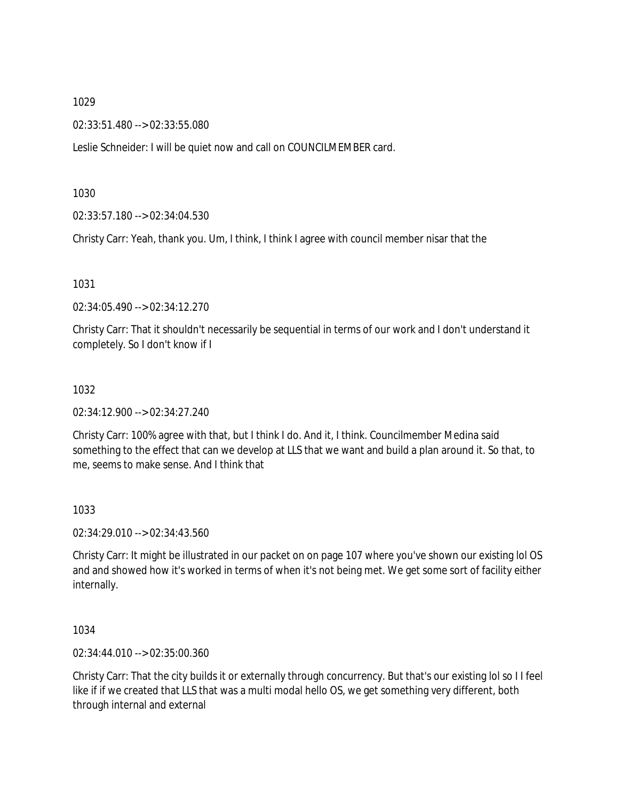02:33:51.480 --> 02:33:55.080

Leslie Schneider: I will be quiet now and call on COUNCILMEMBER card.

1030

02:33:57.180 --> 02:34:04.530

Christy Carr: Yeah, thank you. Um, I think, I think I agree with council member nisar that the

1031

02:34:05.490 --> 02:34:12.270

Christy Carr: That it shouldn't necessarily be sequential in terms of our work and I don't understand it completely. So I don't know if I

#### 1032

02:34:12.900 --> 02:34:27.240

Christy Carr: 100% agree with that, but I think I do. And it, I think. Councilmember Medina said something to the effect that can we develop at LLS that we want and build a plan around it. So that, to me, seems to make sense. And I think that

1033

02:34:29.010 --> 02:34:43.560

Christy Carr: It might be illustrated in our packet on on page 107 where you've shown our existing lol OS and and showed how it's worked in terms of when it's not being met. We get some sort of facility either internally.

1034

02:34:44.010 --> 02:35:00.360

Christy Carr: That the city builds it or externally through concurrency. But that's our existing lol so I I feel like if if we created that LLS that was a multi modal hello OS, we get something very different, both through internal and external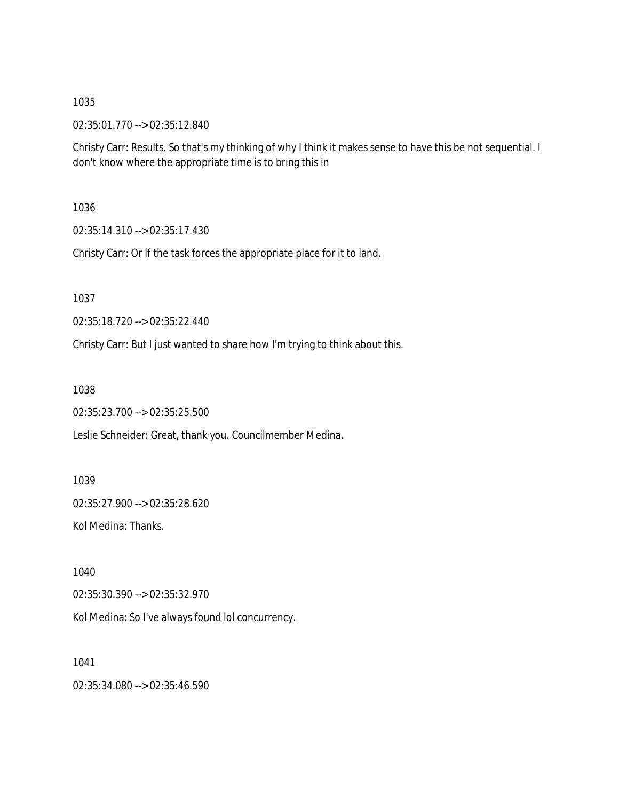02:35:01.770 --> 02:35:12.840

Christy Carr: Results. So that's my thinking of why I think it makes sense to have this be not sequential. I don't know where the appropriate time is to bring this in

1036

02:35:14.310 --> 02:35:17.430

Christy Carr: Or if the task forces the appropriate place for it to land.

1037

02:35:18.720 --> 02:35:22.440

Christy Carr: But I just wanted to share how I'm trying to think about this.

1038

02:35:23.700 --> 02:35:25.500

Leslie Schneider: Great, thank you. Councilmember Medina.

1039

02:35:27.900 --> 02:35:28.620

Kol Medina: Thanks.

1040

02:35:30.390 --> 02:35:32.970

Kol Medina: So I've always found lol concurrency.

1041

02:35:34.080 --> 02:35:46.590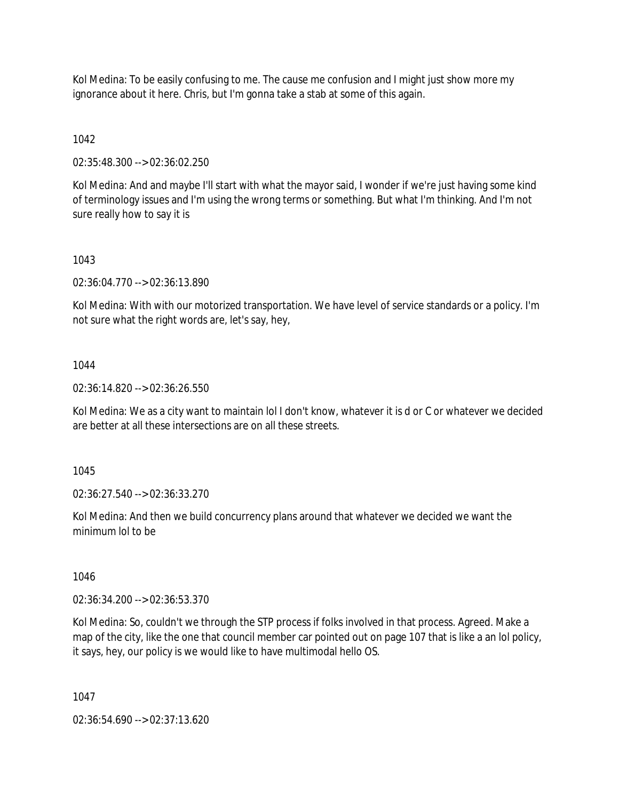Kol Medina: To be easily confusing to me. The cause me confusion and I might just show more my ignorance about it here. Chris, but I'm gonna take a stab at some of this again.

1042

02:35:48.300 --> 02:36:02.250

Kol Medina: And and maybe I'll start with what the mayor said, I wonder if we're just having some kind of terminology issues and I'm using the wrong terms or something. But what I'm thinking. And I'm not sure really how to say it is

## 1043

02:36:04.770 --> 02:36:13.890

Kol Medina: With with our motorized transportation. We have level of service standards or a policy. I'm not sure what the right words are, let's say, hey,

## 1044

02:36:14.820 --> 02:36:26.550

Kol Medina: We as a city want to maintain lol I don't know, whatever it is d or C or whatever we decided are better at all these intersections are on all these streets.

1045

02:36:27.540 --> 02:36:33.270

Kol Medina: And then we build concurrency plans around that whatever we decided we want the minimum lol to be

1046

02:36:34.200 --> 02:36:53.370

Kol Medina: So, couldn't we through the STP process if folks involved in that process. Agreed. Make a map of the city, like the one that council member car pointed out on page 107 that is like a an lol policy, it says, hey, our policy is we would like to have multimodal hello OS.

1047

02:36:54.690 --> 02:37:13.620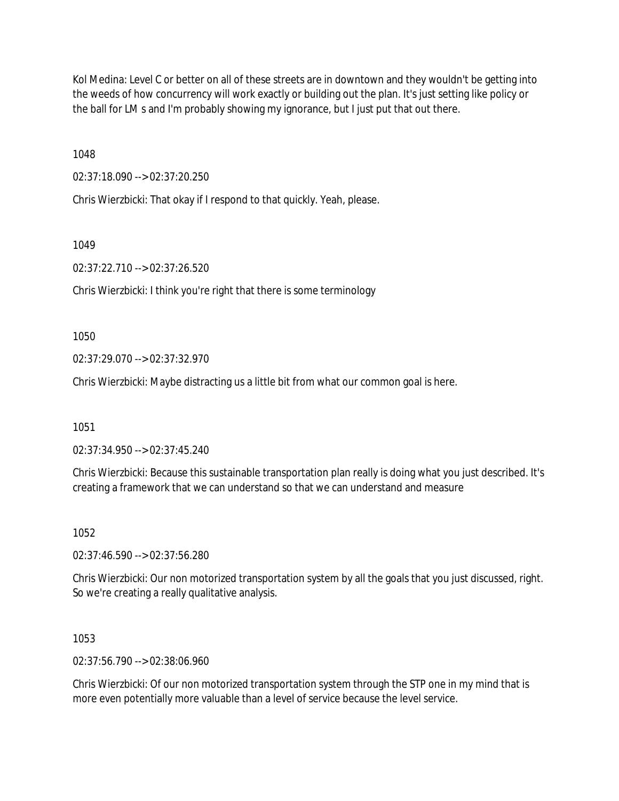Kol Medina: Level C or better on all of these streets are in downtown and they wouldn't be getting into the weeds of how concurrency will work exactly or building out the plan. It's just setting like policy or the ball for LM s and I'm probably showing my ignorance, but I just put that out there.

1048

02:37:18.090 --> 02:37:20.250

Chris Wierzbicki: That okay if I respond to that quickly. Yeah, please.

1049

02:37:22.710 --> 02:37:26.520

Chris Wierzbicki: I think you're right that there is some terminology

1050

02:37:29.070 --> 02:37:32.970

Chris Wierzbicki: Maybe distracting us a little bit from what our common goal is here.

1051

02:37:34.950 --> 02:37:45.240

Chris Wierzbicki: Because this sustainable transportation plan really is doing what you just described. It's creating a framework that we can understand so that we can understand and measure

1052

02:37:46.590 --> 02:37:56.280

Chris Wierzbicki: Our non motorized transportation system by all the goals that you just discussed, right. So we're creating a really qualitative analysis.

1053

02:37:56.790 --> 02:38:06.960

Chris Wierzbicki: Of our non motorized transportation system through the STP one in my mind that is more even potentially more valuable than a level of service because the level service.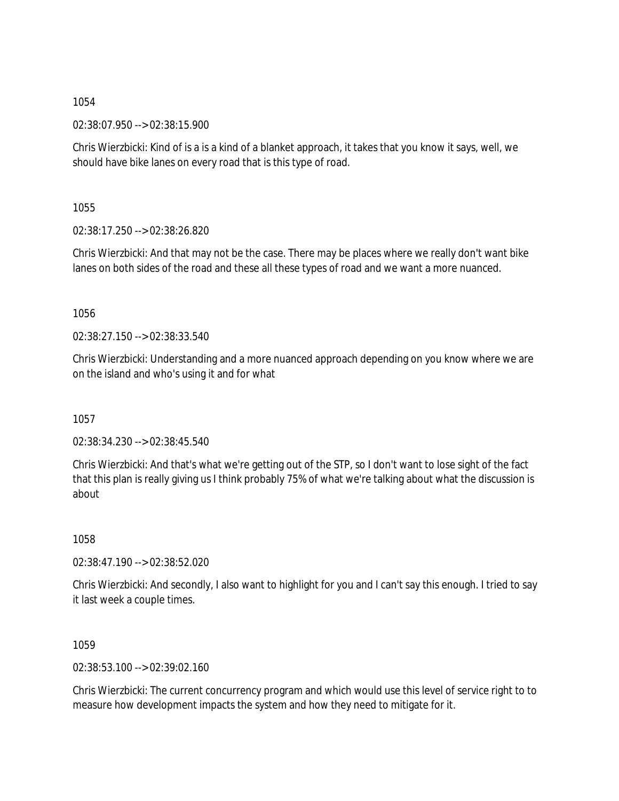02:38:07.950 --> 02:38:15.900

Chris Wierzbicki: Kind of is a is a kind of a blanket approach, it takes that you know it says, well, we should have bike lanes on every road that is this type of road.

1055

02:38:17.250 --> 02:38:26.820

Chris Wierzbicki: And that may not be the case. There may be places where we really don't want bike lanes on both sides of the road and these all these types of road and we want a more nuanced.

1056

02:38:27.150 --> 02:38:33.540

Chris Wierzbicki: Understanding and a more nuanced approach depending on you know where we are on the island and who's using it and for what

1057

02:38:34.230 --> 02:38:45.540

Chris Wierzbicki: And that's what we're getting out of the STP, so I don't want to lose sight of the fact that this plan is really giving us I think probably 75% of what we're talking about what the discussion is about

1058

02:38:47.190 --> 02:38:52.020

Chris Wierzbicki: And secondly, I also want to highlight for you and I can't say this enough. I tried to say it last week a couple times.

1059

02:38:53.100 --> 02:39:02.160

Chris Wierzbicki: The current concurrency program and which would use this level of service right to to measure how development impacts the system and how they need to mitigate for it.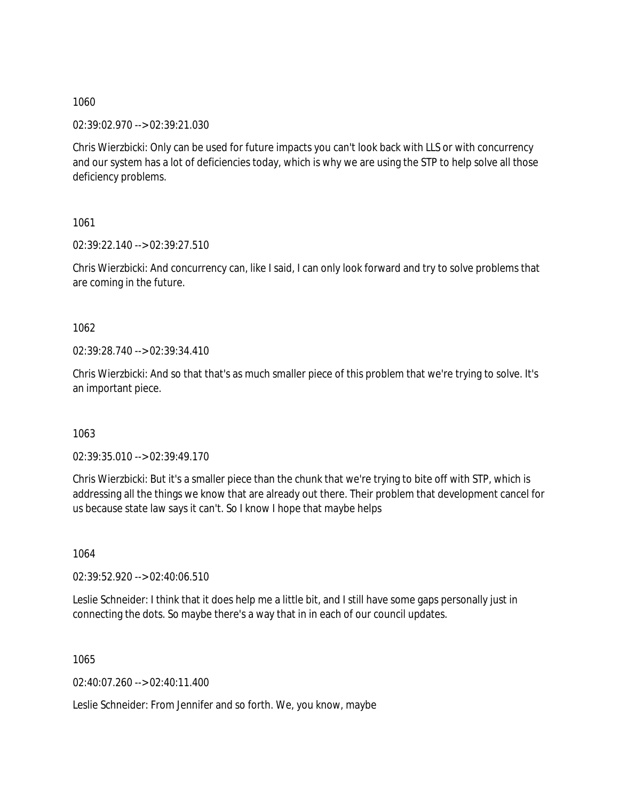02:39:02.970 --> 02:39:21.030

Chris Wierzbicki: Only can be used for future impacts you can't look back with LLS or with concurrency and our system has a lot of deficiencies today, which is why we are using the STP to help solve all those deficiency problems.

1061

02:39:22.140 --> 02:39:27.510

Chris Wierzbicki: And concurrency can, like I said, I can only look forward and try to solve problems that are coming in the future.

1062

02:39:28.740 --> 02:39:34.410

Chris Wierzbicki: And so that that's as much smaller piece of this problem that we're trying to solve. It's an important piece.

1063

02:39:35.010 --> 02:39:49.170

Chris Wierzbicki: But it's a smaller piece than the chunk that we're trying to bite off with STP, which is addressing all the things we know that are already out there. Their problem that development cancel for us because state law says it can't. So I know I hope that maybe helps

1064

02:39:52.920 --> 02:40:06.510

Leslie Schneider: I think that it does help me a little bit, and I still have some gaps personally just in connecting the dots. So maybe there's a way that in in each of our council updates.

1065

02:40:07.260 --> 02:40:11.400

Leslie Schneider: From Jennifer and so forth. We, you know, maybe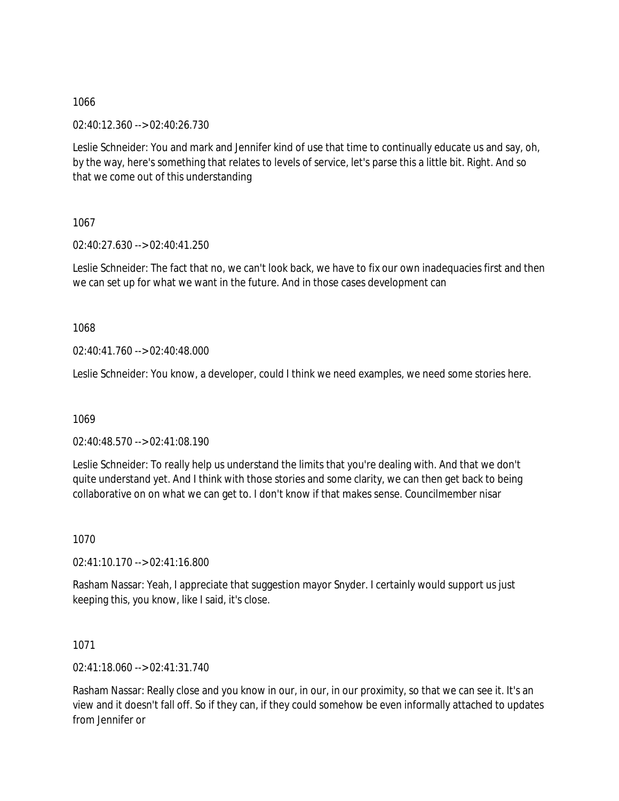02:40:12.360 --> 02:40:26.730

Leslie Schneider: You and mark and Jennifer kind of use that time to continually educate us and say, oh, by the way, here's something that relates to levels of service, let's parse this a little bit. Right. And so that we come out of this understanding

1067

02:40:27.630 --> 02:40:41.250

Leslie Schneider: The fact that no, we can't look back, we have to fix our own inadequacies first and then we can set up for what we want in the future. And in those cases development can

1068

02:40:41.760 --> 02:40:48.000

Leslie Schneider: You know, a developer, could I think we need examples, we need some stories here.

1069

02:40:48.570 --> 02:41:08.190

Leslie Schneider: To really help us understand the limits that you're dealing with. And that we don't quite understand yet. And I think with those stories and some clarity, we can then get back to being collaborative on on what we can get to. I don't know if that makes sense. Councilmember nisar

1070

02:41:10.170 --> 02:41:16.800

Rasham Nassar: Yeah, I appreciate that suggestion mayor Snyder. I certainly would support us just keeping this, you know, like I said, it's close.

1071

02:41:18.060 --> 02:41:31.740

Rasham Nassar: Really close and you know in our, in our, in our proximity, so that we can see it. It's an view and it doesn't fall off. So if they can, if they could somehow be even informally attached to updates from Jennifer or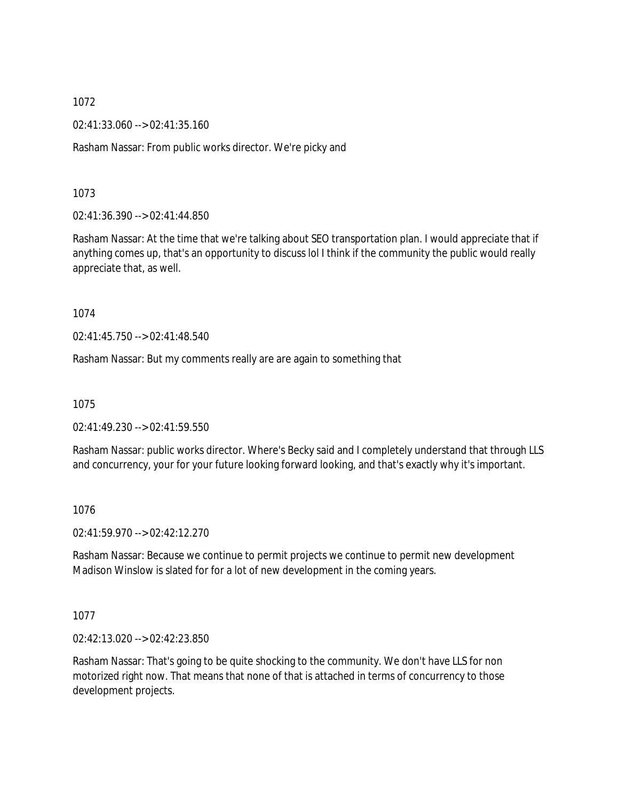02:41:33.060 --> 02:41:35.160

Rasham Nassar: From public works director. We're picky and

1073

02:41:36.390 --> 02:41:44.850

Rasham Nassar: At the time that we're talking about SEO transportation plan. I would appreciate that if anything comes up, that's an opportunity to discuss lol I think if the community the public would really appreciate that, as well.

1074

02:41:45.750 --> 02:41:48.540

Rasham Nassar: But my comments really are are again to something that

1075

02:41:49.230 --> 02:41:59.550

Rasham Nassar: public works director. Where's Becky said and I completely understand that through LLS and concurrency, your for your future looking forward looking, and that's exactly why it's important.

1076

02:41:59.970 --> 02:42:12.270

Rasham Nassar: Because we continue to permit projects we continue to permit new development Madison Winslow is slated for for a lot of new development in the coming years.

1077

02:42:13.020 --> 02:42:23.850

Rasham Nassar: That's going to be quite shocking to the community. We don't have LLS for non motorized right now. That means that none of that is attached in terms of concurrency to those development projects.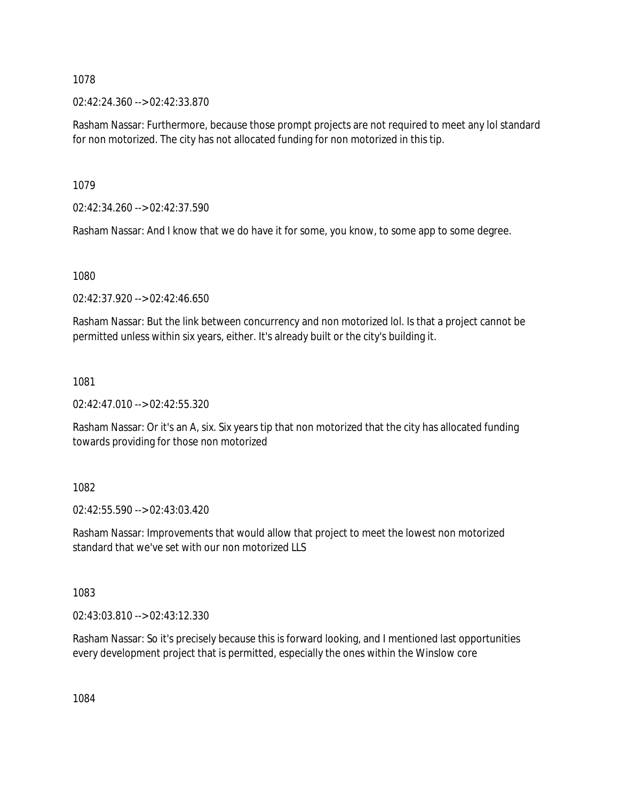02:42:24.360 --> 02:42:33.870

Rasham Nassar: Furthermore, because those prompt projects are not required to meet any lol standard for non motorized. The city has not allocated funding for non motorized in this tip.

1079

02:42:34.260 --> 02:42:37.590

Rasham Nassar: And I know that we do have it for some, you know, to some app to some degree.

1080

02:42:37.920 --> 02:42:46.650

Rasham Nassar: But the link between concurrency and non motorized lol. Is that a project cannot be permitted unless within six years, either. It's already built or the city's building it.

1081

02:42:47.010 --> 02:42:55.320

Rasham Nassar: Or it's an A, six. Six years tip that non motorized that the city has allocated funding towards providing for those non motorized

1082

02:42:55.590 --> 02:43:03.420

Rasham Nassar: Improvements that would allow that project to meet the lowest non motorized standard that we've set with our non motorized LLS

1083

02:43:03.810 --> 02:43:12.330

Rasham Nassar: So it's precisely because this is forward looking, and I mentioned last opportunities every development project that is permitted, especially the ones within the Winslow core

1084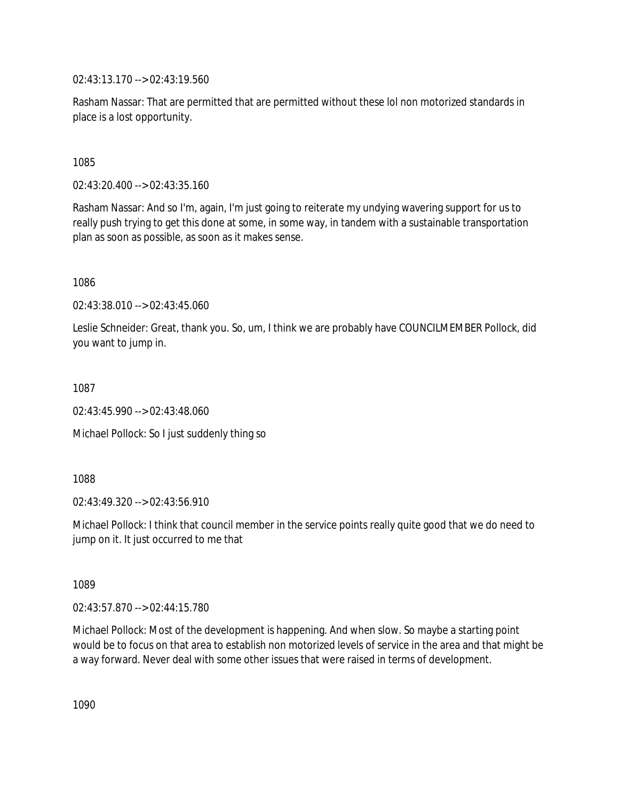02:43:13.170 --> 02:43:19.560

Rasham Nassar: That are permitted that are permitted without these lol non motorized standards in place is a lost opportunity.

1085

02:43:20.400 --> 02:43:35.160

Rasham Nassar: And so I'm, again, I'm just going to reiterate my undying wavering support for us to really push trying to get this done at some, in some way, in tandem with a sustainable transportation plan as soon as possible, as soon as it makes sense.

1086

02:43:38.010 --> 02:43:45.060

Leslie Schneider: Great, thank you. So, um, I think we are probably have COUNCILMEMBER Pollock, did you want to jump in.

1087

02:43:45.990 --> 02:43:48.060

Michael Pollock: So I just suddenly thing so

1088

02:43:49.320 --> 02:43:56.910

Michael Pollock: I think that council member in the service points really quite good that we do need to jump on it. It just occurred to me that

1089

02:43:57.870 --> 02:44:15.780

Michael Pollock: Most of the development is happening. And when slow. So maybe a starting point would be to focus on that area to establish non motorized levels of service in the area and that might be a way forward. Never deal with some other issues that were raised in terms of development.

1090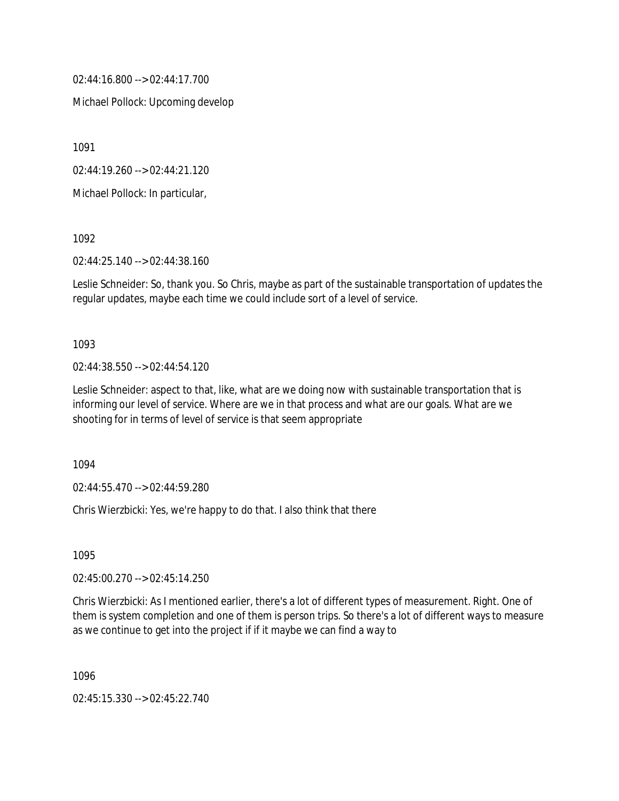02:44:16.800 --> 02:44:17.700

Michael Pollock: Upcoming develop

1091

02:44:19.260 --> 02:44:21.120

Michael Pollock: In particular,

1092

02:44:25.140 --> 02:44:38.160

Leslie Schneider: So, thank you. So Chris, maybe as part of the sustainable transportation of updates the regular updates, maybe each time we could include sort of a level of service.

#### 1093

02:44:38.550 --> 02:44:54.120

Leslie Schneider: aspect to that, like, what are we doing now with sustainable transportation that is informing our level of service. Where are we in that process and what are our goals. What are we shooting for in terms of level of service is that seem appropriate

1094

02:44:55.470 --> 02:44:59.280

Chris Wierzbicki: Yes, we're happy to do that. I also think that there

1095

02:45:00.270 --> 02:45:14.250

Chris Wierzbicki: As I mentioned earlier, there's a lot of different types of measurement. Right. One of them is system completion and one of them is person trips. So there's a lot of different ways to measure as we continue to get into the project if if it maybe we can find a way to

1096

02:45:15.330 --> 02:45:22.740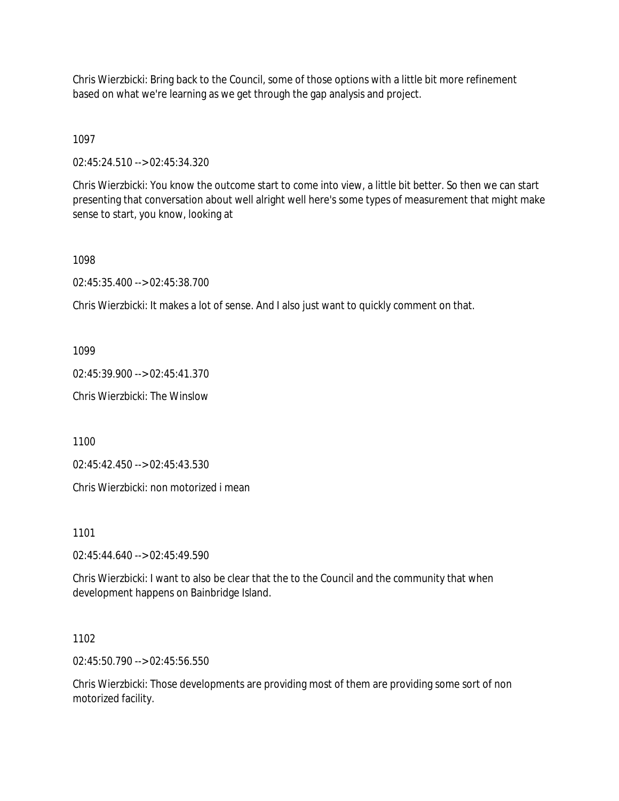Chris Wierzbicki: Bring back to the Council, some of those options with a little bit more refinement based on what we're learning as we get through the gap analysis and project.

1097

02:45:24.510 --> 02:45:34.320

Chris Wierzbicki: You know the outcome start to come into view, a little bit better. So then we can start presenting that conversation about well alright well here's some types of measurement that might make sense to start, you know, looking at

1098

02:45:35.400 --> 02:45:38.700

Chris Wierzbicki: It makes a lot of sense. And I also just want to quickly comment on that.

1099

02:45:39.900 --> 02:45:41.370

Chris Wierzbicki: The Winslow

1100

02:45:42.450 --> 02:45:43.530

Chris Wierzbicki: non motorized i mean

1101

02:45:44.640 --> 02:45:49.590

Chris Wierzbicki: I want to also be clear that the to the Council and the community that when development happens on Bainbridge Island.

1102

02:45:50.790 --> 02:45:56.550

Chris Wierzbicki: Those developments are providing most of them are providing some sort of non motorized facility.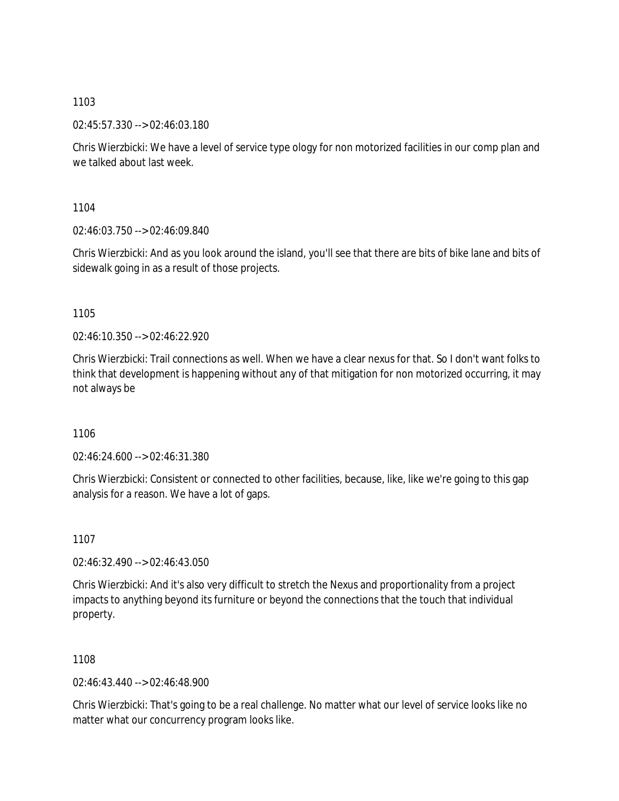02:45:57.330 --> 02:46:03.180

Chris Wierzbicki: We have a level of service type ology for non motorized facilities in our comp plan and we talked about last week.

1104

02:46:03.750 --> 02:46:09.840

Chris Wierzbicki: And as you look around the island, you'll see that there are bits of bike lane and bits of sidewalk going in as a result of those projects.

1105

 $02.46.10.350 -> 02.46.22.920$ 

Chris Wierzbicki: Trail connections as well. When we have a clear nexus for that. So I don't want folks to think that development is happening without any of that mitigation for non motorized occurring, it may not always be

1106

02:46:24.600 --> 02:46:31.380

Chris Wierzbicki: Consistent or connected to other facilities, because, like, like we're going to this gap analysis for a reason. We have a lot of gaps.

1107

02:46:32.490 --> 02:46:43.050

Chris Wierzbicki: And it's also very difficult to stretch the Nexus and proportionality from a project impacts to anything beyond its furniture or beyond the connections that the touch that individual property.

1108

02:46:43.440 --> 02:46:48.900

Chris Wierzbicki: That's going to be a real challenge. No matter what our level of service looks like no matter what our concurrency program looks like.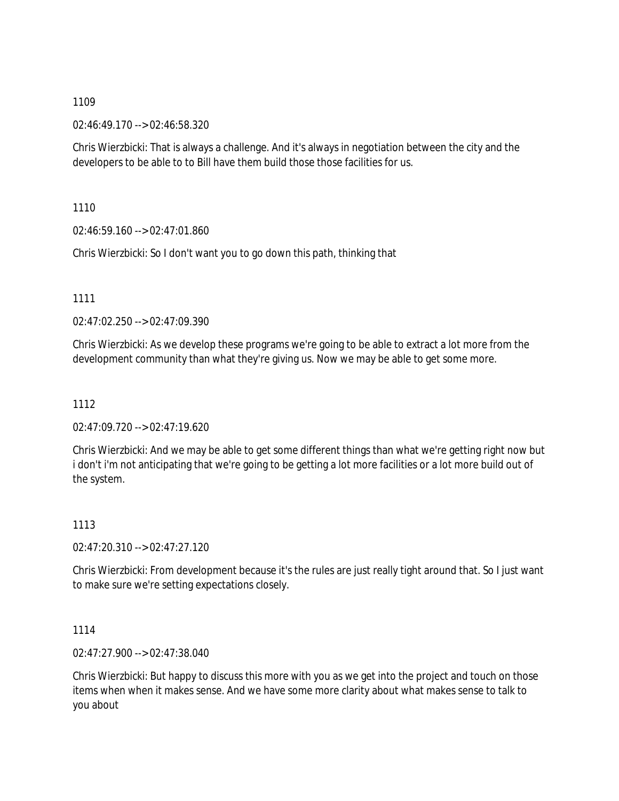02:46:49.170 --> 02:46:58.320

Chris Wierzbicki: That is always a challenge. And it's always in negotiation between the city and the developers to be able to to Bill have them build those those facilities for us.

1110

02:46:59.160 --> 02:47:01.860

Chris Wierzbicki: So I don't want you to go down this path, thinking that

1111

02:47:02.250 --> 02:47:09.390

Chris Wierzbicki: As we develop these programs we're going to be able to extract a lot more from the development community than what they're giving us. Now we may be able to get some more.

1112

02:47:09.720 --> 02:47:19.620

Chris Wierzbicki: And we may be able to get some different things than what we're getting right now but i don't i'm not anticipating that we're going to be getting a lot more facilities or a lot more build out of the system.

1113

02:47:20.310 --> 02:47:27.120

Chris Wierzbicki: From development because it's the rules are just really tight around that. So I just want to make sure we're setting expectations closely.

1114

02:47:27.900 --> 02:47:38.040

Chris Wierzbicki: But happy to discuss this more with you as we get into the project and touch on those items when when it makes sense. And we have some more clarity about what makes sense to talk to you about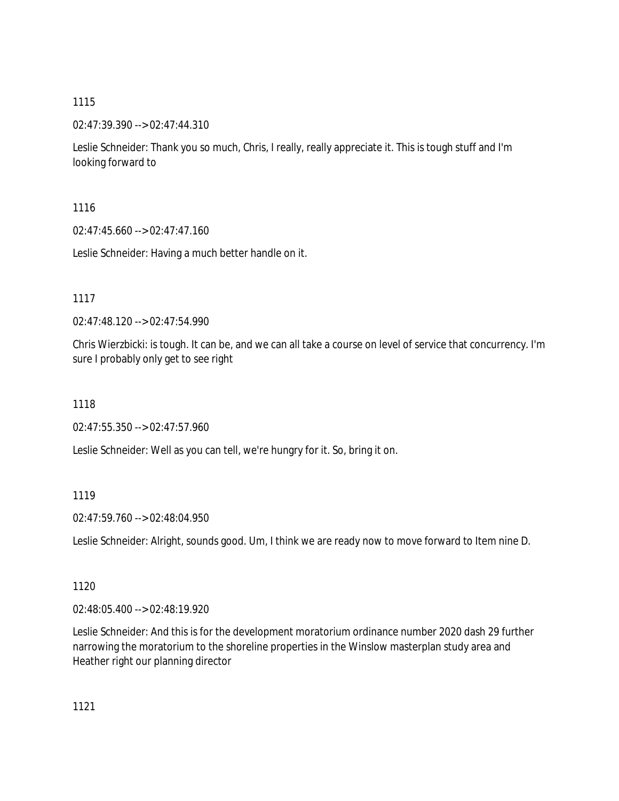02:47:39.390 --> 02:47:44.310

Leslie Schneider: Thank you so much, Chris, I really, really appreciate it. This is tough stuff and I'm looking forward to

1116

02:47:45.660 --> 02:47:47.160

Leslie Schneider: Having a much better handle on it.

# 1117

02:47:48.120 --> 02:47:54.990

Chris Wierzbicki: is tough. It can be, and we can all take a course on level of service that concurrency. I'm sure I probably only get to see right

1118

02:47:55.350 --> 02:47:57.960

Leslie Schneider: Well as you can tell, we're hungry for it. So, bring it on.

# 1119

02:47:59.760 --> 02:48:04.950

Leslie Schneider: Alright, sounds good. Um, I think we are ready now to move forward to Item nine D.

1120

02:48:05.400 --> 02:48:19.920

Leslie Schneider: And this is for the development moratorium ordinance number 2020 dash 29 further narrowing the moratorium to the shoreline properties in the Winslow masterplan study area and Heather right our planning director

1121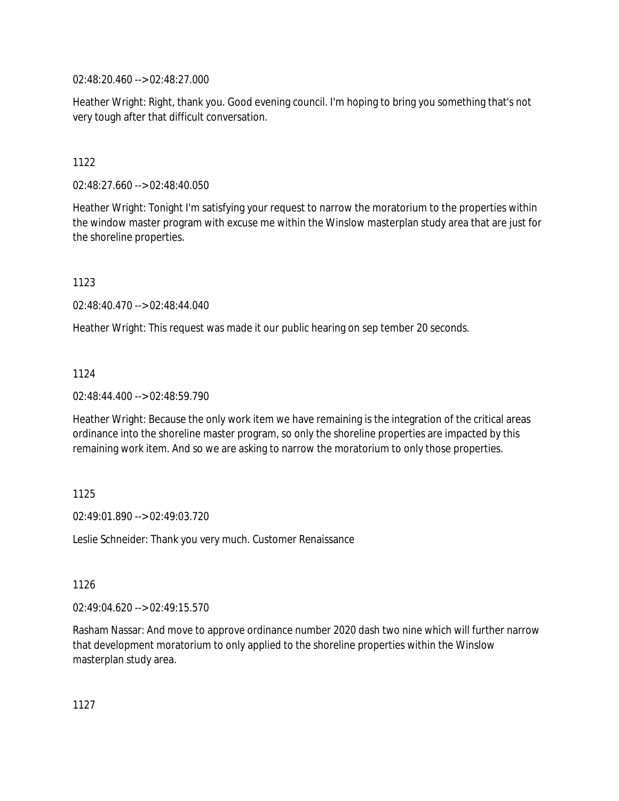02:48:20.460 --> 02:48:27.000

Heather Wright: Right, thank you. Good evening council. I'm hoping to bring you something that's not very tough after that difficult conversation.

1122

02:48:27.660 --> 02:48:40.050

Heather Wright: Tonight I'm satisfying your request to narrow the moratorium to the properties within the window master program with excuse me within the Winslow masterplan study area that are just for the shoreline properties.

1123

02:48:40.470 --> 02:48:44.040

Heather Wright: This request was made it our public hearing on sep tember 20 seconds.

1124

02:48:44.400 --> 02:48:59.790

Heather Wright: Because the only work item we have remaining is the integration of the critical areas ordinance into the shoreline master program, so only the shoreline properties are impacted by this remaining work item. And so we are asking to narrow the moratorium to only those properties.

1125

02:49:01.890 --> 02:49:03.720

Leslie Schneider: Thank you very much. Customer Renaissance

1126

02:49:04.620 --> 02:49:15.570

Rasham Nassar: And move to approve ordinance number 2020 dash two nine which will further narrow that development moratorium to only applied to the shoreline properties within the Winslow masterplan study area.

1127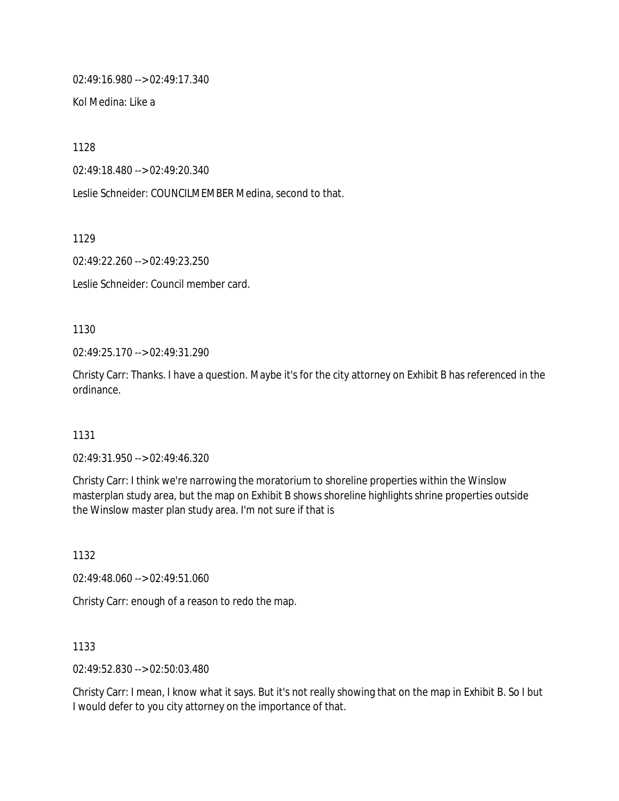02:49:16.980 --> 02:49:17.340

Kol Medina: Like a

1128

02:49:18.480 --> 02:49:20.340

Leslie Schneider: COUNCILMEMBER Medina, second to that.

1129

02:49:22.260 --> 02:49:23.250

Leslie Schneider: Council member card.

1130

02:49:25.170 --> 02:49:31.290

Christy Carr: Thanks. I have a question. Maybe it's for the city attorney on Exhibit B has referenced in the ordinance.

#### 1131

02:49:31.950 --> 02:49:46.320

Christy Carr: I think we're narrowing the moratorium to shoreline properties within the Winslow masterplan study area, but the map on Exhibit B shows shoreline highlights shrine properties outside the Winslow master plan study area. I'm not sure if that is

1132

02:49:48.060 --> 02:49:51.060

Christy Carr: enough of a reason to redo the map.

1133

02:49:52.830 --> 02:50:03.480

Christy Carr: I mean, I know what it says. But it's not really showing that on the map in Exhibit B. So I but I would defer to you city attorney on the importance of that.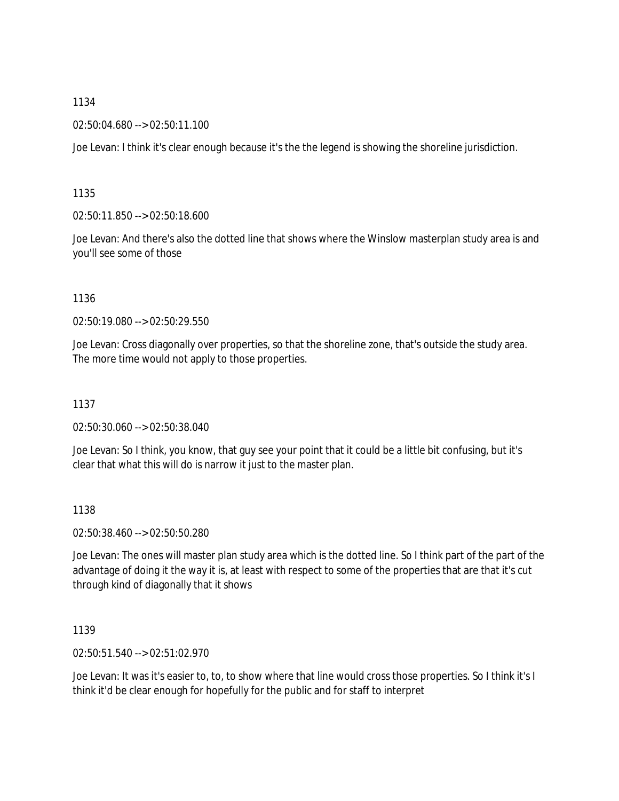### 02:50:04.680 --> 02:50:11.100

Joe Levan: I think it's clear enough because it's the the legend is showing the shoreline jurisdiction.

1135

02:50:11.850 --> 02:50:18.600

Joe Levan: And there's also the dotted line that shows where the Winslow masterplan study area is and you'll see some of those

1136

02:50:19.080 --> 02:50:29.550

Joe Levan: Cross diagonally over properties, so that the shoreline zone, that's outside the study area. The more time would not apply to those properties.

1137

02:50:30.060 --> 02:50:38.040

Joe Levan: So I think, you know, that guy see your point that it could be a little bit confusing, but it's clear that what this will do is narrow it just to the master plan.

1138

02:50:38.460 --> 02:50:50.280

Joe Levan: The ones will master plan study area which is the dotted line. So I think part of the part of the advantage of doing it the way it is, at least with respect to some of the properties that are that it's cut through kind of diagonally that it shows

1139

02:50:51.540 --> 02:51:02.970

Joe Levan: It was it's easier to, to, to show where that line would cross those properties. So I think it's I think it'd be clear enough for hopefully for the public and for staff to interpret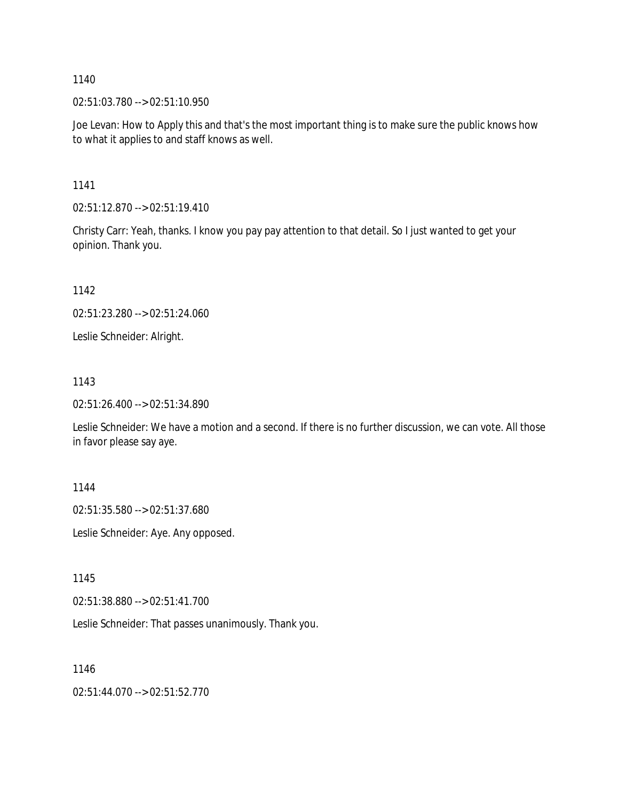02:51:03.780 --> 02:51:10.950

Joe Levan: How to Apply this and that's the most important thing is to make sure the public knows how to what it applies to and staff knows as well.

1141

02:51:12.870 --> 02:51:19.410

Christy Carr: Yeah, thanks. I know you pay pay attention to that detail. So I just wanted to get your opinion. Thank you.

1142

02:51:23.280 --> 02:51:24.060

Leslie Schneider: Alright.

1143

02:51:26.400 --> 02:51:34.890

Leslie Schneider: We have a motion and a second. If there is no further discussion, we can vote. All those in favor please say aye.

1144

02:51:35.580 --> 02:51:37.680

Leslie Schneider: Aye. Any opposed.

1145

02:51:38.880 --> 02:51:41.700

Leslie Schneider: That passes unanimously. Thank you.

1146

02:51:44.070 --> 02:51:52.770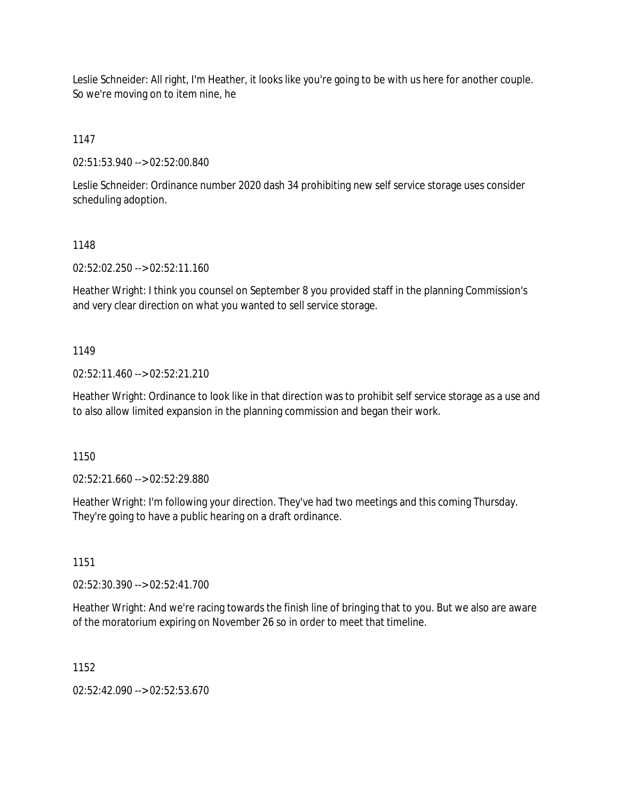Leslie Schneider: All right, I'm Heather, it looks like you're going to be with us here for another couple. So we're moving on to item nine, he

1147

02:51:53.940 --> 02:52:00.840

Leslie Schneider: Ordinance number 2020 dash 34 prohibiting new self service storage uses consider scheduling adoption.

# 1148

02:52:02.250 --> 02:52:11.160

Heather Wright: I think you counsel on September 8 you provided staff in the planning Commission's and very clear direction on what you wanted to sell service storage.

# 1149

02:52:11.460 --> 02:52:21.210

Heather Wright: Ordinance to look like in that direction was to prohibit self service storage as a use and to also allow limited expansion in the planning commission and began their work.

1150

02:52:21.660 --> 02:52:29.880

Heather Wright: I'm following your direction. They've had two meetings and this coming Thursday. They're going to have a public hearing on a draft ordinance.

1151

02:52:30.390 --> 02:52:41.700

Heather Wright: And we're racing towards the finish line of bringing that to you. But we also are aware of the moratorium expiring on November 26 so in order to meet that timeline.

1152

02:52:42.090 --> 02:52:53.670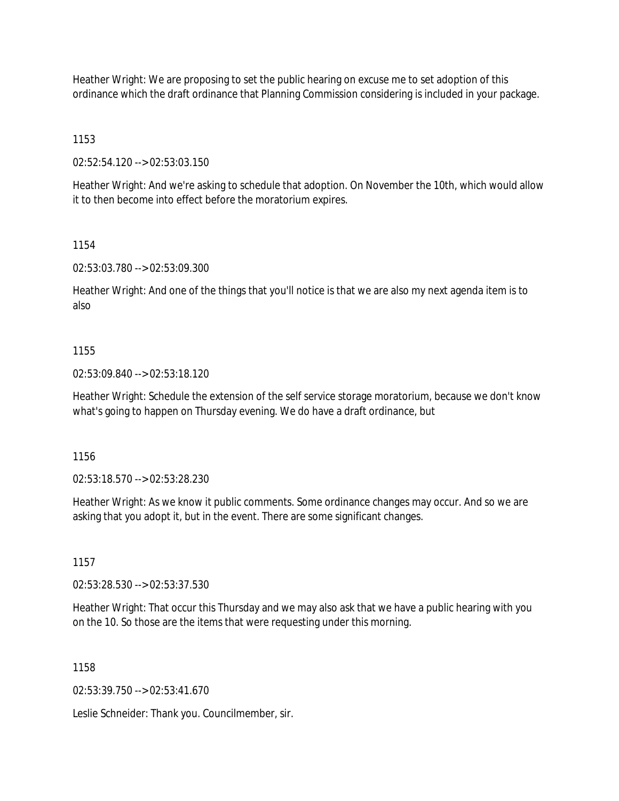Heather Wright: We are proposing to set the public hearing on excuse me to set adoption of this ordinance which the draft ordinance that Planning Commission considering is included in your package.

1153

02:52:54.120 --> 02:53:03.150

Heather Wright: And we're asking to schedule that adoption. On November the 10th, which would allow it to then become into effect before the moratorium expires.

#### 1154

02:53:03.780 --> 02:53:09.300

Heather Wright: And one of the things that you'll notice is that we are also my next agenda item is to also

#### 1155

02:53:09.840 --> 02:53:18.120

Heather Wright: Schedule the extension of the self service storage moratorium, because we don't know what's going to happen on Thursday evening. We do have a draft ordinance, but

1156

02:53:18.570 --> 02:53:28.230

Heather Wright: As we know it public comments. Some ordinance changes may occur. And so we are asking that you adopt it, but in the event. There are some significant changes.

1157

02:53:28.530 --> 02:53:37.530

Heather Wright: That occur this Thursday and we may also ask that we have a public hearing with you on the 10. So those are the items that were requesting under this morning.

1158

02:53:39.750 --> 02:53:41.670

Leslie Schneider: Thank you. Councilmember, sir.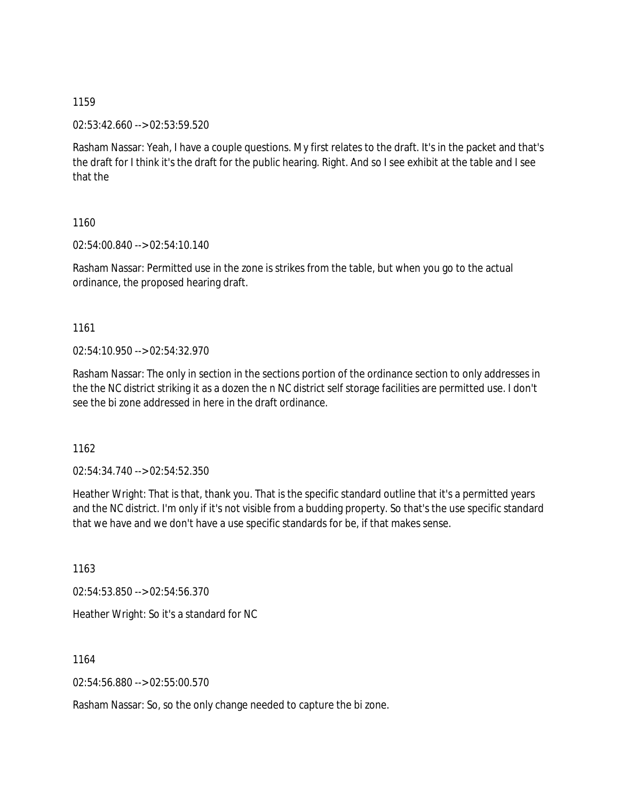02:53:42.660 --> 02:53:59.520

Rasham Nassar: Yeah, I have a couple questions. My first relates to the draft. It's in the packet and that's the draft for I think it's the draft for the public hearing. Right. And so I see exhibit at the table and I see that the

1160

02:54:00.840 --> 02:54:10.140

Rasham Nassar: Permitted use in the zone is strikes from the table, but when you go to the actual ordinance, the proposed hearing draft.

1161

02:54:10.950 --> 02:54:32.970

Rasham Nassar: The only in section in the sections portion of the ordinance section to only addresses in the the NC district striking it as a dozen the n NC district self storage facilities are permitted use. I don't see the bi zone addressed in here in the draft ordinance.

1162

02:54:34.740 --> 02:54:52.350

Heather Wright: That is that, thank you. That is the specific standard outline that it's a permitted years and the NC district. I'm only if it's not visible from a budding property. So that's the use specific standard that we have and we don't have a use specific standards for be, if that makes sense.

1163

02:54:53.850 --> 02:54:56.370

Heather Wright: So it's a standard for NC

1164

02:54:56.880 --> 02:55:00.570

Rasham Nassar: So, so the only change needed to capture the bi zone.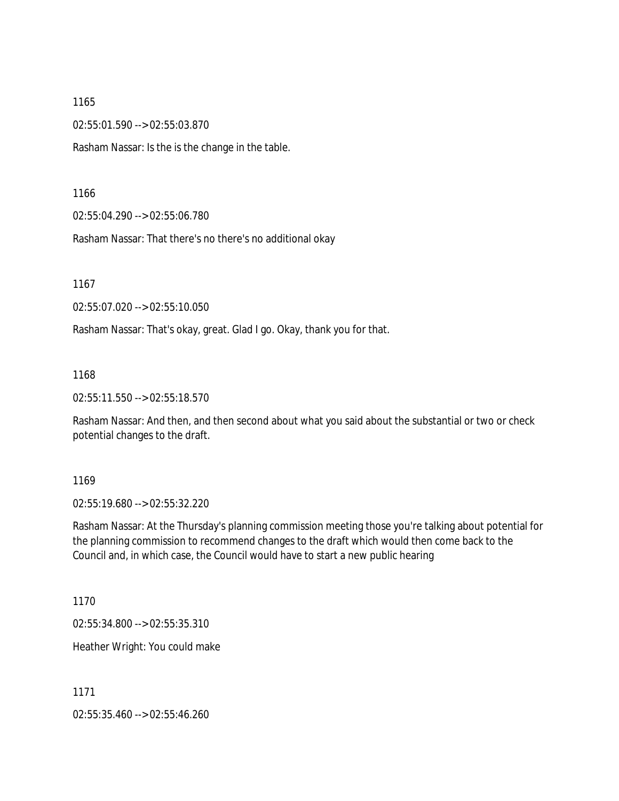02:55:01.590 --> 02:55:03.870

Rasham Nassar: Is the is the change in the table.

1166

02:55:04.290 --> 02:55:06.780

Rasham Nassar: That there's no there's no additional okay

1167

02:55:07.020 --> 02:55:10.050

Rasham Nassar: That's okay, great. Glad I go. Okay, thank you for that.

1168

02:55:11.550 --> 02:55:18.570

Rasham Nassar: And then, and then second about what you said about the substantial or two or check potential changes to the draft.

1169

02:55:19.680 --> 02:55:32.220

Rasham Nassar: At the Thursday's planning commission meeting those you're talking about potential for the planning commission to recommend changes to the draft which would then come back to the Council and, in which case, the Council would have to start a new public hearing

1170

02:55:34.800 --> 02:55:35.310

Heather Wright: You could make

1171

02:55:35.460 --> 02:55:46.260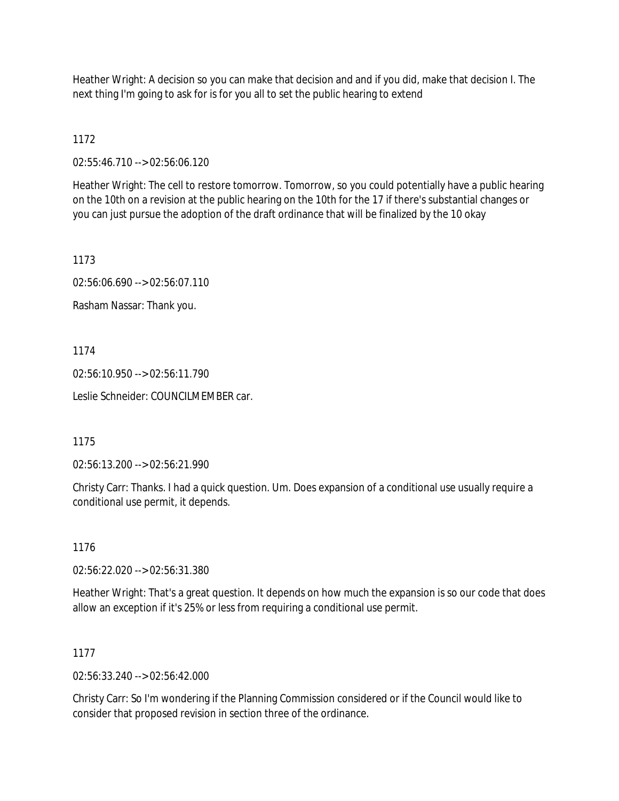Heather Wright: A decision so you can make that decision and and if you did, make that decision I. The next thing I'm going to ask for is for you all to set the public hearing to extend

1172

02:55:46.710 --> 02:56:06.120

Heather Wright: The cell to restore tomorrow. Tomorrow, so you could potentially have a public hearing on the 10th on a revision at the public hearing on the 10th for the 17 if there's substantial changes or you can just pursue the adoption of the draft ordinance that will be finalized by the 10 okay

1173

02:56:06.690 --> 02:56:07.110

Rasham Nassar: Thank you.

1174

02:56:10.950 --> 02:56:11.790

Leslie Schneider: COUNCILMEMBER car.

1175

02:56:13.200 --> 02:56:21.990

Christy Carr: Thanks. I had a quick question. Um. Does expansion of a conditional use usually require a conditional use permit, it depends.

1176

02:56:22.020 --> 02:56:31.380

Heather Wright: That's a great question. It depends on how much the expansion is so our code that does allow an exception if it's 25% or less from requiring a conditional use permit.

# 1177

02:56:33.240 --> 02:56:42.000

Christy Carr: So I'm wondering if the Planning Commission considered or if the Council would like to consider that proposed revision in section three of the ordinance.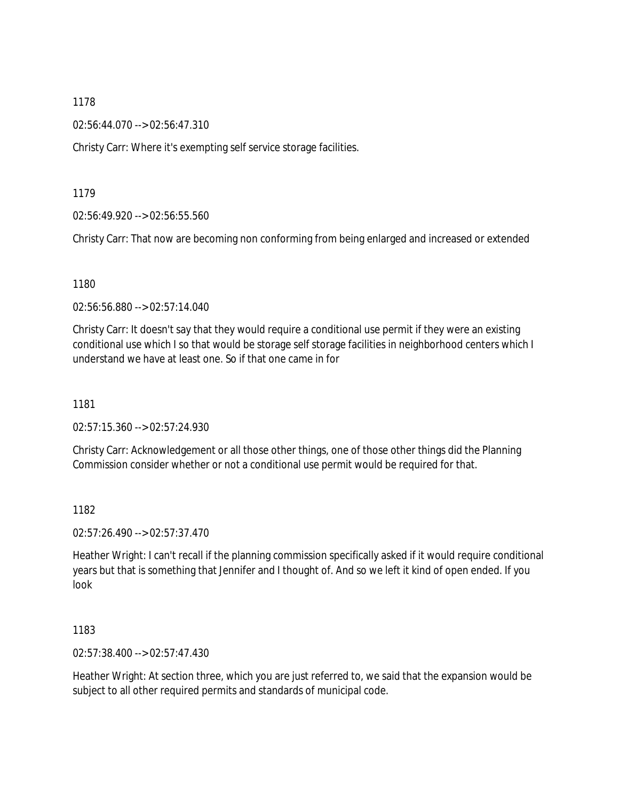02:56:44.070 --> 02:56:47.310

Christy Carr: Where it's exempting self service storage facilities.

#### 1179

02:56:49.920 --> 02:56:55.560

Christy Carr: That now are becoming non conforming from being enlarged and increased or extended

### 1180

02:56:56.880 --> 02:57:14.040

Christy Carr: It doesn't say that they would require a conditional use permit if they were an existing conditional use which I so that would be storage self storage facilities in neighborhood centers which I understand we have at least one. So if that one came in for

### 1181

02:57:15.360 --> 02:57:24.930

Christy Carr: Acknowledgement or all those other things, one of those other things did the Planning Commission consider whether or not a conditional use permit would be required for that.

### 1182

02:57:26.490 --> 02:57:37.470

Heather Wright: I can't recall if the planning commission specifically asked if it would require conditional years but that is something that Jennifer and I thought of. And so we left it kind of open ended. If you look

### 1183

02:57:38.400 --> 02:57:47.430

Heather Wright: At section three, which you are just referred to, we said that the expansion would be subject to all other required permits and standards of municipal code.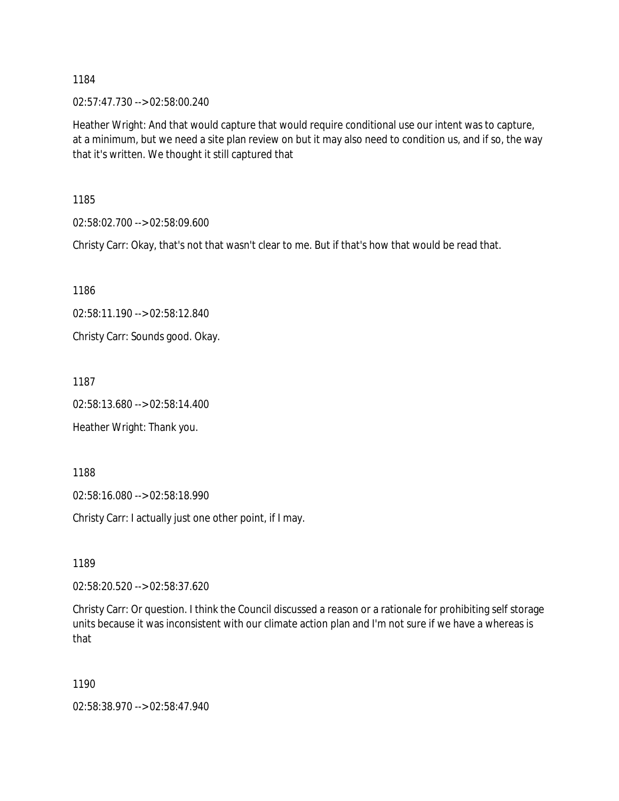02:57:47.730 --> 02:58:00.240

Heather Wright: And that would capture that would require conditional use our intent was to capture, at a minimum, but we need a site plan review on but it may also need to condition us, and if so, the way that it's written. We thought it still captured that

1185

02:58:02.700 --> 02:58:09.600

Christy Carr: Okay, that's not that wasn't clear to me. But if that's how that would be read that.

1186

02:58:11.190 --> 02:58:12.840 Christy Carr: Sounds good. Okay.

1187

02:58:13.680 --> 02:58:14.400

Heather Wright: Thank you.

1188

02:58:16.080 --> 02:58:18.990

Christy Carr: I actually just one other point, if I may.

1189

02:58:20.520 --> 02:58:37.620

Christy Carr: Or question. I think the Council discussed a reason or a rationale for prohibiting self storage units because it was inconsistent with our climate action plan and I'm not sure if we have a whereas is that

1190

02:58:38.970 --> 02:58:47.940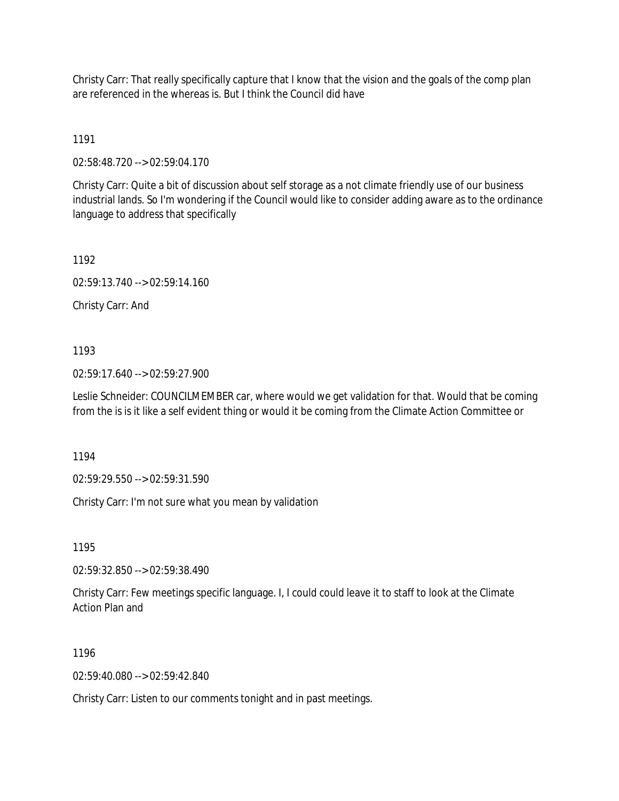Christy Carr: That really specifically capture that I know that the vision and the goals of the comp plan are referenced in the whereas is. But I think the Council did have

1191

02:58:48.720 --> 02:59:04.170

Christy Carr: Quite a bit of discussion about self storage as a not climate friendly use of our business industrial lands. So I'm wondering if the Council would like to consider adding aware as to the ordinance language to address that specifically

1192

02:59:13.740 --> 02:59:14.160

Christy Carr: And

1193

02:59:17.640 --> 02:59:27.900

Leslie Schneider: COUNCILMEMBER car, where would we get validation for that. Would that be coming from the is is it like a self evident thing or would it be coming from the Climate Action Committee or

1194

02:59:29.550 --> 02:59:31.590

Christy Carr: I'm not sure what you mean by validation

1195

02:59:32.850 --> 02:59:38.490

Christy Carr: Few meetings specific language. I, I could could leave it to staff to look at the Climate Action Plan and

1196

02:59:40.080 --> 02:59:42.840

Christy Carr: Listen to our comments tonight and in past meetings.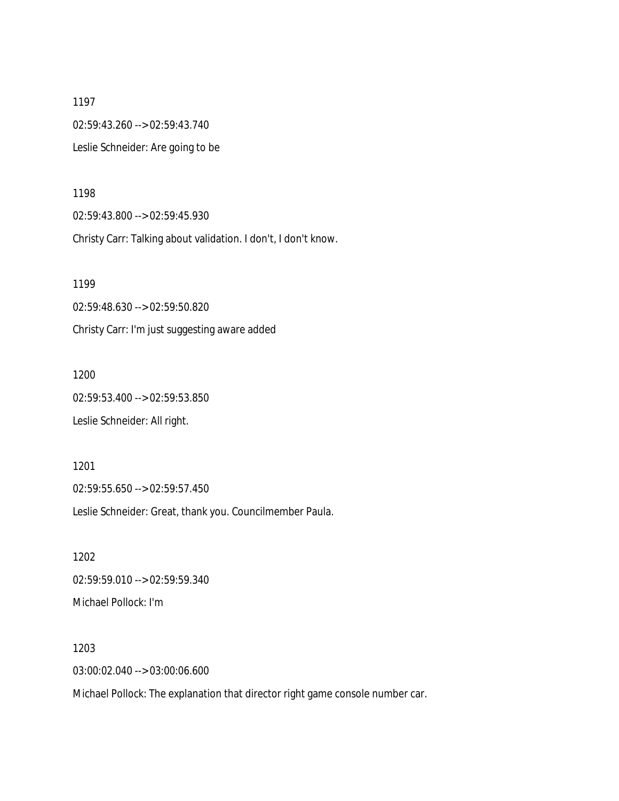1197 02:59:43.260 --> 02:59:43.740 Leslie Schneider: Are going to be

1198

02:59:43.800 --> 02:59:45.930

Christy Carr: Talking about validation. I don't, I don't know.

1199 02:59:48.630 --> 02:59:50.820 Christy Carr: I'm just suggesting aware added

1200 02:59:53.400 --> 02:59:53.850 Leslie Schneider: All right.

1201 02:59:55.650 --> 02:59:57.450 Leslie Schneider: Great, thank you. Councilmember Paula.

1202 02:59:59.010 --> 02:59:59.340 Michael Pollock: I'm

1203 03:00:02.040 --> 03:00:06.600

Michael Pollock: The explanation that director right game console number car.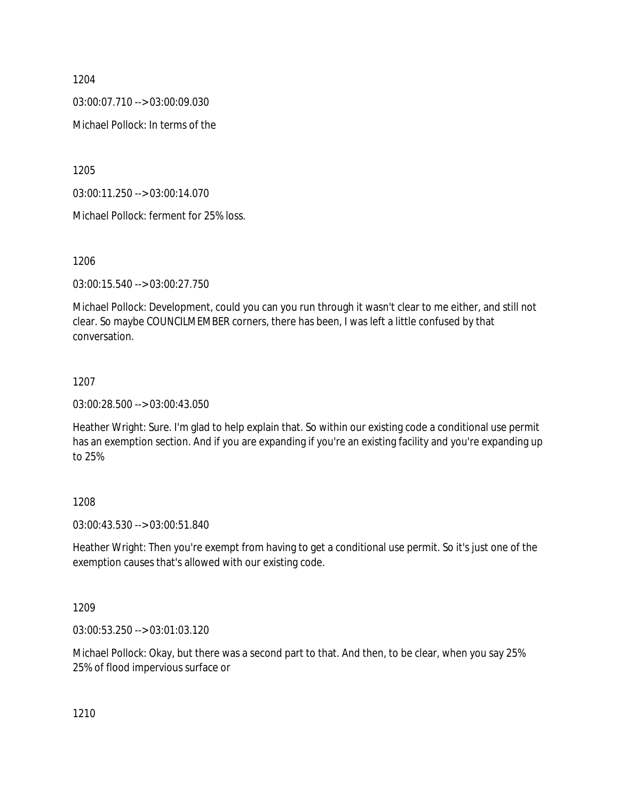03:00:07.710 --> 03:00:09.030

Michael Pollock: In terms of the

1205

03:00:11.250 --> 03:00:14.070

Michael Pollock: ferment for 25% loss.

1206

03:00:15.540 --> 03:00:27.750

Michael Pollock: Development, could you can you run through it wasn't clear to me either, and still not clear. So maybe COUNCILMEMBER corners, there has been, I was left a little confused by that conversation.

### 1207

03:00:28.500 --> 03:00:43.050

Heather Wright: Sure. I'm glad to help explain that. So within our existing code a conditional use permit has an exemption section. And if you are expanding if you're an existing facility and you're expanding up to 25%

### 1208

03:00:43.530 --> 03:00:51.840

Heather Wright: Then you're exempt from having to get a conditional use permit. So it's just one of the exemption causes that's allowed with our existing code.

### 1209

03:00:53.250 --> 03:01:03.120

Michael Pollock: Okay, but there was a second part to that. And then, to be clear, when you say 25% 25% of flood impervious surface or

1210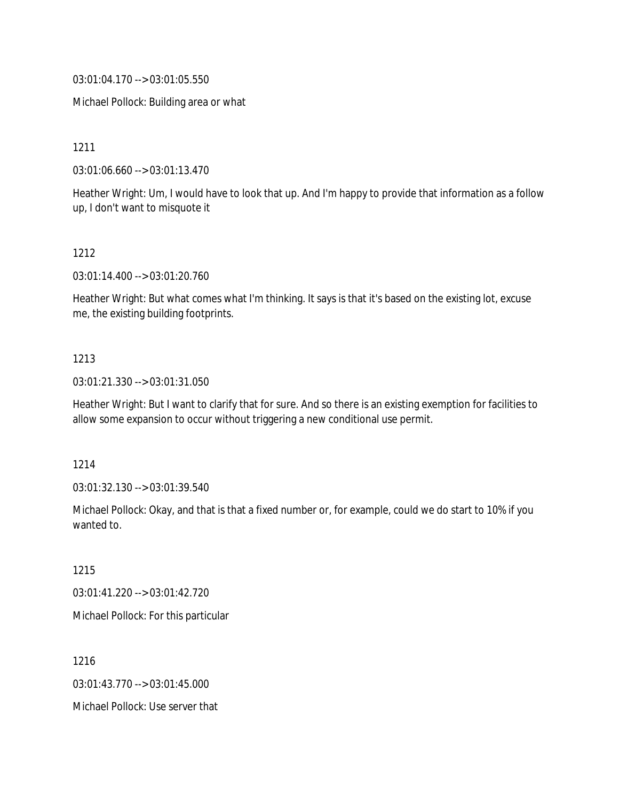03:01:04.170 --> 03:01:05.550

Michael Pollock: Building area or what

1211

03:01:06.660 --> 03:01:13.470

Heather Wright: Um, I would have to look that up. And I'm happy to provide that information as a follow up, I don't want to misquote it

1212

03:01:14.400 --> 03:01:20.760

Heather Wright: But what comes what I'm thinking. It says is that it's based on the existing lot, excuse me, the existing building footprints.

### 1213

03:01:21.330 --> 03:01:31.050

Heather Wright: But I want to clarify that for sure. And so there is an existing exemption for facilities to allow some expansion to occur without triggering a new conditional use permit.

1214

03:01:32.130 --> 03:01:39.540

Michael Pollock: Okay, and that is that a fixed number or, for example, could we do start to 10% if you wanted to.

1215

03:01:41.220 --> 03:01:42.720

Michael Pollock: For this particular

1216 03:01:43.770 --> 03:01:45.000 Michael Pollock: Use server that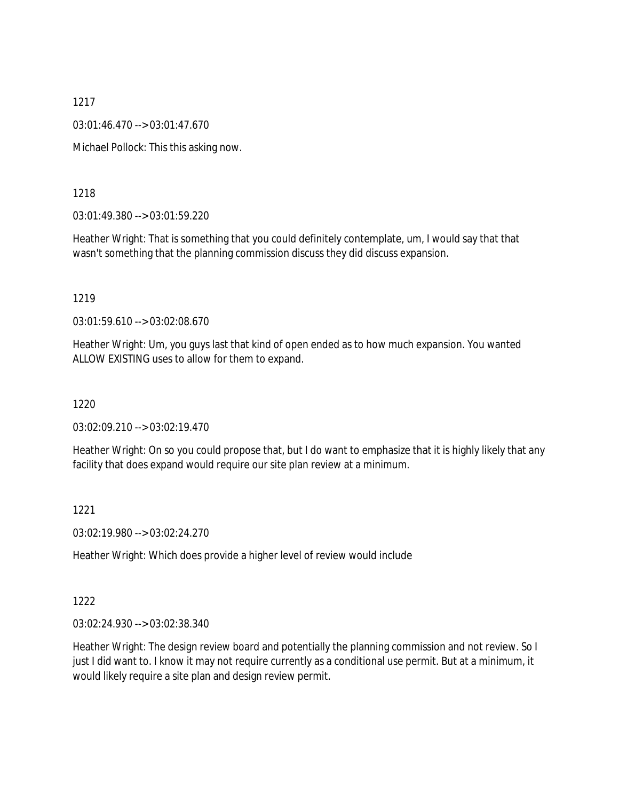03:01:46.470 --> 03:01:47.670

Michael Pollock: This this asking now.

1218

03:01:49.380 --> 03:01:59.220

Heather Wright: That is something that you could definitely contemplate, um, I would say that that wasn't something that the planning commission discuss they did discuss expansion.

1219

03:01:59.610 --> 03:02:08.670

Heather Wright: Um, you guys last that kind of open ended as to how much expansion. You wanted ALLOW EXISTING uses to allow for them to expand.

1220

03:02:09.210 --> 03:02:19.470

Heather Wright: On so you could propose that, but I do want to emphasize that it is highly likely that any facility that does expand would require our site plan review at a minimum.

1221

03:02:19.980 --> 03:02:24.270

Heather Wright: Which does provide a higher level of review would include

1222

03:02:24.930 --> 03:02:38.340

Heather Wright: The design review board and potentially the planning commission and not review. So I just I did want to. I know it may not require currently as a conditional use permit. But at a minimum, it would likely require a site plan and design review permit.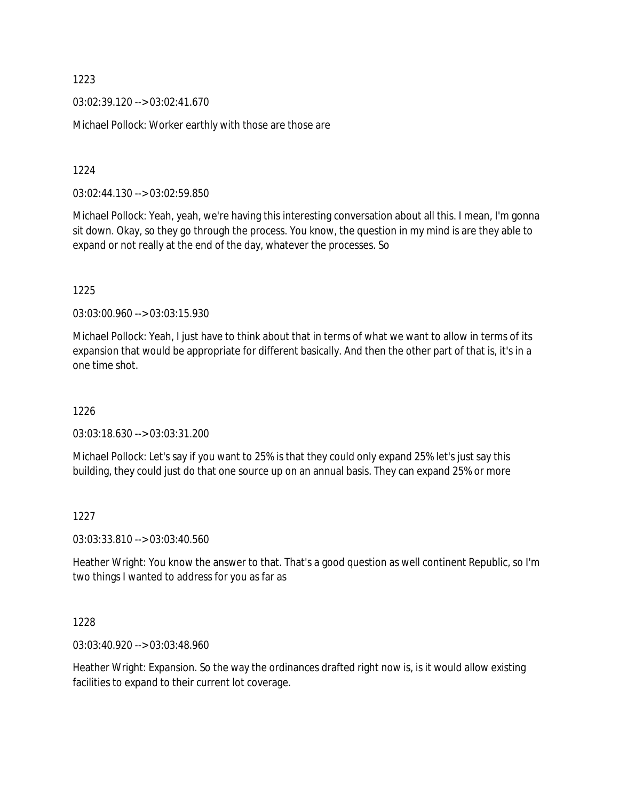03:02:39.120 --> 03:02:41.670

Michael Pollock: Worker earthly with those are those are

1224

03:02:44.130 --> 03:02:59.850

Michael Pollock: Yeah, yeah, we're having this interesting conversation about all this. I mean, I'm gonna sit down. Okay, so they go through the process. You know, the question in my mind is are they able to expand or not really at the end of the day, whatever the processes. So

1225

03:03:00.960 --> 03:03:15.930

Michael Pollock: Yeah, I just have to think about that in terms of what we want to allow in terms of its expansion that would be appropriate for different basically. And then the other part of that is, it's in a one time shot.

1226

03:03:18.630 --> 03:03:31.200

Michael Pollock: Let's say if you want to 25% is that they could only expand 25% let's just say this building, they could just do that one source up on an annual basis. They can expand 25% or more

#### 1227

03:03:33.810 --> 03:03:40.560

Heather Wright: You know the answer to that. That's a good question as well continent Republic, so I'm two things I wanted to address for you as far as

1228

03:03:40.920 --> 03:03:48.960

Heather Wright: Expansion. So the way the ordinances drafted right now is, is it would allow existing facilities to expand to their current lot coverage.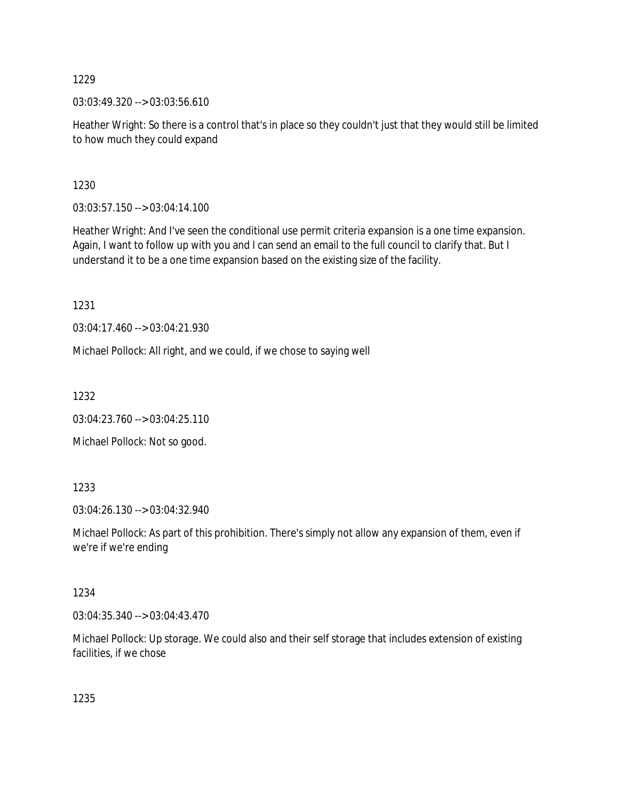03:03:49.320 --> 03:03:56.610

Heather Wright: So there is a control that's in place so they couldn't just that they would still be limited to how much they could expand

1230

03:03:57.150 --> 03:04:14.100

Heather Wright: And I've seen the conditional use permit criteria expansion is a one time expansion. Again, I want to follow up with you and I can send an email to the full council to clarify that. But I understand it to be a one time expansion based on the existing size of the facility.

1231

03:04:17.460 --> 03:04:21.930

Michael Pollock: All right, and we could, if we chose to saying well

1232

03:04:23.760 --> 03:04:25.110

Michael Pollock: Not so good.

1233

03:04:26.130 --> 03:04:32.940

Michael Pollock: As part of this prohibition. There's simply not allow any expansion of them, even if we're if we're ending

### 1234

03:04:35.340 --> 03:04:43.470

Michael Pollock: Up storage. We could also and their self storage that includes extension of existing facilities, if we chose

1235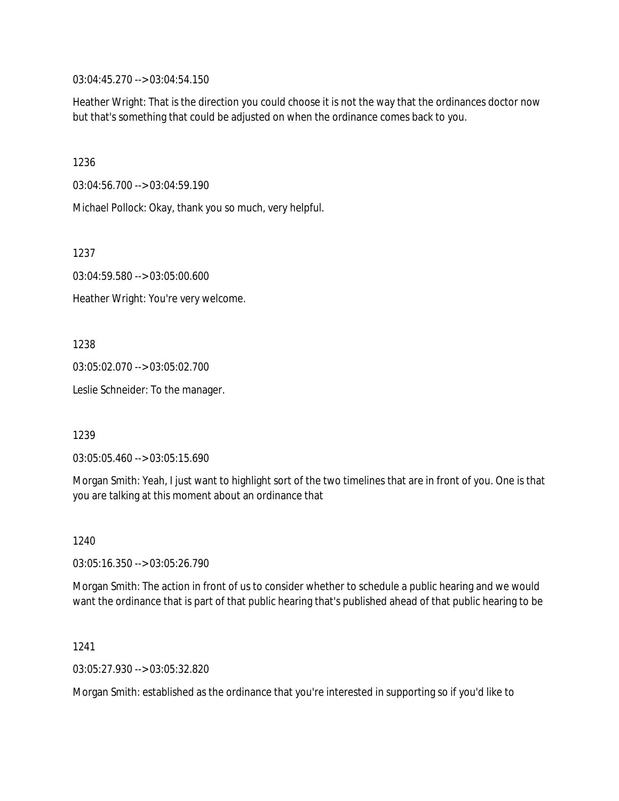03:04:45.270 --> 03:04:54.150

Heather Wright: That is the direction you could choose it is not the way that the ordinances doctor now but that's something that could be adjusted on when the ordinance comes back to you.

1236

03:04:56.700 --> 03:04:59.190

Michael Pollock: Okay, thank you so much, very helpful.

1237

03:04:59.580 --> 03:05:00.600

Heather Wright: You're very welcome.

1238

03:05:02.070 --> 03:05:02.700

Leslie Schneider: To the manager.

1239

03:05:05.460 --> 03:05:15.690

Morgan Smith: Yeah, I just want to highlight sort of the two timelines that are in front of you. One is that you are talking at this moment about an ordinance that

1240

03:05:16.350 --> 03:05:26.790

Morgan Smith: The action in front of us to consider whether to schedule a public hearing and we would want the ordinance that is part of that public hearing that's published ahead of that public hearing to be

1241

03:05:27.930 --> 03:05:32.820

Morgan Smith: established as the ordinance that you're interested in supporting so if you'd like to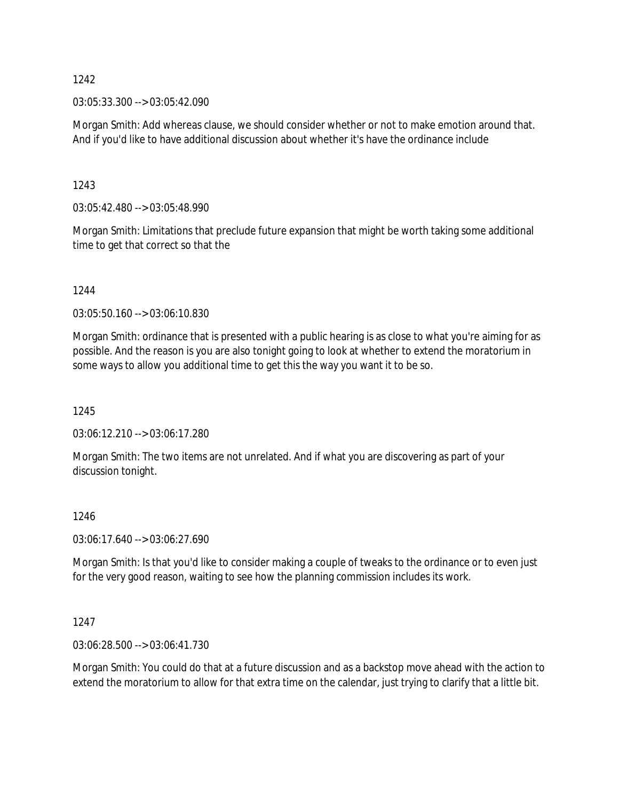03:05:33.300 --> 03:05:42.090

Morgan Smith: Add whereas clause, we should consider whether or not to make emotion around that. And if you'd like to have additional discussion about whether it's have the ordinance include

1243

03:05:42.480 --> 03:05:48.990

Morgan Smith: Limitations that preclude future expansion that might be worth taking some additional time to get that correct so that the

1244

03:05:50.160 --> 03:06:10.830

Morgan Smith: ordinance that is presented with a public hearing is as close to what you're aiming for as possible. And the reason is you are also tonight going to look at whether to extend the moratorium in some ways to allow you additional time to get this the way you want it to be so.

1245

03:06:12.210 --> 03:06:17.280

Morgan Smith: The two items are not unrelated. And if what you are discovering as part of your discussion tonight.

### 1246

03:06:17.640 --> 03:06:27.690

Morgan Smith: Is that you'd like to consider making a couple of tweaks to the ordinance or to even just for the very good reason, waiting to see how the planning commission includes its work.

1247

03:06:28.500 --> 03:06:41.730

Morgan Smith: You could do that at a future discussion and as a backstop move ahead with the action to extend the moratorium to allow for that extra time on the calendar, just trying to clarify that a little bit.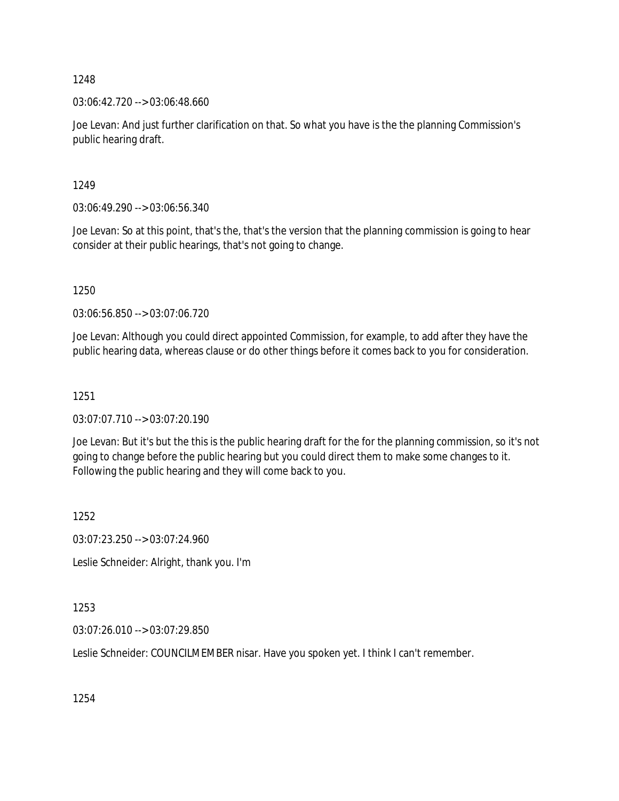03:06:42.720 --> 03:06:48.660

Joe Levan: And just further clarification on that. So what you have is the the planning Commission's public hearing draft.

1249

03:06:49.290 --> 03:06:56.340

Joe Levan: So at this point, that's the, that's the version that the planning commission is going to hear consider at their public hearings, that's not going to change.

1250

03:06:56.850 --> 03:07:06.720

Joe Levan: Although you could direct appointed Commission, for example, to add after they have the public hearing data, whereas clause or do other things before it comes back to you for consideration.

1251

03:07:07.710 --> 03:07:20.190

Joe Levan: But it's but the this is the public hearing draft for the for the planning commission, so it's not going to change before the public hearing but you could direct them to make some changes to it. Following the public hearing and they will come back to you.

1252

03:07:23.250 --> 03:07:24.960

Leslie Schneider: Alright, thank you. I'm

1253

03:07:26.010 --> 03:07:29.850

Leslie Schneider: COUNCILMEMBER nisar. Have you spoken yet. I think I can't remember.

1254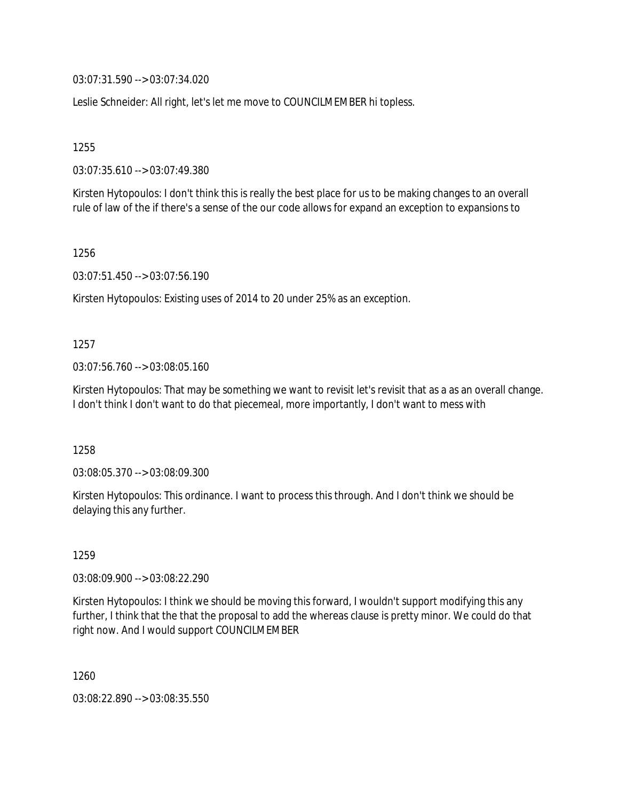03:07:31.590 --> 03:07:34.020

Leslie Schneider: All right, let's let me move to COUNCILMEMBER hi topless.

1255

03:07:35.610 --> 03:07:49.380

Kirsten Hytopoulos: I don't think this is really the best place for us to be making changes to an overall rule of law of the if there's a sense of the our code allows for expand an exception to expansions to

1256

03:07:51.450 --> 03:07:56.190

Kirsten Hytopoulos: Existing uses of 2014 to 20 under 25% as an exception.

#### 1257

03:07:56.760 --> 03:08:05.160

Kirsten Hytopoulos: That may be something we want to revisit let's revisit that as a as an overall change. I don't think I don't want to do that piecemeal, more importantly, I don't want to mess with

1258

03:08:05.370 --> 03:08:09.300

Kirsten Hytopoulos: This ordinance. I want to process this through. And I don't think we should be delaying this any further.

1259

03:08:09.900 --> 03:08:22.290

Kirsten Hytopoulos: I think we should be moving this forward, I wouldn't support modifying this any further, I think that the that the proposal to add the whereas clause is pretty minor. We could do that right now. And I would support COUNCILMEMBER

1260

03:08:22.890 --> 03:08:35.550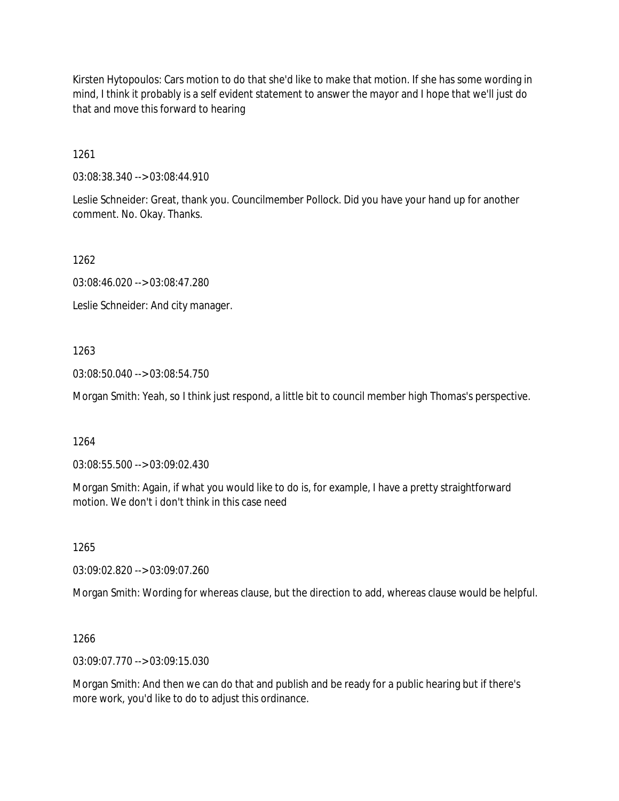Kirsten Hytopoulos: Cars motion to do that she'd like to make that motion. If she has some wording in mind, I think it probably is a self evident statement to answer the mayor and I hope that we'll just do that and move this forward to hearing

1261

03:08:38.340 --> 03:08:44.910

Leslie Schneider: Great, thank you. Councilmember Pollock. Did you have your hand up for another comment. No. Okay. Thanks.

1262

03:08:46.020 --> 03:08:47.280

Leslie Schneider: And city manager.

1263

03:08:50.040 --> 03:08:54.750

Morgan Smith: Yeah, so I think just respond, a little bit to council member high Thomas's perspective.

1264

03:08:55.500 --> 03:09:02.430

Morgan Smith: Again, if what you would like to do is, for example, I have a pretty straightforward motion. We don't i don't think in this case need

1265

03:09:02.820 --> 03:09:07.260

Morgan Smith: Wording for whereas clause, but the direction to add, whereas clause would be helpful.

1266

03:09:07.770 --> 03:09:15.030

Morgan Smith: And then we can do that and publish and be ready for a public hearing but if there's more work, you'd like to do to adjust this ordinance.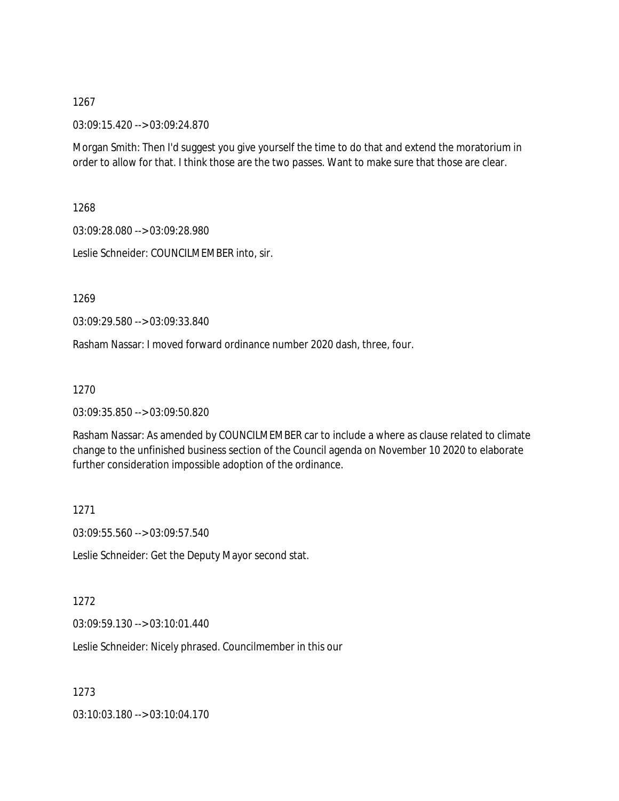03:09:15.420 --> 03:09:24.870

Morgan Smith: Then I'd suggest you give yourself the time to do that and extend the moratorium in order to allow for that. I think those are the two passes. Want to make sure that those are clear.

1268

03:09:28.080 --> 03:09:28.980

Leslie Schneider: COUNCILMEMBER into, sir.

1269

03:09:29.580 --> 03:09:33.840

Rasham Nassar: I moved forward ordinance number 2020 dash, three, four.

1270

03:09:35.850 --> 03:09:50.820

Rasham Nassar: As amended by COUNCILMEMBER car to include a where as clause related to climate change to the unfinished business section of the Council agenda on November 10 2020 to elaborate further consideration impossible adoption of the ordinance.

1271

03:09:55.560 --> 03:09:57.540

Leslie Schneider: Get the Deputy Mayor second stat.

1272

03:09:59.130 --> 03:10:01.440

Leslie Schneider: Nicely phrased. Councilmember in this our

1273

03:10:03.180 --> 03:10:04.170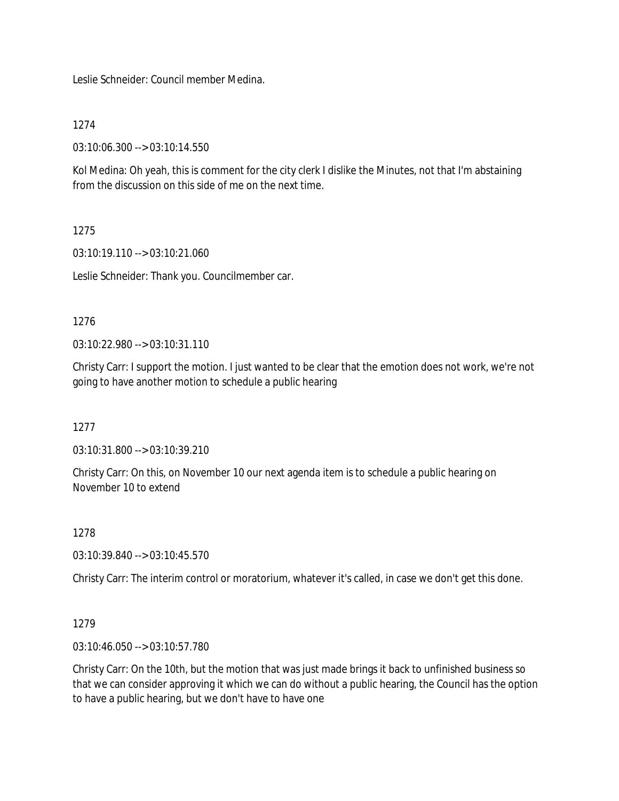Leslie Schneider: Council member Medina.

1274

03:10:06.300 --> 03:10:14.550

Kol Medina: Oh yeah, this is comment for the city clerk I dislike the Minutes, not that I'm abstaining from the discussion on this side of me on the next time.

# 1275

03:10:19.110 --> 03:10:21.060

Leslie Schneider: Thank you. Councilmember car.

# 1276

03:10:22.980 --> 03:10:31.110

Christy Carr: I support the motion. I just wanted to be clear that the emotion does not work, we're not going to have another motion to schedule a public hearing

1277

03:10:31.800 --> 03:10:39.210

Christy Carr: On this, on November 10 our next agenda item is to schedule a public hearing on November 10 to extend

# 1278

03:10:39.840 --> 03:10:45.570

Christy Carr: The interim control or moratorium, whatever it's called, in case we don't get this done.

# 1279

03:10:46.050 --> 03:10:57.780

Christy Carr: On the 10th, but the motion that was just made brings it back to unfinished business so that we can consider approving it which we can do without a public hearing, the Council has the option to have a public hearing, but we don't have to have one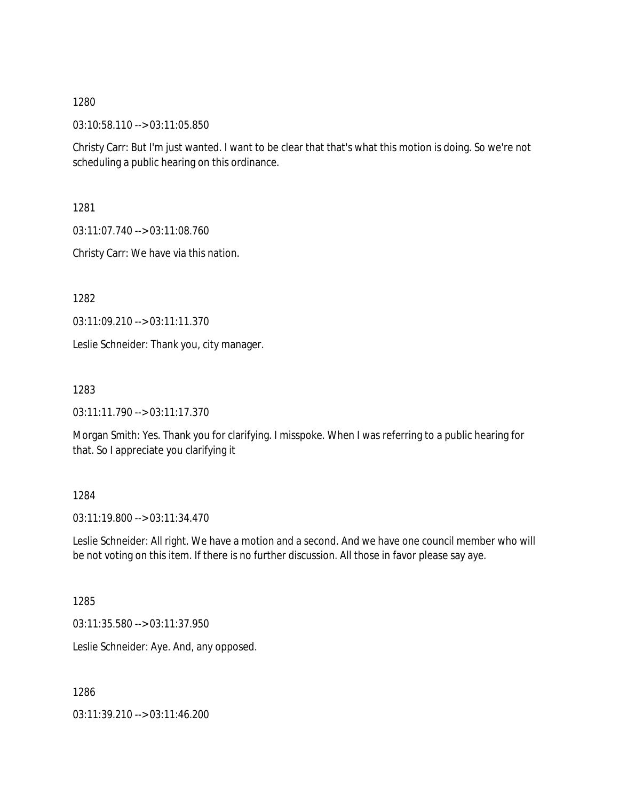03:10:58.110 --> 03:11:05.850

Christy Carr: But I'm just wanted. I want to be clear that that's what this motion is doing. So we're not scheduling a public hearing on this ordinance.

1281

03:11:07.740 --> 03:11:08.760

Christy Carr: We have via this nation.

1282

03:11:09.210 --> 03:11:11.370

Leslie Schneider: Thank you, city manager.

1283

03:11:11.790 --> 03:11:17.370

Morgan Smith: Yes. Thank you for clarifying. I misspoke. When I was referring to a public hearing for that. So I appreciate you clarifying it

### 1284

03:11:19.800 --> 03:11:34.470

Leslie Schneider: All right. We have a motion and a second. And we have one council member who will be not voting on this item. If there is no further discussion. All those in favor please say aye.

1285

03:11:35.580 --> 03:11:37.950

Leslie Schneider: Aye. And, any opposed.

1286

03:11:39.210 --> 03:11:46.200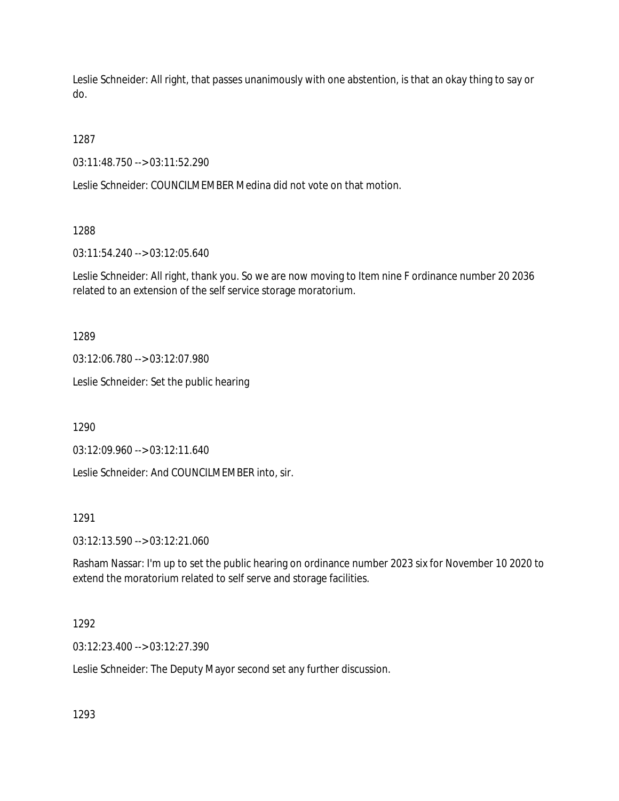Leslie Schneider: All right, that passes unanimously with one abstention, is that an okay thing to say or do.

1287

03:11:48.750 --> 03:11:52.290

Leslie Schneider: COUNCILMEMBER Medina did not vote on that motion.

1288

03:11:54.240 --> 03:12:05.640

Leslie Schneider: All right, thank you. So we are now moving to Item nine F ordinance number 20 2036 related to an extension of the self service storage moratorium.

1289

03:12:06.780 --> 03:12:07.980

Leslie Schneider: Set the public hearing

1290

03:12:09.960 --> 03:12:11.640

Leslie Schneider: And COUNCILMEMBER into, sir.

1291

03:12:13.590 --> 03:12:21.060

Rasham Nassar: I'm up to set the public hearing on ordinance number 2023 six for November 10 2020 to extend the moratorium related to self serve and storage facilities.

1292

03:12:23.400 --> 03:12:27.390

Leslie Schneider: The Deputy Mayor second set any further discussion.

1293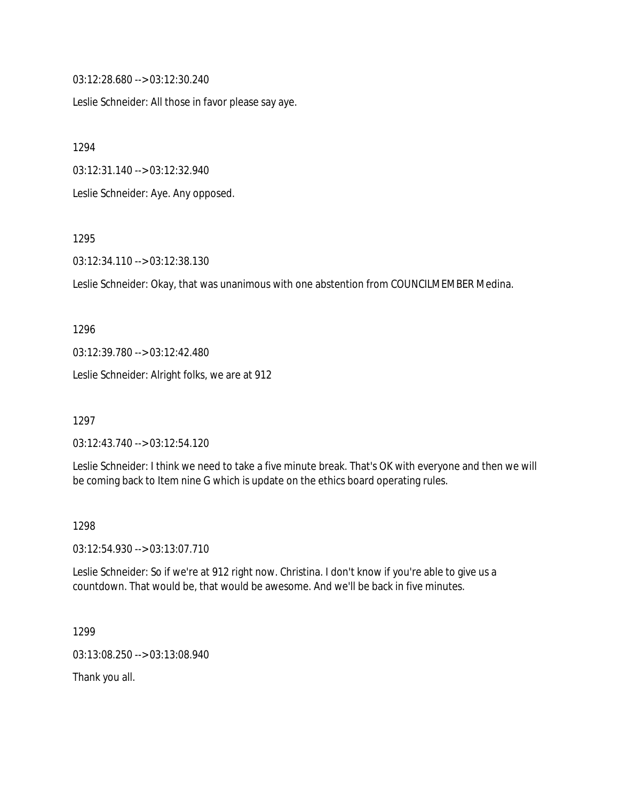03:12:28.680 --> 03:12:30.240

Leslie Schneider: All those in favor please say aye.

1294

03:12:31.140 --> 03:12:32.940

Leslie Schneider: Aye. Any opposed.

1295

03:12:34.110 --> 03:12:38.130

Leslie Schneider: Okay, that was unanimous with one abstention from COUNCILMEMBER Medina.

1296 03:12:39.780 --> 03:12:42.480 Leslie Schneider: Alright folks, we are at 912

1297

03:12:43.740 --> 03:12:54.120

Leslie Schneider: I think we need to take a five minute break. That's OK with everyone and then we will be coming back to Item nine G which is update on the ethics board operating rules.

1298

03:12:54.930 --> 03:13:07.710

Leslie Schneider: So if we're at 912 right now. Christina. I don't know if you're able to give us a countdown. That would be, that would be awesome. And we'll be back in five minutes.

1299

03:13:08.250 --> 03:13:08.940

Thank you all.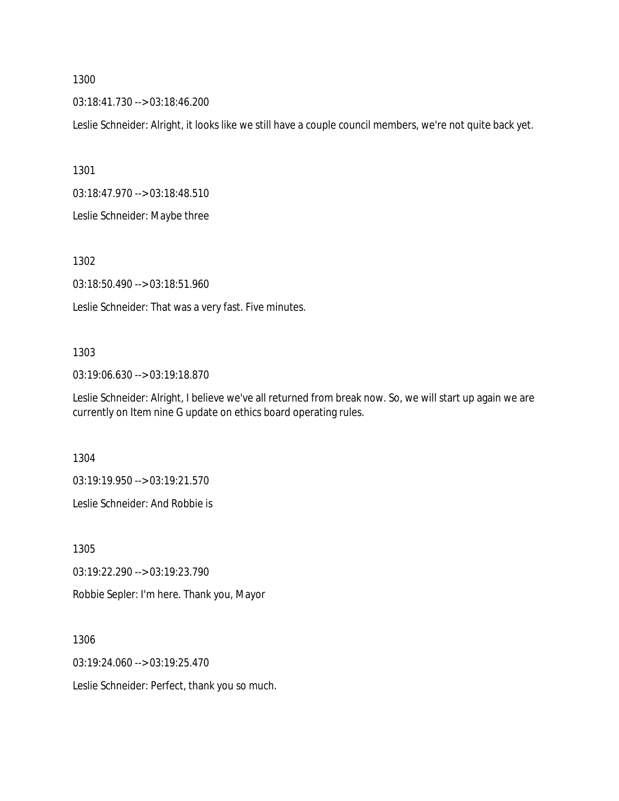03:18:41.730 --> 03:18:46.200

Leslie Schneider: Alright, it looks like we still have a couple council members, we're not quite back yet.

1301

03:18:47.970 --> 03:18:48.510

Leslie Schneider: Maybe three

1302

03:18:50.490 --> 03:18:51.960

Leslie Schneider: That was a very fast. Five minutes.

#### 1303

03:19:06.630 --> 03:19:18.870

Leslie Schneider: Alright, I believe we've all returned from break now. So, we will start up again we are currently on Item nine G update on ethics board operating rules.

1304

03:19:19.950 --> 03:19:21.570

Leslie Schneider: And Robbie is

1305

03:19:22.290 --> 03:19:23.790

Robbie Sepler: I'm here. Thank you, Mayor

1306

03:19:24.060 --> 03:19:25.470

Leslie Schneider: Perfect, thank you so much.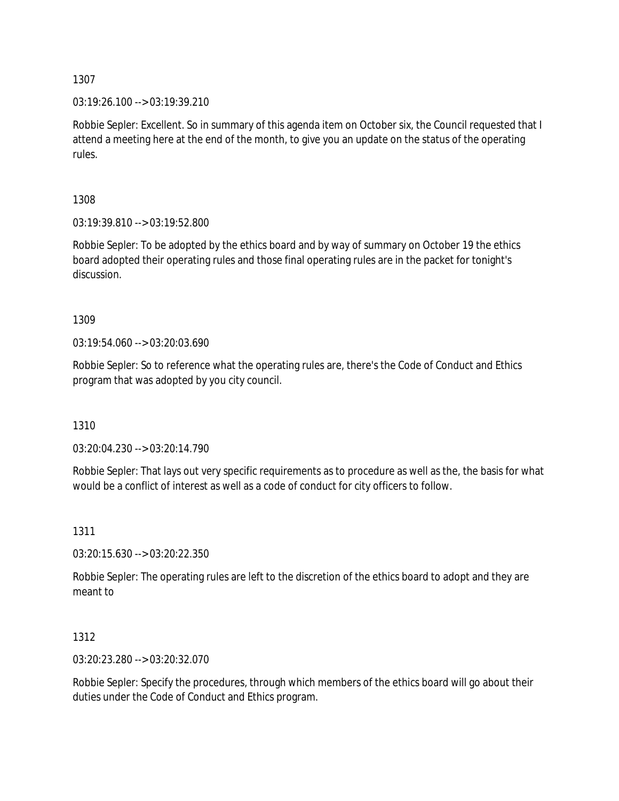03:19:26.100 --> 03:19:39.210

Robbie Sepler: Excellent. So in summary of this agenda item on October six, the Council requested that I attend a meeting here at the end of the month, to give you an update on the status of the operating rules.

1308

03:19:39.810 --> 03:19:52.800

Robbie Sepler: To be adopted by the ethics board and by way of summary on October 19 the ethics board adopted their operating rules and those final operating rules are in the packet for tonight's discussion.

1309

03:19:54.060 --> 03:20:03.690

Robbie Sepler: So to reference what the operating rules are, there's the Code of Conduct and Ethics program that was adopted by you city council.

1310

03:20:04.230 --> 03:20:14.790

Robbie Sepler: That lays out very specific requirements as to procedure as well as the, the basis for what would be a conflict of interest as well as a code of conduct for city officers to follow.

1311

03:20:15.630 --> 03:20:22.350

Robbie Sepler: The operating rules are left to the discretion of the ethics board to adopt and they are meant to

1312

03:20:23.280 --> 03:20:32.070

Robbie Sepler: Specify the procedures, through which members of the ethics board will go about their duties under the Code of Conduct and Ethics program.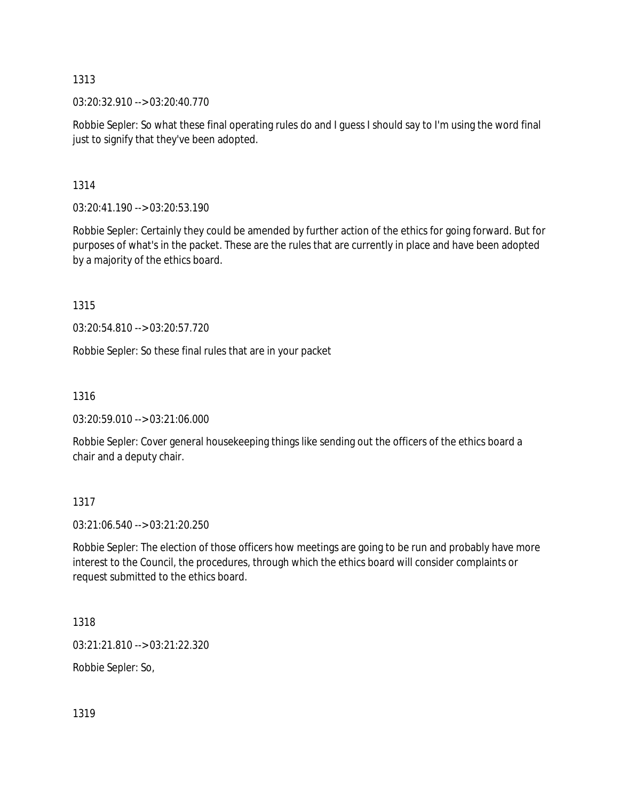03:20:32.910 --> 03:20:40.770

Robbie Sepler: So what these final operating rules do and I guess I should say to I'm using the word final just to signify that they've been adopted.

1314

03:20:41.190 --> 03:20:53.190

Robbie Sepler: Certainly they could be amended by further action of the ethics for going forward. But for purposes of what's in the packet. These are the rules that are currently in place and have been adopted by a majority of the ethics board.

1315

03:20:54.810 --> 03:20:57.720

Robbie Sepler: So these final rules that are in your packet

1316

03:20:59.010 --> 03:21:06.000

Robbie Sepler: Cover general housekeeping things like sending out the officers of the ethics board a chair and a deputy chair.

1317

03:21:06.540 --> 03:21:20.250

Robbie Sepler: The election of those officers how meetings are going to be run and probably have more interest to the Council, the procedures, through which the ethics board will consider complaints or request submitted to the ethics board.

1318

03:21:21.810 --> 03:21:22.320

Robbie Sepler: So,

1319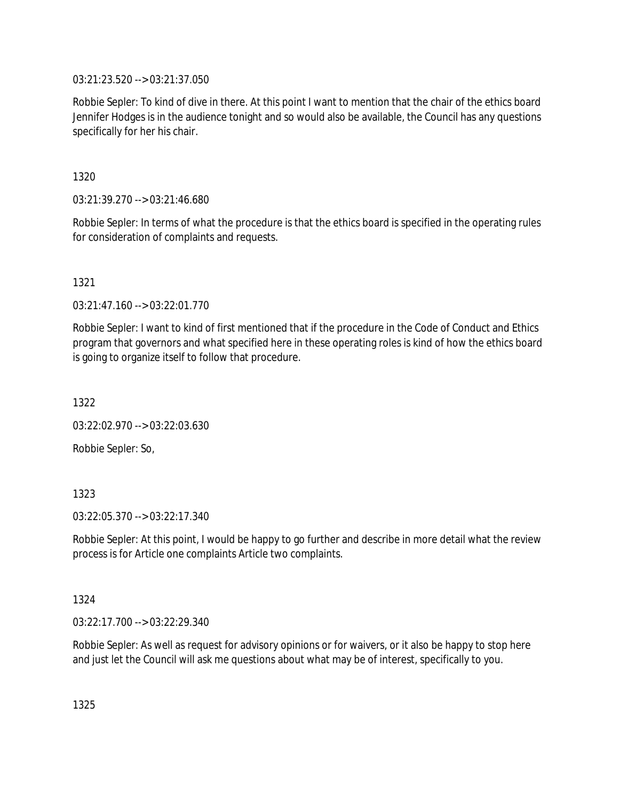03:21:23.520 --> 03:21:37.050

Robbie Sepler: To kind of dive in there. At this point I want to mention that the chair of the ethics board Jennifer Hodges is in the audience tonight and so would also be available, the Council has any questions specifically for her his chair.

1320

03:21:39.270 --> 03:21:46.680

Robbie Sepler: In terms of what the procedure is that the ethics board is specified in the operating rules for consideration of complaints and requests.

1321

03:21:47.160 --> 03:22:01.770

Robbie Sepler: I want to kind of first mentioned that if the procedure in the Code of Conduct and Ethics program that governors and what specified here in these operating roles is kind of how the ethics board is going to organize itself to follow that procedure.

1322

03:22:02.970 --> 03:22:03.630

Robbie Sepler: So,

1323

03:22:05.370 --> 03:22:17.340

Robbie Sepler: At this point, I would be happy to go further and describe in more detail what the review process is for Article one complaints Article two complaints.

1324

03:22:17.700 --> 03:22:29.340

Robbie Sepler: As well as request for advisory opinions or for waivers, or it also be happy to stop here and just let the Council will ask me questions about what may be of interest, specifically to you.

1325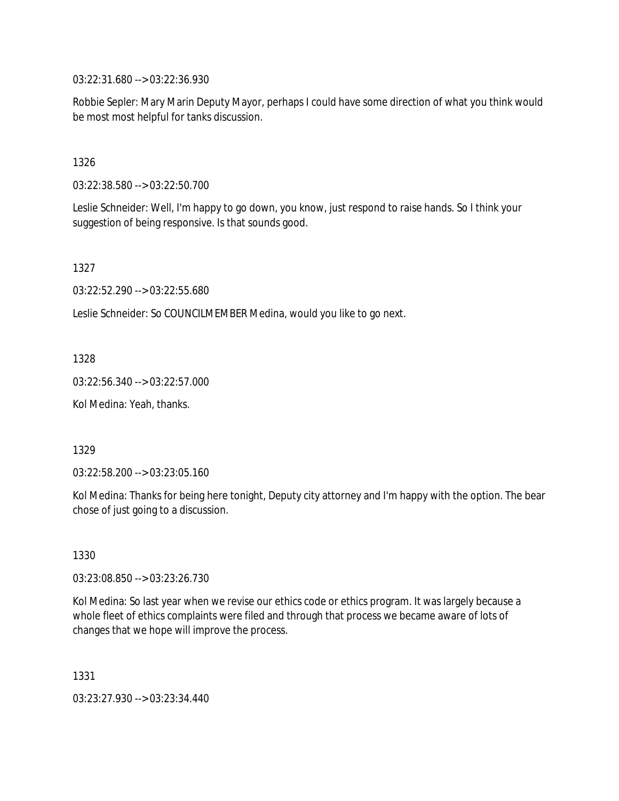03:22:31.680 --> 03:22:36.930

Robbie Sepler: Mary Marin Deputy Mayor, perhaps I could have some direction of what you think would be most most helpful for tanks discussion.

1326

03:22:38.580 --> 03:22:50.700

Leslie Schneider: Well, I'm happy to go down, you know, just respond to raise hands. So I think your suggestion of being responsive. Is that sounds good.

1327

03:22:52.290 --> 03:22:55.680

Leslie Schneider: So COUNCILMEMBER Medina, would you like to go next.

1328

03:22:56.340 --> 03:22:57.000

Kol Medina: Yeah, thanks.

1329

03:22:58.200 --> 03:23:05.160

Kol Medina: Thanks for being here tonight, Deputy city attorney and I'm happy with the option. The bear chose of just going to a discussion.

1330

03:23:08.850 --> 03:23:26.730

Kol Medina: So last year when we revise our ethics code or ethics program. It was largely because a whole fleet of ethics complaints were filed and through that process we became aware of lots of changes that we hope will improve the process.

1331

03:23:27.930 --> 03:23:34.440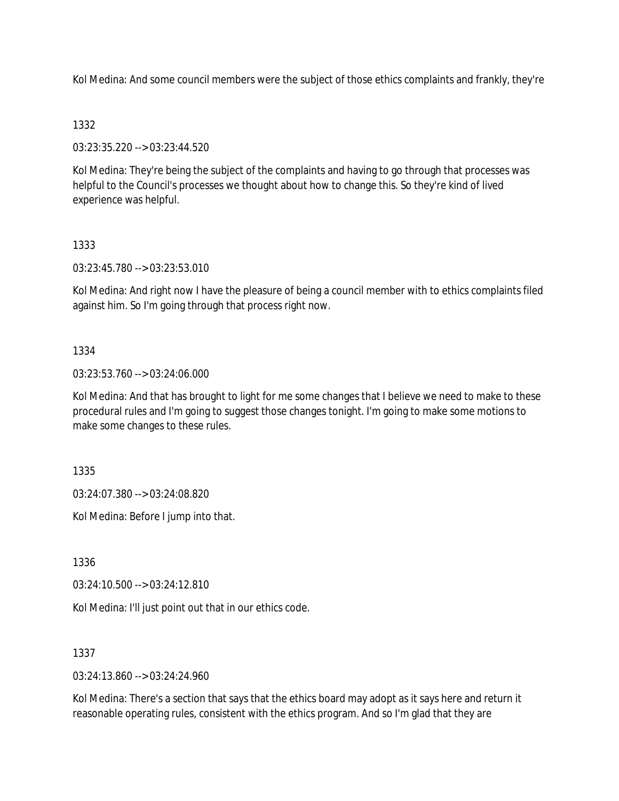Kol Medina: And some council members were the subject of those ethics complaints and frankly, they're

# 1332

03:23:35.220 --> 03:23:44.520

Kol Medina: They're being the subject of the complaints and having to go through that processes was helpful to the Council's processes we thought about how to change this. So they're kind of lived experience was helpful.

# 1333

03:23:45.780 --> 03:23:53.010

Kol Medina: And right now I have the pleasure of being a council member with to ethics complaints filed against him. So I'm going through that process right now.

# 1334

### 03:23:53.760 --> 03:24:06.000

Kol Medina: And that has brought to light for me some changes that I believe we need to make to these procedural rules and I'm going to suggest those changes tonight. I'm going to make some motions to make some changes to these rules.

1335

03:24:07.380 --> 03:24:08.820

Kol Medina: Before I jump into that.

1336

03:24:10.500 --> 03:24:12.810

Kol Medina: I'll just point out that in our ethics code.

1337

03:24:13.860 --> 03:24:24.960

Kol Medina: There's a section that says that the ethics board may adopt as it says here and return it reasonable operating rules, consistent with the ethics program. And so I'm glad that they are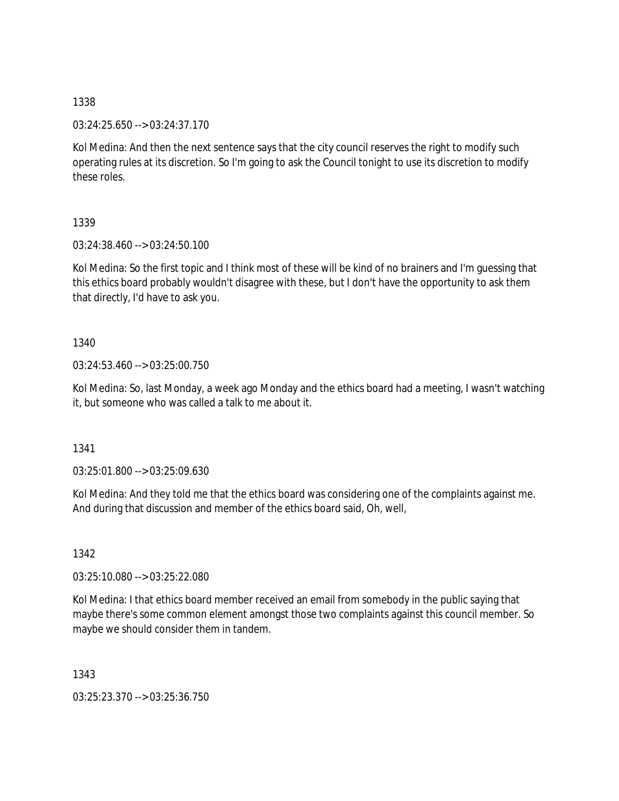03:24:25.650 --> 03:24:37.170

Kol Medina: And then the next sentence says that the city council reserves the right to modify such operating rules at its discretion. So I'm going to ask the Council tonight to use its discretion to modify these roles.

1339

03:24:38.460 --> 03:24:50.100

Kol Medina: So the first topic and I think most of these will be kind of no brainers and I'm guessing that this ethics board probably wouldn't disagree with these, but I don't have the opportunity to ask them that directly, I'd have to ask you.

1340

03:24:53.460 --> 03:25:00.750

Kol Medina: So, last Monday, a week ago Monday and the ethics board had a meeting, I wasn't watching it, but someone who was called a talk to me about it.

1341

03:25:01.800 --> 03:25:09.630

Kol Medina: And they told me that the ethics board was considering one of the complaints against me. And during that discussion and member of the ethics board said, Oh, well,

1342

03:25:10.080 --> 03:25:22.080

Kol Medina: I that ethics board member received an email from somebody in the public saying that maybe there's some common element amongst those two complaints against this council member. So maybe we should consider them in tandem.

1343

03:25:23.370 --> 03:25:36.750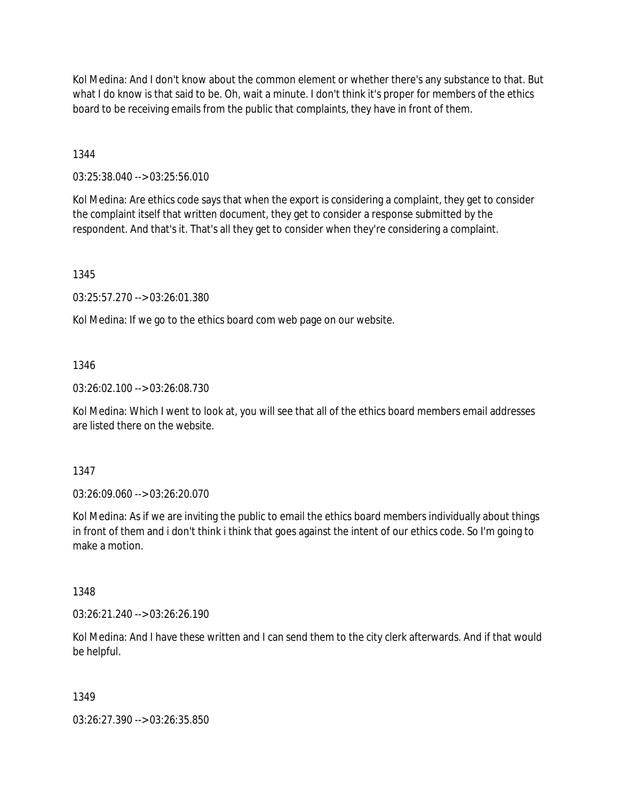Kol Medina: And I don't know about the common element or whether there's any substance to that. But what I do know is that said to be. Oh, wait a minute. I don't think it's proper for members of the ethics board to be receiving emails from the public that complaints, they have in front of them.

1344

03:25:38.040 --> 03:25:56.010

Kol Medina: Are ethics code says that when the export is considering a complaint, they get to consider the complaint itself that written document, they get to consider a response submitted by the respondent. And that's it. That's all they get to consider when they're considering a complaint.

1345

03:25:57.270 --> 03:26:01.380

Kol Medina: If we go to the ethics board com web page on our website.

### 1346

03:26:02.100 --> 03:26:08.730

Kol Medina: Which I went to look at, you will see that all of the ethics board members email addresses are listed there on the website.

1347

03:26:09.060 --> 03:26:20.070

Kol Medina: As if we are inviting the public to email the ethics board members individually about things in front of them and i don't think i think that goes against the intent of our ethics code. So I'm going to make a motion.

1348

03:26:21.240 --> 03:26:26.190

Kol Medina: And I have these written and I can send them to the city clerk afterwards. And if that would be helpful.

### 1349

03:26:27.390 --> 03:26:35.850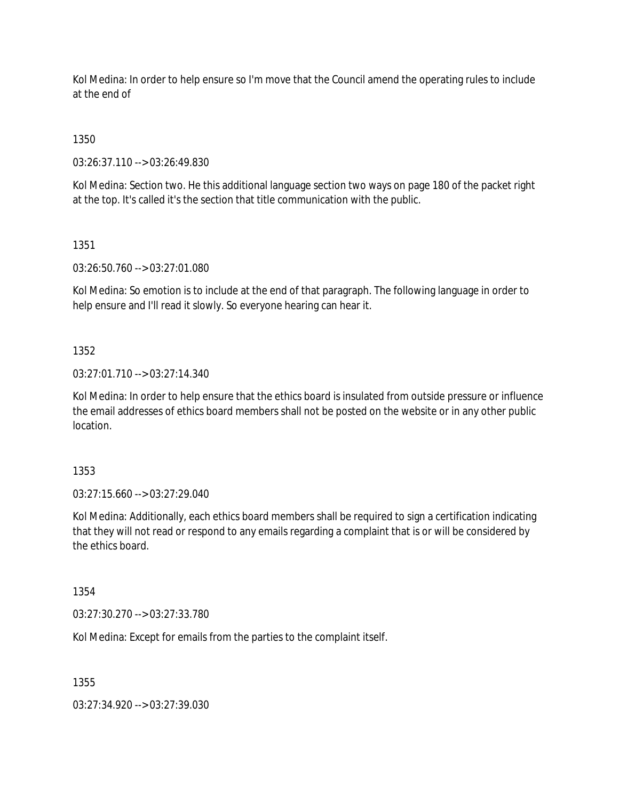Kol Medina: In order to help ensure so I'm move that the Council amend the operating rules to include at the end of

1350

03:26:37.110 --> 03:26:49.830

Kol Medina: Section two. He this additional language section two ways on page 180 of the packet right at the top. It's called it's the section that title communication with the public.

1351

03:26:50.760 --> 03:27:01.080

Kol Medina: So emotion is to include at the end of that paragraph. The following language in order to help ensure and I'll read it slowly. So everyone hearing can hear it.

1352

03:27:01.710 --> 03:27:14.340

Kol Medina: In order to help ensure that the ethics board is insulated from outside pressure or influence the email addresses of ethics board members shall not be posted on the website or in any other public location.

1353

03:27:15.660 --> 03:27:29.040

Kol Medina: Additionally, each ethics board members shall be required to sign a certification indicating that they will not read or respond to any emails regarding a complaint that is or will be considered by the ethics board.

1354

03:27:30.270 --> 03:27:33.780

Kol Medina: Except for emails from the parties to the complaint itself.

1355

03:27:34.920 --> 03:27:39.030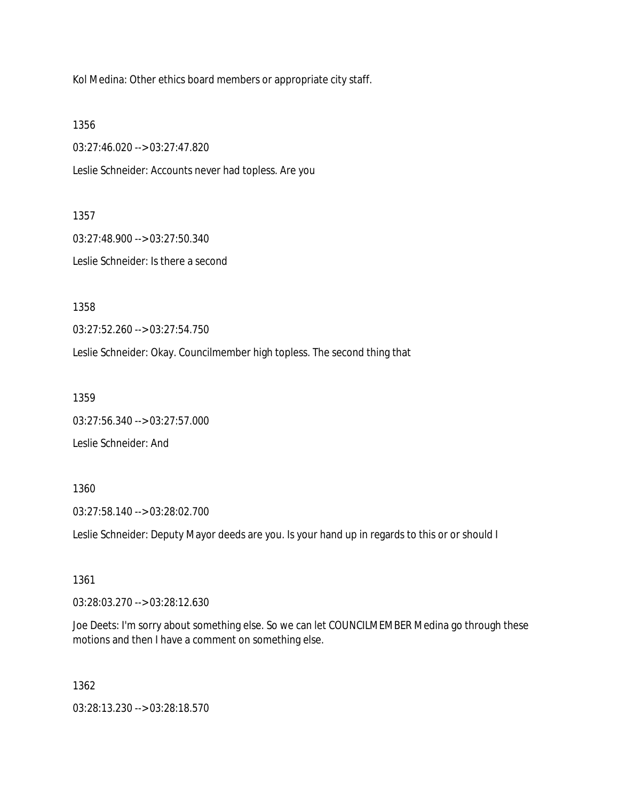Kol Medina: Other ethics board members or appropriate city staff.

1356

03:27:46.020 --> 03:27:47.820

Leslie Schneider: Accounts never had topless. Are you

1357

03:27:48.900 --> 03:27:50.340 Leslie Schneider: Is there a second

1358

03:27:52.260 --> 03:27:54.750

Leslie Schneider: Okay. Councilmember high topless. The second thing that

1359

03:27:56.340 --> 03:27:57.000

Leslie Schneider: And

1360

03:27:58.140 --> 03:28:02.700

Leslie Schneider: Deputy Mayor deeds are you. Is your hand up in regards to this or or should I

1361

03:28:03.270 --> 03:28:12.630

Joe Deets: I'm sorry about something else. So we can let COUNCILMEMBER Medina go through these motions and then I have a comment on something else.

1362

03:28:13.230 --> 03:28:18.570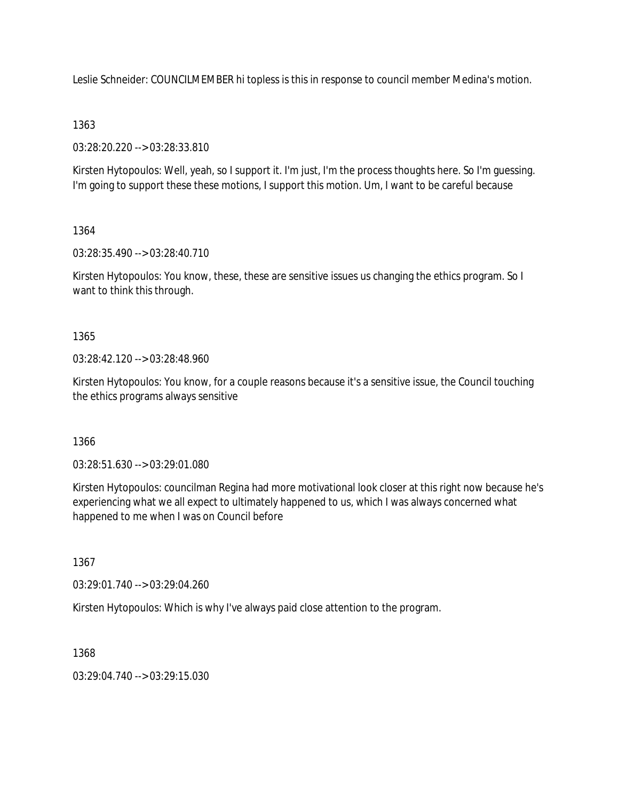Leslie Schneider: COUNCILMEMBER hi topless is this in response to council member Medina's motion.

## 1363

03:28:20.220 --> 03:28:33.810

Kirsten Hytopoulos: Well, yeah, so I support it. I'm just, I'm the process thoughts here. So I'm guessing. I'm going to support these these motions, I support this motion. Um, I want to be careful because

# 1364

03:28:35.490 --> 03:28:40.710

Kirsten Hytopoulos: You know, these, these are sensitive issues us changing the ethics program. So I want to think this through.

1365

03:28:42.120 --> 03:28:48.960

Kirsten Hytopoulos: You know, for a couple reasons because it's a sensitive issue, the Council touching the ethics programs always sensitive

1366

03:28:51.630 --> 03:29:01.080

Kirsten Hytopoulos: councilman Regina had more motivational look closer at this right now because he's experiencing what we all expect to ultimately happened to us, which I was always concerned what happened to me when I was on Council before

1367

03:29:01.740 --> 03:29:04.260

Kirsten Hytopoulos: Which is why I've always paid close attention to the program.

1368

 $03:29:04.740 \rightarrow 03:29:15.030$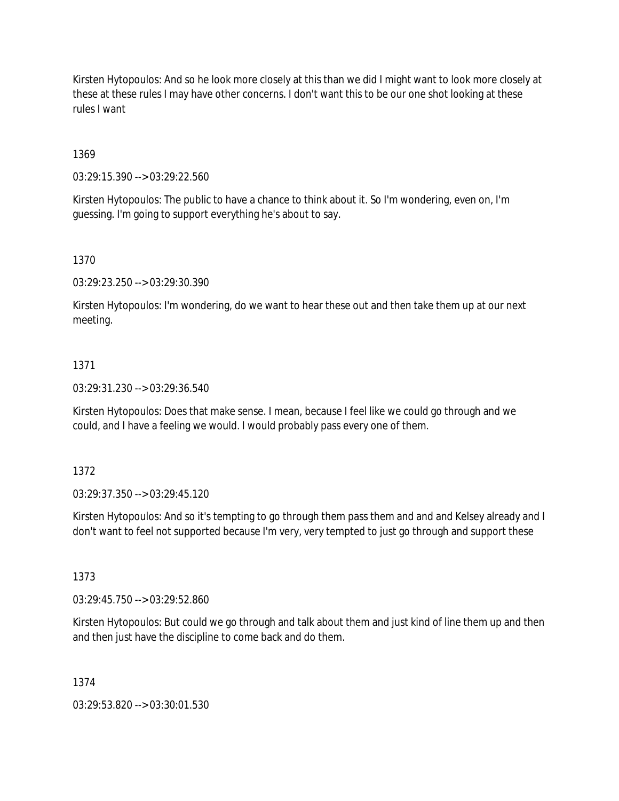Kirsten Hytopoulos: And so he look more closely at this than we did I might want to look more closely at these at these rules I may have other concerns. I don't want this to be our one shot looking at these rules I want

1369

03:29:15.390 --> 03:29:22.560

Kirsten Hytopoulos: The public to have a chance to think about it. So I'm wondering, even on, I'm guessing. I'm going to support everything he's about to say.

1370

03:29:23.250 --> 03:29:30.390

Kirsten Hytopoulos: I'm wondering, do we want to hear these out and then take them up at our next meeting.

### 1371

03:29:31.230 --> 03:29:36.540

Kirsten Hytopoulos: Does that make sense. I mean, because I feel like we could go through and we could, and I have a feeling we would. I would probably pass every one of them.

1372

03:29:37.350 --> 03:29:45.120

Kirsten Hytopoulos: And so it's tempting to go through them pass them and and and Kelsey already and I don't want to feel not supported because I'm very, very tempted to just go through and support these

1373

03:29:45.750 --> 03:29:52.860

Kirsten Hytopoulos: But could we go through and talk about them and just kind of line them up and then and then just have the discipline to come back and do them.

1374

03:29:53.820 --> 03:30:01.530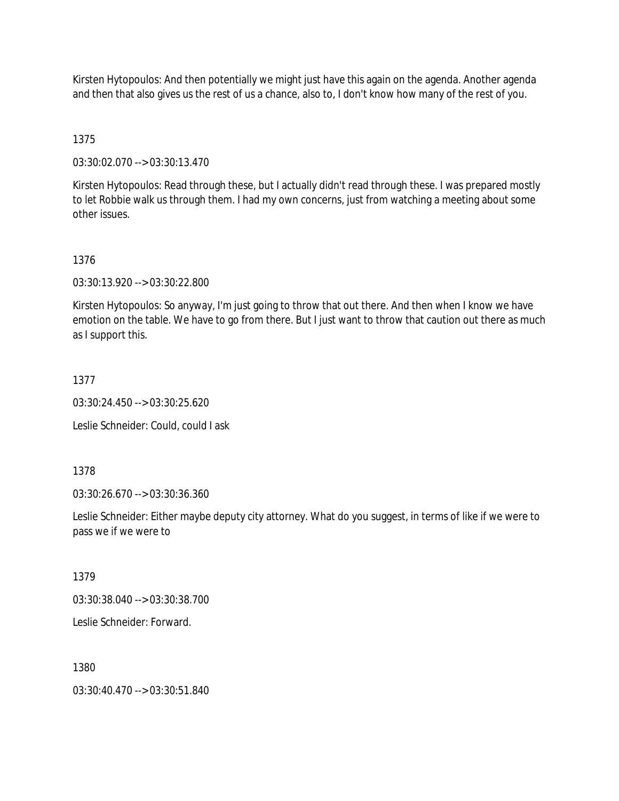Kirsten Hytopoulos: And then potentially we might just have this again on the agenda. Another agenda and then that also gives us the rest of us a chance, also to, I don't know how many of the rest of you.

1375

03:30:02.070 --> 03:30:13.470

Kirsten Hytopoulos: Read through these, but I actually didn't read through these. I was prepared mostly to let Robbie walk us through them. I had my own concerns, just from watching a meeting about some other issues.

1376

03:30:13.920 --> 03:30:22.800

Kirsten Hytopoulos: So anyway, I'm just going to throw that out there. And then when I know we have emotion on the table. We have to go from there. But I just want to throw that caution out there as much as I support this.

1377

03:30:24.450 --> 03:30:25.620

Leslie Schneider: Could, could I ask

1378

03:30:26.670 --> 03:30:36.360

Leslie Schneider: Either maybe deputy city attorney. What do you suggest, in terms of like if we were to pass we if we were to

1379

03:30:38.040 --> 03:30:38.700

Leslie Schneider: Forward.

1380

03:30:40.470 --> 03:30:51.840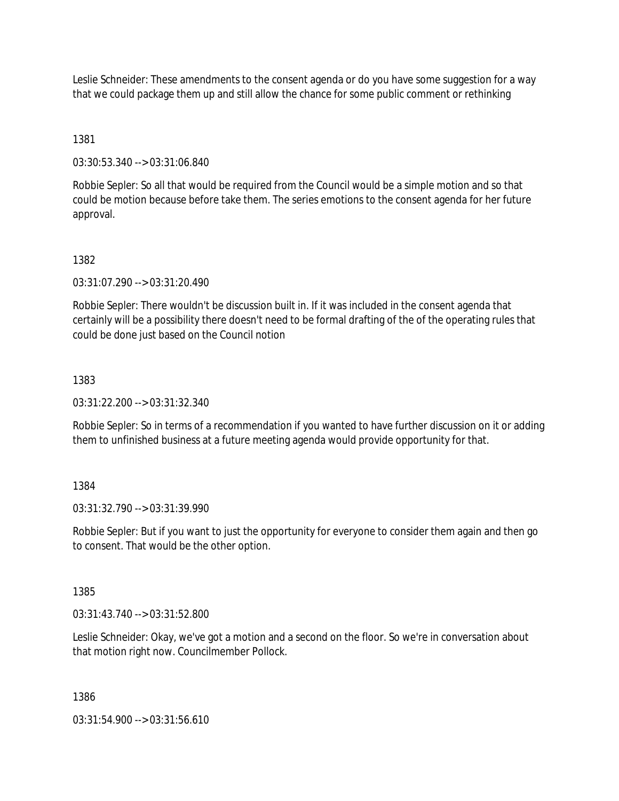Leslie Schneider: These amendments to the consent agenda or do you have some suggestion for a way that we could package them up and still allow the chance for some public comment or rethinking

1381

03:30:53.340 --> 03:31:06.840

Robbie Sepler: So all that would be required from the Council would be a simple motion and so that could be motion because before take them. The series emotions to the consent agenda for her future approval.

1382

03:31:07.290 --> 03:31:20.490

Robbie Sepler: There wouldn't be discussion built in. If it was included in the consent agenda that certainly will be a possibility there doesn't need to be formal drafting of the of the operating rules that could be done just based on the Council notion

1383

03:31:22.200 --> 03:31:32.340

Robbie Sepler: So in terms of a recommendation if you wanted to have further discussion on it or adding them to unfinished business at a future meeting agenda would provide opportunity for that.

1384

03:31:32.790 --> 03:31:39.990

Robbie Sepler: But if you want to just the opportunity for everyone to consider them again and then go to consent. That would be the other option.

1385

03:31:43.740 --> 03:31:52.800

Leslie Schneider: Okay, we've got a motion and a second on the floor. So we're in conversation about that motion right now. Councilmember Pollock.

1386

 $03:31:54.900 \rightarrow 03:31:56.610$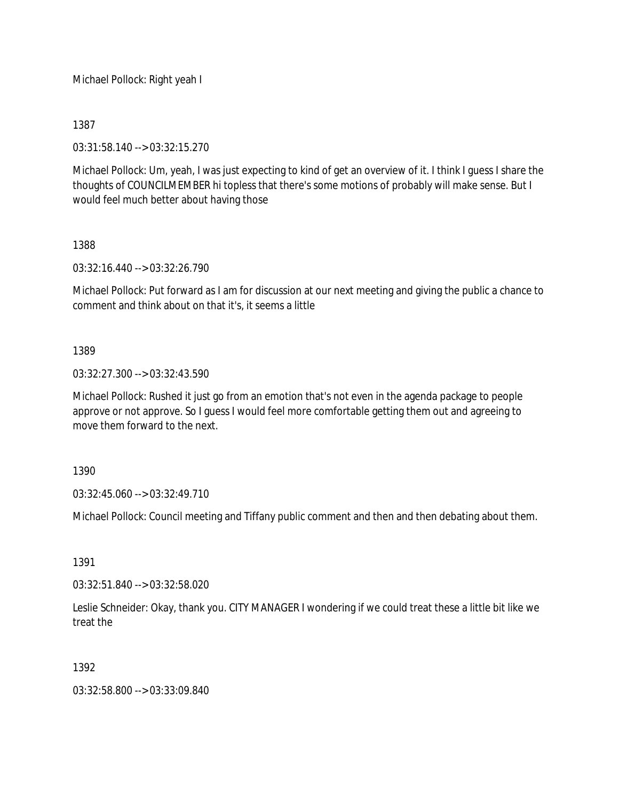Michael Pollock: Right yeah I

1387

03:31:58.140 --> 03:32:15.270

Michael Pollock: Um, yeah, I was just expecting to kind of get an overview of it. I think I guess I share the thoughts of COUNCILMEMBER hi topless that there's some motions of probably will make sense. But I would feel much better about having those

1388

03:32:16.440 --> 03:32:26.790

Michael Pollock: Put forward as I am for discussion at our next meeting and giving the public a chance to comment and think about on that it's, it seems a little

## 1389

03:32:27.300 --> 03:32:43.590

Michael Pollock: Rushed it just go from an emotion that's not even in the agenda package to people approve or not approve. So I guess I would feel more comfortable getting them out and agreeing to move them forward to the next.

1390

03:32:45.060 --> 03:32:49.710

Michael Pollock: Council meeting and Tiffany public comment and then and then debating about them.

1391

03:32:51.840 --> 03:32:58.020

Leslie Schneider: Okay, thank you. CITY MANAGER I wondering if we could treat these a little bit like we treat the

1392

03:32:58.800 --> 03:33:09.840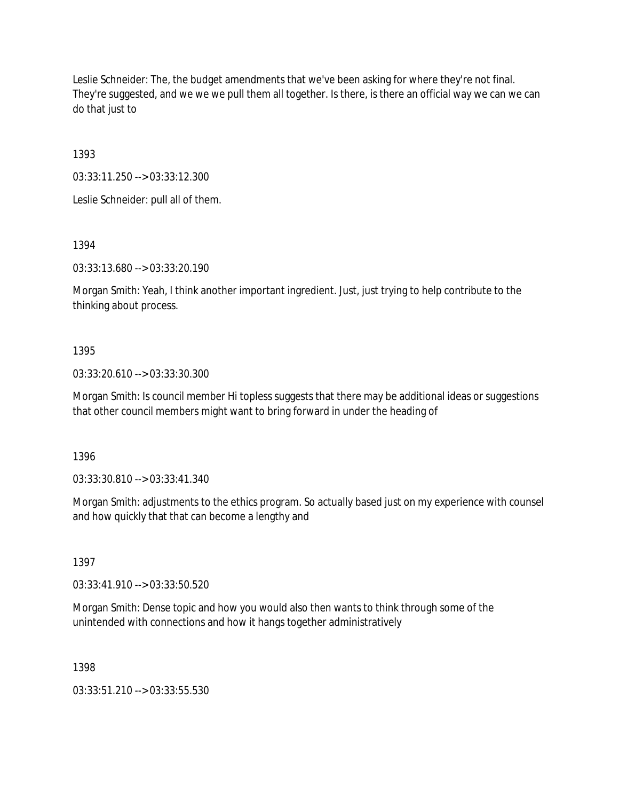Leslie Schneider: The, the budget amendments that we've been asking for where they're not final. They're suggested, and we we we pull them all together. Is there, is there an official way we can we can do that just to

1393

03:33:11.250 --> 03:33:12.300

Leslie Schneider: pull all of them.

1394

03:33:13.680 --> 03:33:20.190

Morgan Smith: Yeah, I think another important ingredient. Just, just trying to help contribute to the thinking about process.

#### 1395

03:33:20.610 --> 03:33:30.300

Morgan Smith: Is council member Hi topless suggests that there may be additional ideas or suggestions that other council members might want to bring forward in under the heading of

1396

03:33:30.810 --> 03:33:41.340

Morgan Smith: adjustments to the ethics program. So actually based just on my experience with counsel and how quickly that that can become a lengthy and

1397

03:33:41.910 --> 03:33:50.520

Morgan Smith: Dense topic and how you would also then wants to think through some of the unintended with connections and how it hangs together administratively

1398

03:33:51.210 --> 03:33:55.530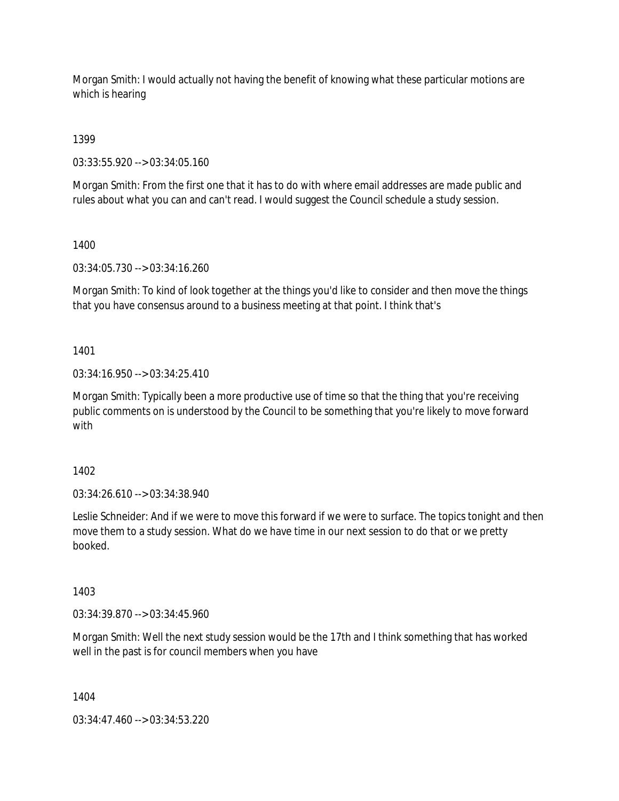Morgan Smith: I would actually not having the benefit of knowing what these particular motions are which is hearing

1399

03:33:55.920 --> 03:34:05.160

Morgan Smith: From the first one that it has to do with where email addresses are made public and rules about what you can and can't read. I would suggest the Council schedule a study session.

1400

03:34:05.730 --> 03:34:16.260

Morgan Smith: To kind of look together at the things you'd like to consider and then move the things that you have consensus around to a business meeting at that point. I think that's

1401

03:34:16.950 --> 03:34:25.410

Morgan Smith: Typically been a more productive use of time so that the thing that you're receiving public comments on is understood by the Council to be something that you're likely to move forward with

1402

03:34:26.610 --> 03:34:38.940

Leslie Schneider: And if we were to move this forward if we were to surface. The topics tonight and then move them to a study session. What do we have time in our next session to do that or we pretty booked.

1403

03:34:39.870 --> 03:34:45.960

Morgan Smith: Well the next study session would be the 17th and I think something that has worked well in the past is for council members when you have

1404

03:34:47.460 --> 03:34:53.220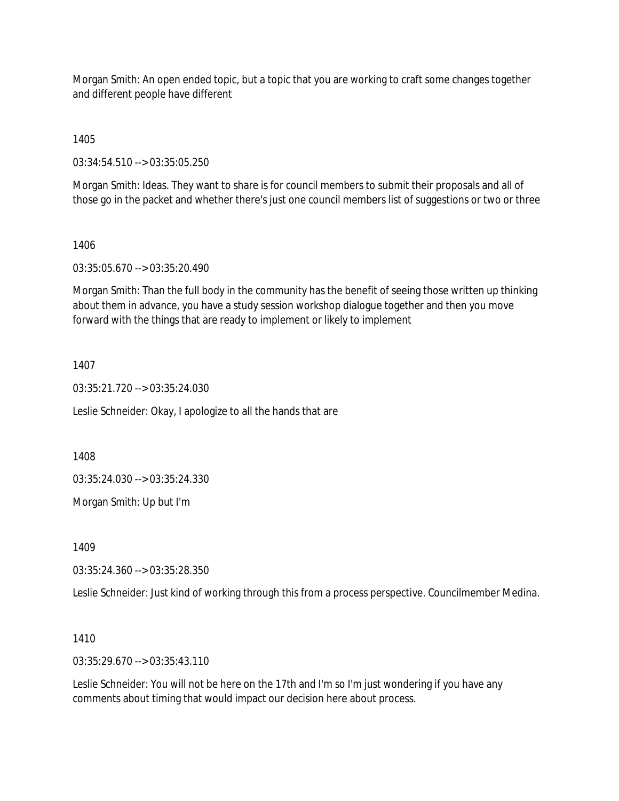Morgan Smith: An open ended topic, but a topic that you are working to craft some changes together and different people have different

1405

03:34:54.510 --> 03:35:05.250

Morgan Smith: Ideas. They want to share is for council members to submit their proposals and all of those go in the packet and whether there's just one council members list of suggestions or two or three

## 1406

03:35:05.670 --> 03:35:20.490

Morgan Smith: Than the full body in the community has the benefit of seeing those written up thinking about them in advance, you have a study session workshop dialogue together and then you move forward with the things that are ready to implement or likely to implement

## 1407

03:35:21.720 --> 03:35:24.030

Leslie Schneider: Okay, I apologize to all the hands that are

1408

03:35:24.030 --> 03:35:24.330

Morgan Smith: Up but I'm

1409

03:35:24.360 --> 03:35:28.350

Leslie Schneider: Just kind of working through this from a process perspective. Councilmember Medina.

### 1410

03:35:29.670 --> 03:35:43.110

Leslie Schneider: You will not be here on the 17th and I'm so I'm just wondering if you have any comments about timing that would impact our decision here about process.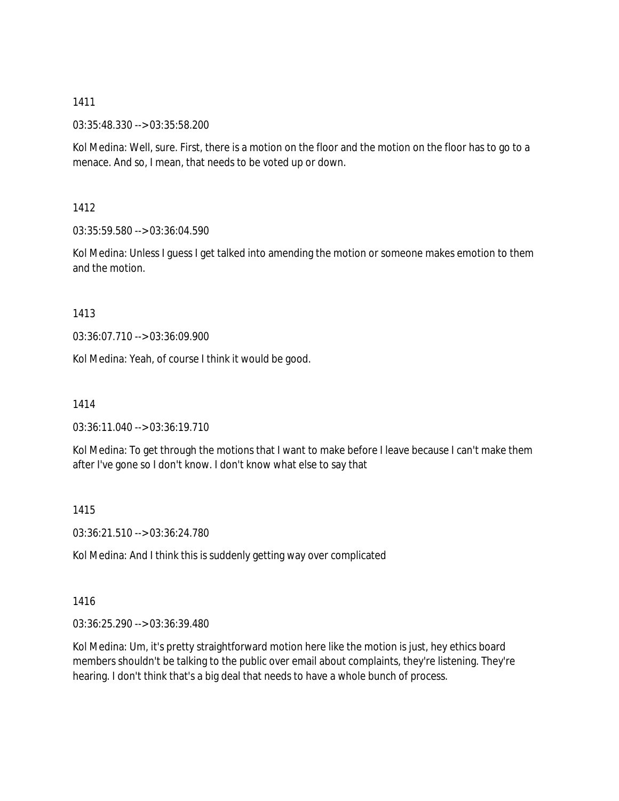03:35:48.330 --> 03:35:58.200

Kol Medina: Well, sure. First, there is a motion on the floor and the motion on the floor has to go to a menace. And so, I mean, that needs to be voted up or down.

1412

03:35:59.580 --> 03:36:04.590

Kol Medina: Unless I guess I get talked into amending the motion or someone makes emotion to them and the motion.

1413

03:36:07.710 --> 03:36:09.900

Kol Medina: Yeah, of course I think it would be good.

1414

03:36:11.040 --> 03:36:19.710

Kol Medina: To get through the motions that I want to make before I leave because I can't make them after I've gone so I don't know. I don't know what else to say that

1415

03:36:21.510 --> 03:36:24.780

Kol Medina: And I think this is suddenly getting way over complicated

1416

03:36:25.290 --> 03:36:39.480

Kol Medina: Um, it's pretty straightforward motion here like the motion is just, hey ethics board members shouldn't be talking to the public over email about complaints, they're listening. They're hearing. I don't think that's a big deal that needs to have a whole bunch of process.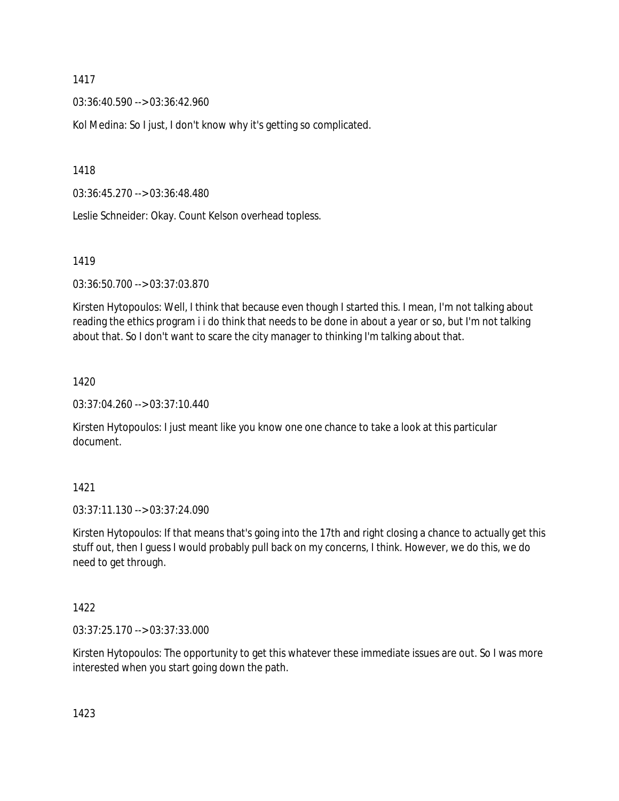03:36:40.590 --> 03:36:42.960

Kol Medina: So I just, I don't know why it's getting so complicated.

1418

03:36:45.270 --> 03:36:48.480

Leslie Schneider: Okay. Count Kelson overhead topless.

1419

03:36:50.700 --> 03:37:03.870

Kirsten Hytopoulos: Well, I think that because even though I started this. I mean, I'm not talking about reading the ethics program i i do think that needs to be done in about a year or so, but I'm not talking about that. So I don't want to scare the city manager to thinking I'm talking about that.

### 1420

03:37:04.260 --> 03:37:10.440

Kirsten Hytopoulos: I just meant like you know one one chance to take a look at this particular document.

### 1421

03:37:11.130 --> 03:37:24.090

Kirsten Hytopoulos: If that means that's going into the 17th and right closing a chance to actually get this stuff out, then I guess I would probably pull back on my concerns, I think. However, we do this, we do need to get through.

### 1422

03:37:25.170 --> 03:37:33.000

Kirsten Hytopoulos: The opportunity to get this whatever these immediate issues are out. So I was more interested when you start going down the path.

1423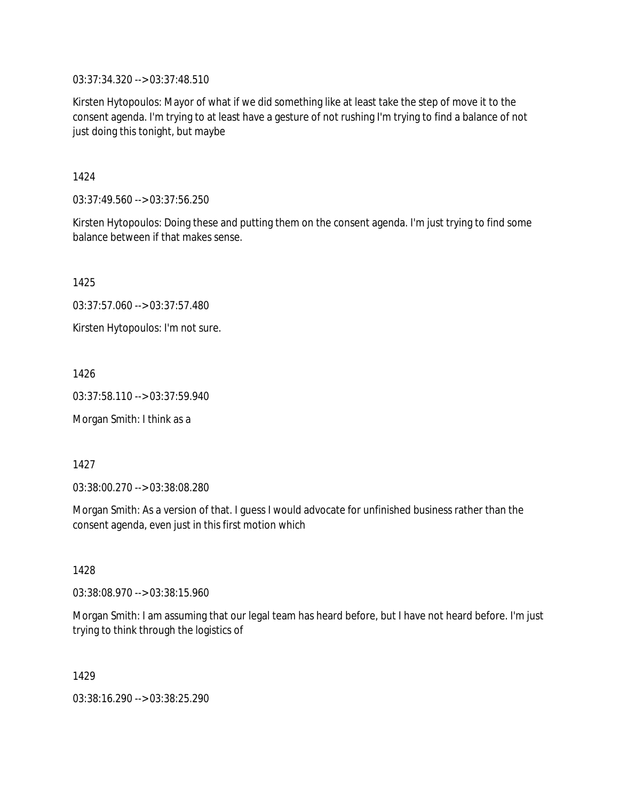03:37:34.320 --> 03:37:48.510

Kirsten Hytopoulos: Mayor of what if we did something like at least take the step of move it to the consent agenda. I'm trying to at least have a gesture of not rushing I'm trying to find a balance of not just doing this tonight, but maybe

1424

03:37:49.560 --> 03:37:56.250

Kirsten Hytopoulos: Doing these and putting them on the consent agenda. I'm just trying to find some balance between if that makes sense.

1425

03:37:57.060 --> 03:37:57.480

Kirsten Hytopoulos: I'm not sure.

1426

03:37:58.110 --> 03:37:59.940

Morgan Smith: I think as a

1427

03:38:00.270 --> 03:38:08.280

Morgan Smith: As a version of that. I guess I would advocate for unfinished business rather than the consent agenda, even just in this first motion which

1428

03:38:08.970 --> 03:38:15.960

Morgan Smith: I am assuming that our legal team has heard before, but I have not heard before. I'm just trying to think through the logistics of

1429

03:38:16.290 --> 03:38:25.290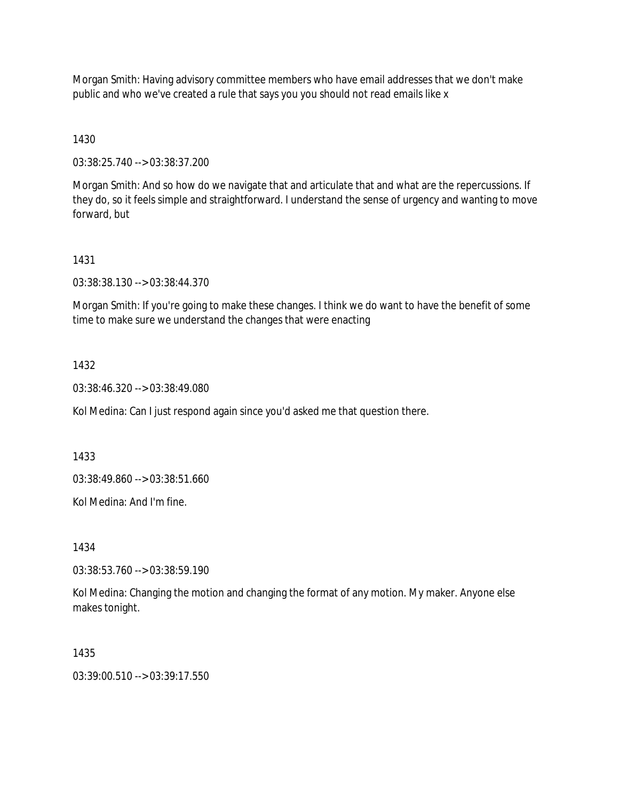Morgan Smith: Having advisory committee members who have email addresses that we don't make public and who we've created a rule that says you you should not read emails like x

1430

03:38:25.740 --> 03:38:37.200

Morgan Smith: And so how do we navigate that and articulate that and what are the repercussions. If they do, so it feels simple and straightforward. I understand the sense of urgency and wanting to move forward, but

1431

03:38:38.130 --> 03:38:44.370

Morgan Smith: If you're going to make these changes. I think we do want to have the benefit of some time to make sure we understand the changes that were enacting

1432

03:38:46.320 --> 03:38:49.080

Kol Medina: Can I just respond again since you'd asked me that question there.

1433

03:38:49.860 --> 03:38:51.660

Kol Medina: And I'm fine.

1434

03:38:53.760 --> 03:38:59.190

Kol Medina: Changing the motion and changing the format of any motion. My maker. Anyone else makes tonight.

1435

03:39:00.510 --> 03:39:17.550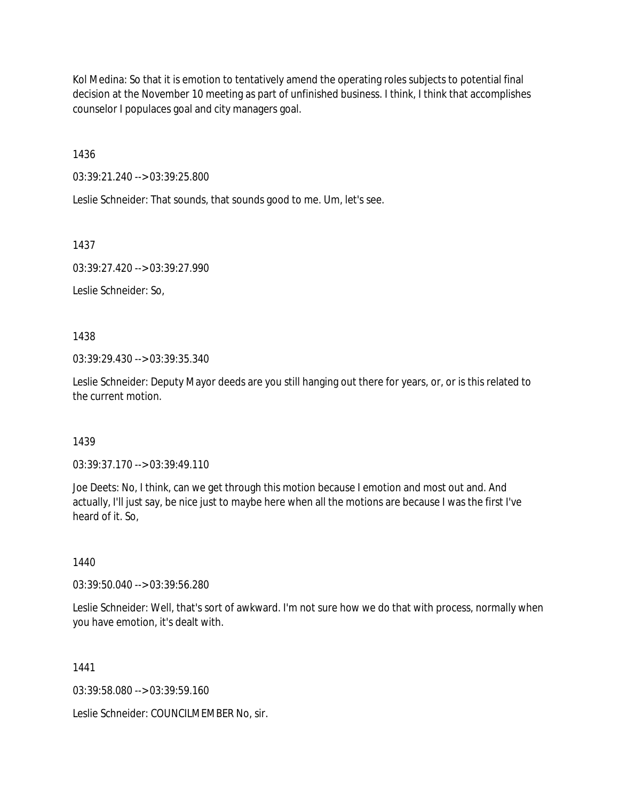Kol Medina: So that it is emotion to tentatively amend the operating roles subjects to potential final decision at the November 10 meeting as part of unfinished business. I think, I think that accomplishes counselor I populaces goal and city managers goal.

1436

03:39:21.240 --> 03:39:25.800

Leslie Schneider: That sounds, that sounds good to me. Um, let's see.

1437

03:39:27.420 --> 03:39:27.990

Leslie Schneider: So,

1438

03:39:29.430 --> 03:39:35.340

Leslie Schneider: Deputy Mayor deeds are you still hanging out there for years, or, or is this related to the current motion.

1439

03:39:37.170 --> 03:39:49.110

Joe Deets: No, I think, can we get through this motion because I emotion and most out and. And actually, I'll just say, be nice just to maybe here when all the motions are because I was the first I've heard of it. So,

1440

03:39:50.040 --> 03:39:56.280

Leslie Schneider: Well, that's sort of awkward. I'm not sure how we do that with process, normally when you have emotion, it's dealt with.

1441

03:39:58.080 --> 03:39:59.160

Leslie Schneider: COUNCILMEMBER No, sir.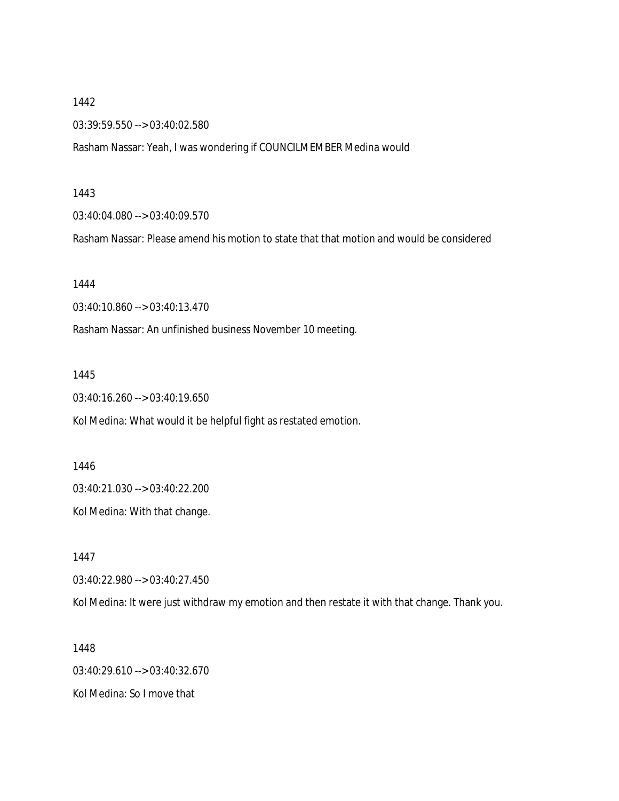03:39:59.550 --> 03:40:02.580

Rasham Nassar: Yeah, I was wondering if COUNCILMEMBER Medina would

1443

03:40:04.080 --> 03:40:09.570

Rasham Nassar: Please amend his motion to state that that motion and would be considered

1444

03:40:10.860 --> 03:40:13.470

Rasham Nassar: An unfinished business November 10 meeting.

1445

03:40:16.260 --> 03:40:19.650

Kol Medina: What would it be helpful fight as restated emotion.

1446

03:40:21.030 --> 03:40:22.200

Kol Medina: With that change.

1447

03:40:22.980 --> 03:40:27.450

Kol Medina: It were just withdraw my emotion and then restate it with that change. Thank you.

1448 03:40:29.610 --> 03:40:32.670 Kol Medina: So I move that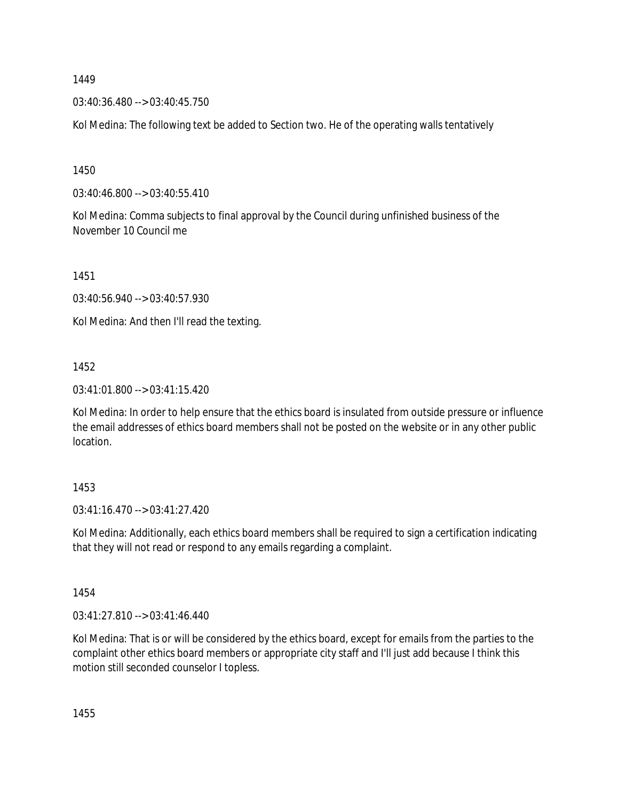03:40:36.480 --> 03:40:45.750

Kol Medina: The following text be added to Section two. He of the operating walls tentatively

1450

03:40:46.800 --> 03:40:55.410

Kol Medina: Comma subjects to final approval by the Council during unfinished business of the November 10 Council me

1451

03:40:56.940 --> 03:40:57.930

Kol Medina: And then I'll read the texting.

1452

03:41:01.800 --> 03:41:15.420

Kol Medina: In order to help ensure that the ethics board is insulated from outside pressure or influence the email addresses of ethics board members shall not be posted on the website or in any other public location.

### 1453

03:41:16.470 --> 03:41:27.420

Kol Medina: Additionally, each ethics board members shall be required to sign a certification indicating that they will not read or respond to any emails regarding a complaint.

1454

03:41:27.810 --> 03:41:46.440

Kol Medina: That is or will be considered by the ethics board, except for emails from the parties to the complaint other ethics board members or appropriate city staff and I'll just add because I think this motion still seconded counselor I topless.

1455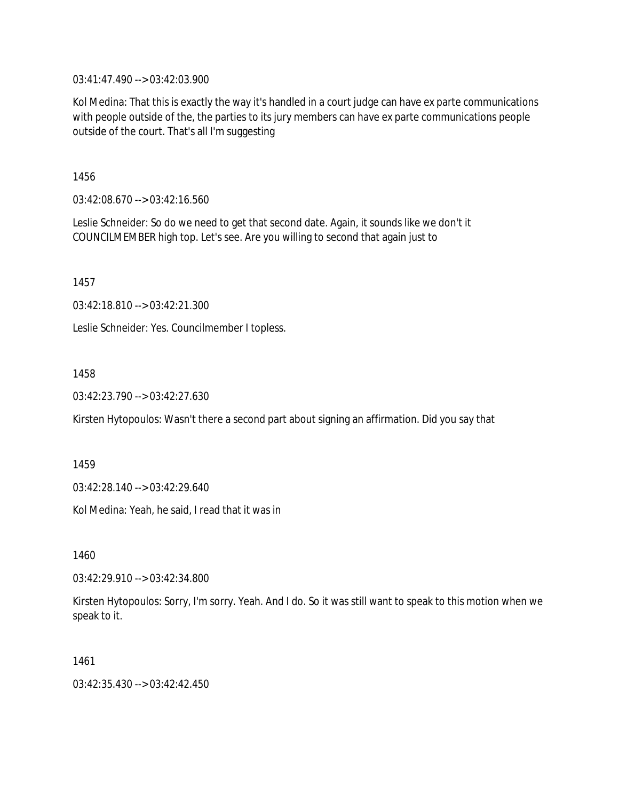03:41:47.490 --> 03:42:03.900

Kol Medina: That this is exactly the way it's handled in a court judge can have ex parte communications with people outside of the, the parties to its jury members can have ex parte communications people outside of the court. That's all I'm suggesting

1456

03:42:08.670 --> 03:42:16.560

Leslie Schneider: So do we need to get that second date. Again, it sounds like we don't it COUNCILMEMBER high top. Let's see. Are you willing to second that again just to

1457

03:42:18.810 --> 03:42:21.300

Leslie Schneider: Yes. Councilmember I topless.

1458

03:42:23.790 --> 03:42:27.630

Kirsten Hytopoulos: Wasn't there a second part about signing an affirmation. Did you say that

1459

03:42:28.140 --> 03:42:29.640

Kol Medina: Yeah, he said, I read that it was in

1460

03:42:29.910 --> 03:42:34.800

Kirsten Hytopoulos: Sorry, I'm sorry. Yeah. And I do. So it was still want to speak to this motion when we speak to it.

1461

03:42:35.430 --> 03:42:42.450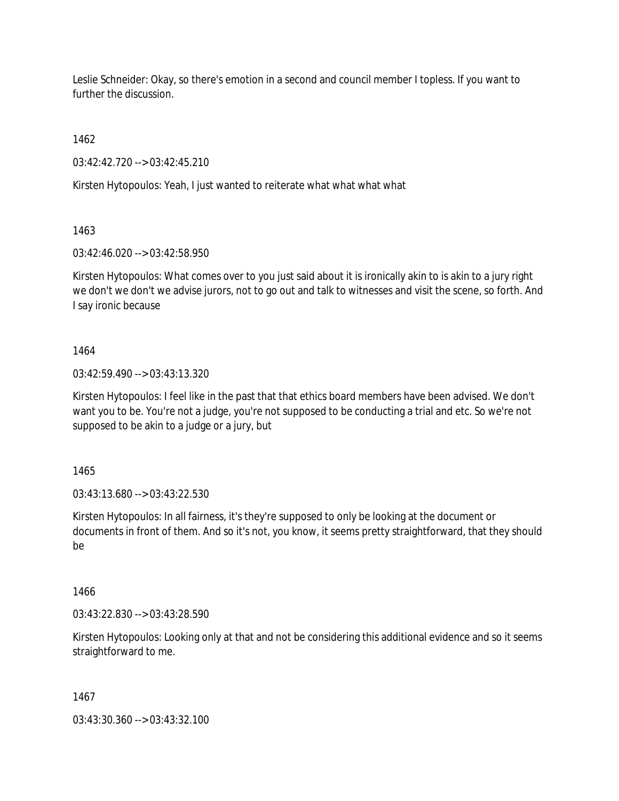Leslie Schneider: Okay, so there's emotion in a second and council member I topless. If you want to further the discussion.

1462

03:42:42.720 --> 03:42:45.210

Kirsten Hytopoulos: Yeah, I just wanted to reiterate what what what what

1463

03:42:46.020 --> 03:42:58.950

Kirsten Hytopoulos: What comes over to you just said about it is ironically akin to is akin to a jury right we don't we don't we advise jurors, not to go out and talk to witnesses and visit the scene, so forth. And I say ironic because

### 1464

03:42:59.490 --> 03:43:13.320

Kirsten Hytopoulos: I feel like in the past that that ethics board members have been advised. We don't want you to be. You're not a judge, you're not supposed to be conducting a trial and etc. So we're not supposed to be akin to a judge or a jury, but

1465

03:43:13.680 --> 03:43:22.530

Kirsten Hytopoulos: In all fairness, it's they're supposed to only be looking at the document or documents in front of them. And so it's not, you know, it seems pretty straightforward, that they should be

1466

03:43:22.830 --> 03:43:28.590

Kirsten Hytopoulos: Looking only at that and not be considering this additional evidence and so it seems straightforward to me.

# 1467

03:43:30.360 --> 03:43:32.100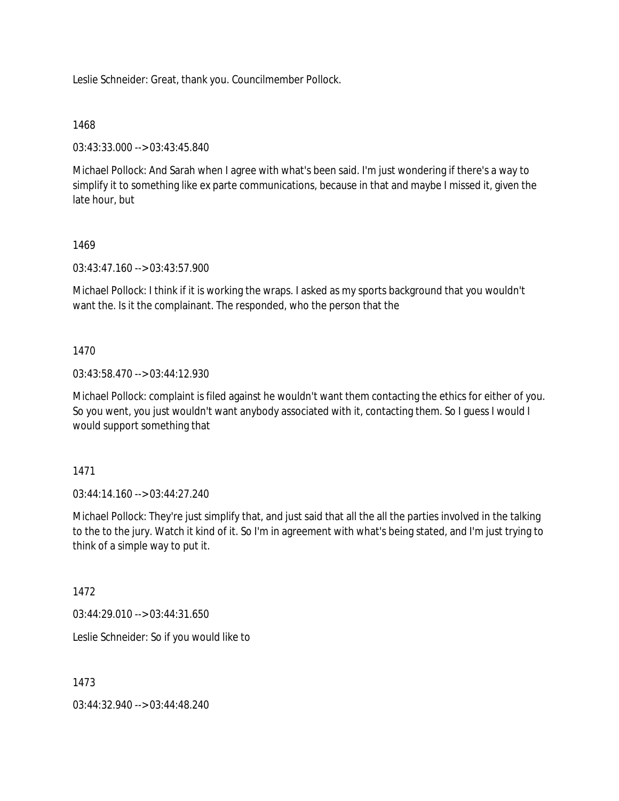Leslie Schneider: Great, thank you. Councilmember Pollock.

### 1468

03:43:33.000 --> 03:43:45.840

Michael Pollock: And Sarah when I agree with what's been said. I'm just wondering if there's a way to simplify it to something like ex parte communications, because in that and maybe I missed it, given the late hour, but

## 1469

03:43:47.160 --> 03:43:57.900

Michael Pollock: I think if it is working the wraps. I asked as my sports background that you wouldn't want the. Is it the complainant. The responded, who the person that the

## 1470

03:43:58.470 --> 03:44:12.930

Michael Pollock: complaint is filed against he wouldn't want them contacting the ethics for either of you. So you went, you just wouldn't want anybody associated with it, contacting them. So I guess I would I would support something that

### 1471

03:44:14.160 --> 03:44:27.240

Michael Pollock: They're just simplify that, and just said that all the all the parties involved in the talking to the to the jury. Watch it kind of it. So I'm in agreement with what's being stated, and I'm just trying to think of a simple way to put it.

# 1472

 $03:44:29.010 \rightarrow 03:44:31.650$ 

Leslie Schneider: So if you would like to

1473

03:44:32.940 --> 03:44:48.240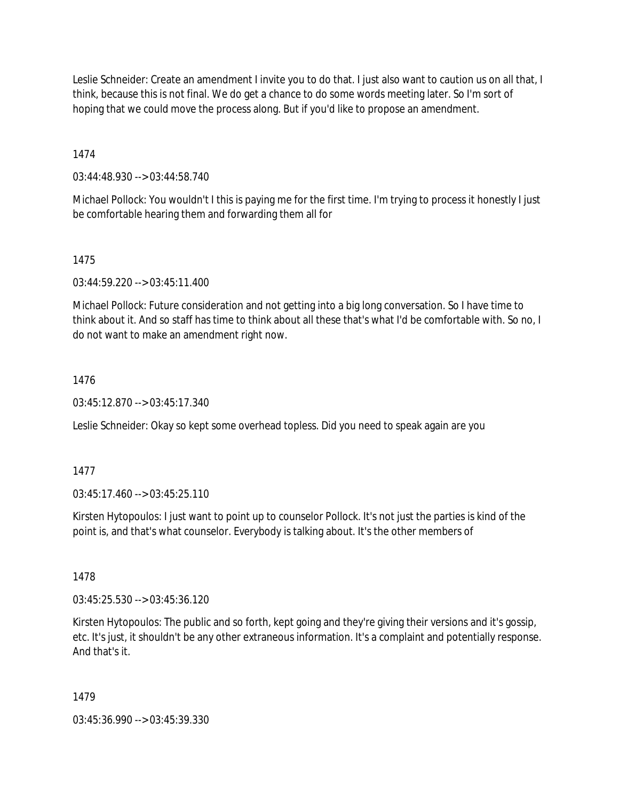Leslie Schneider: Create an amendment I invite you to do that. I just also want to caution us on all that, I think, because this is not final. We do get a chance to do some words meeting later. So I'm sort of hoping that we could move the process along. But if you'd like to propose an amendment.

1474

03:44:48.930 --> 03:44:58.740

Michael Pollock: You wouldn't I this is paying me for the first time. I'm trying to process it honestly I just be comfortable hearing them and forwarding them all for

1475

03:44:59.220 --> 03:45:11.400

Michael Pollock: Future consideration and not getting into a big long conversation. So I have time to think about it. And so staff has time to think about all these that's what I'd be comfortable with. So no, I do not want to make an amendment right now.

### 1476

03:45:12.870 --> 03:45:17.340

Leslie Schneider: Okay so kept some overhead topless. Did you need to speak again are you

# 1477

03:45:17.460 --> 03:45:25.110

Kirsten Hytopoulos: I just want to point up to counselor Pollock. It's not just the parties is kind of the point is, and that's what counselor. Everybody is talking about. It's the other members of

1478

03:45:25.530 --> 03:45:36.120

Kirsten Hytopoulos: The public and so forth, kept going and they're giving their versions and it's gossip, etc. It's just, it shouldn't be any other extraneous information. It's a complaint and potentially response. And that's it.

1479

03:45:36.990 --> 03:45:39.330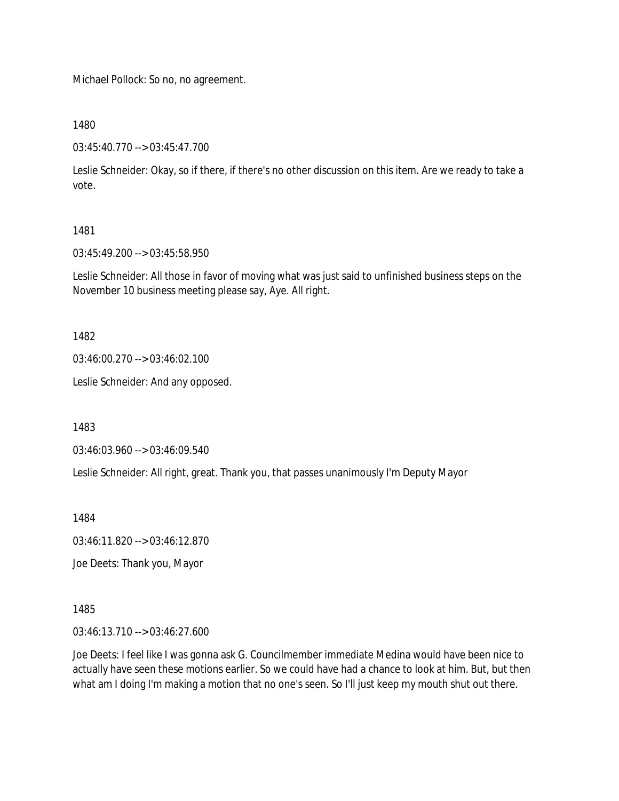Michael Pollock: So no, no agreement.

1480

03:45:40.770 --> 03:45:47.700

Leslie Schneider: Okay, so if there, if there's no other discussion on this item. Are we ready to take a vote.

### 1481

03:45:49.200 --> 03:45:58.950

Leslie Schneider: All those in favor of moving what was just said to unfinished business steps on the November 10 business meeting please say, Aye. All right.

1482

03:46:00.270 --> 03:46:02.100

Leslie Schneider: And any opposed.

1483

03:46:03.960 --> 03:46:09.540

Leslie Schneider: All right, great. Thank you, that passes unanimously I'm Deputy Mayor

1484

03:46:11.820 --> 03:46:12.870

Joe Deets: Thank you, Mayor

1485

03:46:13.710 --> 03:46:27.600

Joe Deets: I feel like I was gonna ask G. Councilmember immediate Medina would have been nice to actually have seen these motions earlier. So we could have had a chance to look at him. But, but then what am I doing I'm making a motion that no one's seen. So I'll just keep my mouth shut out there.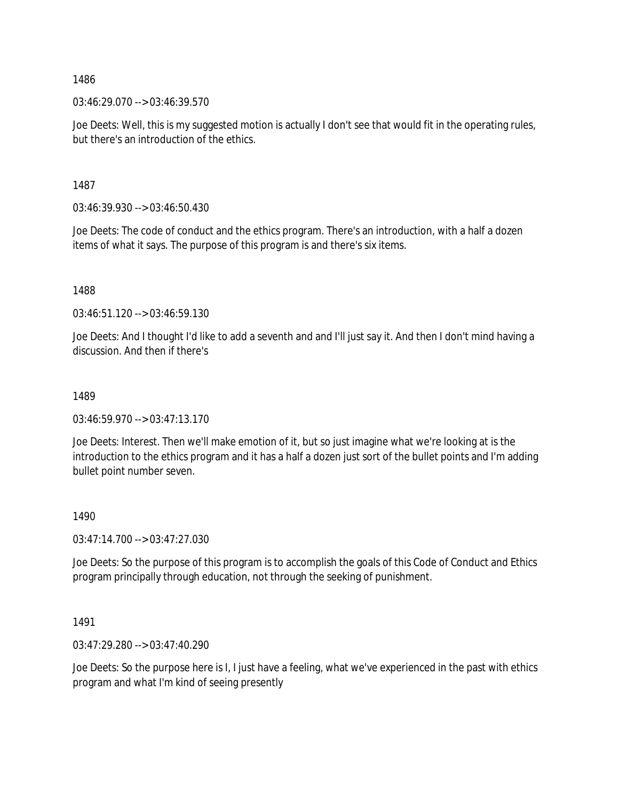03:46:29.070 --> 03:46:39.570

Joe Deets: Well, this is my suggested motion is actually I don't see that would fit in the operating rules, but there's an introduction of the ethics.

1487

03:46:39.930 --> 03:46:50.430

Joe Deets: The code of conduct and the ethics program. There's an introduction, with a half a dozen items of what it says. The purpose of this program is and there's six items.

1488

03:46:51.120 --> 03:46:59.130

Joe Deets: And I thought I'd like to add a seventh and and I'll just say it. And then I don't mind having a discussion. And then if there's

### 1489

 $03:46:59.970 \rightarrow 03:47:13.170$ 

Joe Deets: Interest. Then we'll make emotion of it, but so just imagine what we're looking at is the introduction to the ethics program and it has a half a dozen just sort of the bullet points and I'm adding bullet point number seven.

### 1490

03:47:14.700 --> 03:47:27.030

Joe Deets: So the purpose of this program is to accomplish the goals of this Code of Conduct and Ethics program principally through education, not through the seeking of punishment.

1491

03:47:29.280 --> 03:47:40.290

Joe Deets: So the purpose here is I, I just have a feeling, what we've experienced in the past with ethics program and what I'm kind of seeing presently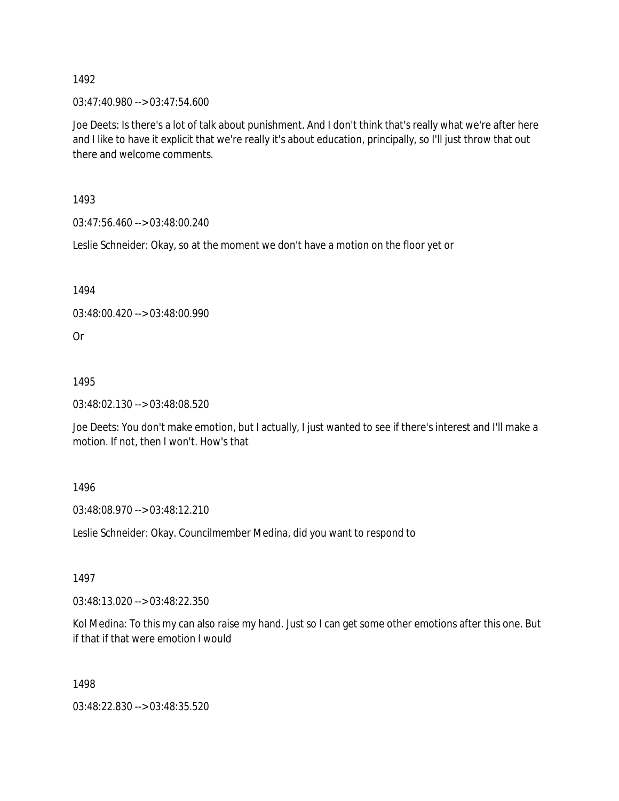03:47:40.980 --> 03:47:54.600

Joe Deets: Is there's a lot of talk about punishment. And I don't think that's really what we're after here and I like to have it explicit that we're really it's about education, principally, so I'll just throw that out there and welcome comments.

1493

03:47:56.460 --> 03:48:00.240

Leslie Schneider: Okay, so at the moment we don't have a motion on the floor yet or

1494

03:48:00.420 --> 03:48:00.990

Or

1495

03:48:02.130 --> 03:48:08.520

Joe Deets: You don't make emotion, but I actually, I just wanted to see if there's interest and I'll make a motion. If not, then I won't. How's that

1496

03:48:08.970 --> 03:48:12.210

Leslie Schneider: Okay. Councilmember Medina, did you want to respond to

1497

03:48:13.020 --> 03:48:22.350

Kol Medina: To this my can also raise my hand. Just so I can get some other emotions after this one. But if that if that were emotion I would

1498

03:48:22.830 --> 03:48:35.520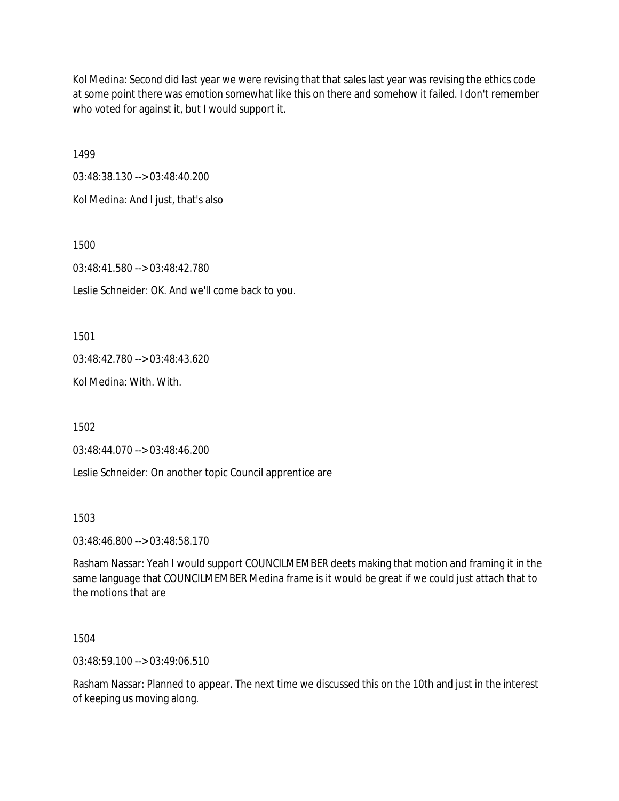Kol Medina: Second did last year we were revising that that sales last year was revising the ethics code at some point there was emotion somewhat like this on there and somehow it failed. I don't remember who voted for against it, but I would support it.

1499

03:48:38.130 --> 03:48:40.200

Kol Medina: And I just, that's also

1500

03:48:41.580 --> 03:48:42.780

Leslie Schneider: OK. And we'll come back to you.

1501

03:48:42.780 --> 03:48:43.620

Kol Medina: With. With.

1502

03:48:44.070 --> 03:48:46.200

Leslie Schneider: On another topic Council apprentice are

1503

03:48:46.800 --> 03:48:58.170

Rasham Nassar: Yeah I would support COUNCILMEMBER deets making that motion and framing it in the same language that COUNCILMEMBER Medina frame is it would be great if we could just attach that to the motions that are

1504

03:48:59.100 --> 03:49:06.510

Rasham Nassar: Planned to appear. The next time we discussed this on the 10th and just in the interest of keeping us moving along.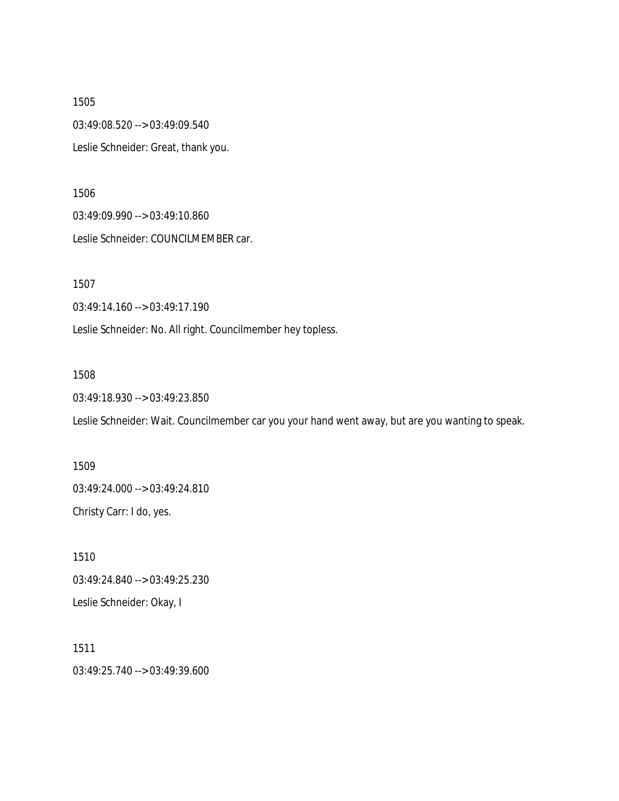1505 03:49:08.520 --> 03:49:09.540 Leslie Schneider: Great, thank you.

1506

03:49:09.990 --> 03:49:10.860

Leslie Schneider: COUNCILMEMBER car.

1507

03:49:14.160 --> 03:49:17.190

Leslie Schneider: No. All right. Councilmember hey topless.

1508

03:49:18.930 --> 03:49:23.850

Leslie Schneider: Wait. Councilmember car you your hand went away, but are you wanting to speak.

1509 03:49:24.000 --> 03:49:24.810 Christy Carr: I do, yes.

1510 03:49:24.840 --> 03:49:25.230 Leslie Schneider: Okay, I

1511 03:49:25.740 --> 03:49:39.600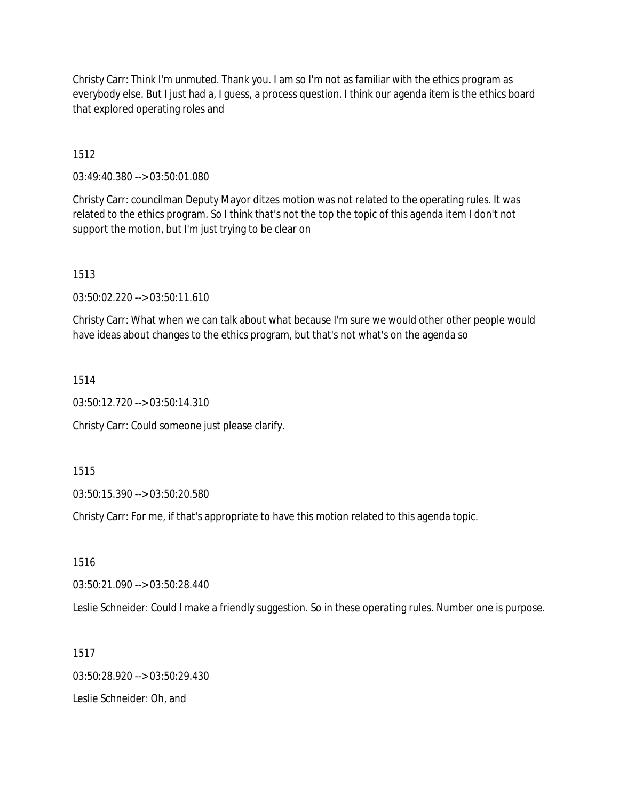Christy Carr: Think I'm unmuted. Thank you. I am so I'm not as familiar with the ethics program as everybody else. But I just had a, I guess, a process question. I think our agenda item is the ethics board that explored operating roles and

1512

03:49:40.380 --> 03:50:01.080

Christy Carr: councilman Deputy Mayor ditzes motion was not related to the operating rules. It was related to the ethics program. So I think that's not the top the topic of this agenda item I don't not support the motion, but I'm just trying to be clear on

1513

03:50:02.220 --> 03:50:11.610

Christy Carr: What when we can talk about what because I'm sure we would other other people would have ideas about changes to the ethics program, but that's not what's on the agenda so

1514

03:50:12.720 --> 03:50:14.310

Christy Carr: Could someone just please clarify.

1515

03:50:15.390 --> 03:50:20.580

Christy Carr: For me, if that's appropriate to have this motion related to this agenda topic.

1516

03:50:21.090 --> 03:50:28.440

Leslie Schneider: Could I make a friendly suggestion. So in these operating rules. Number one is purpose.

1517

03:50:28.920 --> 03:50:29.430 Leslie Schneider: Oh, and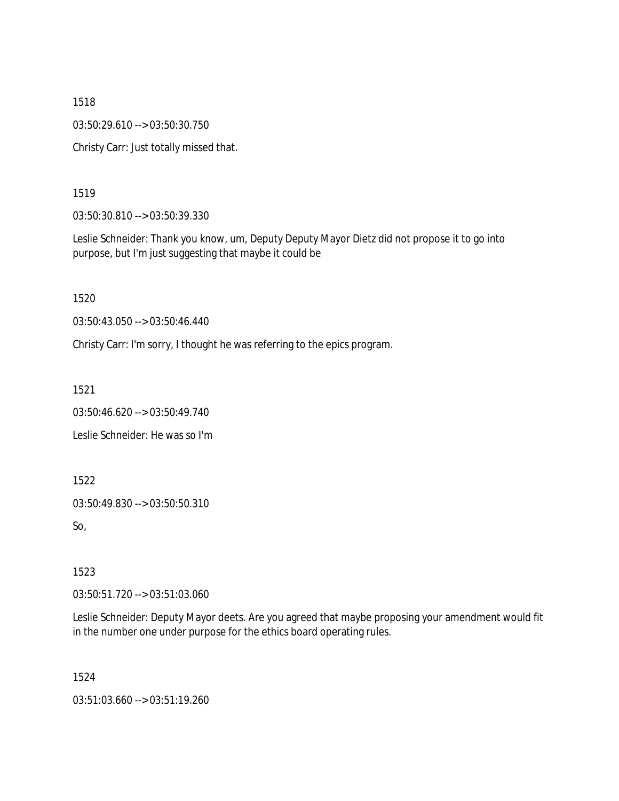03:50:29.610 --> 03:50:30.750

Christy Carr: Just totally missed that.

1519

03:50:30.810 --> 03:50:39.330

Leslie Schneider: Thank you know, um, Deputy Deputy Mayor Dietz did not propose it to go into purpose, but I'm just suggesting that maybe it could be

1520

03:50:43.050 --> 03:50:46.440

Christy Carr: I'm sorry, I thought he was referring to the epics program.

1521

03:50:46.620 --> 03:50:49.740 Leslie Schneider: He was so I'm

1522

03:50:49.830 --> 03:50:50.310

So,

1523

03:50:51.720 --> 03:51:03.060

Leslie Schneider: Deputy Mayor deets. Are you agreed that maybe proposing your amendment would fit in the number one under purpose for the ethics board operating rules.

1524

03:51:03.660 --> 03:51:19.260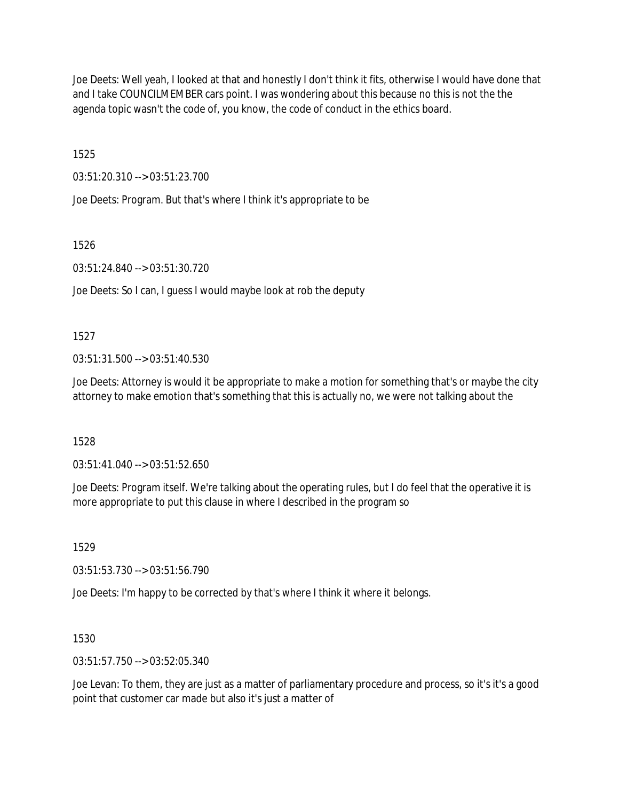Joe Deets: Well yeah, I looked at that and honestly I don't think it fits, otherwise I would have done that and I take COUNCILMEMBER cars point. I was wondering about this because no this is not the the agenda topic wasn't the code of, you know, the code of conduct in the ethics board.

1525

03:51:20.310 --> 03:51:23.700

Joe Deets: Program. But that's where I think it's appropriate to be

1526

03:51:24.840 --> 03:51:30.720

Joe Deets: So I can, I guess I would maybe look at rob the deputy

1527

03:51:31.500 --> 03:51:40.530

Joe Deets: Attorney is would it be appropriate to make a motion for something that's or maybe the city attorney to make emotion that's something that this is actually no, we were not talking about the

1528

03:51:41.040 --> 03:51:52.650

Joe Deets: Program itself. We're talking about the operating rules, but I do feel that the operative it is more appropriate to put this clause in where I described in the program so

1529

03:51:53.730 --> 03:51:56.790

Joe Deets: I'm happy to be corrected by that's where I think it where it belongs.

1530

03:51:57.750 --> 03:52:05.340

Joe Levan: To them, they are just as a matter of parliamentary procedure and process, so it's it's a good point that customer car made but also it's just a matter of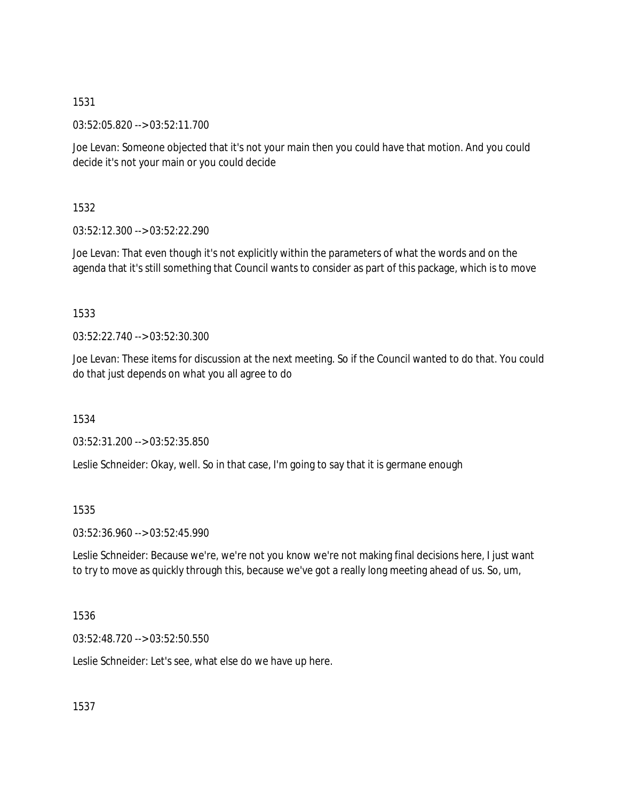03:52:05.820 --> 03:52:11.700

Joe Levan: Someone objected that it's not your main then you could have that motion. And you could decide it's not your main or you could decide

1532

03:52:12.300 --> 03:52:22.290

Joe Levan: That even though it's not explicitly within the parameters of what the words and on the agenda that it's still something that Council wants to consider as part of this package, which is to move

1533

03:52:22.740 --> 03:52:30.300

Joe Levan: These items for discussion at the next meeting. So if the Council wanted to do that. You could do that just depends on what you all agree to do

1534

03:52:31.200 --> 03:52:35.850

Leslie Schneider: Okay, well. So in that case, I'm going to say that it is germane enough

1535

03:52:36.960 --> 03:52:45.990

Leslie Schneider: Because we're, we're not you know we're not making final decisions here, I just want to try to move as quickly through this, because we've got a really long meeting ahead of us. So, um,

1536

03:52:48.720 --> 03:52:50.550

Leslie Schneider: Let's see, what else do we have up here.

1537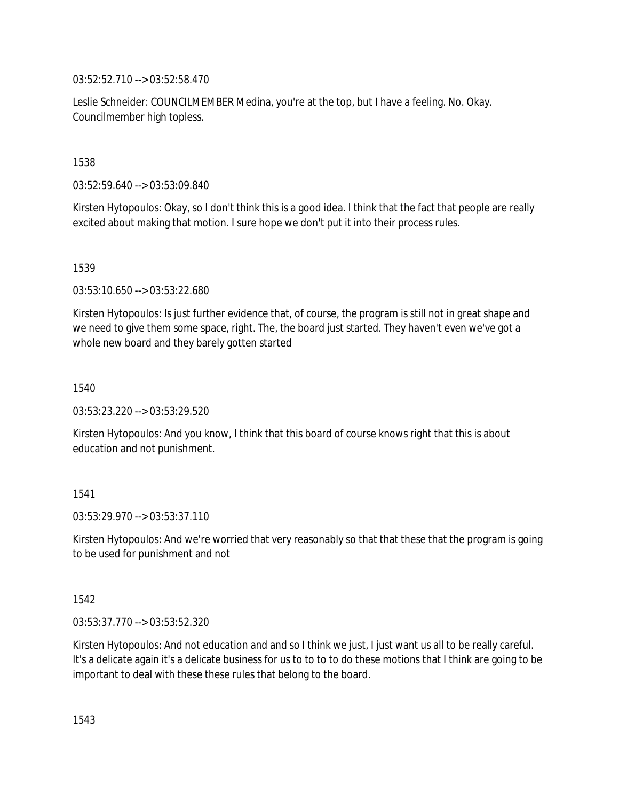03:52:52.710 --> 03:52:58.470

Leslie Schneider: COUNCILMEMBER Medina, you're at the top, but I have a feeling. No. Okay. Councilmember high topless.

## 1538

03:52:59.640 --> 03:53:09.840

Kirsten Hytopoulos: Okay, so I don't think this is a good idea. I think that the fact that people are really excited about making that motion. I sure hope we don't put it into their process rules.

## 1539

03:53:10.650 --> 03:53:22.680

Kirsten Hytopoulos: Is just further evidence that, of course, the program is still not in great shape and we need to give them some space, right. The, the board just started. They haven't even we've got a whole new board and they barely gotten started

### 1540

03:53:23.220 --> 03:53:29.520

Kirsten Hytopoulos: And you know, I think that this board of course knows right that this is about education and not punishment.

### 1541

 $03:53:29.970 \rightarrow 03:53:37.110$ 

Kirsten Hytopoulos: And we're worried that very reasonably so that that these that the program is going to be used for punishment and not

### 1542

03:53:37.770 --> 03:53:52.320

Kirsten Hytopoulos: And not education and and so I think we just, I just want us all to be really careful. It's a delicate again it's a delicate business for us to to to to do these motions that I think are going to be important to deal with these these rules that belong to the board.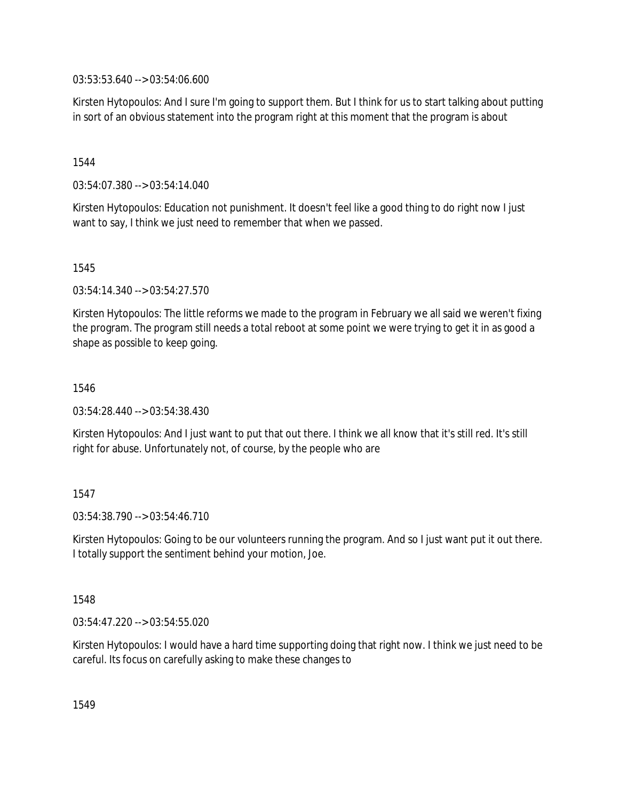03:53:53.640 --> 03:54:06.600

Kirsten Hytopoulos: And I sure I'm going to support them. But I think for us to start talking about putting in sort of an obvious statement into the program right at this moment that the program is about

1544

03:54:07.380 --> 03:54:14.040

Kirsten Hytopoulos: Education not punishment. It doesn't feel like a good thing to do right now I just want to say, I think we just need to remember that when we passed.

1545

03:54:14.340 --> 03:54:27.570

Kirsten Hytopoulos: The little reforms we made to the program in February we all said we weren't fixing the program. The program still needs a total reboot at some point we were trying to get it in as good a shape as possible to keep going.

1546

03:54:28.440 --> 03:54:38.430

Kirsten Hytopoulos: And I just want to put that out there. I think we all know that it's still red. It's still right for abuse. Unfortunately not, of course, by the people who are

1547

 $03:54:38.790 \rightarrow 03:54:46.710$ 

Kirsten Hytopoulos: Going to be our volunteers running the program. And so I just want put it out there. I totally support the sentiment behind your motion, Joe.

1548

03:54:47.220 --> 03:54:55.020

Kirsten Hytopoulos: I would have a hard time supporting doing that right now. I think we just need to be careful. Its focus on carefully asking to make these changes to

1549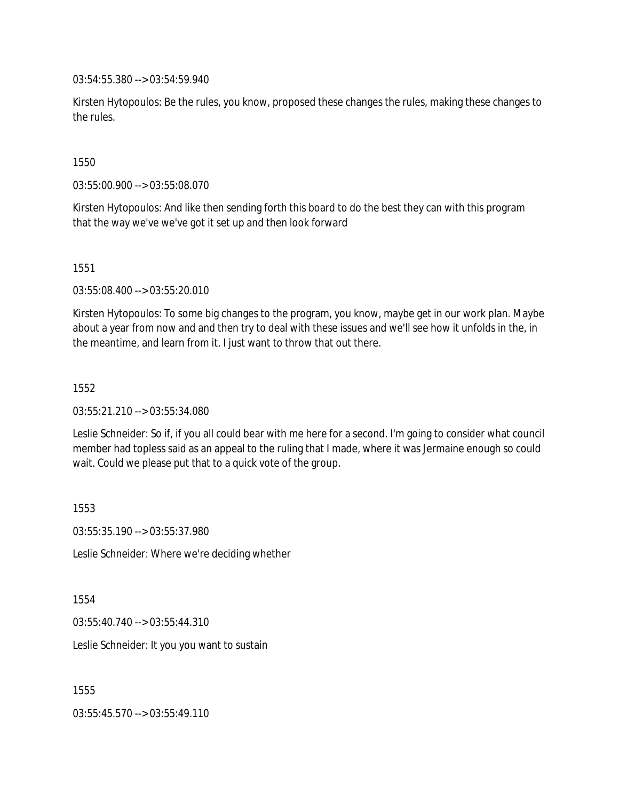03:54:55.380 --> 03:54:59.940

Kirsten Hytopoulos: Be the rules, you know, proposed these changes the rules, making these changes to the rules.

1550

03:55:00.900 --> 03:55:08.070

Kirsten Hytopoulos: And like then sending forth this board to do the best they can with this program that the way we've we've got it set up and then look forward

1551

03:55:08.400 --> 03:55:20.010

Kirsten Hytopoulos: To some big changes to the program, you know, maybe get in our work plan. Maybe about a year from now and and then try to deal with these issues and we'll see how it unfolds in the, in the meantime, and learn from it. I just want to throw that out there.

1552

03:55:21.210 --> 03:55:34.080

Leslie Schneider: So if, if you all could bear with me here for a second. I'm going to consider what council member had topless said as an appeal to the ruling that I made, where it was Jermaine enough so could wait. Could we please put that to a quick vote of the group.

1553

03:55:35.190 --> 03:55:37.980

Leslie Schneider: Where we're deciding whether

1554

03:55:40.740 --> 03:55:44.310

Leslie Schneider: It you you want to sustain

1555

03:55:45.570 --> 03:55:49.110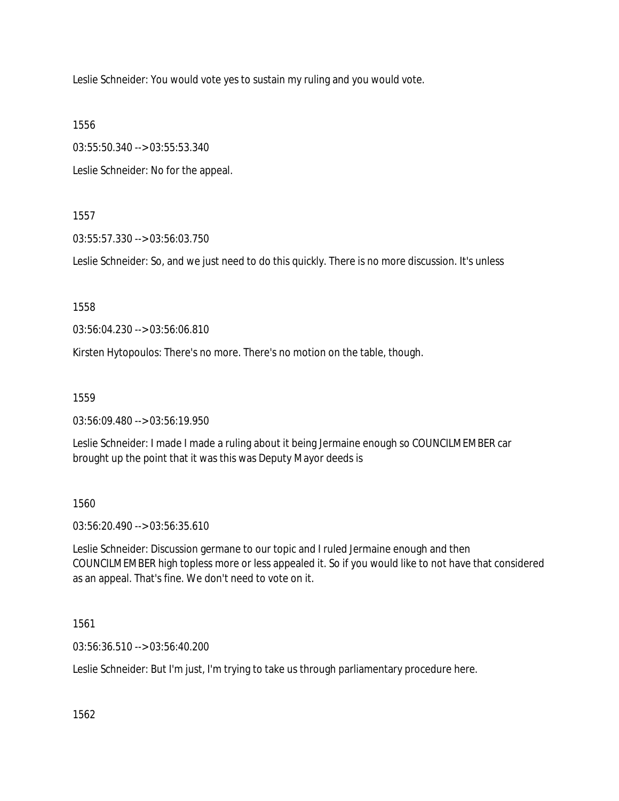Leslie Schneider: You would vote yes to sustain my ruling and you would vote.

1556

03:55:50.340 --> 03:55:53.340

Leslie Schneider: No for the appeal.

### 1557

03:55:57.330 --> 03:56:03.750

Leslie Schneider: So, and we just need to do this quickly. There is no more discussion. It's unless

1558

03:56:04.230 --> 03:56:06.810

Kirsten Hytopoulos: There's no more. There's no motion on the table, though.

1559

03:56:09.480 --> 03:56:19.950

Leslie Schneider: I made I made a ruling about it being Jermaine enough so COUNCILMEMBER car brought up the point that it was this was Deputy Mayor deeds is

1560

03:56:20.490 --> 03:56:35.610

Leslie Schneider: Discussion germane to our topic and I ruled Jermaine enough and then COUNCILMEMBER high topless more or less appealed it. So if you would like to not have that considered as an appeal. That's fine. We don't need to vote on it.

1561

03:56:36.510 --> 03:56:40.200

Leslie Schneider: But I'm just, I'm trying to take us through parliamentary procedure here.

1562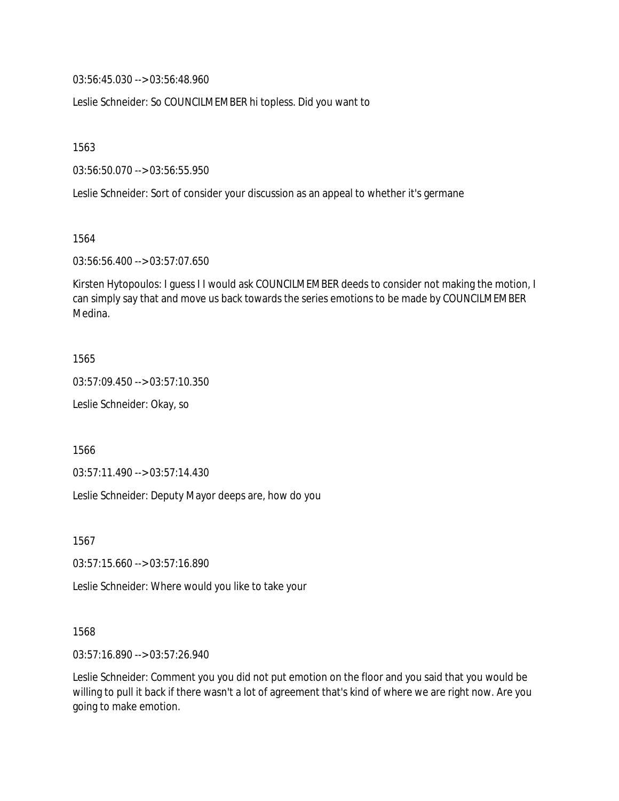03:56:45.030 --> 03:56:48.960

Leslie Schneider: So COUNCILMEMBER hi topless. Did you want to

1563

03:56:50.070 --> 03:56:55.950

Leslie Schneider: Sort of consider your discussion as an appeal to whether it's germane

1564

03:56:56.400 --> 03:57:07.650

Kirsten Hytopoulos: I guess I I would ask COUNCILMEMBER deeds to consider not making the motion, I can simply say that and move us back towards the series emotions to be made by COUNCILMEMBER Medina.

1565

03:57:09.450 --> 03:57:10.350

Leslie Schneider: Okay, so

1566

03:57:11.490 --> 03:57:14.430

Leslie Schneider: Deputy Mayor deeps are, how do you

1567

03:57:15.660 --> 03:57:16.890

Leslie Schneider: Where would you like to take your

1568

03:57:16.890 --> 03:57:26.940

Leslie Schneider: Comment you you did not put emotion on the floor and you said that you would be willing to pull it back if there wasn't a lot of agreement that's kind of where we are right now. Are you going to make emotion.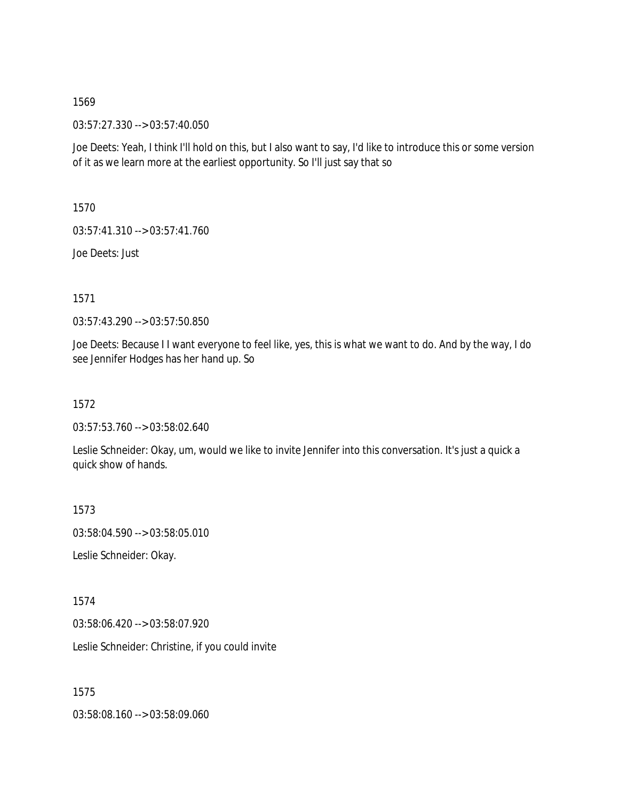03:57:27.330 --> 03:57:40.050

Joe Deets: Yeah, I think I'll hold on this, but I also want to say, I'd like to introduce this or some version of it as we learn more at the earliest opportunity. So I'll just say that so

1570

03:57:41.310 --> 03:57:41.760

Joe Deets: Just

1571

03:57:43.290 --> 03:57:50.850

Joe Deets: Because I I want everyone to feel like, yes, this is what we want to do. And by the way, I do see Jennifer Hodges has her hand up. So

1572

03:57:53.760 --> 03:58:02.640

Leslie Schneider: Okay, um, would we like to invite Jennifer into this conversation. It's just a quick a quick show of hands.

1573

03:58:04.590 --> 03:58:05.010

Leslie Schneider: Okay.

1574

03:58:06.420 --> 03:58:07.920

Leslie Schneider: Christine, if you could invite

1575

03:58:08.160 --> 03:58:09.060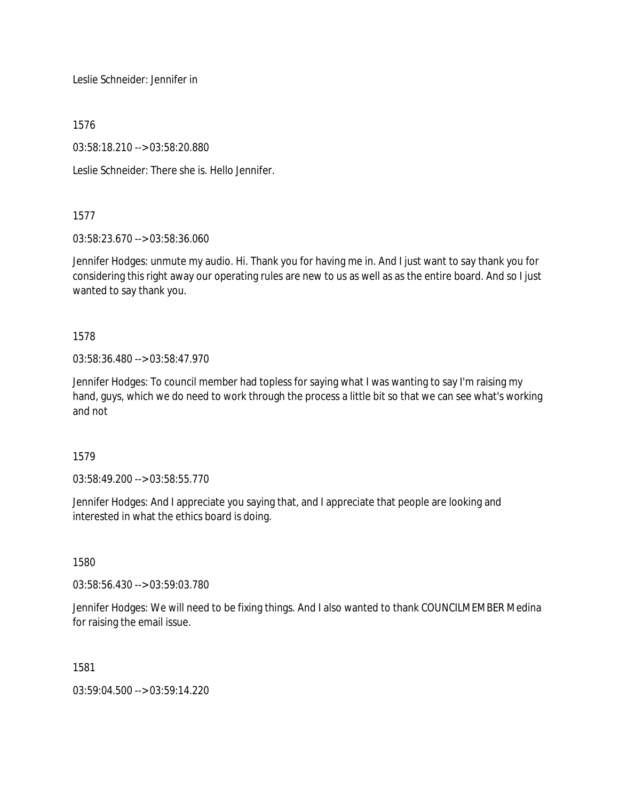Leslie Schneider: Jennifer in

1576

03:58:18.210 --> 03:58:20.880

Leslie Schneider: There she is. Hello Jennifer.

1577

03:58:23.670 --> 03:58:36.060

Jennifer Hodges: unmute my audio. Hi. Thank you for having me in. And I just want to say thank you for considering this right away our operating rules are new to us as well as as the entire board. And so I just wanted to say thank you.

1578

03:58:36.480 --> 03:58:47.970

Jennifer Hodges: To council member had topless for saying what I was wanting to say I'm raising my hand, guys, which we do need to work through the process a little bit so that we can see what's working and not

1579

03:58:49.200 --> 03:58:55.770

Jennifer Hodges: And I appreciate you saying that, and I appreciate that people are looking and interested in what the ethics board is doing.

1580

03:58:56.430 --> 03:59:03.780

Jennifer Hodges: We will need to be fixing things. And I also wanted to thank COUNCILMEMBER Medina for raising the email issue.

1581

03:59:04.500 --> 03:59:14.220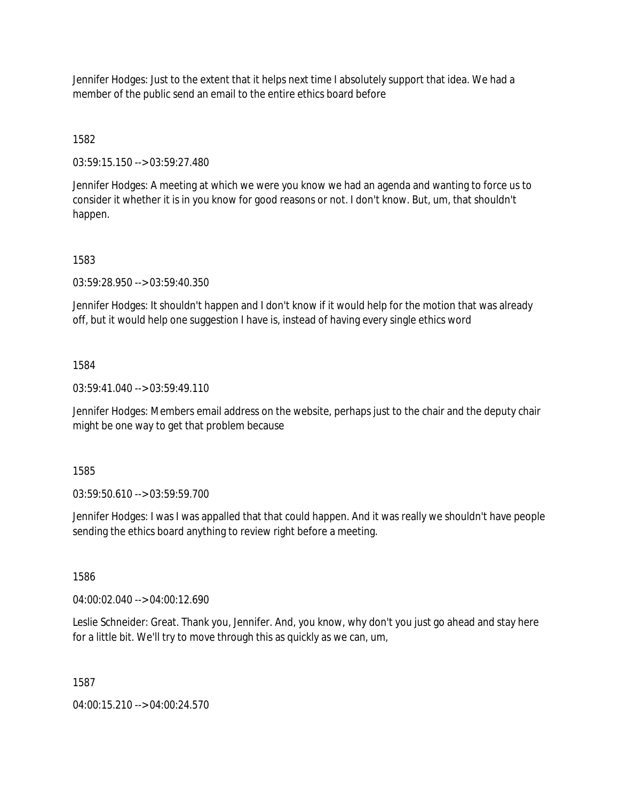Jennifer Hodges: Just to the extent that it helps next time I absolutely support that idea. We had a member of the public send an email to the entire ethics board before

1582

03:59:15.150 --> 03:59:27.480

Jennifer Hodges: A meeting at which we were you know we had an agenda and wanting to force us to consider it whether it is in you know for good reasons or not. I don't know. But, um, that shouldn't happen.

### 1583

03:59:28.950 --> 03:59:40.350

Jennifer Hodges: It shouldn't happen and I don't know if it would help for the motion that was already off, but it would help one suggestion I have is, instead of having every single ethics word

### 1584

03:59:41.040 --> 03:59:49.110

Jennifer Hodges: Members email address on the website, perhaps just to the chair and the deputy chair might be one way to get that problem because

1585

03:59:50.610 --> 03:59:59.700

Jennifer Hodges: I was I was appalled that that could happen. And it was really we shouldn't have people sending the ethics board anything to review right before a meeting.

1586

04:00:02.040 --> 04:00:12.690

Leslie Schneider: Great. Thank you, Jennifer. And, you know, why don't you just go ahead and stay here for a little bit. We'll try to move through this as quickly as we can, um,

1587

04:00:15.210 --> 04:00:24.570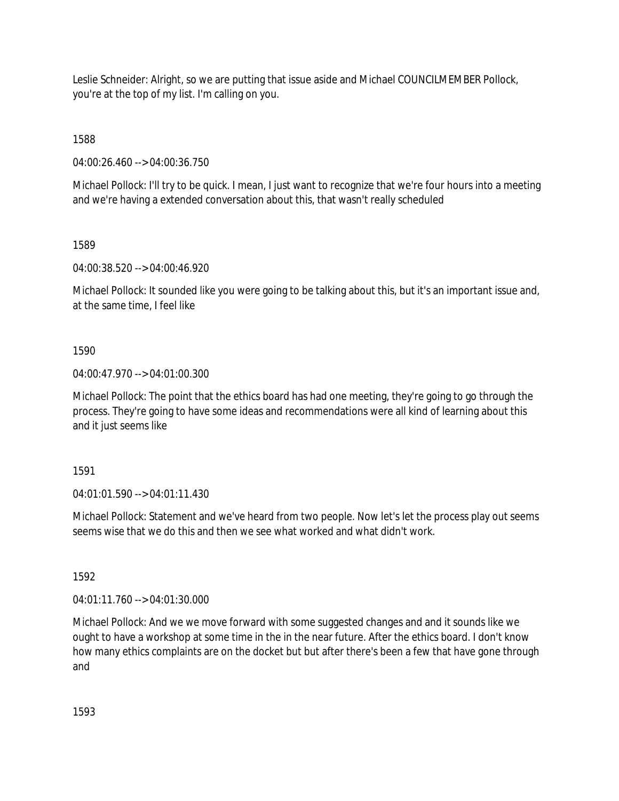Leslie Schneider: Alright, so we are putting that issue aside and Michael COUNCILMEMBER Pollock, you're at the top of my list. I'm calling on you.

1588

04:00:26.460 --> 04:00:36.750

Michael Pollock: I'll try to be quick. I mean, I just want to recognize that we're four hours into a meeting and we're having a extended conversation about this, that wasn't really scheduled

1589

04:00:38.520 --> 04:00:46.920

Michael Pollock: It sounded like you were going to be talking about this, but it's an important issue and, at the same time, I feel like

# 1590

04:00:47.970 --> 04:01:00.300

Michael Pollock: The point that the ethics board has had one meeting, they're going to go through the process. They're going to have some ideas and recommendations were all kind of learning about this and it just seems like

1591

04:01:01.590 --> 04:01:11.430

Michael Pollock: Statement and we've heard from two people. Now let's let the process play out seems seems wise that we do this and then we see what worked and what didn't work.

1592

04:01:11.760 --> 04:01:30.000

Michael Pollock: And we we move forward with some suggested changes and and it sounds like we ought to have a workshop at some time in the in the near future. After the ethics board. I don't know how many ethics complaints are on the docket but but after there's been a few that have gone through and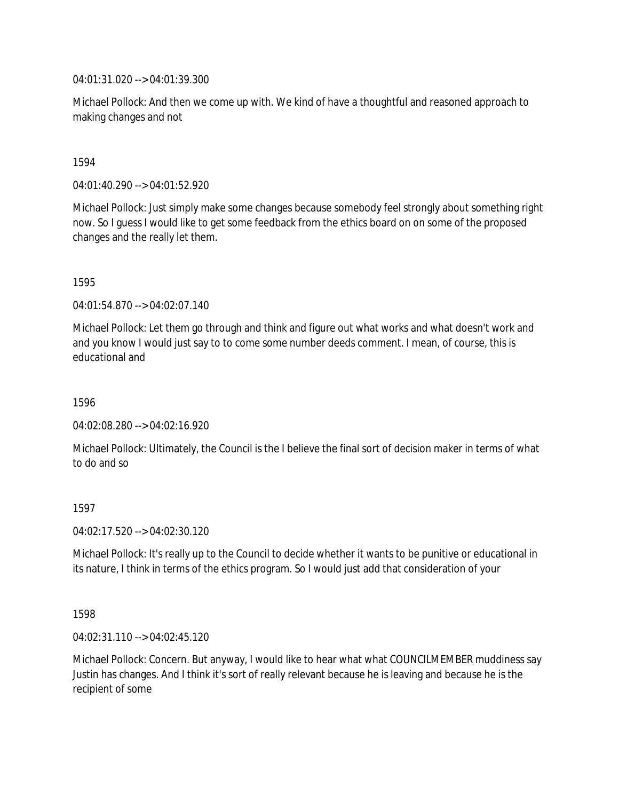04:01:31.020 --> 04:01:39.300

Michael Pollock: And then we come up with. We kind of have a thoughtful and reasoned approach to making changes and not

1594

04:01:40.290 --> 04:01:52.920

Michael Pollock: Just simply make some changes because somebody feel strongly about something right now. So I guess I would like to get some feedback from the ethics board on on some of the proposed changes and the really let them.

1595

04:01:54.870 --> 04:02:07.140

Michael Pollock: Let them go through and think and figure out what works and what doesn't work and and you know I would just say to to come some number deeds comment. I mean, of course, this is educational and

1596

04:02:08.280 --> 04:02:16.920

Michael Pollock: Ultimately, the Council is the I believe the final sort of decision maker in terms of what to do and so

1597

04:02:17.520 --> 04:02:30.120

Michael Pollock: It's really up to the Council to decide whether it wants to be punitive or educational in its nature, I think in terms of the ethics program. So I would just add that consideration of your

1598

04:02:31.110 --> 04:02:45.120

Michael Pollock: Concern. But anyway, I would like to hear what what COUNCILMEMBER muddiness say Justin has changes. And I think it's sort of really relevant because he is leaving and because he is the recipient of some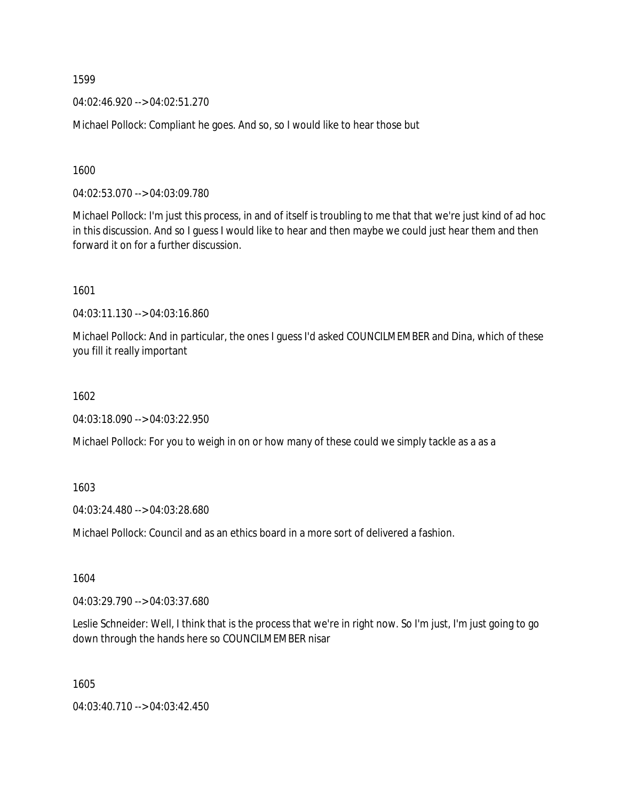04:02:46.920 --> 04:02:51.270

Michael Pollock: Compliant he goes. And so, so I would like to hear those but

1600

04:02:53.070 --> 04:03:09.780

Michael Pollock: I'm just this process, in and of itself is troubling to me that that we're just kind of ad hoc in this discussion. And so I guess I would like to hear and then maybe we could just hear them and then forward it on for a further discussion.

1601

04:03:11.130 --> 04:03:16.860

Michael Pollock: And in particular, the ones I guess I'd asked COUNCILMEMBER and Dina, which of these you fill it really important

1602

04:03:18.090 --> 04:03:22.950

Michael Pollock: For you to weigh in on or how many of these could we simply tackle as a as a

1603

04:03:24.480 --> 04:03:28.680

Michael Pollock: Council and as an ethics board in a more sort of delivered a fashion.

1604

04:03:29.790 --> 04:03:37.680

Leslie Schneider: Well, I think that is the process that we're in right now. So I'm just, I'm just going to go down through the hands here so COUNCILMEMBER nisar

1605

04:03:40.710 --> 04:03:42.450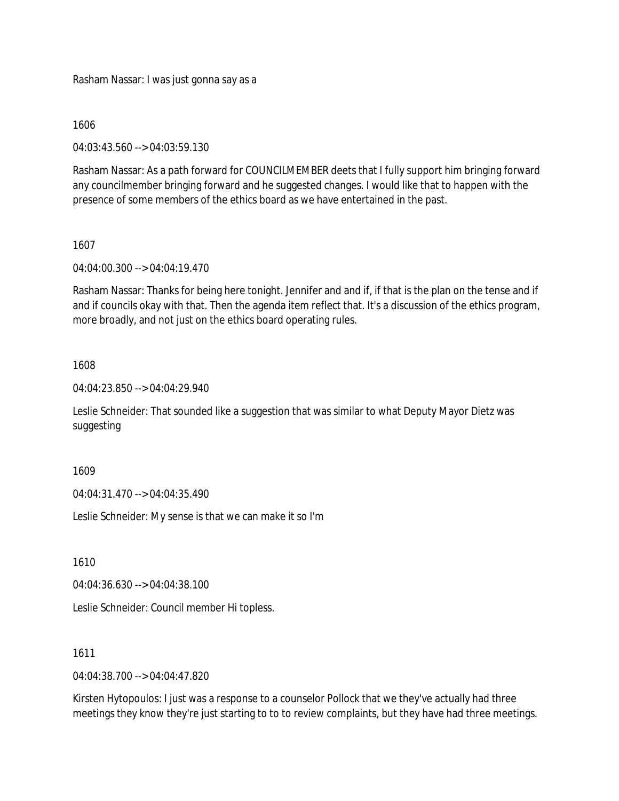Rasham Nassar: I was just gonna say as a

1606

04:03:43.560 --> 04:03:59.130

Rasham Nassar: As a path forward for COUNCILMEMBER deets that I fully support him bringing forward any councilmember bringing forward and he suggested changes. I would like that to happen with the presence of some members of the ethics board as we have entertained in the past.

### 1607

04:04:00.300 --> 04:04:19.470

Rasham Nassar: Thanks for being here tonight. Jennifer and and if, if that is the plan on the tense and if and if councils okay with that. Then the agenda item reflect that. It's a discussion of the ethics program, more broadly, and not just on the ethics board operating rules.

## 1608

04:04:23.850 --> 04:04:29.940

Leslie Schneider: That sounded like a suggestion that was similar to what Deputy Mayor Dietz was suggesting

1609

04:04:31.470 --> 04:04:35.490

Leslie Schneider: My sense is that we can make it so I'm

1610

04:04:36.630 --> 04:04:38.100

Leslie Schneider: Council member Hi topless.

1611

04:04:38.700 --> 04:04:47.820

Kirsten Hytopoulos: I just was a response to a counselor Pollock that we they've actually had three meetings they know they're just starting to to to review complaints, but they have had three meetings.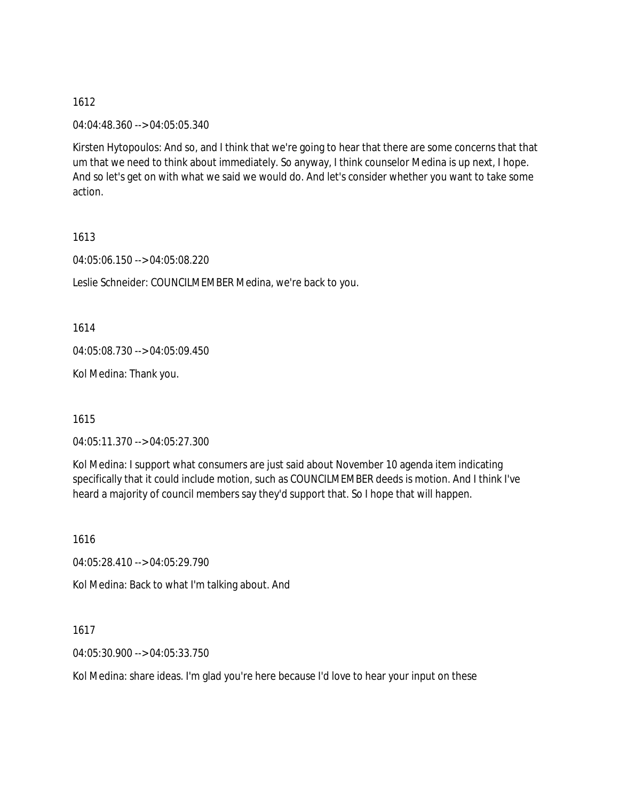04:04:48.360 --> 04:05:05.340

Kirsten Hytopoulos: And so, and I think that we're going to hear that there are some concerns that that um that we need to think about immediately. So anyway, I think counselor Medina is up next, I hope. And so let's get on with what we said we would do. And let's consider whether you want to take some action.

1613

04:05:06.150 --> 04:05:08.220

Leslie Schneider: COUNCILMEMBER Medina, we're back to you.

1614

04:05:08.730 --> 04:05:09.450

Kol Medina: Thank you.

1615

04:05:11.370 --> 04:05:27.300

Kol Medina: I support what consumers are just said about November 10 agenda item indicating specifically that it could include motion, such as COUNCILMEMBER deeds is motion. And I think I've heard a majority of council members say they'd support that. So I hope that will happen.

1616

04:05:28.410 --> 04:05:29.790

Kol Medina: Back to what I'm talking about. And

1617

04:05:30.900 --> 04:05:33.750

Kol Medina: share ideas. I'm glad you're here because I'd love to hear your input on these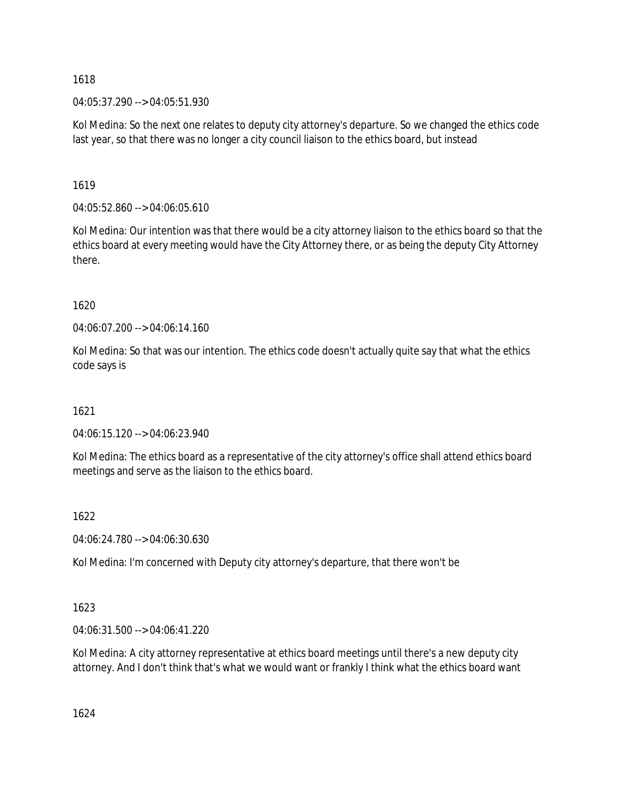04:05:37.290 --> 04:05:51.930

Kol Medina: So the next one relates to deputy city attorney's departure. So we changed the ethics code last year, so that there was no longer a city council liaison to the ethics board, but instead

1619

04:05:52.860 --> 04:06:05.610

Kol Medina: Our intention was that there would be a city attorney liaison to the ethics board so that the ethics board at every meeting would have the City Attorney there, or as being the deputy City Attorney there.

1620

04:06:07.200 --> 04:06:14.160

Kol Medina: So that was our intention. The ethics code doesn't actually quite say that what the ethics code says is

1621

04:06:15.120 --> 04:06:23.940

Kol Medina: The ethics board as a representative of the city attorney's office shall attend ethics board meetings and serve as the liaison to the ethics board.

1622

04:06:24.780 --> 04:06:30.630

Kol Medina: I'm concerned with Deputy city attorney's departure, that there won't be

1623

04:06:31.500 --> 04:06:41.220

Kol Medina: A city attorney representative at ethics board meetings until there's a new deputy city attorney. And I don't think that's what we would want or frankly I think what the ethics board want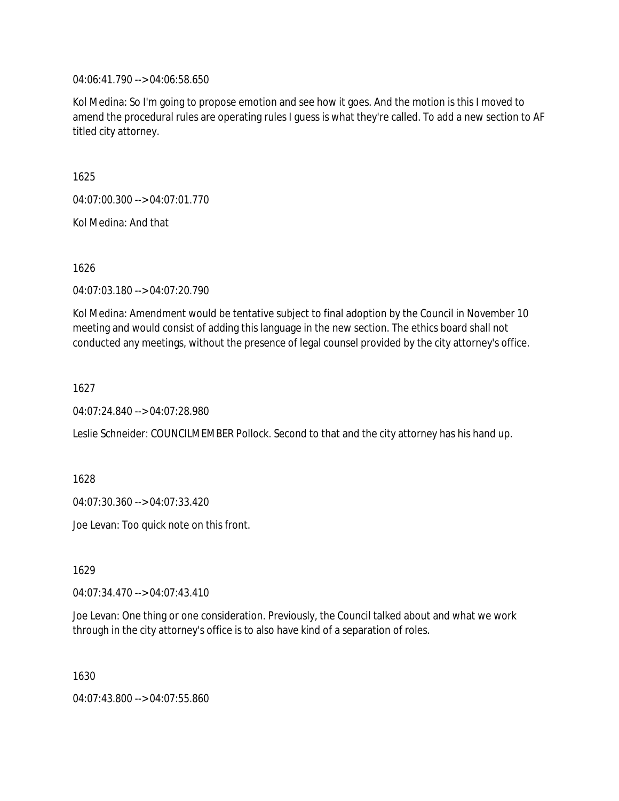04:06:41.790 --> 04:06:58.650

Kol Medina: So I'm going to propose emotion and see how it goes. And the motion is this I moved to amend the procedural rules are operating rules I guess is what they're called. To add a new section to AF titled city attorney.

1625

04:07:00.300 --> 04:07:01.770

Kol Medina: And that

1626

04:07:03.180 --> 04:07:20.790

Kol Medina: Amendment would be tentative subject to final adoption by the Council in November 10 meeting and would consist of adding this language in the new section. The ethics board shall not conducted any meetings, without the presence of legal counsel provided by the city attorney's office.

1627

04:07:24.840 --> 04:07:28.980

Leslie Schneider: COUNCILMEMBER Pollock. Second to that and the city attorney has his hand up.

1628

04:07:30.360 --> 04:07:33.420

Joe Levan: Too quick note on this front.

1629

04:07:34.470 --> 04:07:43.410

Joe Levan: One thing or one consideration. Previously, the Council talked about and what we work through in the city attorney's office is to also have kind of a separation of roles.

1630

04:07:43.800 --> 04:07:55.860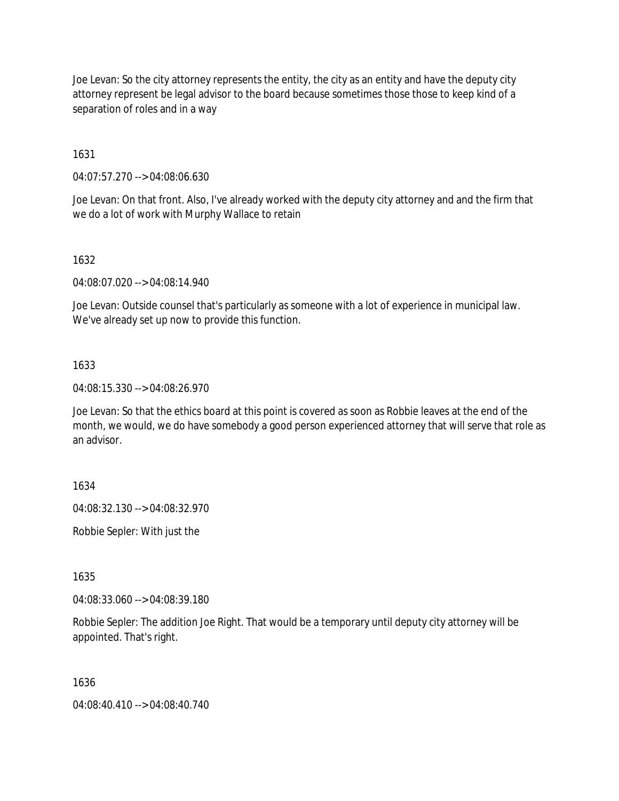Joe Levan: So the city attorney represents the entity, the city as an entity and have the deputy city attorney represent be legal advisor to the board because sometimes those those to keep kind of a separation of roles and in a way

1631

04:07:57.270 --> 04:08:06.630

Joe Levan: On that front. Also, I've already worked with the deputy city attorney and and the firm that we do a lot of work with Murphy Wallace to retain

1632

04:08:07.020 --> 04:08:14.940

Joe Levan: Outside counsel that's particularly as someone with a lot of experience in municipal law. We've already set up now to provide this function.

### 1633

04:08:15.330 --> 04:08:26.970

Joe Levan: So that the ethics board at this point is covered as soon as Robbie leaves at the end of the month, we would, we do have somebody a good person experienced attorney that will serve that role as an advisor.

1634

04:08:32.130 --> 04:08:32.970

Robbie Sepler: With just the

1635

04:08:33.060 --> 04:08:39.180

Robbie Sepler: The addition Joe Right. That would be a temporary until deputy city attorney will be appointed. That's right.

1636

04:08:40.410 --> 04:08:40.740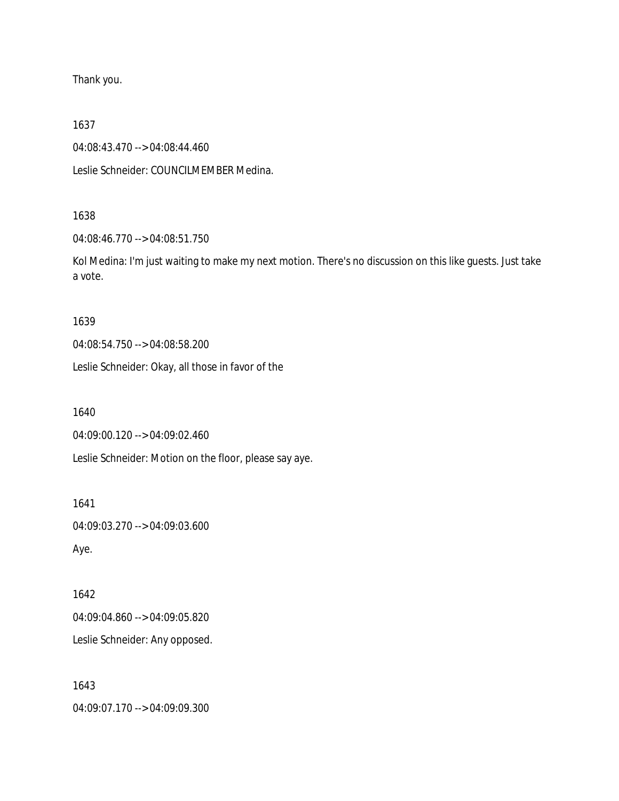Thank you.

1637

04:08:43.470 --> 04:08:44.460

Leslie Schneider: COUNCILMEMBER Medina.

#### 1638

04:08:46.770 --> 04:08:51.750

Kol Medina: I'm just waiting to make my next motion. There's no discussion on this like guests. Just take a vote.

1639

04:08:54.750 --> 04:08:58.200

Leslie Schneider: Okay, all those in favor of the

1640

04:09:00.120 --> 04:09:02.460

Leslie Schneider: Motion on the floor, please say aye.

1641 04:09:03.270 --> 04:09:03.600

Aye.

1642 04:09:04.860 --> 04:09:05.820 Leslie Schneider: Any opposed.

1643 04:09:07.170 --> 04:09:09.300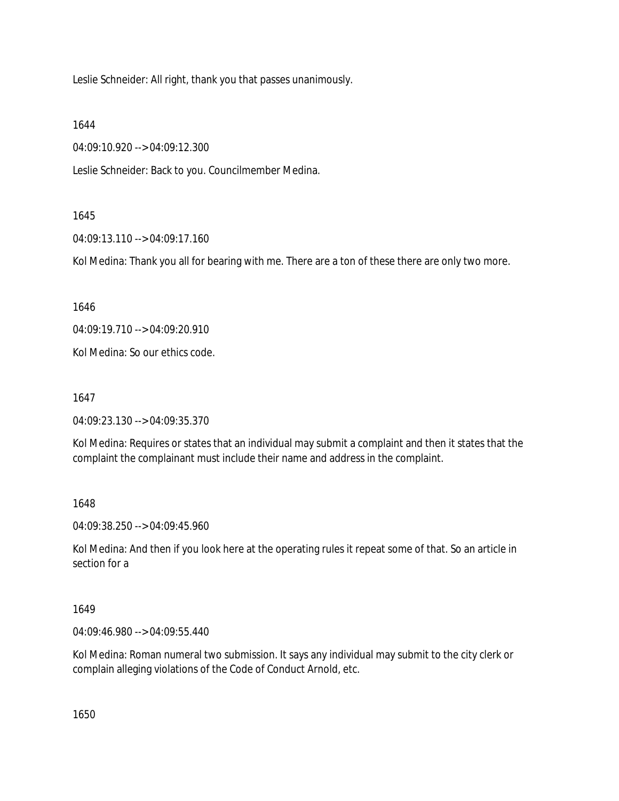Leslie Schneider: All right, thank you that passes unanimously.

1644

04:09:10.920 --> 04:09:12.300

Leslie Schneider: Back to you. Councilmember Medina.

### 1645

04:09:13.110 --> 04:09:17.160

Kol Medina: Thank you all for bearing with me. There are a ton of these there are only two more.

1646

04:09:19.710 --> 04:09:20.910

Kol Medina: So our ethics code.

1647

04:09:23.130 --> 04:09:35.370

Kol Medina: Requires or states that an individual may submit a complaint and then it states that the complaint the complainant must include their name and address in the complaint.

1648

04:09:38.250 --> 04:09:45.960

Kol Medina: And then if you look here at the operating rules it repeat some of that. So an article in section for a

1649

04:09:46.980 --> 04:09:55.440

Kol Medina: Roman numeral two submission. It says any individual may submit to the city clerk or complain alleging violations of the Code of Conduct Arnold, etc.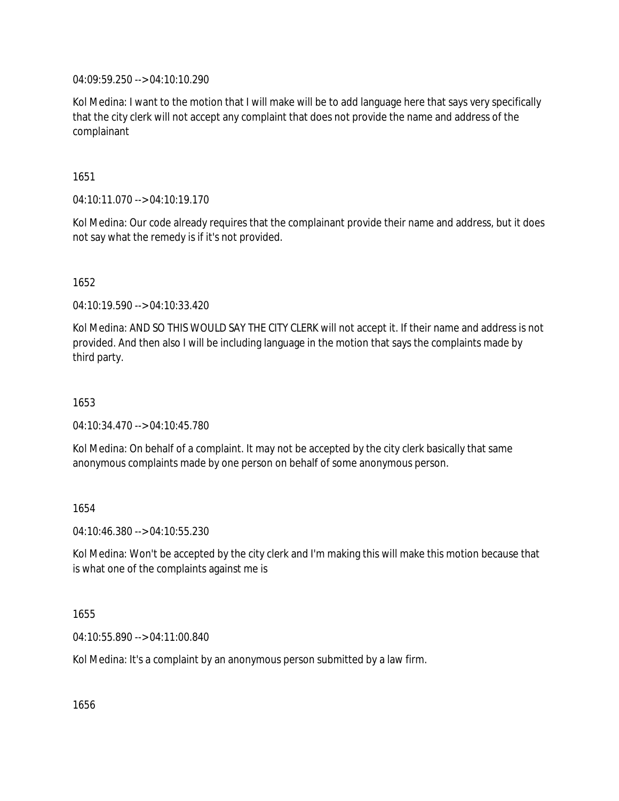04:09:59.250 --> 04:10:10.290

Kol Medina: I want to the motion that I will make will be to add language here that says very specifically that the city clerk will not accept any complaint that does not provide the name and address of the complainant

1651

04:10:11.070 --> 04:10:19.170

Kol Medina: Our code already requires that the complainant provide their name and address, but it does not say what the remedy is if it's not provided.

1652

04:10:19.590 --> 04:10:33.420

Kol Medina: AND SO THIS WOULD SAY THE CITY CLERK will not accept it. If their name and address is not provided. And then also I will be including language in the motion that says the complaints made by third party.

1653

04:10:34.470 --> 04:10:45.780

Kol Medina: On behalf of a complaint. It may not be accepted by the city clerk basically that same anonymous complaints made by one person on behalf of some anonymous person.

1654

04:10:46.380 --> 04:10:55.230

Kol Medina: Won't be accepted by the city clerk and I'm making this will make this motion because that is what one of the complaints against me is

1655

04:10:55.890 --> 04:11:00.840

Kol Medina: It's a complaint by an anonymous person submitted by a law firm.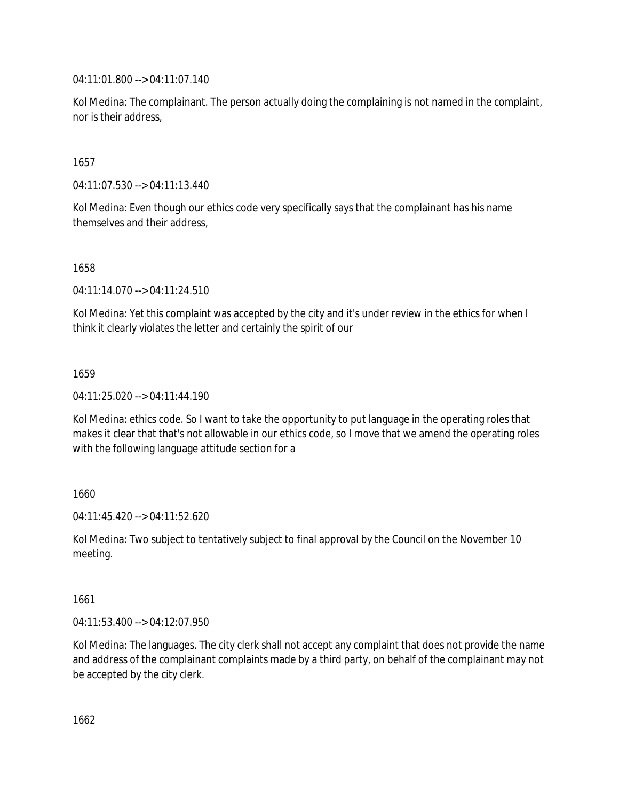04:11:01.800 --> 04:11:07.140

Kol Medina: The complainant. The person actually doing the complaining is not named in the complaint, nor is their address,

1657

04:11:07.530 --> 04:11:13.440

Kol Medina: Even though our ethics code very specifically says that the complainant has his name themselves and their address,

1658

04:11:14.070 --> 04:11:24.510

Kol Medina: Yet this complaint was accepted by the city and it's under review in the ethics for when I think it clearly violates the letter and certainly the spirit of our

1659

04:11:25.020 --> 04:11:44.190

Kol Medina: ethics code. So I want to take the opportunity to put language in the operating roles that makes it clear that that's not allowable in our ethics code, so I move that we amend the operating roles with the following language attitude section for a

1660

04:11:45.420 --> 04:11:52.620

Kol Medina: Two subject to tentatively subject to final approval by the Council on the November 10 meeting.

1661

04:11:53.400 --> 04:12:07.950

Kol Medina: The languages. The city clerk shall not accept any complaint that does not provide the name and address of the complainant complaints made by a third party, on behalf of the complainant may not be accepted by the city clerk.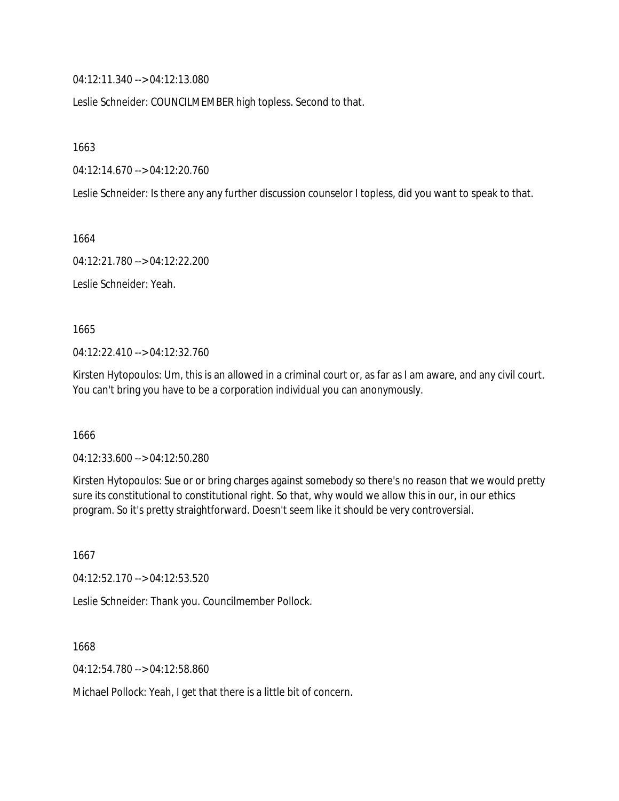04:12:11.340 --> 04:12:13.080

Leslie Schneider: COUNCILMEMBER high topless. Second to that.

1663

04:12:14.670 --> 04:12:20.760

Leslie Schneider: Is there any any further discussion counselor I topless, did you want to speak to that.

1664

04:12:21.780 --> 04:12:22.200

Leslie Schneider: Yeah.

1665

04:12:22.410 --> 04:12:32.760

Kirsten Hytopoulos: Um, this is an allowed in a criminal court or, as far as I am aware, and any civil court. You can't bring you have to be a corporation individual you can anonymously.

1666

04:12:33.600 --> 04:12:50.280

Kirsten Hytopoulos: Sue or or bring charges against somebody so there's no reason that we would pretty sure its constitutional to constitutional right. So that, why would we allow this in our, in our ethics program. So it's pretty straightforward. Doesn't seem like it should be very controversial.

1667 04:12:52.170 --> 04:12:53.520

Leslie Schneider: Thank you. Councilmember Pollock.

1668

04:12:54.780 --> 04:12:58.860

Michael Pollock: Yeah, I get that there is a little bit of concern.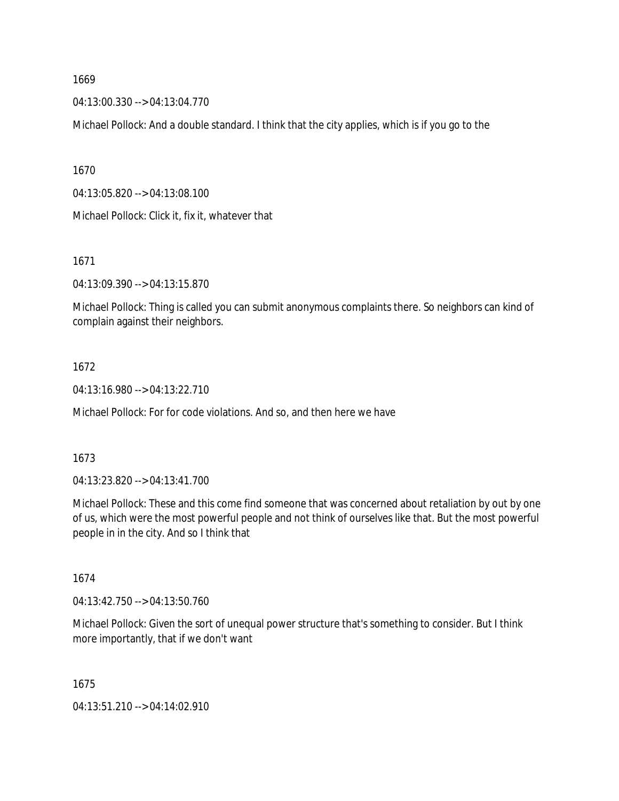04:13:00.330 --> 04:13:04.770

Michael Pollock: And a double standard. I think that the city applies, which is if you go to the

1670

04:13:05.820 --> 04:13:08.100

Michael Pollock: Click it, fix it, whatever that

1671

04:13:09.390 --> 04:13:15.870

Michael Pollock: Thing is called you can submit anonymous complaints there. So neighbors can kind of complain against their neighbors.

## 1672

04:13:16.980 --> 04:13:22.710

Michael Pollock: For for code violations. And so, and then here we have

### 1673

04:13:23.820 --> 04:13:41.700

Michael Pollock: These and this come find someone that was concerned about retaliation by out by one of us, which were the most powerful people and not think of ourselves like that. But the most powerful people in in the city. And so I think that

1674

04:13:42.750 --> 04:13:50.760

Michael Pollock: Given the sort of unequal power structure that's something to consider. But I think more importantly, that if we don't want

1675

04:13:51.210 --> 04:14:02.910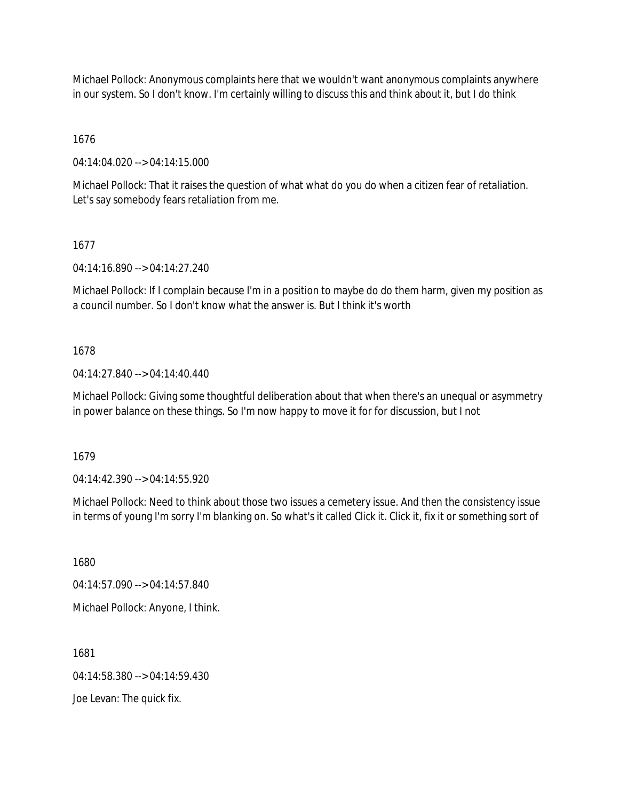Michael Pollock: Anonymous complaints here that we wouldn't want anonymous complaints anywhere in our system. So I don't know. I'm certainly willing to discuss this and think about it, but I do think

1676

04:14:04.020 --> 04:14:15.000

Michael Pollock: That it raises the question of what what do you do when a citizen fear of retaliation. Let's say somebody fears retaliation from me.

### 1677

04:14:16.890 --> 04:14:27.240

Michael Pollock: If I complain because I'm in a position to maybe do do them harm, given my position as a council number. So I don't know what the answer is. But I think it's worth

### 1678

04:14:27.840 --> 04:14:40.440

Michael Pollock: Giving some thoughtful deliberation about that when there's an unequal or asymmetry in power balance on these things. So I'm now happy to move it for for discussion, but I not

1679

04:14:42.390 --> 04:14:55.920

Michael Pollock: Need to think about those two issues a cemetery issue. And then the consistency issue in terms of young I'm sorry I'm blanking on. So what's it called Click it. Click it, fix it or something sort of

1680 04:14:57.090 --> 04:14:57.840 Michael Pollock: Anyone, I think.

1681

04:14:58.380 --> 04:14:59.430

Joe Levan: The quick fix.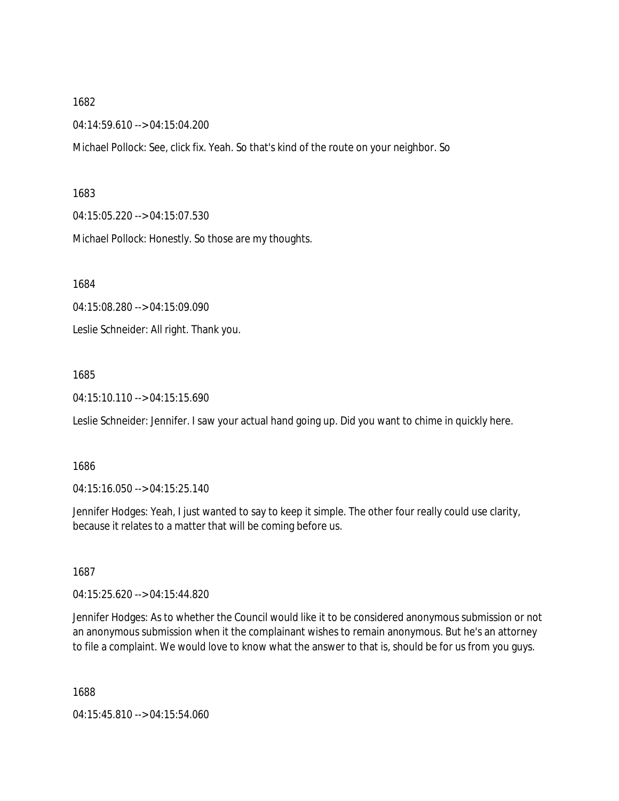04:14:59.610 --> 04:15:04.200

Michael Pollock: See, click fix. Yeah. So that's kind of the route on your neighbor. So

#### 1683

04:15:05.220 --> 04:15:07.530

Michael Pollock: Honestly. So those are my thoughts.

1684

04:15:08.280 --> 04:15:09.090

Leslie Schneider: All right. Thank you.

### 1685

04:15:10.110 --> 04:15:15.690

Leslie Schneider: Jennifer. I saw your actual hand going up. Did you want to chime in quickly here.

### 1686

04:15:16.050 --> 04:15:25.140

Jennifer Hodges: Yeah, I just wanted to say to keep it simple. The other four really could use clarity, because it relates to a matter that will be coming before us.

1687

04:15:25.620 --> 04:15:44.820

Jennifer Hodges: As to whether the Council would like it to be considered anonymous submission or not an anonymous submission when it the complainant wishes to remain anonymous. But he's an attorney to file a complaint. We would love to know what the answer to that is, should be for us from you guys.

1688

04:15:45.810 --> 04:15:54.060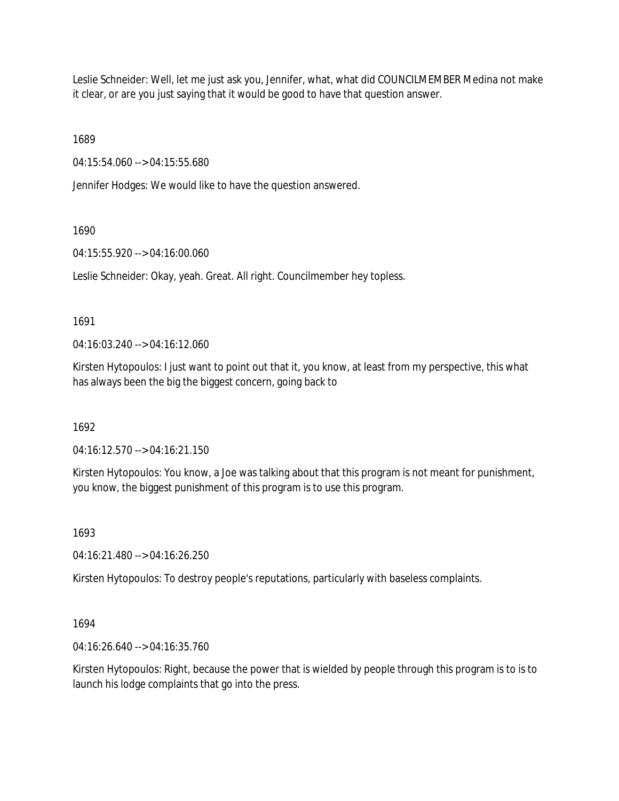Leslie Schneider: Well, let me just ask you, Jennifer, what, what did COUNCILMEMBER Medina not make it clear, or are you just saying that it would be good to have that question answer.

1689

04:15:54.060 --> 04:15:55.680

Jennifer Hodges: We would like to have the question answered.

## 1690

04:15:55.920 --> 04:16:00.060

Leslie Schneider: Okay, yeah. Great. All right. Councilmember hey topless.

## 1691

04:16:03.240 --> 04:16:12.060

Kirsten Hytopoulos: I just want to point out that it, you know, at least from my perspective, this what has always been the big the biggest concern, going back to

1692

04:16:12.570 --> 04:16:21.150

Kirsten Hytopoulos: You know, a Joe was talking about that this program is not meant for punishment, you know, the biggest punishment of this program is to use this program.

## 1693

04:16:21.480 --> 04:16:26.250

Kirsten Hytopoulos: To destroy people's reputations, particularly with baseless complaints.

## 1694

04:16:26.640 --> 04:16:35.760

Kirsten Hytopoulos: Right, because the power that is wielded by people through this program is to is to launch his lodge complaints that go into the press.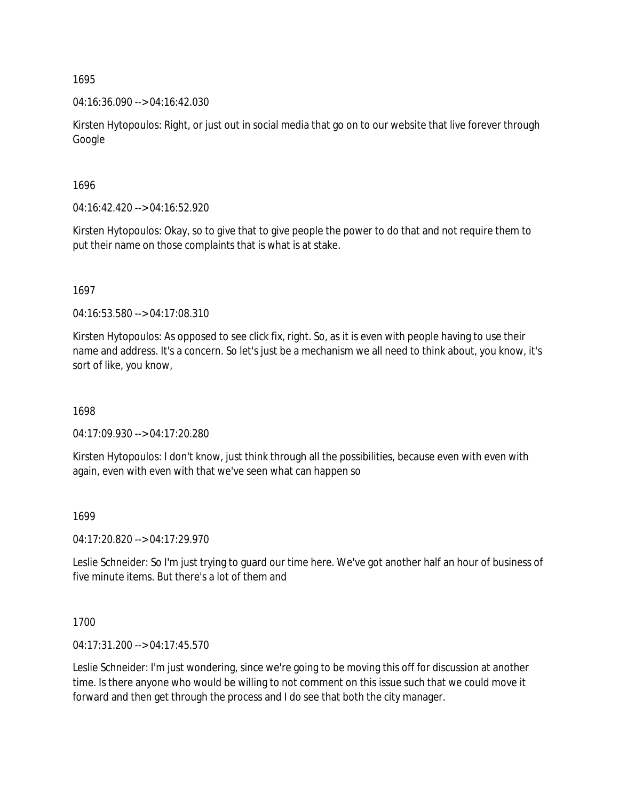04:16:36.090 --> 04:16:42.030

Kirsten Hytopoulos: Right, or just out in social media that go on to our website that live forever through Google

1696

04:16:42.420 --> 04:16:52.920

Kirsten Hytopoulos: Okay, so to give that to give people the power to do that and not require them to put their name on those complaints that is what is at stake.

1697

04:16:53.580 --> 04:17:08.310

Kirsten Hytopoulos: As opposed to see click fix, right. So, as it is even with people having to use their name and address. It's a concern. So let's just be a mechanism we all need to think about, you know, it's sort of like, you know,

1698

04:17:09.930 --> 04:17:20.280

Kirsten Hytopoulos: I don't know, just think through all the possibilities, because even with even with again, even with even with that we've seen what can happen so

1699

04:17:20.820 --> 04:17:29.970

Leslie Schneider: So I'm just trying to guard our time here. We've got another half an hour of business of five minute items. But there's a lot of them and

1700

04:17:31.200 --> 04:17:45.570

Leslie Schneider: I'm just wondering, since we're going to be moving this off for discussion at another time. Is there anyone who would be willing to not comment on this issue such that we could move it forward and then get through the process and I do see that both the city manager.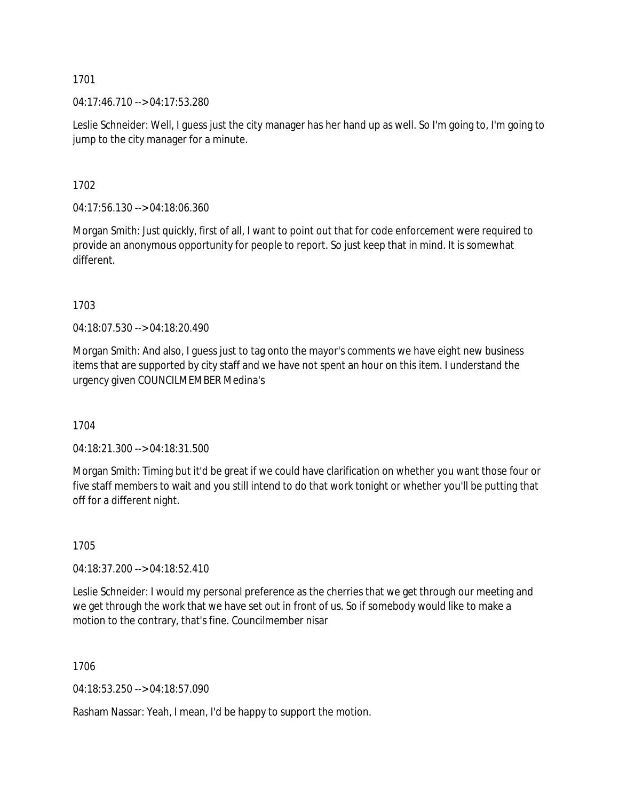04:17:46.710 --> 04:17:53.280

Leslie Schneider: Well, I guess just the city manager has her hand up as well. So I'm going to, I'm going to jump to the city manager for a minute.

1702

04:17:56.130 --> 04:18:06.360

Morgan Smith: Just quickly, first of all, I want to point out that for code enforcement were required to provide an anonymous opportunity for people to report. So just keep that in mind. It is somewhat different.

1703

04:18:07.530 --> 04:18:20.490

Morgan Smith: And also, I guess just to tag onto the mayor's comments we have eight new business items that are supported by city staff and we have not spent an hour on this item. I understand the urgency given COUNCILMEMBER Medina's

1704

04:18:21.300 --> 04:18:31.500

Morgan Smith: Timing but it'd be great if we could have clarification on whether you want those four or five staff members to wait and you still intend to do that work tonight or whether you'll be putting that off for a different night.

1705

04:18:37.200 --> 04:18:52.410

Leslie Schneider: I would my personal preference as the cherries that we get through our meeting and we get through the work that we have set out in front of us. So if somebody would like to make a motion to the contrary, that's fine. Councilmember nisar

1706

04:18:53.250 --> 04:18:57.090

Rasham Nassar: Yeah, I mean, I'd be happy to support the motion.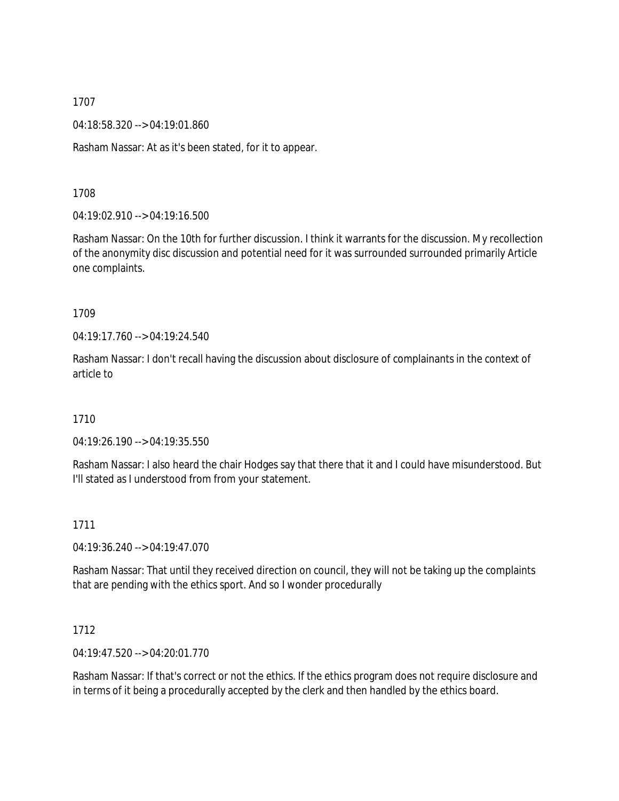04:18:58.320 --> 04:19:01.860

Rasham Nassar: At as it's been stated, for it to appear.

1708

04:19:02.910 --> 04:19:16.500

Rasham Nassar: On the 10th for further discussion. I think it warrants for the discussion. My recollection of the anonymity disc discussion and potential need for it was surrounded surrounded primarily Article one complaints.

#### 1709

 $04.19.17.760 -> 04.19.24.540$ 

Rasham Nassar: I don't recall having the discussion about disclosure of complainants in the context of article to

### 1710

04:19:26.190 --> 04:19:35.550

Rasham Nassar: I also heard the chair Hodges say that there that it and I could have misunderstood. But I'll stated as I understood from from your statement.

### 1711

04:19:36.240 --> 04:19:47.070

Rasham Nassar: That until they received direction on council, they will not be taking up the complaints that are pending with the ethics sport. And so I wonder procedurally

### 1712

04:19:47.520 --> 04:20:01.770

Rasham Nassar: If that's correct or not the ethics. If the ethics program does not require disclosure and in terms of it being a procedurally accepted by the clerk and then handled by the ethics board.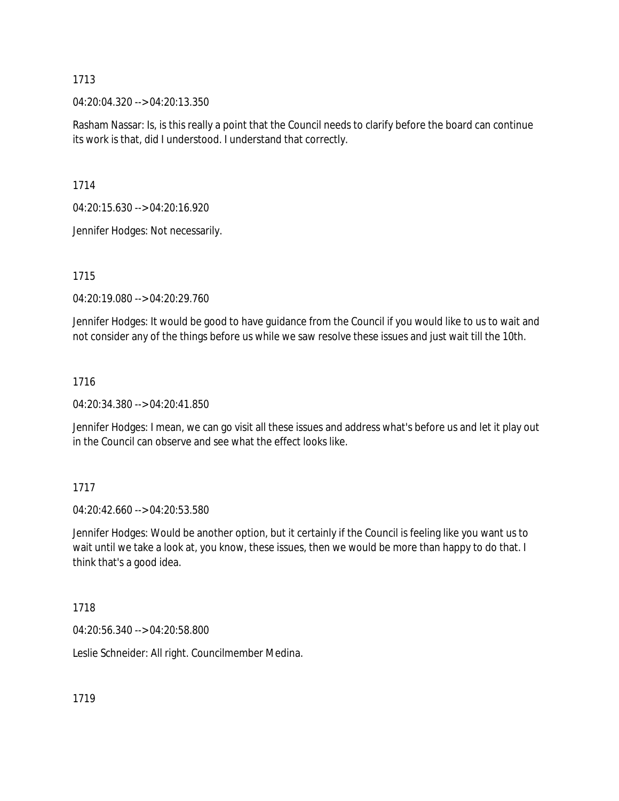04:20:04.320 --> 04:20:13.350

Rasham Nassar: Is, is this really a point that the Council needs to clarify before the board can continue its work is that, did I understood. I understand that correctly.

1714

04:20:15.630 --> 04:20:16.920

Jennifer Hodges: Not necessarily.

1715

04:20:19.080 --> 04:20:29.760

Jennifer Hodges: It would be good to have guidance from the Council if you would like to us to wait and not consider any of the things before us while we saw resolve these issues and just wait till the 10th.

### 1716

04:20:34.380 --> 04:20:41.850

Jennifer Hodges: I mean, we can go visit all these issues and address what's before us and let it play out in the Council can observe and see what the effect looks like.

### 1717

04:20:42.660 --> 04:20:53.580

Jennifer Hodges: Would be another option, but it certainly if the Council is feeling like you want us to wait until we take a look at, you know, these issues, then we would be more than happy to do that. I think that's a good idea.

### 1718

04:20:56.340 --> 04:20:58.800

Leslie Schneider: All right. Councilmember Medina.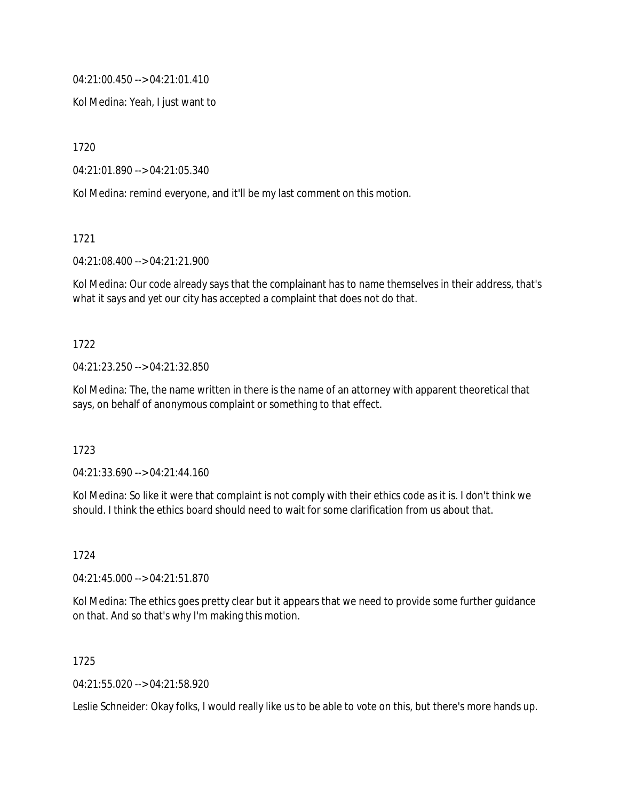04:21:00.450 --> 04:21:01.410

Kol Medina: Yeah, I just want to

1720

04:21:01.890 --> 04:21:05.340

Kol Medina: remind everyone, and it'll be my last comment on this motion.

1721

04:21:08.400 --> 04:21:21.900

Kol Medina: Our code already says that the complainant has to name themselves in their address, that's what it says and yet our city has accepted a complaint that does not do that.

#### 1722

04:21:23.250 --> 04:21:32.850

Kol Medina: The, the name written in there is the name of an attorney with apparent theoretical that says, on behalf of anonymous complaint or something to that effect.

1723

04:21:33.690 --> 04:21:44.160

Kol Medina: So like it were that complaint is not comply with their ethics code as it is. I don't think we should. I think the ethics board should need to wait for some clarification from us about that.

1724

04:21:45.000 --> 04:21:51.870

Kol Medina: The ethics goes pretty clear but it appears that we need to provide some further guidance on that. And so that's why I'm making this motion.

#### 1725

04:21:55.020 --> 04:21:58.920

Leslie Schneider: Okay folks, I would really like us to be able to vote on this, but there's more hands up.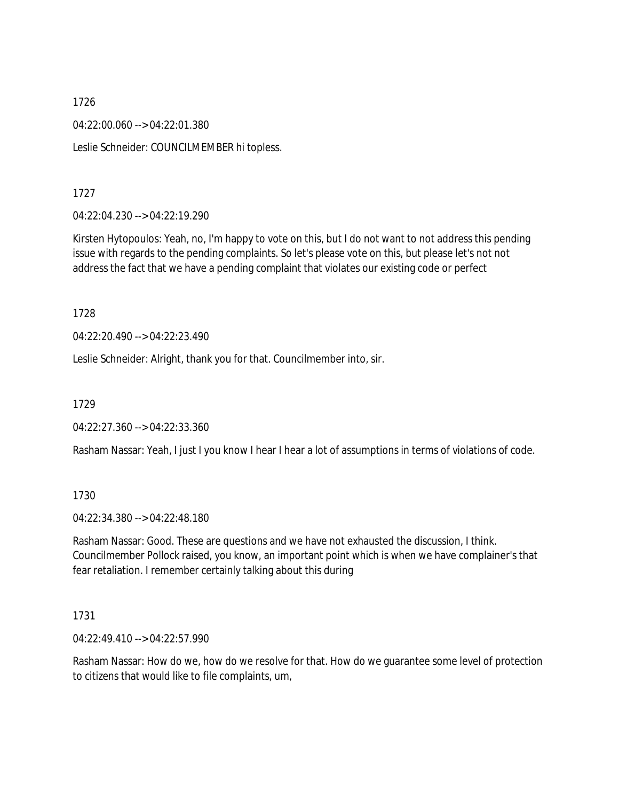04:22:00.060 --> 04:22:01.380

Leslie Schneider: COUNCILMEMBER hi topless.

1727

04:22:04.230 --> 04:22:19.290

Kirsten Hytopoulos: Yeah, no, I'm happy to vote on this, but I do not want to not address this pending issue with regards to the pending complaints. So let's please vote on this, but please let's not not address the fact that we have a pending complaint that violates our existing code or perfect

1728

04:22:20.490 --> 04:22:23.490

Leslie Schneider: Alright, thank you for that. Councilmember into, sir.

1729

04:22:27.360 --> 04:22:33.360

Rasham Nassar: Yeah, I just I you know I hear I hear a lot of assumptions in terms of violations of code.

1730

04:22:34.380 --> 04:22:48.180

Rasham Nassar: Good. These are questions and we have not exhausted the discussion, I think. Councilmember Pollock raised, you know, an important point which is when we have complainer's that fear retaliation. I remember certainly talking about this during

1731

04:22:49.410 --> 04:22:57.990

Rasham Nassar: How do we, how do we resolve for that. How do we guarantee some level of protection to citizens that would like to file complaints, um,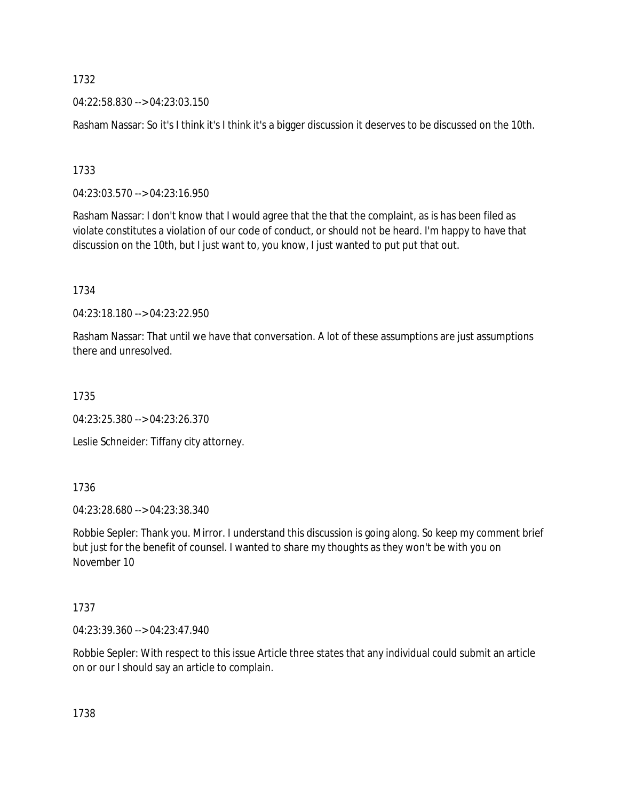04:22:58.830 --> 04:23:03.150

Rasham Nassar: So it's I think it's I think it's a bigger discussion it deserves to be discussed on the 10th.

1733

04:23:03.570 --> 04:23:16.950

Rasham Nassar: I don't know that I would agree that the that the complaint, as is has been filed as violate constitutes a violation of our code of conduct, or should not be heard. I'm happy to have that discussion on the 10th, but I just want to, you know, I just wanted to put put that out.

1734

04:23:18.180 --> 04:23:22.950

Rasham Nassar: That until we have that conversation. A lot of these assumptions are just assumptions there and unresolved.

1735

04:23:25.380 --> 04:23:26.370

Leslie Schneider: Tiffany city attorney.

1736

04:23:28.680 --> 04:23:38.340

Robbie Sepler: Thank you. Mirror. I understand this discussion is going along. So keep my comment brief but just for the benefit of counsel. I wanted to share my thoughts as they won't be with you on November 10

## 1737

04:23:39.360 --> 04:23:47.940

Robbie Sepler: With respect to this issue Article three states that any individual could submit an article on or our I should say an article to complain.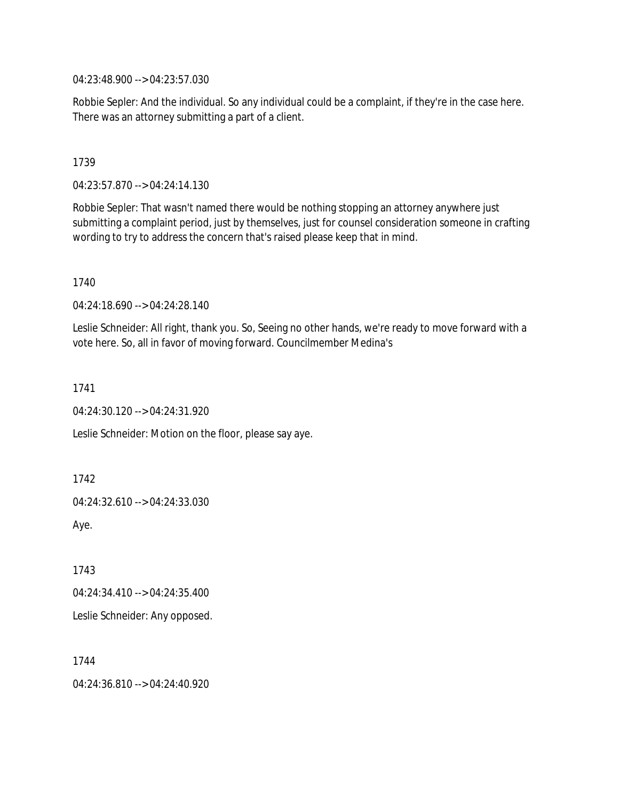04:23:48.900 --> 04:23:57.030

Robbie Sepler: And the individual. So any individual could be a complaint, if they're in the case here. There was an attorney submitting a part of a client.

1739

04:23:57.870 --> 04:24:14.130

Robbie Sepler: That wasn't named there would be nothing stopping an attorney anywhere just submitting a complaint period, just by themselves, just for counsel consideration someone in crafting wording to try to address the concern that's raised please keep that in mind.

1740

04:24:18.690 --> 04:24:28.140

Leslie Schneider: All right, thank you. So, Seeing no other hands, we're ready to move forward with a vote here. So, all in favor of moving forward. Councilmember Medina's

1741

04:24:30.120 --> 04:24:31.920

Leslie Schneider: Motion on the floor, please say aye.

1742

04:24:32.610 --> 04:24:33.030

Aye.

1743

04:24:34.410 --> 04:24:35.400

Leslie Schneider: Any opposed.

1744

04:24:36.810 --> 04:24:40.920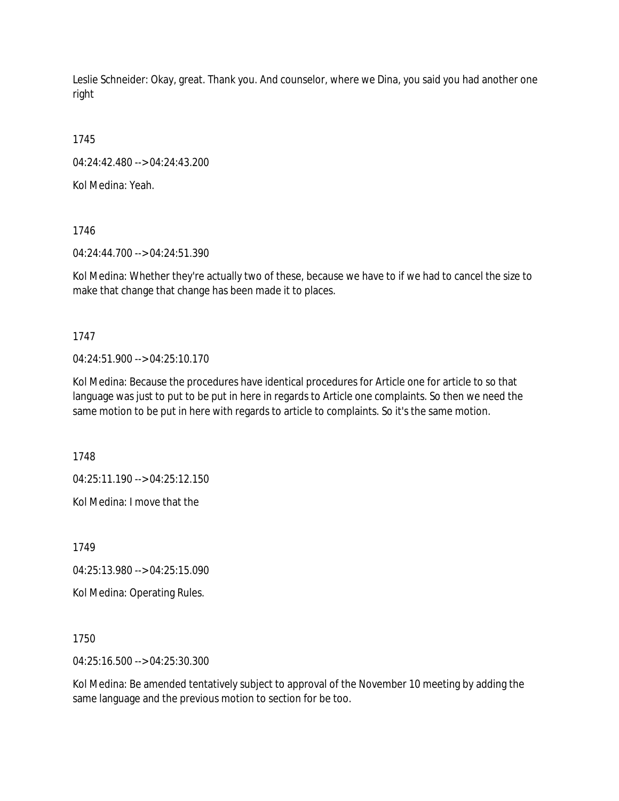Leslie Schneider: Okay, great. Thank you. And counselor, where we Dina, you said you had another one right

1745

04:24:42.480 --> 04:24:43.200

Kol Medina: Yeah.

1746

04:24:44.700 --> 04:24:51.390

Kol Medina: Whether they're actually two of these, because we have to if we had to cancel the size to make that change that change has been made it to places.

1747

04:24:51.900 --> 04:25:10.170

Kol Medina: Because the procedures have identical procedures for Article one for article to so that language was just to put to be put in here in regards to Article one complaints. So then we need the same motion to be put in here with regards to article to complaints. So it's the same motion.

1748

04:25:11.190 --> 04:25:12.150

Kol Medina: I move that the

1749

04:25:13.980 --> 04:25:15.090

Kol Medina: Operating Rules.

1750

04:25:16.500 --> 04:25:30.300

Kol Medina: Be amended tentatively subject to approval of the November 10 meeting by adding the same language and the previous motion to section for be too.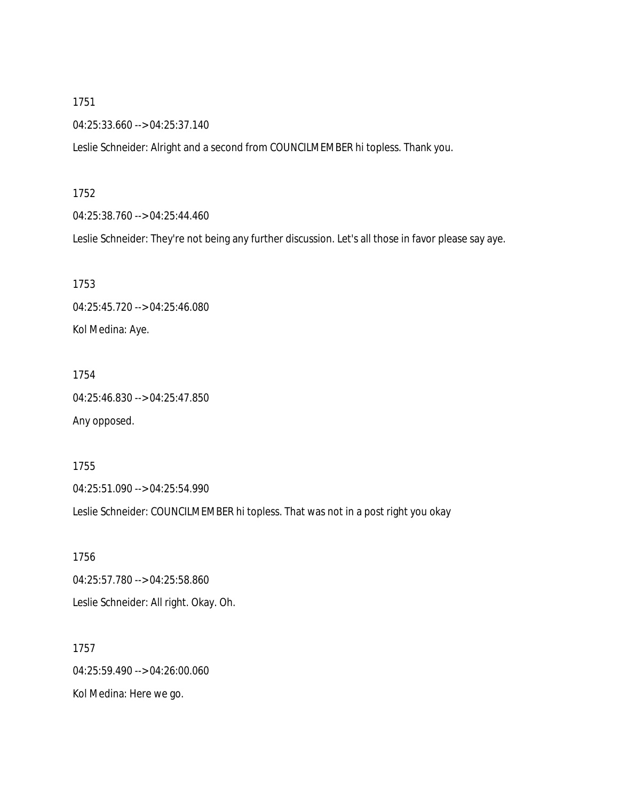04:25:33.660 --> 04:25:37.140

Leslie Schneider: Alright and a second from COUNCILMEMBER hi topless. Thank you.

#### 1752

04:25:38.760 --> 04:25:44.460

Leslie Schneider: They're not being any further discussion. Let's all those in favor please say aye.

1753 04:25:45.720 --> 04:25:46.080 Kol Medina: Aye.

1754 04:25:46.830 --> 04:25:47.850 Any opposed.

1755 04:25:51.090 --> 04:25:54.990

Leslie Schneider: COUNCILMEMBER hi topless. That was not in a post right you okay

1756 04:25:57.780 --> 04:25:58.860 Leslie Schneider: All right. Okay. Oh.

1757 04:25:59.490 --> 04:26:00.060 Kol Medina: Here we go.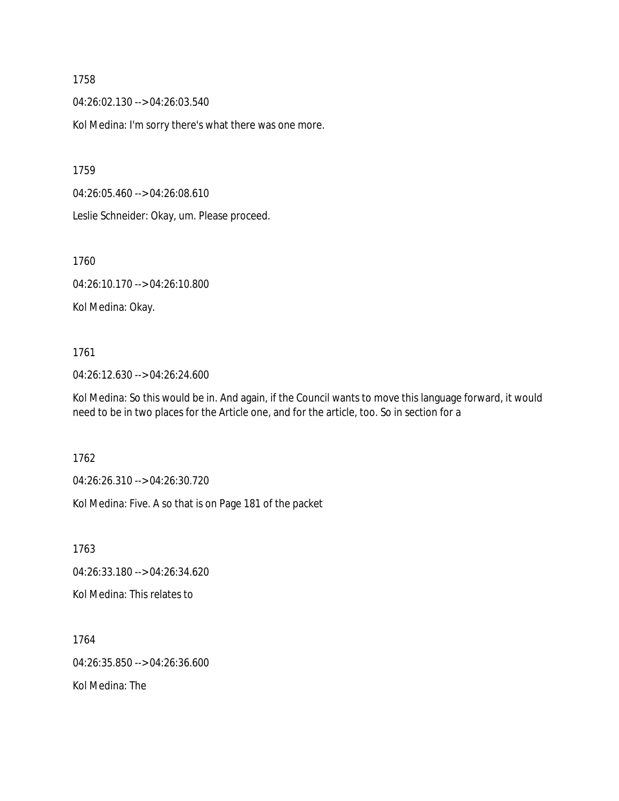04:26:02.130 --> 04:26:03.540

Kol Medina: I'm sorry there's what there was one more.

1759

04:26:05.460 --> 04:26:08.610

Leslie Schneider: Okay, um. Please proceed.

1760

04:26:10.170 --> 04:26:10.800

Kol Medina: Okay.

### 1761

04:26:12.630 --> 04:26:24.600

Kol Medina: So this would be in. And again, if the Council wants to move this language forward, it would need to be in two places for the Article one, and for the article, too. So in section for a

1762

04:26:26.310 --> 04:26:30.720

Kol Medina: Five. A so that is on Page 181 of the packet

1763

04:26:33.180 --> 04:26:34.620

Kol Medina: This relates to

1764 04:26:35.850 --> 04:26:36.600 Kol Medina: The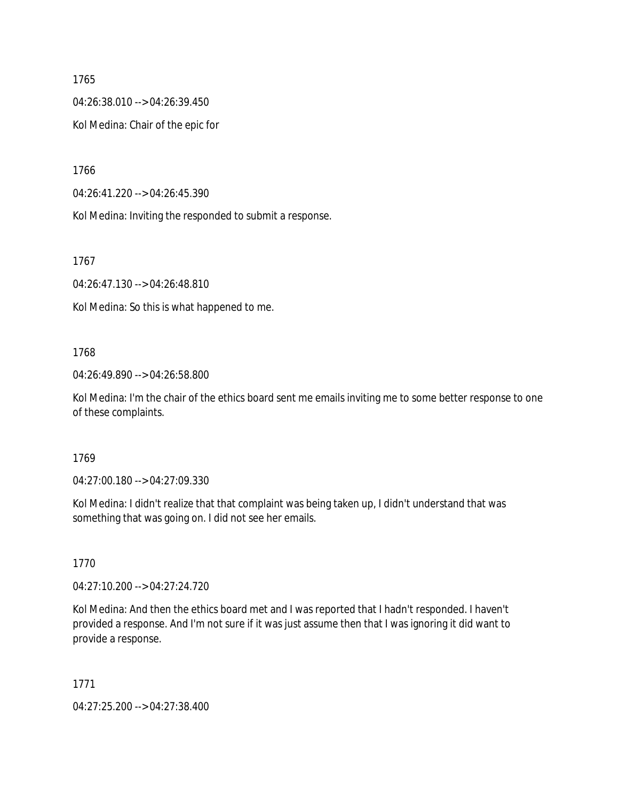04:26:38.010 --> 04:26:39.450

Kol Medina: Chair of the epic for

1766

04:26:41.220 --> 04:26:45.390

Kol Medina: Inviting the responded to submit a response.

1767

04:26:47.130 --> 04:26:48.810

Kol Medina: So this is what happened to me.

## 1768

04:26:49.890 --> 04:26:58.800

Kol Medina: I'm the chair of the ethics board sent me emails inviting me to some better response to one of these complaints.

### 1769

04:27:00.180 --> 04:27:09.330

Kol Medina: I didn't realize that that complaint was being taken up, I didn't understand that was something that was going on. I did not see her emails.

1770

04:27:10.200 --> 04:27:24.720

Kol Medina: And then the ethics board met and I was reported that I hadn't responded. I haven't provided a response. And I'm not sure if it was just assume then that I was ignoring it did want to provide a response.

### 1771

04:27:25.200 --> 04:27:38.400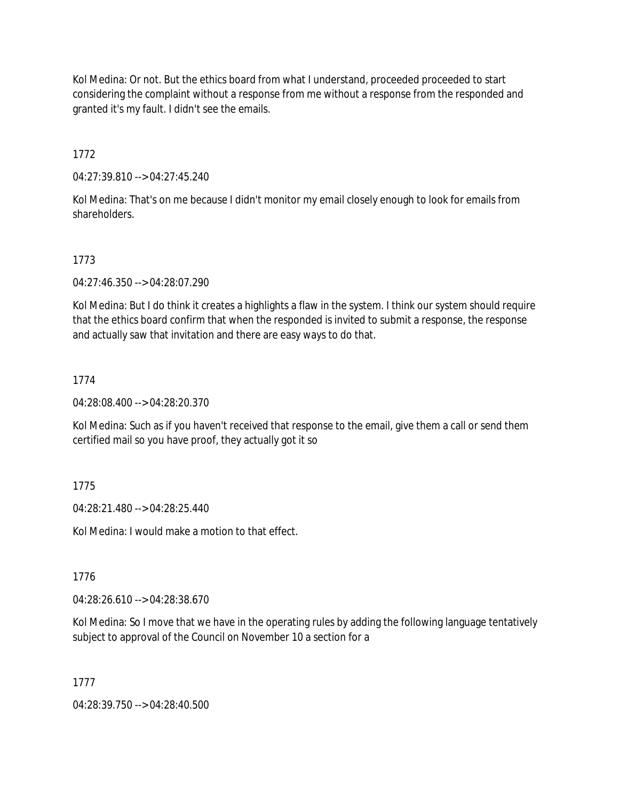Kol Medina: Or not. But the ethics board from what I understand, proceeded proceeded to start considering the complaint without a response from me without a response from the responded and granted it's my fault. I didn't see the emails.

1772

04:27:39.810 --> 04:27:45.240

Kol Medina: That's on me because I didn't monitor my email closely enough to look for emails from shareholders.

1773

04:27:46.350 --> 04:28:07.290

Kol Medina: But I do think it creates a highlights a flaw in the system. I think our system should require that the ethics board confirm that when the responded is invited to submit a response, the response and actually saw that invitation and there are easy ways to do that.

1774

04:28:08.400 --> 04:28:20.370

Kol Medina: Such as if you haven't received that response to the email, give them a call or send them certified mail so you have proof, they actually got it so

1775

04:28:21.480 --> 04:28:25.440

Kol Medina: I would make a motion to that effect.

1776

04:28:26.610 --> 04:28:38.670

Kol Medina: So I move that we have in the operating rules by adding the following language tentatively subject to approval of the Council on November 10 a section for a

1777

04:28:39.750 --> 04:28:40.500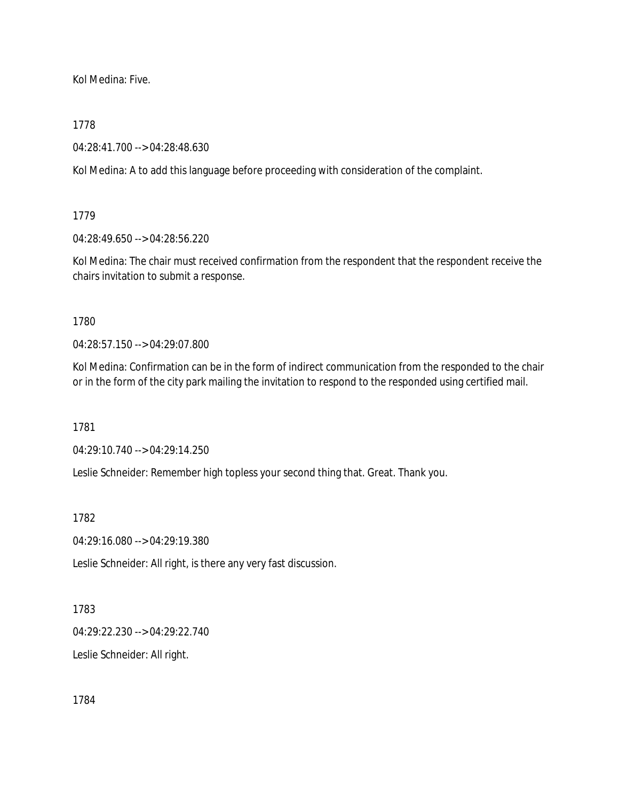Kol Medina: Five.

1778

04:28:41.700 --> 04:28:48.630

Kol Medina: A to add this language before proceeding with consideration of the complaint.

1779

04:28:49.650 --> 04:28:56.220

Kol Medina: The chair must received confirmation from the respondent that the respondent receive the chairs invitation to submit a response.

1780

04:28:57.150 --> 04:29:07.800

Kol Medina: Confirmation can be in the form of indirect communication from the responded to the chair or in the form of the city park mailing the invitation to respond to the responded using certified mail.

1781

04:29:10.740 --> 04:29:14.250

Leslie Schneider: Remember high topless your second thing that. Great. Thank you.

1782

04:29:16.080 --> 04:29:19.380

Leslie Schneider: All right, is there any very fast discussion.

1783

04:29:22.230 --> 04:29:22.740

Leslie Schneider: All right.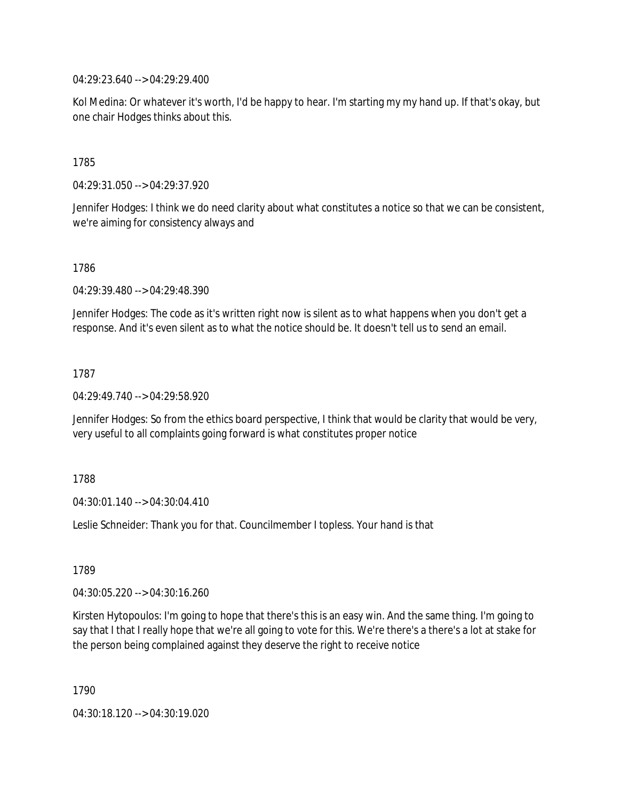04:29:23.640 --> 04:29:29.400

Kol Medina: Or whatever it's worth, I'd be happy to hear. I'm starting my my hand up. If that's okay, but one chair Hodges thinks about this.

1785

04:29:31.050 --> 04:29:37.920

Jennifer Hodges: I think we do need clarity about what constitutes a notice so that we can be consistent, we're aiming for consistency always and

1786

04:29:39.480 --> 04:29:48.390

Jennifer Hodges: The code as it's written right now is silent as to what happens when you don't get a response. And it's even silent as to what the notice should be. It doesn't tell us to send an email.

1787

04:29:49.740 --> 04:29:58.920

Jennifer Hodges: So from the ethics board perspective, I think that would be clarity that would be very, very useful to all complaints going forward is what constitutes proper notice

1788

04:30:01.140 --> 04:30:04.410

Leslie Schneider: Thank you for that. Councilmember I topless. Your hand is that

1789

04:30:05.220 --> 04:30:16.260

Kirsten Hytopoulos: I'm going to hope that there's this is an easy win. And the same thing. I'm going to say that I that I really hope that we're all going to vote for this. We're there's a there's a lot at stake for the person being complained against they deserve the right to receive notice

1790

04:30:18.120 --> 04:30:19.020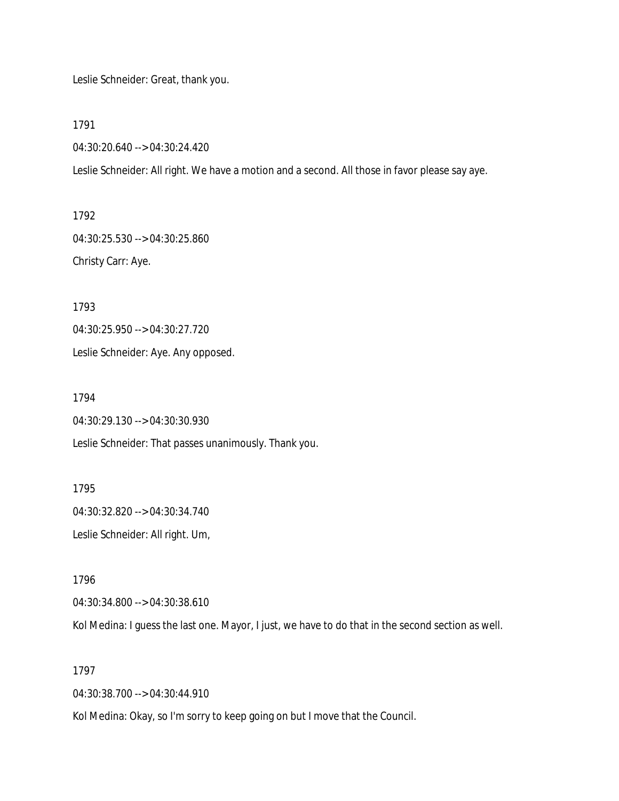Leslie Schneider: Great, thank you.

1791

04:30:20.640 --> 04:30:24.420

Leslie Schneider: All right. We have a motion and a second. All those in favor please say aye.

1792 04:30:25.530 --> 04:30:25.860 Christy Carr: Aye.

1793

04:30:25.950 --> 04:30:27.720

Leslie Schneider: Aye. Any opposed.

1794

04:30:29.130 --> 04:30:30.930

Leslie Schneider: That passes unanimously. Thank you.

1795 04:30:32.820 --> 04:30:34.740 Leslie Schneider: All right. Um,

1796

04:30:34.800 --> 04:30:38.610

Kol Medina: I guess the last one. Mayor, I just, we have to do that in the second section as well.

1797

04:30:38.700 --> 04:30:44.910

Kol Medina: Okay, so I'm sorry to keep going on but I move that the Council.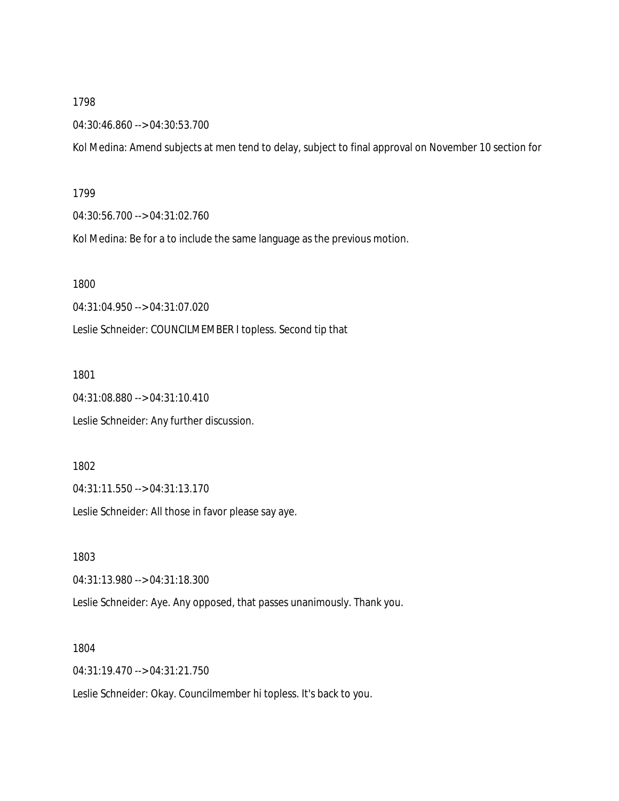04:30:46.860 --> 04:30:53.700

Kol Medina: Amend subjects at men tend to delay, subject to final approval on November 10 section for

#### 1799

04:30:56.700 --> 04:31:02.760

Kol Medina: Be for a to include the same language as the previous motion.

1800

04:31:04.950 --> 04:31:07.020

Leslie Schneider: COUNCILMEMBER I topless. Second tip that

1801

04:31:08.880 --> 04:31:10.410

Leslie Schneider: Any further discussion.

1802

04:31:11.550 --> 04:31:13.170

Leslie Schneider: All those in favor please say aye.

1803

04:31:13.980 --> 04:31:18.300

Leslie Schneider: Aye. Any opposed, that passes unanimously. Thank you.

1804

04:31:19.470 --> 04:31:21.750

Leslie Schneider: Okay. Councilmember hi topless. It's back to you.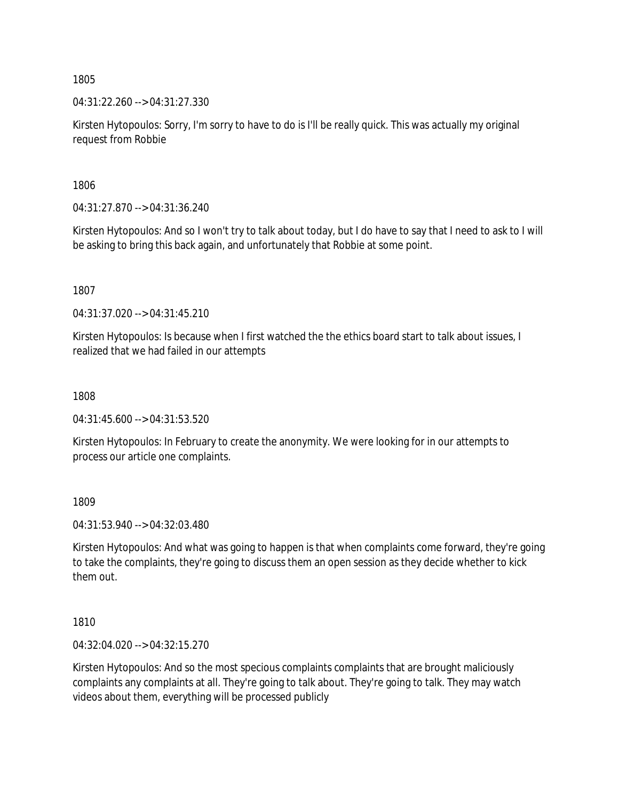04:31:22.260 --> 04:31:27.330

Kirsten Hytopoulos: Sorry, I'm sorry to have to do is I'll be really quick. This was actually my original request from Robbie

1806

04:31:27.870 --> 04:31:36.240

Kirsten Hytopoulos: And so I won't try to talk about today, but I do have to say that I need to ask to I will be asking to bring this back again, and unfortunately that Robbie at some point.

1807

04:31:37.020 --> 04:31:45.210

Kirsten Hytopoulos: Is because when I first watched the the ethics board start to talk about issues, I realized that we had failed in our attempts

1808

04:31:45.600 --> 04:31:53.520

Kirsten Hytopoulos: In February to create the anonymity. We were looking for in our attempts to process our article one complaints.

1809

04:31:53.940 --> 04:32:03.480

Kirsten Hytopoulos: And what was going to happen is that when complaints come forward, they're going to take the complaints, they're going to discuss them an open session as they decide whether to kick them out.

1810

04:32:04.020 --> 04:32:15.270

Kirsten Hytopoulos: And so the most specious complaints complaints that are brought maliciously complaints any complaints at all. They're going to talk about. They're going to talk. They may watch videos about them, everything will be processed publicly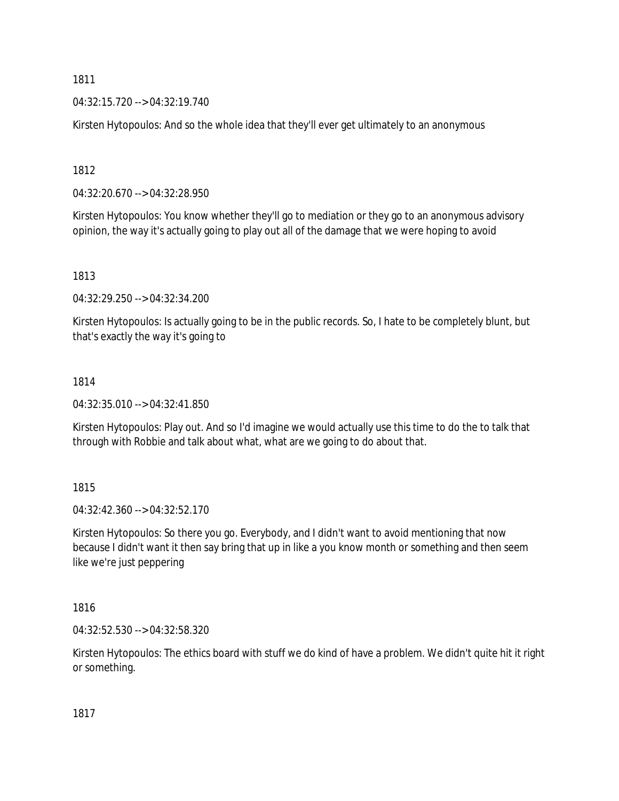04:32:15.720 --> 04:32:19.740

Kirsten Hytopoulos: And so the whole idea that they'll ever get ultimately to an anonymous

1812

04:32:20.670 --> 04:32:28.950

Kirsten Hytopoulos: You know whether they'll go to mediation or they go to an anonymous advisory opinion, the way it's actually going to play out all of the damage that we were hoping to avoid

1813

04:32:29.250 --> 04:32:34.200

Kirsten Hytopoulos: Is actually going to be in the public records. So, I hate to be completely blunt, but that's exactly the way it's going to

#### 1814

04:32:35.010 --> 04:32:41.850

Kirsten Hytopoulos: Play out. And so I'd imagine we would actually use this time to do the to talk that through with Robbie and talk about what, what are we going to do about that.

1815

04:32:42.360 --> 04:32:52.170

Kirsten Hytopoulos: So there you go. Everybody, and I didn't want to avoid mentioning that now because I didn't want it then say bring that up in like a you know month or something and then seem like we're just peppering

1816

04:32:52.530 --> 04:32:58.320

Kirsten Hytopoulos: The ethics board with stuff we do kind of have a problem. We didn't quite hit it right or something.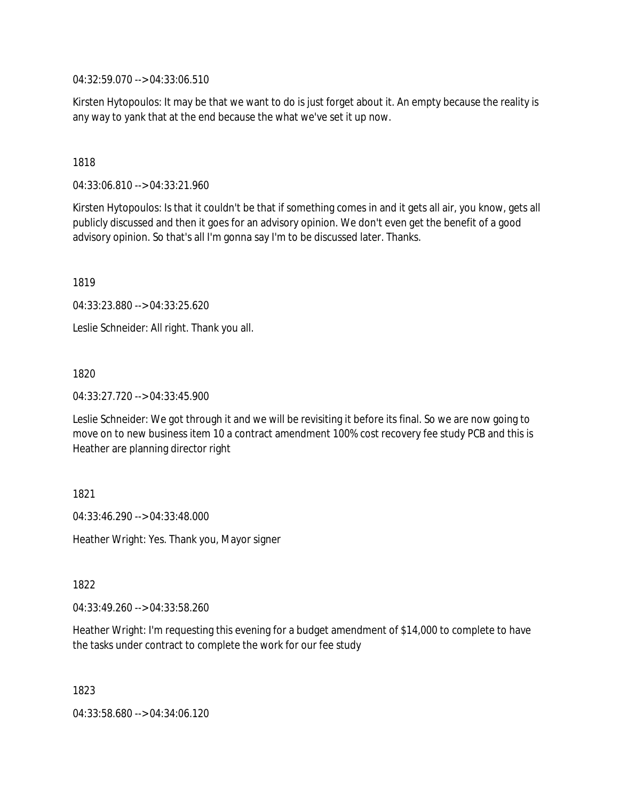04:32:59.070 --> 04:33:06.510

Kirsten Hytopoulos: It may be that we want to do is just forget about it. An empty because the reality is any way to yank that at the end because the what we've set it up now.

### 1818

04:33:06.810 --> 04:33:21.960

Kirsten Hytopoulos: Is that it couldn't be that if something comes in and it gets all air, you know, gets all publicly discussed and then it goes for an advisory opinion. We don't even get the benefit of a good advisory opinion. So that's all I'm gonna say I'm to be discussed later. Thanks.

1819

04:33:23.880 --> 04:33:25.620

Leslie Schneider: All right. Thank you all.

1820

04:33:27.720 --> 04:33:45.900

Leslie Schneider: We got through it and we will be revisiting it before its final. So we are now going to move on to new business item 10 a contract amendment 100% cost recovery fee study PCB and this is Heather are planning director right

1821

04:33:46.290 --> 04:33:48.000

Heather Wright: Yes. Thank you, Mayor signer

1822

04:33:49.260 --> 04:33:58.260

Heather Wright: I'm requesting this evening for a budget amendment of \$14,000 to complete to have the tasks under contract to complete the work for our fee study

1823

04:33:58.680 --> 04:34:06.120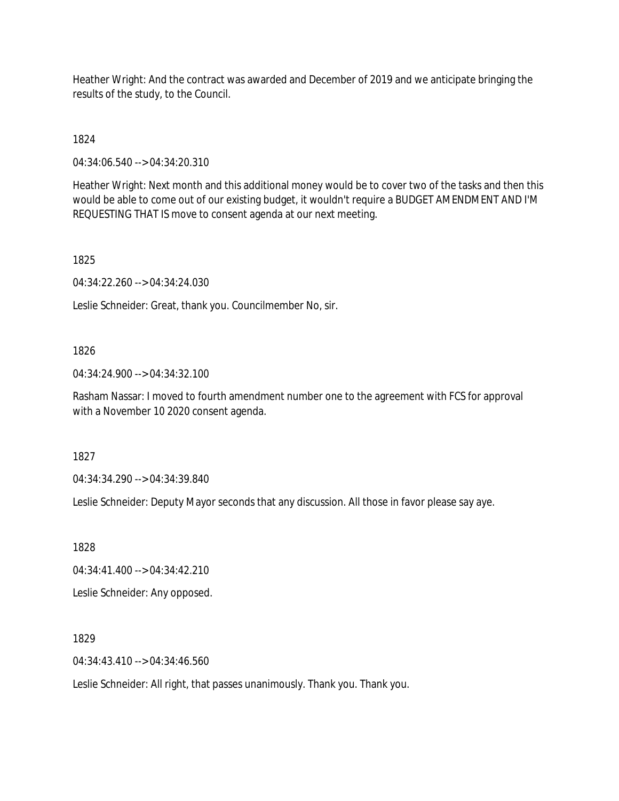Heather Wright: And the contract was awarded and December of 2019 and we anticipate bringing the results of the study, to the Council.

1824

04:34:06.540 --> 04:34:20.310

Heather Wright: Next month and this additional money would be to cover two of the tasks and then this would be able to come out of our existing budget, it wouldn't require a BUDGET AMENDMENT AND I'M REQUESTING THAT IS move to consent agenda at our next meeting.

1825

04:34:22.260 --> 04:34:24.030

Leslie Schneider: Great, thank you. Councilmember No, sir.

#### 1826

04:34:24.900 --> 04:34:32.100

Rasham Nassar: I moved to fourth amendment number one to the agreement with FCS for approval with a November 10 2020 consent agenda.

1827

04:34:34.290 --> 04:34:39.840

Leslie Schneider: Deputy Mayor seconds that any discussion. All those in favor please say aye.

1828

04:34:41.400 --> 04:34:42.210

Leslie Schneider: Any opposed.

1829

04:34:43.410 --> 04:34:46.560

Leslie Schneider: All right, that passes unanimously. Thank you. Thank you.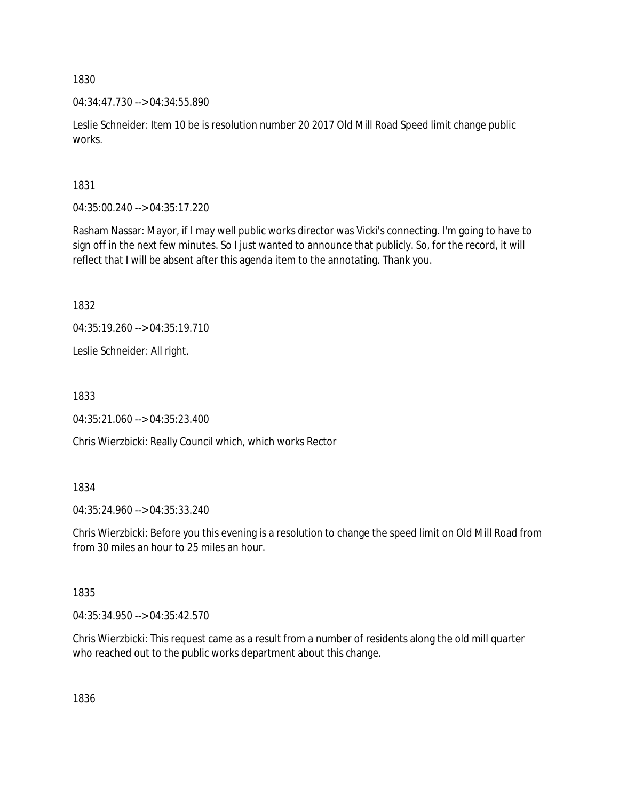04:34:47.730 --> 04:34:55.890

Leslie Schneider: Item 10 be is resolution number 20 2017 Old Mill Road Speed limit change public works.

1831

04:35:00.240 --> 04:35:17.220

Rasham Nassar: Mayor, if I may well public works director was Vicki's connecting. I'm going to have to sign off in the next few minutes. So I just wanted to announce that publicly. So, for the record, it will reflect that I will be absent after this agenda item to the annotating. Thank you.

1832

04:35:19.260 --> 04:35:19.710

Leslie Schneider: All right.

1833

04:35:21.060 --> 04:35:23.400

Chris Wierzbicki: Really Council which, which works Rector

1834

04:35:24.960 --> 04:35:33.240

Chris Wierzbicki: Before you this evening is a resolution to change the speed limit on Old Mill Road from from 30 miles an hour to 25 miles an hour.

1835

04:35:34.950 --> 04:35:42.570

Chris Wierzbicki: This request came as a result from a number of residents along the old mill quarter who reached out to the public works department about this change.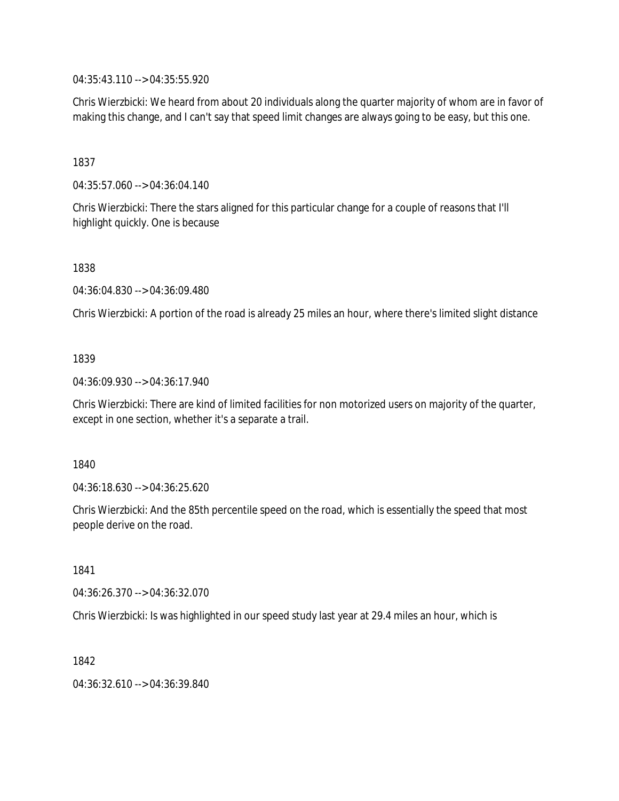04:35:43.110 --> 04:35:55.920

Chris Wierzbicki: We heard from about 20 individuals along the quarter majority of whom are in favor of making this change, and I can't say that speed limit changes are always going to be easy, but this one.

1837

04:35:57.060 --> 04:36:04.140

Chris Wierzbicki: There the stars aligned for this particular change for a couple of reasons that I'll highlight quickly. One is because

1838

04:36:04.830 --> 04:36:09.480

Chris Wierzbicki: A portion of the road is already 25 miles an hour, where there's limited slight distance

### 1839

04:36:09.930 --> 04:36:17.940

Chris Wierzbicki: There are kind of limited facilities for non motorized users on majority of the quarter, except in one section, whether it's a separate a trail.

1840

04:36:18.630 --> 04:36:25.620

Chris Wierzbicki: And the 85th percentile speed on the road, which is essentially the speed that most people derive on the road.

1841

04:36:26.370 --> 04:36:32.070

Chris Wierzbicki: Is was highlighted in our speed study last year at 29.4 miles an hour, which is

1842

04:36:32.610 --> 04:36:39.840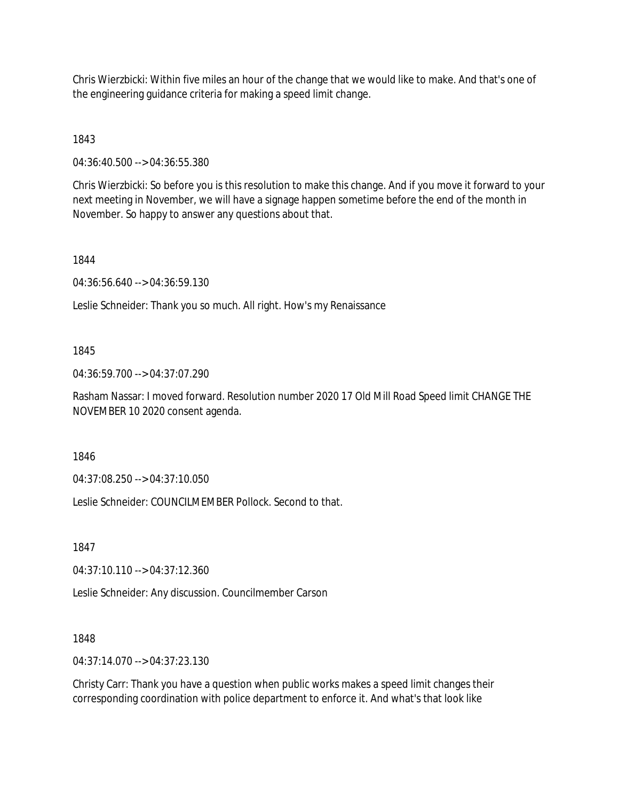Chris Wierzbicki: Within five miles an hour of the change that we would like to make. And that's one of the engineering guidance criteria for making a speed limit change.

1843

04:36:40.500 --> 04:36:55.380

Chris Wierzbicki: So before you is this resolution to make this change. And if you move it forward to your next meeting in November, we will have a signage happen sometime before the end of the month in November. So happy to answer any questions about that.

1844

04:36:56.640 --> 04:36:59.130

Leslie Schneider: Thank you so much. All right. How's my Renaissance

1845

04:36:59.700 --> 04:37:07.290

Rasham Nassar: I moved forward. Resolution number 2020 17 Old Mill Road Speed limit CHANGE THE NOVEMBER 10 2020 consent agenda.

1846

04:37:08.250 --> 04:37:10.050

Leslie Schneider: COUNCILMEMBER Pollock. Second to that.

1847

04:37:10.110 --> 04:37:12.360

Leslie Schneider: Any discussion. Councilmember Carson

1848

04:37:14.070 --> 04:37:23.130

Christy Carr: Thank you have a question when public works makes a speed limit changes their corresponding coordination with police department to enforce it. And what's that look like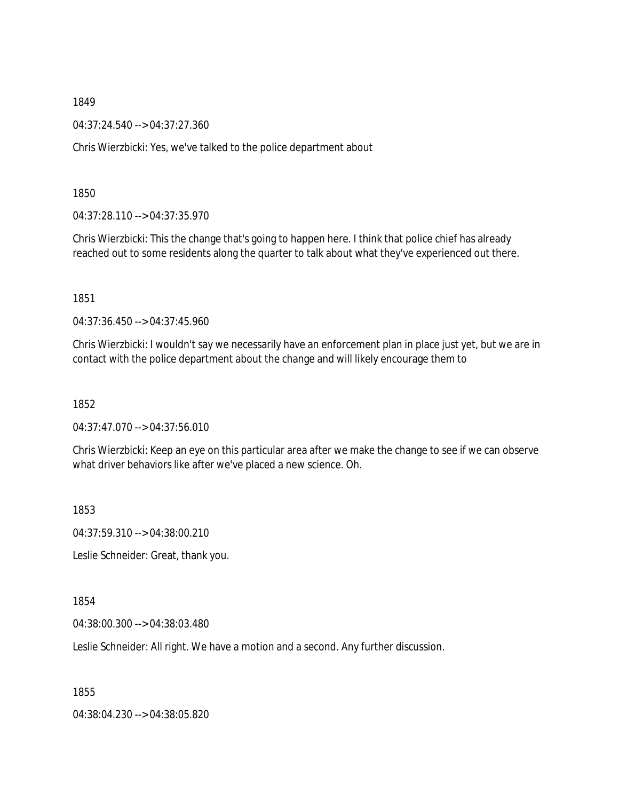04:37:24.540 --> 04:37:27.360

Chris Wierzbicki: Yes, we've talked to the police department about

1850

04:37:28.110 --> 04:37:35.970

Chris Wierzbicki: This the change that's going to happen here. I think that police chief has already reached out to some residents along the quarter to talk about what they've experienced out there.

1851

04:37:36.450 --> 04:37:45.960

Chris Wierzbicki: I wouldn't say we necessarily have an enforcement plan in place just yet, but we are in contact with the police department about the change and will likely encourage them to

1852

04:37:47.070 --> 04:37:56.010

Chris Wierzbicki: Keep an eye on this particular area after we make the change to see if we can observe what driver behaviors like after we've placed a new science. Oh.

1853

04:37:59.310 --> 04:38:00.210

Leslie Schneider: Great, thank you.

1854

04:38:00.300 --> 04:38:03.480

Leslie Schneider: All right. We have a motion and a second. Any further discussion.

1855

04:38:04.230 --> 04:38:05.820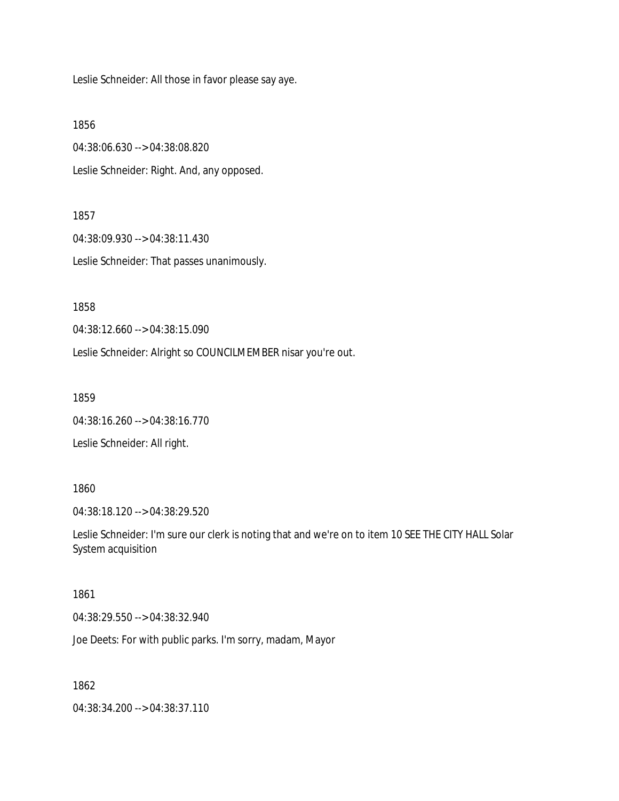Leslie Schneider: All those in favor please say aye.

1856

04:38:06.630 --> 04:38:08.820 Leslie Schneider: Right. And, any opposed.

#### 1857

04:38:09.930 --> 04:38:11.430 Leslie Schneider: That passes unanimously.

1858

04:38:12.660 --> 04:38:15.090

Leslie Schneider: Alright so COUNCILMEMBER nisar you're out.

1859

04:38:16.260 --> 04:38:16.770

Leslie Schneider: All right.

#### 1860

04:38:18.120 --> 04:38:29.520

Leslie Schneider: I'm sure our clerk is noting that and we're on to item 10 SEE THE CITY HALL Solar System acquisition

#### 1861

04:38:29.550 --> 04:38:32.940

Joe Deets: For with public parks. I'm sorry, madam, Mayor

#### 1862

04:38:34.200 --> 04:38:37.110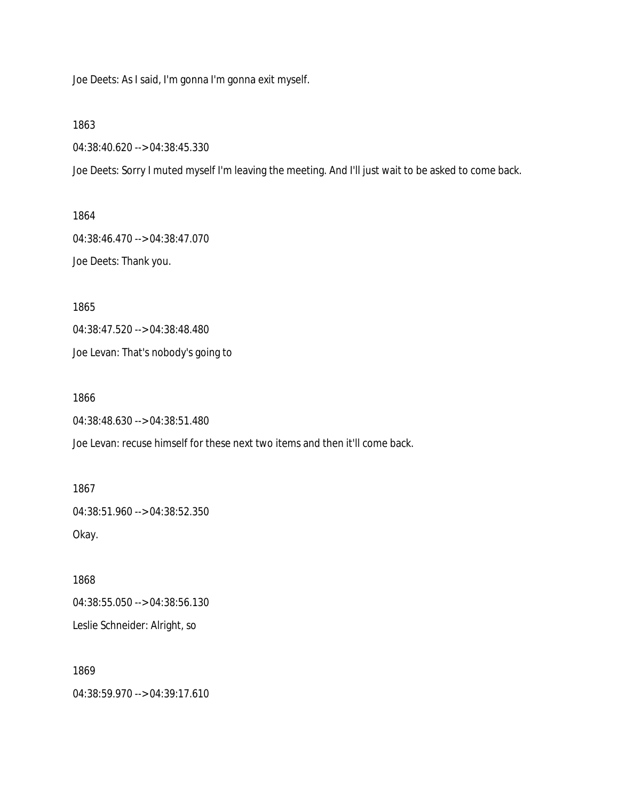Joe Deets: As I said, I'm gonna I'm gonna exit myself.

1863

04:38:40.620 --> 04:38:45.330

Joe Deets: Sorry I muted myself I'm leaving the meeting. And I'll just wait to be asked to come back.

1864 04:38:46.470 --> 04:38:47.070 Joe Deets: Thank you.

1865 04:38:47.520 --> 04:38:48.480

Joe Levan: That's nobody's going to

1866

```
04:38:48.630 --> 04:38:51.480
```
Joe Levan: recuse himself for these next two items and then it'll come back.

1867 04:38:51.960 --> 04:38:52.350 Okay.

1868 04:38:55.050 --> 04:38:56.130 Leslie Schneider: Alright, so

1869

04:38:59.970 --> 04:39:17.610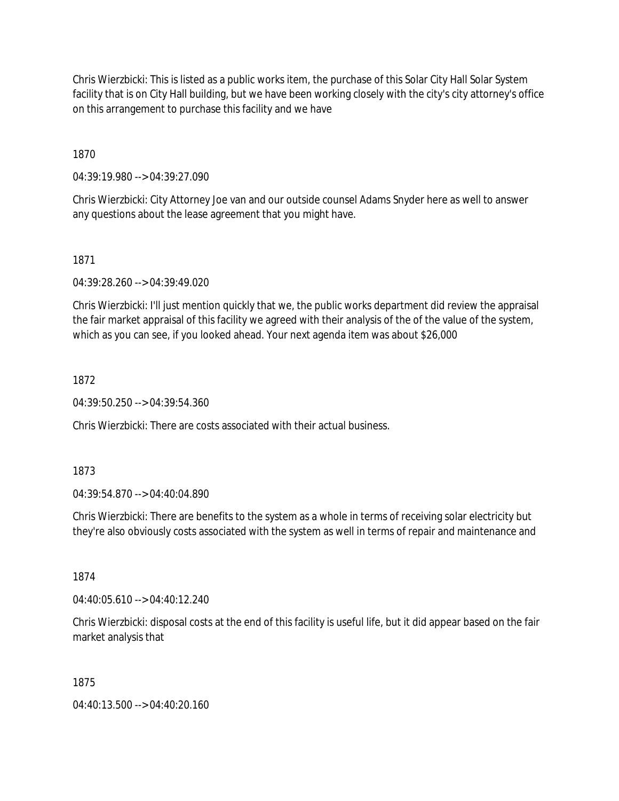Chris Wierzbicki: This is listed as a public works item, the purchase of this Solar City Hall Solar System facility that is on City Hall building, but we have been working closely with the city's city attorney's office on this arrangement to purchase this facility and we have

1870

04:39:19.980 --> 04:39:27.090

Chris Wierzbicki: City Attorney Joe van and our outside counsel Adams Snyder here as well to answer any questions about the lease agreement that you might have.

1871

04:39:28.260 --> 04:39:49.020

Chris Wierzbicki: I'll just mention quickly that we, the public works department did review the appraisal the fair market appraisal of this facility we agreed with their analysis of the of the value of the system, which as you can see, if you looked ahead. Your next agenda item was about \$26,000

1872

04:39:50.250 --> 04:39:54.360

Chris Wierzbicki: There are costs associated with their actual business.

1873

04:39:54.870 --> 04:40:04.890

Chris Wierzbicki: There are benefits to the system as a whole in terms of receiving solar electricity but they're also obviously costs associated with the system as well in terms of repair and maintenance and

1874

04:40:05.610 --> 04:40:12.240

Chris Wierzbicki: disposal costs at the end of this facility is useful life, but it did appear based on the fair market analysis that

1875

04:40:13.500 --> 04:40:20.160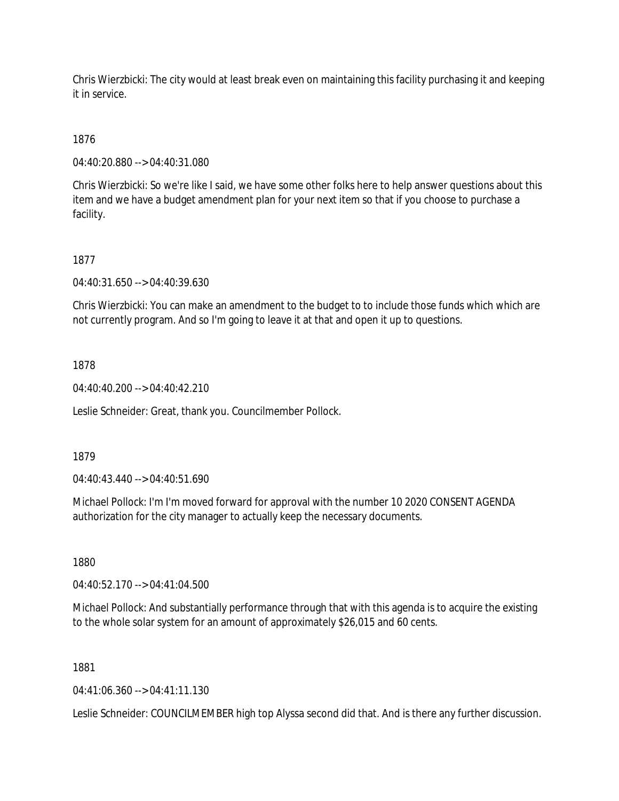Chris Wierzbicki: The city would at least break even on maintaining this facility purchasing it and keeping it in service.

1876

04:40:20.880 --> 04:40:31.080

Chris Wierzbicki: So we're like I said, we have some other folks here to help answer questions about this item and we have a budget amendment plan for your next item so that if you choose to purchase a facility.

# 1877

04:40:31.650 --> 04:40:39.630

Chris Wierzbicki: You can make an amendment to the budget to to include those funds which which are not currently program. And so I'm going to leave it at that and open it up to questions.

### 1878

 $04:40:40.200 \rightarrow 04:40:42.210$ 

Leslie Schneider: Great, thank you. Councilmember Pollock.

### 1879

04:40:43.440 --> 04:40:51.690

Michael Pollock: I'm I'm moved forward for approval with the number 10 2020 CONSENT AGENDA authorization for the city manager to actually keep the necessary documents.

1880

04:40:52.170 --> 04:41:04.500

Michael Pollock: And substantially performance through that with this agenda is to acquire the existing to the whole solar system for an amount of approximately \$26,015 and 60 cents.

1881

04:41:06.360 --> 04:41:11.130

Leslie Schneider: COUNCILMEMBER high top Alyssa second did that. And is there any further discussion.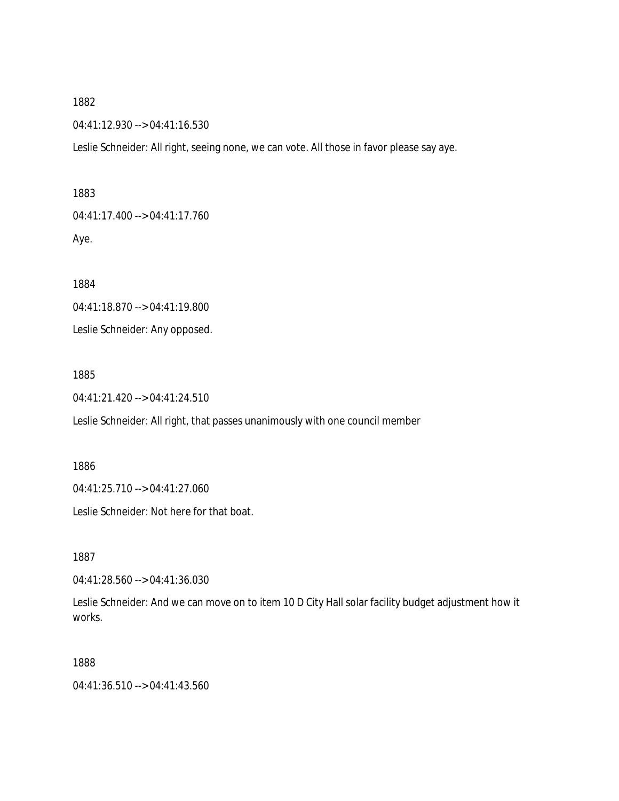04:41:12.930 --> 04:41:16.530

Leslie Schneider: All right, seeing none, we can vote. All those in favor please say aye.

1883

04:41:17.400 --> 04:41:17.760

Aye.

1884

04:41:18.870 --> 04:41:19.800 Leslie Schneider: Any opposed.

1885

04:41:21.420 --> 04:41:24.510

Leslie Schneider: All right, that passes unanimously with one council member

1886

04:41:25.710 --> 04:41:27.060

Leslie Schneider: Not here for that boat.

1887

04:41:28.560 --> 04:41:36.030

Leslie Schneider: And we can move on to item 10 D City Hall solar facility budget adjustment how it works.

1888

04:41:36.510 --> 04:41:43.560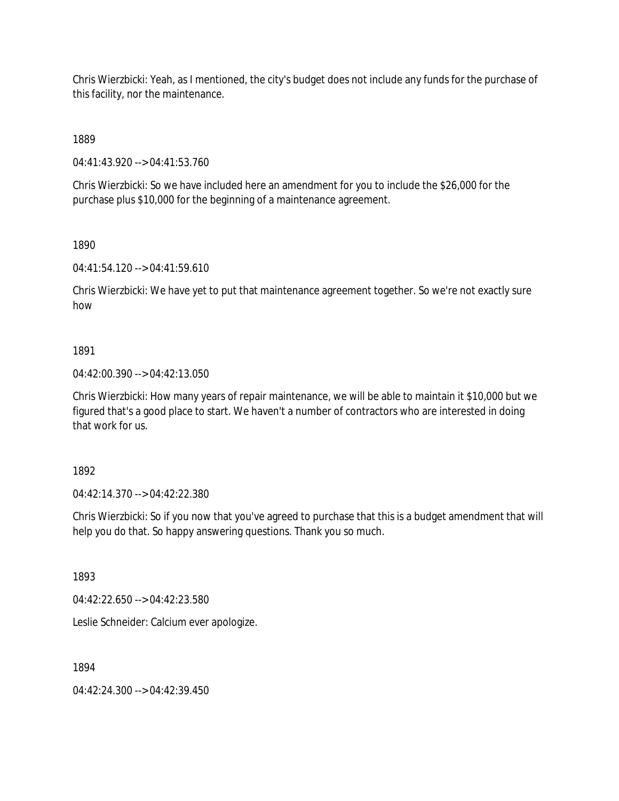Chris Wierzbicki: Yeah, as I mentioned, the city's budget does not include any funds for the purchase of this facility, nor the maintenance.

1889

04:41:43.920 --> 04:41:53.760

Chris Wierzbicki: So we have included here an amendment for you to include the \$26,000 for the purchase plus \$10,000 for the beginning of a maintenance agreement.

1890

04:41:54.120 --> 04:41:59.610

Chris Wierzbicki: We have yet to put that maintenance agreement together. So we're not exactly sure how

### 1891

04:42:00.390 --> 04:42:13.050

Chris Wierzbicki: How many years of repair maintenance, we will be able to maintain it \$10,000 but we figured that's a good place to start. We haven't a number of contractors who are interested in doing that work for us.

1892

04:42:14.370 --> 04:42:22.380

Chris Wierzbicki: So if you now that you've agreed to purchase that this is a budget amendment that will help you do that. So happy answering questions. Thank you so much.

1893

04:42:22.650 --> 04:42:23.580

Leslie Schneider: Calcium ever apologize.

1894

04:42:24.300 --> 04:42:39.450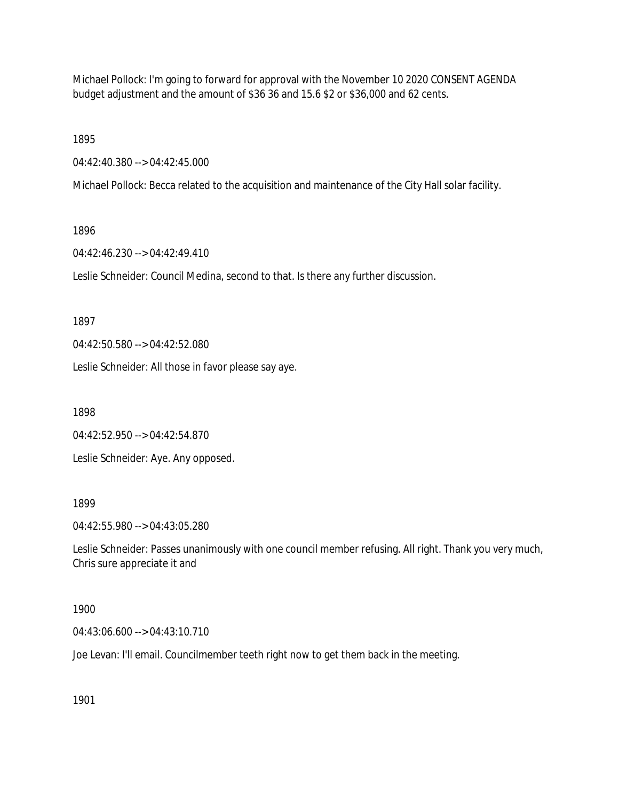Michael Pollock: I'm going to forward for approval with the November 10 2020 CONSENT AGENDA budget adjustment and the amount of \$36 36 and 15.6 \$2 or \$36,000 and 62 cents.

1895

04:42:40.380 --> 04:42:45.000

Michael Pollock: Becca related to the acquisition and maintenance of the City Hall solar facility.

# 1896

04:42:46.230 --> 04:42:49.410

Leslie Schneider: Council Medina, second to that. Is there any further discussion.

1897

04:42:50.580 --> 04:42:52.080

Leslie Schneider: All those in favor please say aye.

1898

04:42:52.950 --> 04:42:54.870

Leslie Schneider: Aye. Any opposed.

### 1899

04:42:55.980 --> 04:43:05.280

Leslie Schneider: Passes unanimously with one council member refusing. All right. Thank you very much, Chris sure appreciate it and

# 1900

04:43:06.600 --> 04:43:10.710

Joe Levan: I'll email. Councilmember teeth right now to get them back in the meeting.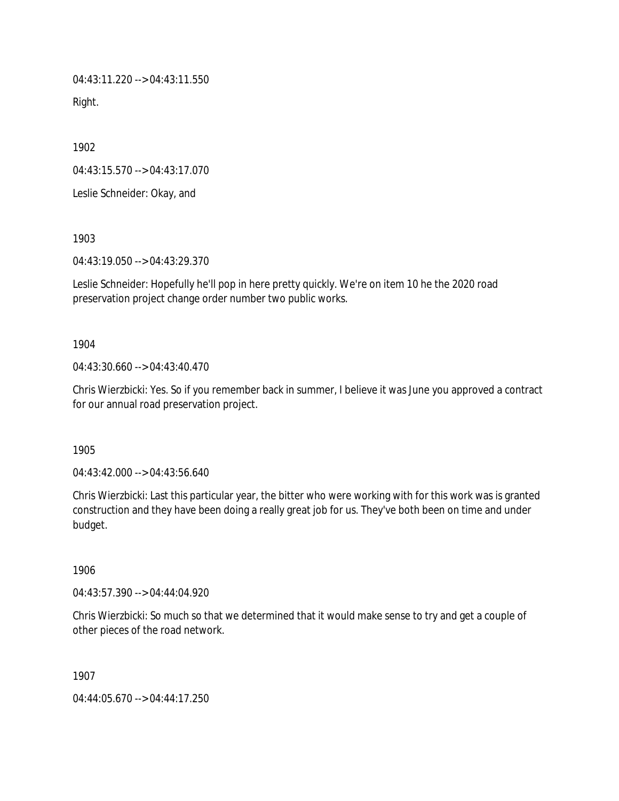04:43:11.220 --> 04:43:11.550

Right.

1902

04:43:15.570 --> 04:43:17.070

Leslie Schneider: Okay, and

1903

04:43:19.050 --> 04:43:29.370

Leslie Schneider: Hopefully he'll pop in here pretty quickly. We're on item 10 he the 2020 road preservation project change order number two public works.

### 1904

04:43:30.660 --> 04:43:40.470

Chris Wierzbicki: Yes. So if you remember back in summer, I believe it was June you approved a contract for our annual road preservation project.

1905

04:43:42.000 --> 04:43:56.640

Chris Wierzbicki: Last this particular year, the bitter who were working with for this work was is granted construction and they have been doing a really great job for us. They've both been on time and under budget.

1906

04:43:57.390 --> 04:44:04.920

Chris Wierzbicki: So much so that we determined that it would make sense to try and get a couple of other pieces of the road network.

1907

04:44:05.670 --> 04:44:17.250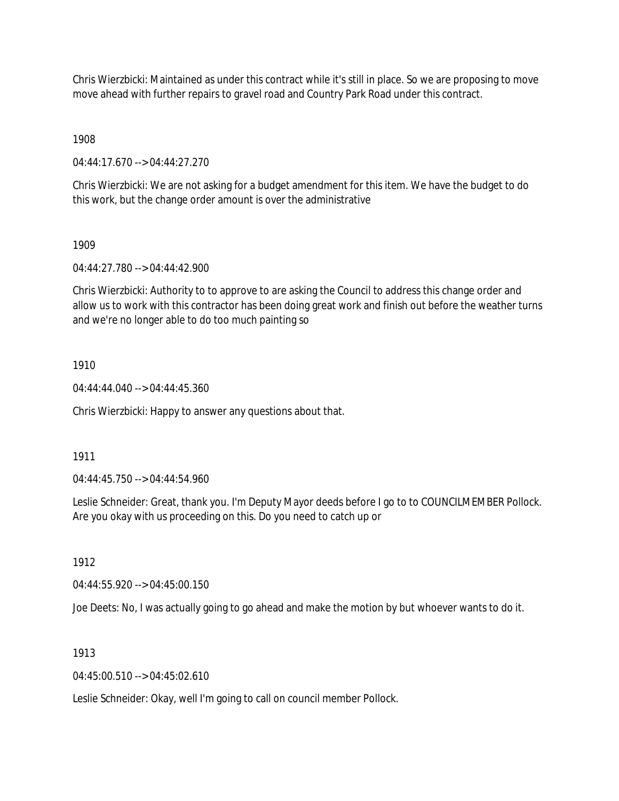Chris Wierzbicki: Maintained as under this contract while it's still in place. So we are proposing to move move ahead with further repairs to gravel road and Country Park Road under this contract.

1908

04:44:17.670 --> 04:44:27.270

Chris Wierzbicki: We are not asking for a budget amendment for this item. We have the budget to do this work, but the change order amount is over the administrative

1909

04:44:27.780 --> 04:44:42.900

Chris Wierzbicki: Authority to to approve to are asking the Council to address this change order and allow us to work with this contractor has been doing great work and finish out before the weather turns and we're no longer able to do too much painting so

#### 1910

 $04:44:44.040 \rightarrow 04:44:45.360$ 

Chris Wierzbicki: Happy to answer any questions about that.

#### 1911

04:44:45.750 --> 04:44:54.960

Leslie Schneider: Great, thank you. I'm Deputy Mayor deeds before I go to to COUNCILMEMBER Pollock. Are you okay with us proceeding on this. Do you need to catch up or

1912

04:44:55.920 --> 04:45:00.150

Joe Deets: No, I was actually going to go ahead and make the motion by but whoever wants to do it.

### 1913

04:45:00.510 --> 04:45:02.610

Leslie Schneider: Okay, well I'm going to call on council member Pollock.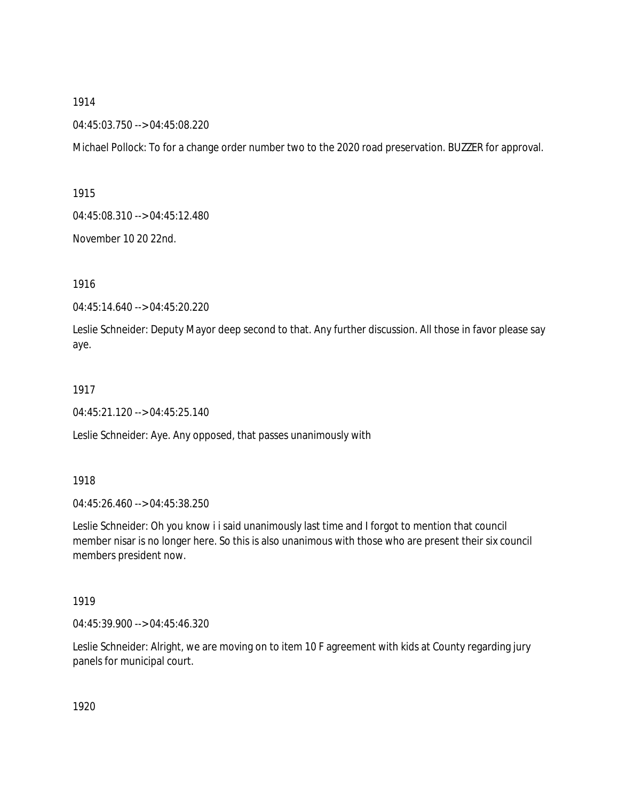04:45:03.750 --> 04:45:08.220

Michael Pollock: To for a change order number two to the 2020 road preservation. BUZZER for approval.

1915

04:45:08.310 --> 04:45:12.480

November 10 20 22nd.

1916

04:45:14.640 --> 04:45:20.220

Leslie Schneider: Deputy Mayor deep second to that. Any further discussion. All those in favor please say aye.

#### 1917

04:45:21.120 --> 04:45:25.140

Leslie Schneider: Aye. Any opposed, that passes unanimously with

### 1918

04:45:26.460 --> 04:45:38.250

Leslie Schneider: Oh you know i i said unanimously last time and I forgot to mention that council member nisar is no longer here. So this is also unanimous with those who are present their six council members president now.

### 1919

04:45:39.900 --> 04:45:46.320

Leslie Schneider: Alright, we are moving on to item 10 F agreement with kids at County regarding jury panels for municipal court.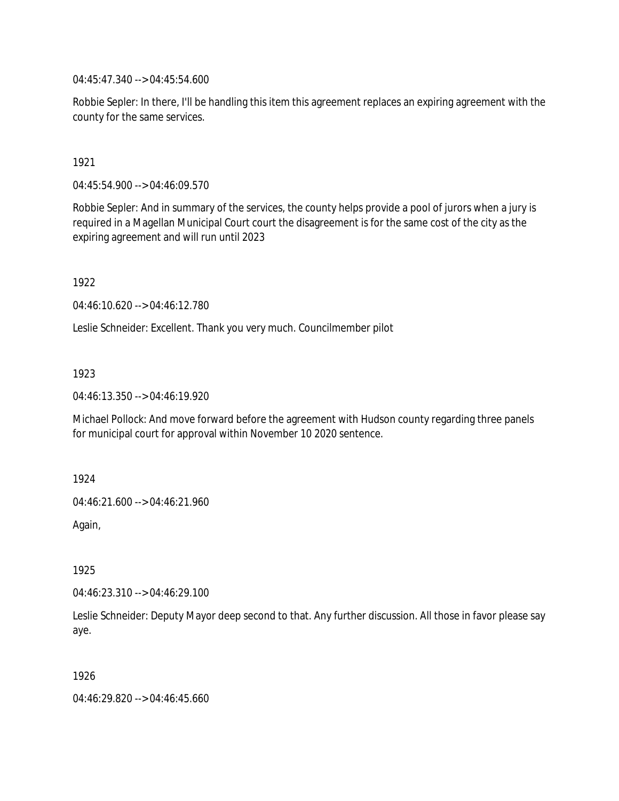04:45:47.340 --> 04:45:54.600

Robbie Sepler: In there, I'll be handling this item this agreement replaces an expiring agreement with the county for the same services.

1921

04:45:54.900 --> 04:46:09.570

Robbie Sepler: And in summary of the services, the county helps provide a pool of jurors when a jury is required in a Magellan Municipal Court court the disagreement is for the same cost of the city as the expiring agreement and will run until 2023

1922

04:46:10.620 --> 04:46:12.780

Leslie Schneider: Excellent. Thank you very much. Councilmember pilot

1923

04:46:13.350 --> 04:46:19.920

Michael Pollock: And move forward before the agreement with Hudson county regarding three panels for municipal court for approval within November 10 2020 sentence.

1924

04:46:21.600 --> 04:46:21.960

Again,

1925

04:46:23.310 --> 04:46:29.100

Leslie Schneider: Deputy Mayor deep second to that. Any further discussion. All those in favor please say aye.

1926

04:46:29.820 --> 04:46:45.660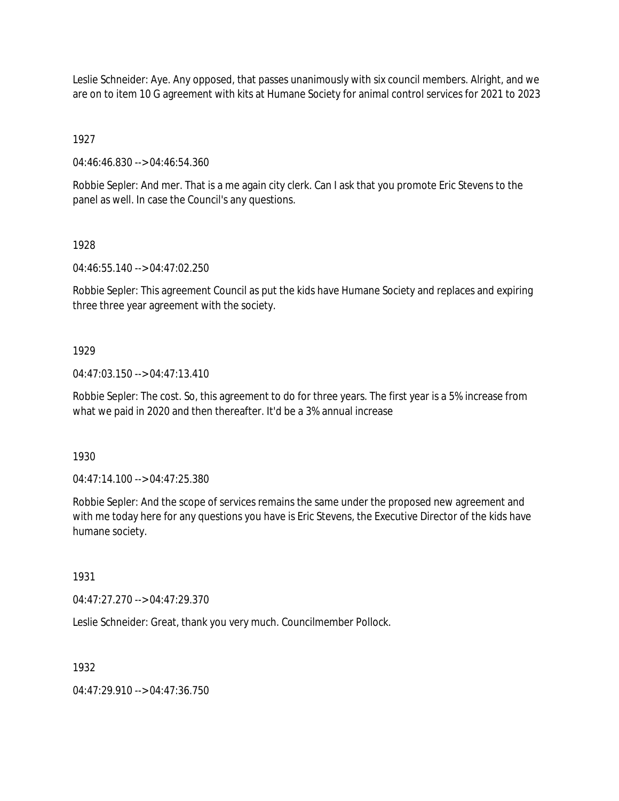Leslie Schneider: Aye. Any opposed, that passes unanimously with six council members. Alright, and we are on to item 10 G agreement with kits at Humane Society for animal control services for 2021 to 2023

1927

04:46:46.830 --> 04:46:54.360

Robbie Sepler: And mer. That is a me again city clerk. Can I ask that you promote Eric Stevens to the panel as well. In case the Council's any questions.

1928

04:46:55.140 --> 04:47:02.250

Robbie Sepler: This agreement Council as put the kids have Humane Society and replaces and expiring three three year agreement with the society.

### 1929

04:47:03.150 --> 04:47:13.410

Robbie Sepler: The cost. So, this agreement to do for three years. The first year is a 5% increase from what we paid in 2020 and then thereafter. It'd be a 3% annual increase

1930

04:47:14.100 --> 04:47:25.380

Robbie Sepler: And the scope of services remains the same under the proposed new agreement and with me today here for any questions you have is Eric Stevens, the Executive Director of the kids have humane society.

1931

04:47:27.270 --> 04:47:29.370

Leslie Schneider: Great, thank you very much. Councilmember Pollock.

1932

04:47:29.910 --> 04:47:36.750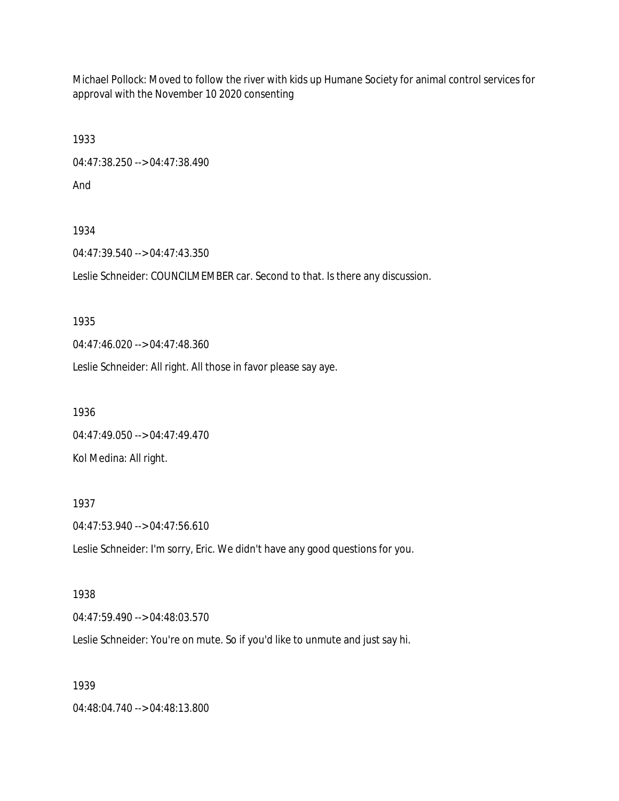Michael Pollock: Moved to follow the river with kids up Humane Society for animal control services for approval with the November 10 2020 consenting

1933

04:47:38.250 --> 04:47:38.490

And

1934

04:47:39.540 --> 04:47:43.350

Leslie Schneider: COUNCILMEMBER car. Second to that. Is there any discussion.

1935

04:47:46.020 --> 04:47:48.360

Leslie Schneider: All right. All those in favor please say aye.

1936

04:47:49.050 --> 04:47:49.470

Kol Medina: All right.

1937

04:47:53.940 --> 04:47:56.610

Leslie Schneider: I'm sorry, Eric. We didn't have any good questions for you.

### 1938

04:47:59.490 --> 04:48:03.570

Leslie Schneider: You're on mute. So if you'd like to unmute and just say hi.

### 1939

04:48:04.740 --> 04:48:13.800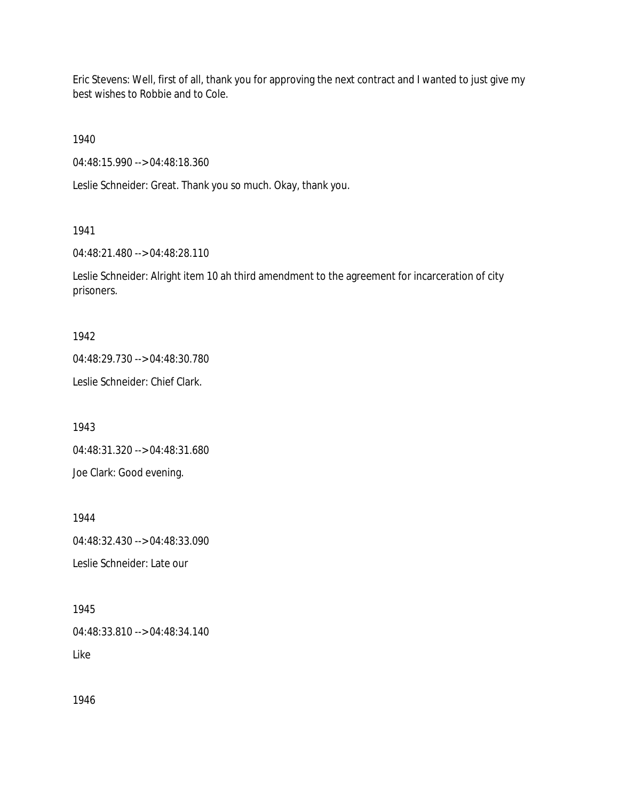Eric Stevens: Well, first of all, thank you for approving the next contract and I wanted to just give my best wishes to Robbie and to Cole.

1940

04:48:15.990 --> 04:48:18.360

Leslie Schneider: Great. Thank you so much. Okay, thank you.

#### 1941

04:48:21.480 --> 04:48:28.110

Leslie Schneider: Alright item 10 ah third amendment to the agreement for incarceration of city prisoners.

### 1942

04:48:29.730 --> 04:48:30.780

Leslie Schneider: Chief Clark.

1943

04:48:31.320 --> 04:48:31.680

Joe Clark: Good evening.

1944

04:48:32.430 --> 04:48:33.090

Leslie Schneider: Late our

### 1945

04:48:33.810 --> 04:48:34.140

Like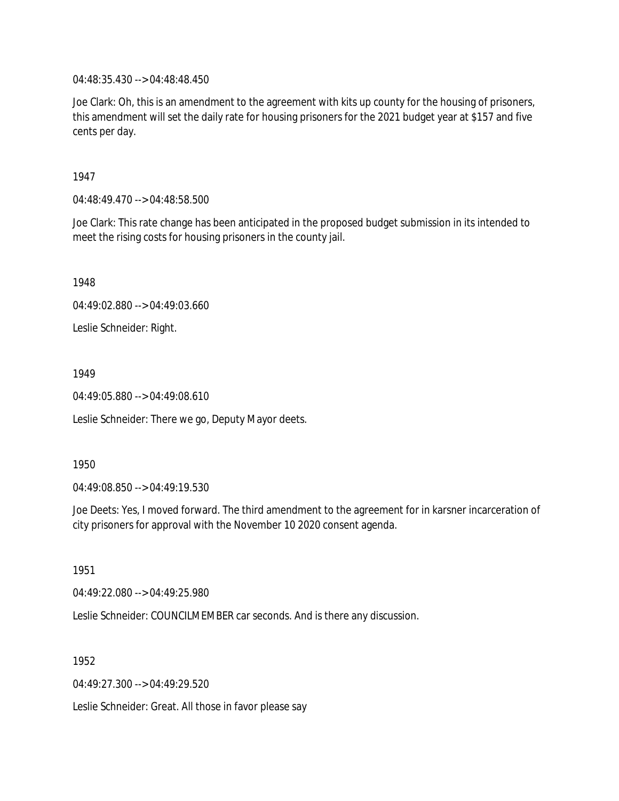04:48:35.430 --> 04:48:48.450

Joe Clark: Oh, this is an amendment to the agreement with kits up county for the housing of prisoners, this amendment will set the daily rate for housing prisoners for the 2021 budget year at \$157 and five cents per day.

1947

04:48:49.470 --> 04:48:58.500

Joe Clark: This rate change has been anticipated in the proposed budget submission in its intended to meet the rising costs for housing prisoners in the county jail.

1948

04:49:02.880 --> 04:49:03.660

Leslie Schneider: Right.

1949

04:49:05.880 --> 04:49:08.610

Leslie Schneider: There we go, Deputy Mayor deets.

1950

04:49:08.850 --> 04:49:19.530

Joe Deets: Yes, I moved forward. The third amendment to the agreement for in karsner incarceration of city prisoners for approval with the November 10 2020 consent agenda.

1951

04:49:22.080 --> 04:49:25.980

Leslie Schneider: COUNCILMEMBER car seconds. And is there any discussion.

1952

04:49:27.300 --> 04:49:29.520

Leslie Schneider: Great. All those in favor please say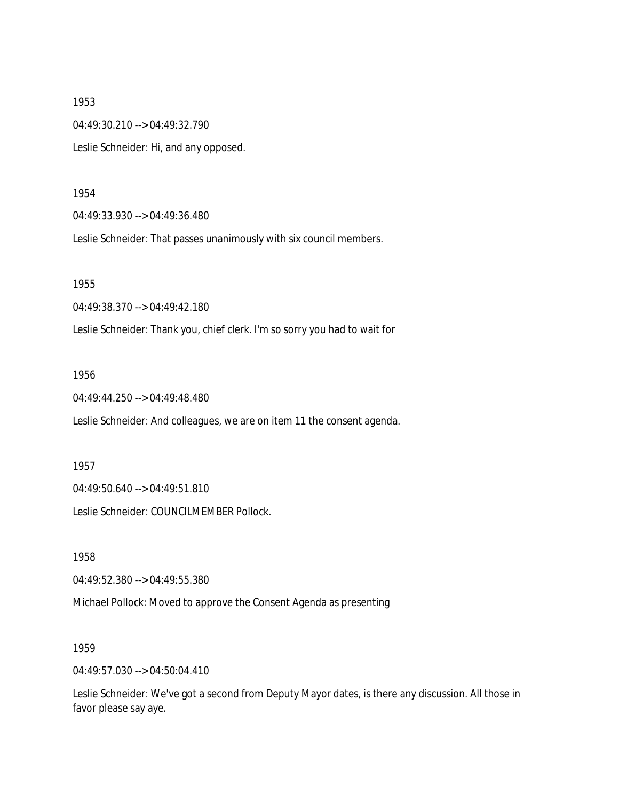1953 04:49:30.210 --> 04:49:32.790 Leslie Schneider: Hi, and any opposed.

#### 1954

04:49:33.930 --> 04:49:36.480

Leslie Schneider: That passes unanimously with six council members.

#### 1955

04:49:38.370 --> 04:49:42.180

Leslie Schneider: Thank you, chief clerk. I'm so sorry you had to wait for

#### 1956

04:49:44.250 --> 04:49:48.480

Leslie Schneider: And colleagues, we are on item 11 the consent agenda.

1957

04:49:50.640 --> 04:49:51.810

Leslie Schneider: COUNCILMEMBER Pollock.

1958

04:49:52.380 --> 04:49:55.380

Michael Pollock: Moved to approve the Consent Agenda as presenting

1959

04:49:57.030 --> 04:50:04.410

Leslie Schneider: We've got a second from Deputy Mayor dates, is there any discussion. All those in favor please say aye.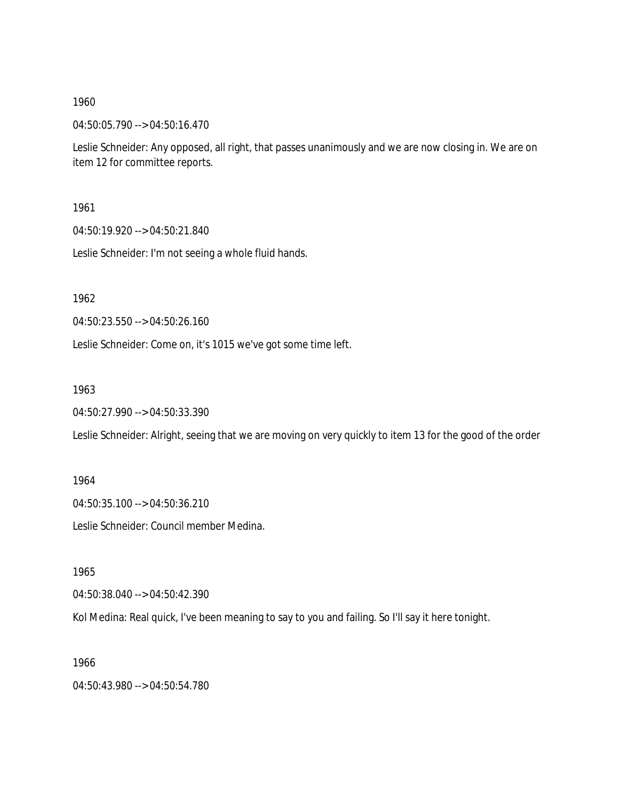04:50:05.790 --> 04:50:16.470

Leslie Schneider: Any opposed, all right, that passes unanimously and we are now closing in. We are on item 12 for committee reports.

1961

04:50:19.920 --> 04:50:21.840

Leslie Schneider: I'm not seeing a whole fluid hands.

1962

04:50:23.550 --> 04:50:26.160

Leslie Schneider: Come on, it's 1015 we've got some time left.

1963

04:50:27.990 --> 04:50:33.390

Leslie Schneider: Alright, seeing that we are moving on very quickly to item 13 for the good of the order

1964

04:50:35.100 --> 04:50:36.210

Leslie Schneider: Council member Medina.

1965

04:50:38.040 --> 04:50:42.390

Kol Medina: Real quick, I've been meaning to say to you and failing. So I'll say it here tonight.

1966

04:50:43.980 --> 04:50:54.780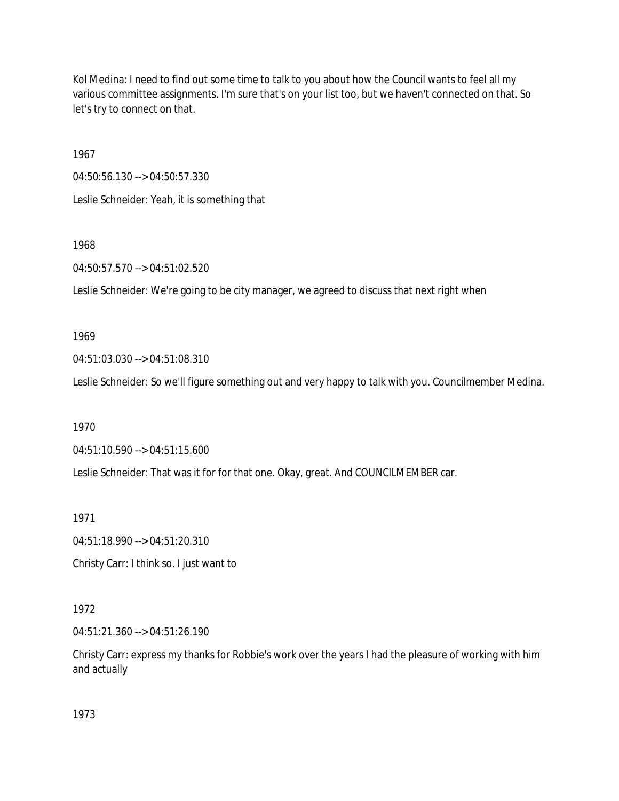Kol Medina: I need to find out some time to talk to you about how the Council wants to feel all my various committee assignments. I'm sure that's on your list too, but we haven't connected on that. So let's try to connect on that.

1967 04:50:56.130 --> 04:50:57.330 Leslie Schneider: Yeah, it is something that

### 1968

04:50:57.570 --> 04:51:02.520

Leslie Schneider: We're going to be city manager, we agreed to discuss that next right when

# 1969

04:51:03.030 --> 04:51:08.310

Leslie Schneider: So we'll figure something out and very happy to talk with you. Councilmember Medina.

### 1970

04:51:10.590 --> 04:51:15.600

Leslie Schneider: That was it for for that one. Okay, great. And COUNCILMEMBER car.

1971

04:51:18.990 --> 04:51:20.310

Christy Carr: I think so. I just want to

# 1972

04:51:21.360 --> 04:51:26.190

Christy Carr: express my thanks for Robbie's work over the years I had the pleasure of working with him and actually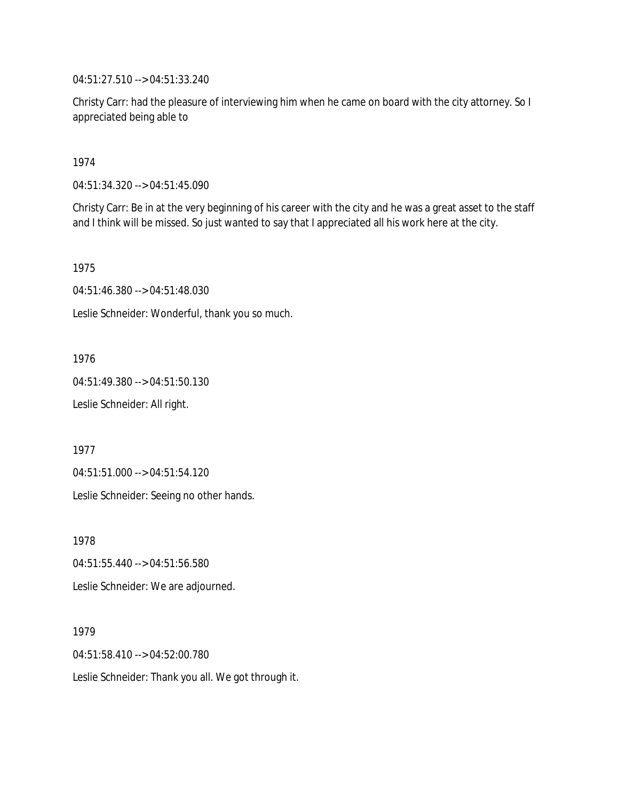04:51:27.510 --> 04:51:33.240

Christy Carr: had the pleasure of interviewing him when he came on board with the city attorney. So I appreciated being able to

1974

04:51:34.320 --> 04:51:45.090

Christy Carr: Be in at the very beginning of his career with the city and he was a great asset to the staff and I think will be missed. So just wanted to say that I appreciated all his work here at the city.

1975

04:51:46.380 --> 04:51:48.030

Leslie Schneider: Wonderful, thank you so much.

1976

04:51:49.380 --> 04:51:50.130

Leslie Schneider: All right.

1977

04:51:51.000 --> 04:51:54.120

Leslie Schneider: Seeing no other hands.

1978

04:51:55.440 --> 04:51:56.580

Leslie Schneider: We are adjourned.

1979

04:51:58.410 --> 04:52:00.780

Leslie Schneider: Thank you all. We got through it.